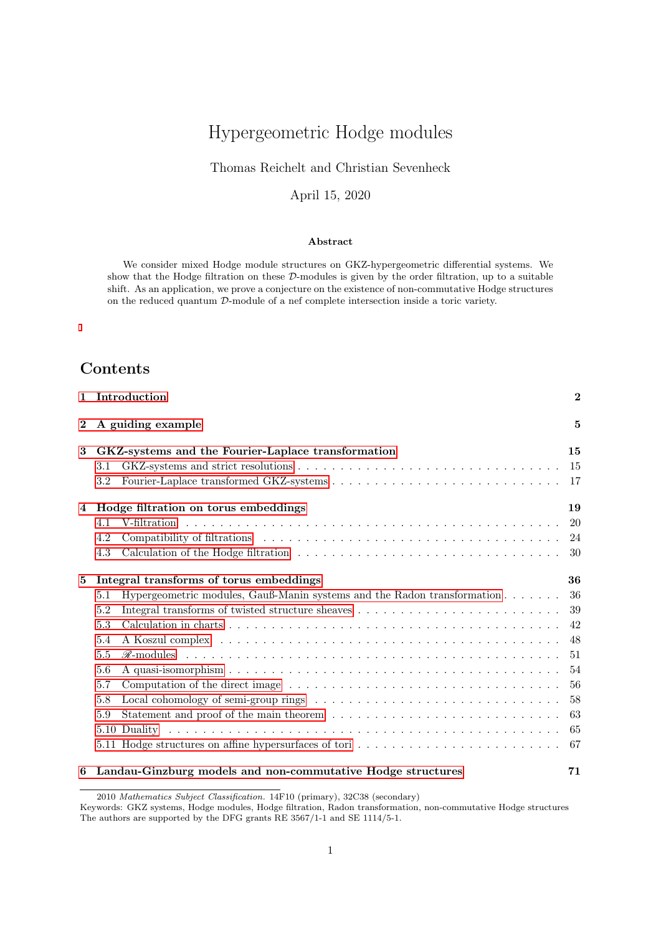# Hypergeometric Hodge modules

### Thomas Reichelt and Christian Sevenheck

### April 15, 2020

#### Abstract

We consider mixed Hodge module structures on GKZ-hypergeometric differential systems. We show that the Hodge filtration on these D-modules is given by the order filtration, up to a suitable shift. As an application, we prove a conjecture on the existence of non-commutative Hodge structures on the reduced quantum D-module of a nef complete intersection inside a toric variety.

# Contents

| A guiding example<br>$\overline{2}$<br>GKZ-systems and the Fourier-Laplace transformation<br>3<br>3.1<br>3.2<br>Hodge filtration on torus embeddings<br>4<br>4.1<br>4.2<br>4.3<br>Integral transforms of torus embeddings<br>5<br>Hypergeometric modules, Gauß-Manin systems and the Radon transformation<br>5.1<br>5.2<br>5.3<br>5.4<br>5.5<br>5.6<br>5.7<br>5.8<br>5.9 | $\overline{2}$ |
|--------------------------------------------------------------------------------------------------------------------------------------------------------------------------------------------------------------------------------------------------------------------------------------------------------------------------------------------------------------------------|----------------|
|                                                                                                                                                                                                                                                                                                                                                                          | 5              |
|                                                                                                                                                                                                                                                                                                                                                                          | 15             |
|                                                                                                                                                                                                                                                                                                                                                                          | 15             |
|                                                                                                                                                                                                                                                                                                                                                                          | -17            |
|                                                                                                                                                                                                                                                                                                                                                                          | 19             |
|                                                                                                                                                                                                                                                                                                                                                                          | <b>20</b>      |
|                                                                                                                                                                                                                                                                                                                                                                          | 24             |
|                                                                                                                                                                                                                                                                                                                                                                          | -30            |
|                                                                                                                                                                                                                                                                                                                                                                          | 36             |
|                                                                                                                                                                                                                                                                                                                                                                          | 36             |
|                                                                                                                                                                                                                                                                                                                                                                          | 39             |
|                                                                                                                                                                                                                                                                                                                                                                          | 42             |
|                                                                                                                                                                                                                                                                                                                                                                          | 48             |
|                                                                                                                                                                                                                                                                                                                                                                          | 51             |
|                                                                                                                                                                                                                                                                                                                                                                          | 54             |
|                                                                                                                                                                                                                                                                                                                                                                          | 56             |
|                                                                                                                                                                                                                                                                                                                                                                          | 58             |
|                                                                                                                                                                                                                                                                                                                                                                          | 63             |
|                                                                                                                                                                                                                                                                                                                                                                          | 65             |
|                                                                                                                                                                                                                                                                                                                                                                          | 67             |
| Landau-Ginzburg models and non-commutative Hodge structures<br>6                                                                                                                                                                                                                                                                                                         | 71             |

2010 Mathematics Subject Classification. 14F10 (primary), 32C38 (secondary)

Keywords: GKZ systems, Hodge modules, Hodge filtration, Radon transformation, non-commutative Hodge structures The authors are supported by the DFG grants RE 3567/1-1 and SE 1114/5-1.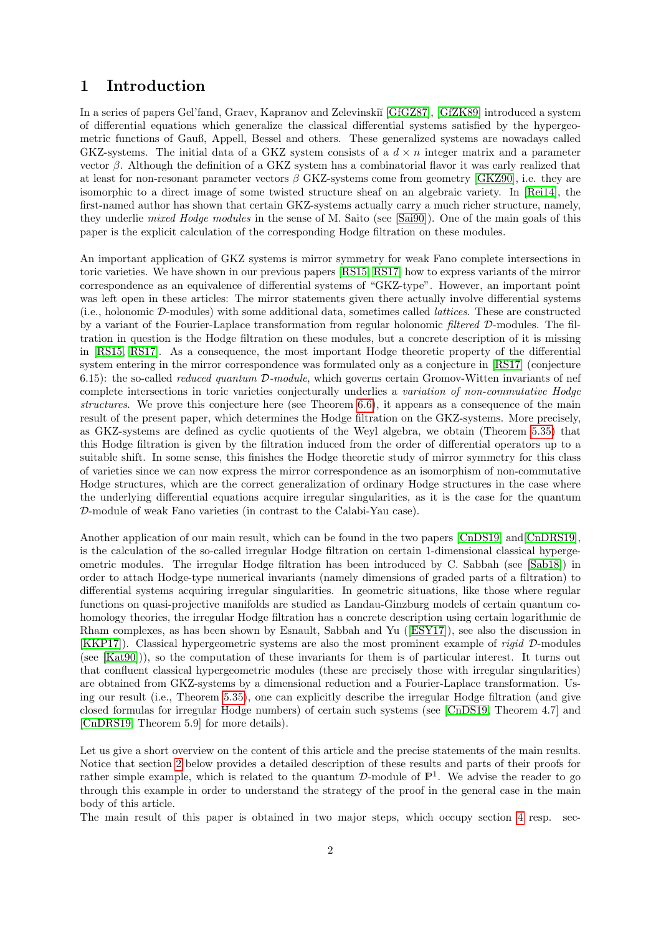# <span id="page-1-0"></span>1 Introduction

In a series of papers Gel'fand, Graev, Kapranov and Zelevinski˘ı [\[GfGZ87\]](#page-74-0), [\[GfZK89\]](#page-74-1) introduced a system of differential equations which generalize the classical differential systems satisfied by the hypergeometric functions of Gauß, Appell, Bessel and others. These generalized systems are nowadays called GKZ-systems. The initial data of a GKZ system consists of a  $d \times n$  integer matrix and a parameter vector β. Although the definition of a GKZ system has a combinatorial flavor it was early realized that at least for non-resonant parameter vectors  $\beta$  GKZ-systems come from geometry [\[GKZ90\]](#page-74-2), i.e. they are isomorphic to a direct image of some twisted structure sheaf on an algebraic variety. In [\[Rei14\]](#page-75-0), the first-named author has shown that certain GKZ-systems actually carry a much richer structure, namely, they underlie mixed Hodge modules in the sense of M. Saito (see [\[Sai90\]](#page-75-1)). One of the main goals of this paper is the explicit calculation of the corresponding Hodge filtration on these modules.

An important application of GKZ systems is mirror symmetry for weak Fano complete intersections in toric varieties. We have shown in our previous papers [\[RS15,](#page-75-2) [RS17\]](#page-75-3) how to express variants of the mirror correspondence as an equivalence of differential systems of "GKZ-type". However, an important point was left open in these articles: The mirror statements given there actually involve differential systems (i.e., holonomic D-modules) with some additional data, sometimes called lattices. These are constructed by a variant of the Fourier-Laplace transformation from regular holonomic filtered D-modules. The filtration in question is the Hodge filtration on these modules, but a concrete description of it is missing in [\[RS15,](#page-75-2) [RS17\]](#page-75-3). As a consequence, the most important Hodge theoretic property of the differential system entering in the mirror correspondence was formulated only as a conjecture in [\[RS17\]](#page-75-3) (conjecture 6.15): the so-called reduced quantum D-module, which governs certain Gromov-Witten invariants of nef complete intersections in toric varieties conjecturally underlies a variation of non-commutative Hodge structures. We prove this conjecture here (see Theorem [6.6\)](#page-73-0), it appears as a consequence of the main result of the present paper, which determines the Hodge filtration on the GKZ-systems. More precisely, as GKZ-systems are defined as cyclic quotients of the Weyl algebra, we obtain (Theorem [5.35\)](#page-63-0) that this Hodge filtration is given by the filtration induced from the order of differential operators up to a suitable shift. In some sense, this finishes the Hodge theoretic study of mirror symmetry for this class of varieties since we can now express the mirror correspondence as an isomorphism of non-commutative Hodge structures, which are the correct generalization of ordinary Hodge structures in the case where the underlying differential equations acquire irregular singularities, as it is the case for the quantum D-module of weak Fano varieties (in contrast to the Calabi-Yau case).

Another application of our main result, which can be found in the two papers [\[CnDS19\]](#page-74-3) and[\[CnDRS19\]](#page-74-4), is the calculation of the so-called irregular Hodge filtration on certain 1-dimensional classical hypergeometric modules. The irregular Hodge filtration has been introduced by C. Sabbah (see [\[Sab18\]](#page-75-4)) in order to attach Hodge-type numerical invariants (namely dimensions of graded parts of a filtration) to differential systems acquiring irregular singularities. In geometric situations, like those where regular functions on quasi-projective manifolds are studied as Landau-Ginzburg models of certain quantum cohomology theories, the irregular Hodge filtration has a concrete description using certain logarithmic de Rham complexes, as has been shown by Esnault, Sabbah and Yu([\[ESY17\]](#page-74-5)), see also the discussion in [\[KKP17\]](#page-75-5)). Classical hypergeometric systems are also the most prominent example of rigid D-modules (see [\[Kat90\]](#page-74-6))), so the computation of these invariants for them is of particular interest. It turns out that confluent classical hypergeometric modules (these are precisely those with irregular singularities) are obtained from GKZ-systems by a dimensional reduction and a Fourier-Laplace transformation. Using our result (i.e., Theorem [5.35\)](#page-63-0), one can explicitly describe the irregular Hodge filtration (and give closed formulas for irregular Hodge numbers) of certain such systems (see [\[CnDS19,](#page-74-3) Theorem 4.7] and [\[CnDRS19,](#page-74-4) Theorem 5.9] for more details).

Let us give a short overview on the content of this article and the precise statements of the main results. Notice that section [2](#page-4-0) below provides a detailed description of these results and parts of their proofs for rather simple example, which is related to the quantum  $\mathcal{D}$ -module of  $\mathbb{P}^1$ . We advise the reader to go through this example in order to understand the strategy of the proof in the general case in the main body of this article.

The main result of this paper is obtained in two major steps, which occupy section [4](#page-18-0) resp. sec-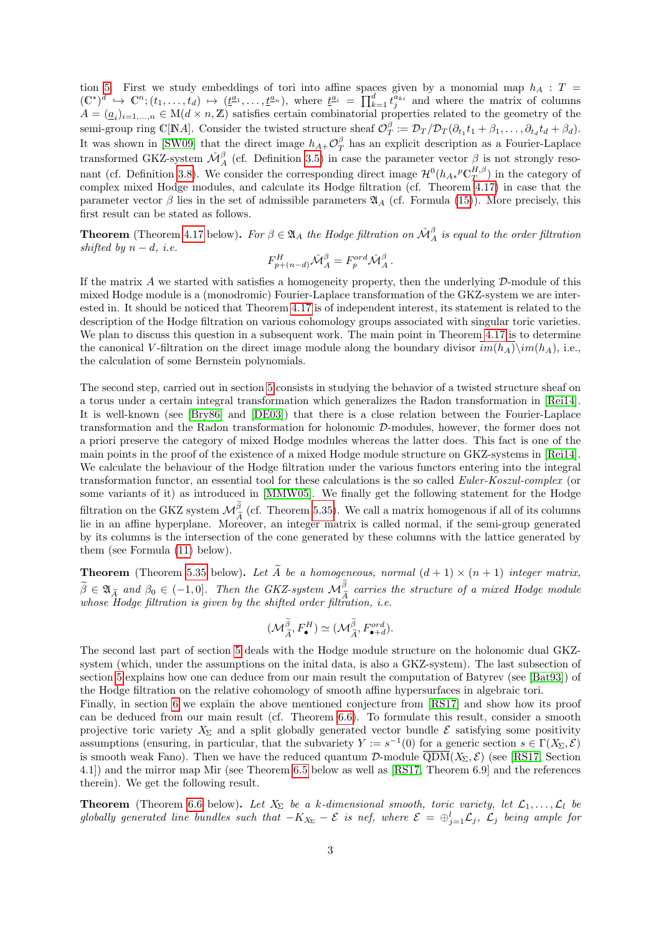tion [5.](#page-35-0) First we study embeddings of tori into affine spaces given by a monomial map  $h_A$ : T =  $(\mathbb{C}^*)^d \hookrightarrow \mathbb{C}^n; (t_1,\ldots,t_d) \mapsto (\underline{t}^{a_1},\ldots,\underline{t}^{a_n}),$  where  $\underline{t}^{a_i} = \prod_{k=1}^d t_j^{a_{ki}}$  and where the matrix of columns  $A = (\underline{a}_i)_{i=1,\ldots,n} \in M(d \times n, \mathbb{Z})$  satisfies certain combinatorial properties related to the geometry of the semi-group ring C[NA]. Consider the twisted structure sheaf  $\mathcal{O}_T^{\beta} := \mathcal{D}_T / \mathcal{D}_T (\partial_{t_1} t_1 + \beta_1, \dots, \partial_{t_d} t_d + \beta_d)$ . It was shown in [\[SW09\]](#page-76-0) that the direct image  $h_{A+}\mathcal{O}^{\beta}_{T}$  has an explicit description as a Fourier-Laplace transformed GKZ-system  $\mathcal{M}_{A}^{\beta}$  (cf. Definition [3.5\)](#page-16-1) in case the parameter vector  $\beta$  is not strongly reso-nant (cf. Definition [3.8\)](#page-17-0). We consider the corresponding direct image  $\mathcal{H}^0(h_{A*}{}^p \mathbb{C}^{H,\beta}_T)$  in the category of The complex mixed Hodge modules, and calculate its Hodge filtration (cf. Theorem [4.17\)](#page-34-0) in case that the parameter vector  $\beta$  lies in the set of admissible parameters  $\mathfrak{A}_A$  (cf. Formula [\(15\)](#page-20-0)). More precisely, this first result can be stated as follows.

**Theorem** (Theorem [4.17](#page-34-0) below). For  $\beta \in \mathfrak{A}_A$  the Hodge filtration on  $\check{\mathcal{M}}_A^{\beta}$  is equal to the order filtration shifted by  $n - d$ , *i.e.* 

$$
F_{p+(n-d)}^H \check{\mathcal{M}}_A^\beta = F_p^{ord} \check{\mathcal{M}}_A^\beta \,.
$$

If the matrix A we started with satisfies a homogeneity property, then the underlying  $D$ -module of this mixed Hodge module is a (monodromic) Fourier-Laplace transformation of the GKZ-system we are interested in. It should be noticed that Theorem [4.17](#page-34-0) is of independent interest, its statement is related to the description of the Hodge filtration on various cohomology groups associated with singular toric varieties. We plan to discuss this question in a subsequent work. The main point in Theorem [4.17](#page-34-0) is to determine the canonical V-filtration on the direct image module along the boundary divisor  $im(h_A)\sim(im(h_A), i.e.,$ the calculation of some Bernstein polynomials.

The second step, carried out in section [5](#page-35-0) consists in studying the behavior of a twisted structure sheaf on a torus under a certain integral transformation which generalizes the Radon transformation in [\[Rei14\]](#page-75-0). It is well-known (see [\[Bry86\]](#page-74-7) and [\[DE03\]](#page-74-8)) that there is a close relation between the Fourier-Laplace transformation and the Radon transformation for holonomic D-modules, however, the former does not a priori preserve the category of mixed Hodge modules whereas the latter does. This fact is one of the main points in the proof of the existence of a mixed Hodge module structure on GKZ-systems in [\[Rei14\]](#page-75-0). We calculate the behaviour of the Hodge filtration under the various functors entering into the integral transformation functor, an essential tool for these calculations is the so called Euler-Koszul-complex (or some variants of it) as introduced in [\[MMW05\]](#page-75-6). We finally get the following statement for the Hodge filtration on the GKZ system  $\mathcal{M}_{\tilde{A}}^{\beta}$  (cf. Theorem [5.35\)](#page-63-0). We call a matrix homogenous if all of its columns<br>lie in an affine hyperplane. Moreover, an integer matrix is called normal, if the somi group generated lie in an affine hyperplane. Moreover, an integer matrix is called normal, if the semi-group generated by its columns is the intersection of the cone generated by these columns with the lattice generated by them (see Formula [\(11\)](#page-19-1) below).

**Theorem** (Theorem [5.35](#page-63-0) below). Let  $\widetilde{A}$  be a homogeneous, normal  $(d + 1) \times (n + 1)$  integer matrix,  $\widetilde{\beta} \in \mathfrak{A}_{\widetilde{A}}$  and  $\beta_0 \in (-1,0]$ . Then the GKZ-system  $\mathcal{M}_{\widetilde{A}}^{\beta}$  carries the structure of a mixed Hodge module whose Hodge filtration is given by the shifted order filtration, i.e.

$$
(\mathcal{M}_{\widetilde{A}}^{\widetilde{\beta}}, F_{\bullet}^H) \simeq (\mathcal{M}_{\widetilde{A}}^{\widetilde{\beta}}, F_{\bullet+d}^{ord}).
$$

The second last part of section [5](#page-35-0) deals with the Hodge module structure on the holonomic dual GKZsystem (which, under the assumptions on the inital data, is also a GKZ-system). The last subsection of section [5](#page-35-0) explains how one can deduce from our main result the computation of Batyrev (see [\[Bat93\]](#page-74-9)) of the Hodge filtration on the relative cohomology of smooth affine hypersurfaces in algebraic tori.

Finally, in section [6](#page-70-0) we explain the above mentioned conjecture from [\[RS17\]](#page-75-3) and show how its proof can be deduced from our main result (cf. Theorem [6.6\)](#page-73-0). To formulate this result, consider a smooth projective toric variety  $X_{\Sigma}$  and a split globally generated vector bundle  $\mathcal E$  satisfying some positivity assumptions (ensuring, in particular, that the subvariety  $Y := s^{-1}(0)$  for a generic section  $s \in \Gamma(X_\Sigma, \mathcal{E})$ is smooth weak Fano). Then we have the reduced quantum  $\mathcal{D}\text{-module } \overline{\text{QDM}}(X_{\Sigma}, \mathcal{E})$  (see [\[RS17,](#page-75-3) Section 4.1]) and the mirror map Mir (see Theorem [6.5](#page-73-1) below as well as [\[RS17,](#page-75-3) Theorem 6.9] and the references therein). We get the following result.

**Theorem** (Theorem [6.6](#page-73-0) below). Let  $X_{\Sigma}$  be a k-dimensional smooth, toric variety, let  $\mathcal{L}_1, \ldots, \mathcal{L}_l$  be globally generated line bundles such that  $-K_{X_{\Sigma}} - \mathcal{E}$  is nef, where  $\mathcal{E} = \bigoplus_{j=1}^{l} \mathcal{L}_j$ ,  $\mathcal{L}_j$  being ample for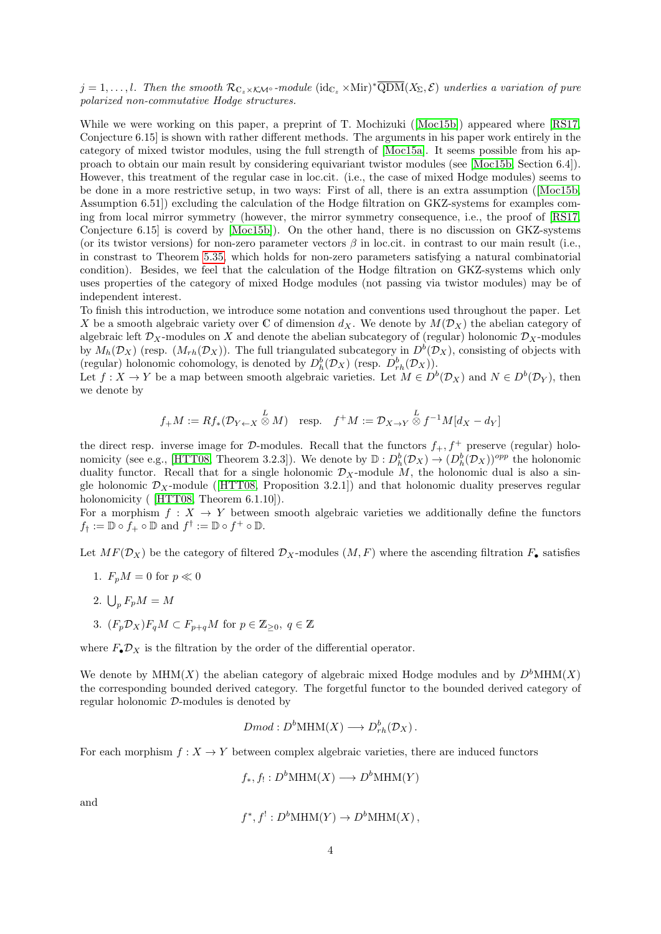$j = 1, \ldots, l$ . Then the smooth  $\mathcal{R}_{\mathbb{C}_z \times \mathcal{K} \mathcal{M}^\circ}$ -module  $(\mathrm{id}_{\mathbb{C}_z} \times \mathrm{Mir})^* \overline{\mathrm{QDM}}(X_\Sigma, \mathcal{E})$  underlies a variation of pure polarized non-commutative Hodge structures.

While we were working on this paper, a preprint of T. Mochizuki([\[Moc15b\]](#page-75-7)) appeared where [\[RS17,](#page-75-3) Conjecture 6.15] is shown with rather different methods. The arguments in his paper work entirely in the category of mixed twistor modules, using the full strength of [\[Moc15a\]](#page-75-8). It seems possible from his approach to obtain our main result by considering equivariant twistor modules (see [\[Moc15b,](#page-75-7) Section 6.4]). However, this treatment of the regular case in loc.cit. (i.e., the case of mixed Hodge modules) seems to be done in a more restrictive setup, in two ways: First of all, there is an extra assumption([\[Moc15b,](#page-75-7) Assumption 6.51]) excluding the calculation of the Hodge filtration on GKZ-systems for examples coming from local mirror symmetry (however, the mirror symmetry consequence, i.e., the proof of [\[RS17,](#page-75-3) Conjecture 6.15] is coverd by [\[Moc15b\]](#page-75-7)). On the other hand, there is no discussion on GKZ-systems (or its twistor versions) for non-zero parameter vectors  $\beta$  in loc.cit. in contrast to our main result (i.e., in constrast to Theorem [5.35,](#page-63-0) which holds for non-zero parameters satisfying a natural combinatorial condition). Besides, we feel that the calculation of the Hodge filtration on GKZ-systems which only uses properties of the category of mixed Hodge modules (not passing via twistor modules) may be of independent interest.

To finish this introduction, we introduce some notation and conventions used throughout the paper. Let X be a smooth algebraic variety over C of dimension  $d_X$ . We denote by  $M(\mathcal{D}_X)$  the abelian category of algebraic left  $\mathcal{D}_X$ -modules on X and denote the abelian subcategory of (regular) holonomic  $\mathcal{D}_X$ -modules by  $M_h(\mathcal{D}_X)$  (resp.  $(M_{rh}(\mathcal{D}_X))$ ). The full triangulated subcategory in  $D^b(\mathcal{D}_X)$ , consisting of objects with (regular) holonomic cohomology, is denoted by  $D_h^b(\mathcal{D}_X)$  (resp.  $D_{rh}^b(\mathcal{D}_X)$ ).

Let  $f: X \to Y$  be a map between smooth algebraic varieties. Let  $M \in D^b(\mathcal{D}_X)$  and  $N \in D^b(\mathcal{D}_Y)$ , then we denote by

$$
f_{+}M := Rf_{*}(\mathcal{D}_{Y \leftarrow X} \overset{L}{\otimes} M) \quad \text{resp.} \quad f^{+}M := \mathcal{D}_{X \rightarrow Y} \overset{L}{\otimes} f^{-1}M[d_{X} - d_{Y}]
$$

the direct resp. inverse image for D-modules. Recall that the functors  $f_+, f^+$  preserve (regular) holo-nomicity (see e.g., [\[HTT08,](#page-74-10) Theorem 3.2.3]). We denote by  $\mathbb{D}: D_h^b(\mathcal{D}_X) \to (D_h^b(\mathcal{D}_X))^{opp}$  the holonomic duality functor. Recall that for a single holonomic  $\mathcal{D}_X$ -module M, the holonomic dual is also a singleholonomic  $\mathcal{D}_X$ -module ([\[HTT08,](#page-74-10) Proposition 3.2.1]) and that holonomic duality preserves regular holonomicity ( [\[HTT08,](#page-74-10) Theorem 6.1.10]).

For a morphism  $f: X \to Y$  between smooth algebraic varieties we additionally define the functors  $f_{\dagger} := \mathbb{D} \circ f_{+} \circ \mathbb{D}$  and  $f^{\dagger} := \mathbb{D} \circ f^{+} \circ \mathbb{D}$ .

Let  $MF(\mathcal{D}_X)$  be the category of filtered  $\mathcal{D}_X$ -modules  $(M, F)$  where the ascending filtration  $F_{\bullet}$  satisfies

- 1.  $F_pM = 0$  for  $p \ll 0$
- 2.  $\bigcup_p F_p M = M$
- 3.  $(F_p \mathcal{D}_X) F_q M \subset F_{p+q} M$  for  $p \in \mathbb{Z}_{\geq 0}, q \in \mathbb{Z}$

where  $F_{\bullet} \mathcal{D}_X$  is the filtration by the order of the differential operator.

We denote by  $MHM(X)$  the abelian category of algebraic mixed Hodge modules and by  $D^bMHM(X)$ the corresponding bounded derived category. The forgetful functor to the bounded derived category of regular holonomic D-modules is denoted by

$$
Dmod: D^b\text{MHM}(X) \longrightarrow D^b_{rh}(\mathcal{D}_X).
$$

For each morphism  $f: X \to Y$  between complex algebraic varieties, there are induced functors

$$
f_*, f_! : D^bMHM(X) \longrightarrow D^bMHM(Y)
$$

and

$$
f^*, f': D^b\text{MHM}(Y) \to D^b\text{MHM}(X)
$$
,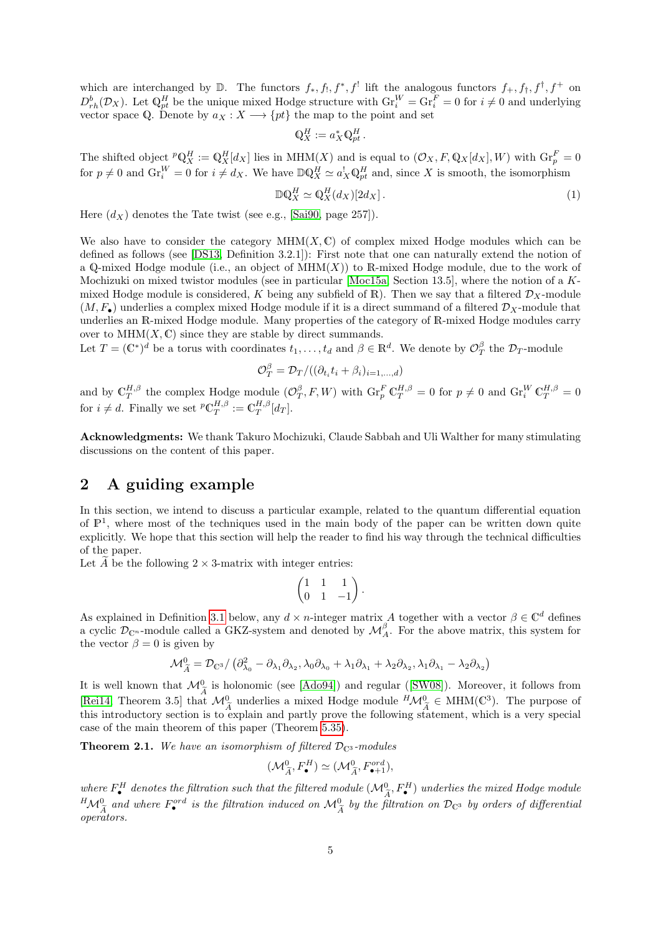which are interchanged by  $\mathbb{D}$ . The functors  $f_*, f_!, f^*, f^!$  lift the analogous functors  $f_+, f_*, f^*, f^+$  on  $D_{rh}^b(\mathcal{D}_X)$ . Let  $\mathbb{Q}_{pt}^H$  be the unique mixed Hodge structure with  $\text{Gr}_i^W = \text{Gr}_i^F = 0$  for  $i \neq 0$  and underlying vector space Q. Denote by  $a_X : X \longrightarrow \{pt\}$  the map to the point and set

$$
\mathbb{Q}_X^H := a_X^* \mathbb{Q}_{pt}^H.
$$

The shifted object  ${}^p \mathbb{Q}_X^H := \mathbb{Q}_X^H[d_X]$  lies in MHM(X) and is equal to  $(\mathcal{O}_X, F, \mathbb{Q}_X[d_X], W)$  with  $\text{Gr}_p^F = 0$ for  $p \neq 0$  and  $\text{Gr}_{i}^{W} = 0$  for  $i \neq d_{X}$ . We have  $\mathbb{D}\mathbb{Q}_{X}^{H} \simeq a_{X}^{!}\mathbb{Q}_{pt}^{H}$  and, since X is smooth, the isomorphism

$$
\mathbb{D}\mathbb{Q}_X^H \simeq \mathbb{Q}_X^H(d_X)[2d_X].\tag{1}
$$

Here  $(d_X)$  denotes the Tate twist (see e.g., [\[Sai90,](#page-75-1) page 257]).

We also have to consider the category  $MHM(X, \mathbb{C})$  of complex mixed Hodge modules which can be defined as follows (see [\[DS13,](#page-74-11) Definition 3.2.1]): First note that one can naturally extend the notion of a Q-mixed Hodge module (i.e., an object of  $\text{MHM}(X)$ ) to R-mixed Hodge module, due to the work of Mochizuki on mixed twistor modules (see in particular [\[Moc15a,](#page-75-8) Section 13.5], where the notion of a Kmixed Hodge module is considered, K being any subfield of R). Then we say that a filtered  $\mathcal{D}_X$ -module  $(M, F_{\bullet})$  underlies a complex mixed Hodge module if it is a direct summand of a filtered  $\mathcal{D}_X$ -module that underlies an R-mixed Hodge module. Many properties of the category of R-mixed Hodge modules carry over to  $MHM(X, \mathbb{C})$  since they are stable by direct summands.

Let  $T = (\mathbb{C}^*)^d$  be a torus with coordinates  $t_1, \ldots, t_d$  and  $\beta \in \mathbb{R}^d$ . We denote by  $\mathcal{O}_T^{\beta}$  the  $\mathcal{D}_T$ -module

$$
\mathcal{O}_T^{\beta} = \mathcal{D}_T/((\partial_{t_i} t_i + \beta_i)_{i=1,\dots,d})
$$

and by  $\mathbb{C}_T^{H,\beta}$  the complex Hodge module  $(\mathcal{O}_T^{\beta}, F, W)$  with  $\text{Gr}_p^F \mathbb{C}_T^{H,\beta} = 0$  for  $p \neq 0$  and  $\text{Gr}_i^W \mathbb{C}_T^{H,\beta} = 0$ for  $i \neq d$ . Finally we set  ${}^p\mathbb{C}_T^{H,\beta} := \mathbb{C}_T^{H,\beta}[d_T]$ .

Acknowledgments: We thank Takuro Mochizuki, Claude Sabbah and Uli Walther for many stimulating discussions on the content of this paper.

# <span id="page-4-0"></span>2 A guiding example

In this section, we intend to discuss a particular example, related to the quantum differential equation of  $\mathbb{P}^1$ , where most of the techniques used in the main body of the paper can be written down quite explicitly. We hope that this section will help the reader to find his way through the technical difficulties of the paper.

Let  $\ddot{A}$  be the following 2  $\times$  3-matrix with integer entries:

$$
\begin{pmatrix} 1 & 1 & 1 \ 0 & 1 & -1 \end{pmatrix}.
$$

As explained in Definition [3.1](#page-14-2) below, any  $d \times n$ -integer matrix A together with a vector  $\beta \in \mathbb{C}^d$  defines a cyclic  $\mathcal{D}_{\mathbb{C}^n}$ -module called a GKZ-system and denoted by  $\mathcal{M}_{A}^{\beta}$ . For the above matrix, this system for the vector  $\beta = 0$  is given by

$$
\mathcal{M}_{\widetilde{A}}^{0} = \mathcal{D}_{\mathbb{C}^{3}} / (\partial_{\lambda_{0}}^{2} - \partial_{\lambda_{1}} \partial_{\lambda_{2}}, \lambda_{0} \partial_{\lambda_{0}} + \lambda_{1} \partial_{\lambda_{1}} + \lambda_{2} \partial_{\lambda_{2}}, \lambda_{1} \partial_{\lambda_{1}} - \lambda_{2} \partial_{\lambda_{2}})
$$

Itis well known that  $\mathcal{M}_{\tilde{A}}^0$  is holonomic (see [\[Ado94\]](#page-74-12)) and regular ([\[SW08\]](#page-76-1)). Moreover, it follows from [\[Rei14,](#page-75-0) Theorem 3.5] that  $\mathcal{M}_{\tilde{A}}^0$  underlies a mixed Hodge module  $^H \mathcal{M}_{\tilde{A}}^0 \in \text{MHM}(\mathbb{C}^3)$ . The purpose of this introductory socion is to explain and partly prove the following statement, which is a ver this introductory section is to explain and partly prove the following statement, which is a very special case of the main theorem of this paper (Theorem [5.35\)](#page-63-0).

<span id="page-4-1"></span>**Theorem 2.1.** We have an isomorphism of filtered  $\mathcal{D}_{\mathbb{C}^3}$ -modules

$$
(\mathcal{M}_{\widetilde{A}}^0, F_{\bullet}^H) \simeq (\mathcal{M}_{\widetilde{A}}^0, F_{\bullet+1}^{ord}),
$$

where  $F^H$  denotes the filtration such that the filtered module  $(\mathcal{M}_{\tilde{A}}^0, F^H)$  underlies the mixed Hodge module  ${}^{H}M_{\tilde{A}}^{0}$  and where  $F_{\bullet}^{ord}$  is the filtration induced on  $M_{\tilde{A}}^{0}$  by the filtration on  $\mathcal{D}_{C3}$  by orders of differential<br>constants operators.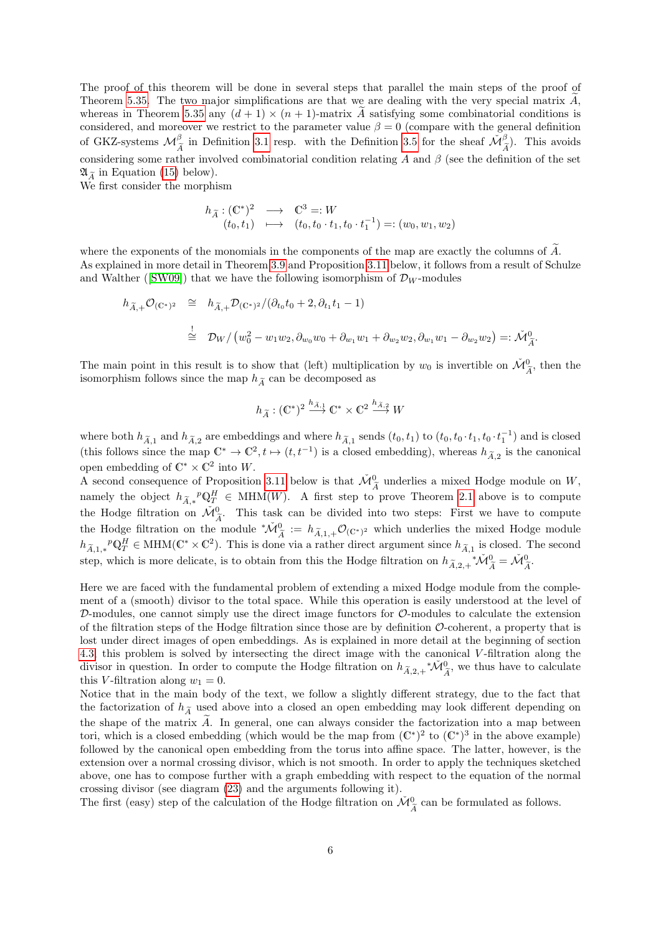The proof of this theorem will be done in several steps that parallel the main steps of the proof of Theorem [5.35.](#page-63-0) The two major simplifications are that we are dealing with the very special matrix  $\ddot{A}$ , whereas in Theorem [5.35](#page-63-0) any  $(d + 1) \times (n + 1)$ -matrix A satisfying some combinatorial conditions is considered, and moreover we restrict to the parameter value  $\beta = 0$  (compare with the general definition of GKZ-systems  $\mathcal{M}_{\widetilde{A}}^{\beta}$  in Definition [3.1](#page-14-2) resp. with the Definition [3.5](#page-16-1) for the sheaf  $\widetilde{\mathcal{M}}_{\widetilde{A}}^{\beta}$ . This avoids considering some rather involved combinatorial condition relating  $\tilde{A}$  and  $\beta$  (see the definition of the set  $\mathfrak{A}_{\widetilde{A}}$  in Equation [\(15\)](#page-20-0) below).

We first consider the morphism

$$
h_{\widetilde{A}}: (\mathbb{C}^*)^2 \longrightarrow \mathbb{C}^3 =: W
$$
  
\n $(t_0, t_1) \longmapsto (t_0, t_0 \cdot t_1, t_0 \cdot t_1^{-1}) =: (w_0, w_1, w_2)$ 

where the exponents of the monomials in the components of the map are exactly the columns of  $A$ . As explained in more detail in Theorem [3.9](#page-17-1) and Proposition [3.11](#page-18-1) below, it follows from a result of Schulze andWalther ([\[SW09\]](#page-76-0)) that we have the following isomorphism of  $\mathcal{D}_W$ -modules

$$
h_{\tilde{A},+}\mathcal{O}_{(\mathbb{C}^*)^2} \cong h_{\tilde{A},+}\mathcal{D}_{(\mathbb{C}^*)^2}/(\partial_{t_0}t_0+2,\partial_{t_1}t_1-1)
$$
  

$$
\stackrel{!}{\cong} \mathcal{D}_W/\left(w_0^2 - w_1w_2, \partial_{w_0}w_0 + \partial_{w_1}w_1 + \partial_{w_2}w_2, \partial_{w_1}w_1 - \partial_{w_2}w_2\right) =: \tilde{\mathcal{M}}_{\tilde{A}}^0.
$$

The main point in this result is to show that (left) multiplication by  $w_0$  is invertible on  $\check{M}_{\widetilde{A}}^0$ , then the isomorphism follows since the map  $h_0$  can be decomposed as isomorphism follows since the map  $h_{\widetilde{A}}$  can be decomposed as

$$
h_{\widetilde{A}}: (\mathbb{C}^*)^2 \xrightarrow{h_{\widetilde{A},1}} \mathbb{C}^* \times \mathbb{C}^2 \xrightarrow{h_{\widetilde{A},2}} W
$$

where both  $h_{\tilde{A},1}$  and  $h_{\tilde{A},2}$  are embeddings and where  $h_{\tilde{A},1}$  sends  $(t_0, t_1)$  to  $(t_0, t_0 \cdot t_1, t_0 \cdot t_1^{-1})$  and is closed (this follows since the map  $\mathbb{C}^* \to \mathbb{C}^2$ ,  $t \mapsto (t, t^{-1})$  is a closed embedding), whereas  $h_{\tilde{A},2}$  is the canonical open embedding of  $\mathbb{C}^* \times \mathbb{C}^2$  into W.

A second consequence of Proposition [3.11](#page-18-1) below is that  $\widetilde{\mathcal{M}}_{\widetilde{A}}^0$  underlies a mixed Hodge module on W, namely the object  $h_{\tilde{A},*}^p \mathbb{Q}_T^H \in \text{MHM}(W)$ . A first step to prove Theorem [2.1](#page-4-1) above is to compute the Hodge filtration on  $\check{M}_{\tilde{\lambda}}^0$ . This task can be divided into two steps: First we have to compute the Hodge filtration on the module \* $\tilde{\mathcal{M}}_{\tilde{A}}^0 := h_{\tilde{A},1,+}\mathcal{O}_{(\mathbb{C}^*)^2}$  which underlies the mixed Hodge module  $h_{\tilde{A},1,*}P^p_{T} \in MHM(\mathbb{C}^* \times \mathbb{C}^2)$ . This is done via a rather direct argument since  $h_{\tilde{A},1}$  is closed. The second step, which is more delicate, is to obtain from this the Hodge filtration on  $h_{\tilde{A},2,+}*\check{M}_{\tilde{A}}^0 = \check{M}_{\tilde{A}}^0$ .

Here we are faced with the fundamental problem of extending a mixed Hodge module from the complement of a (smooth) divisor to the total space. While this operation is easily understood at the level of  $D$ -modules, one cannot simply use the direct image functors for  $\mathcal{O}$ -modules to calculate the extension of the filtration steps of the Hodge filtration since those are by definition  $\mathcal{O}\text{-coherent}$ , a property that is lost under direct images of open embeddings. As is explained in more detail at the beginning of section [4.3,](#page-29-0) this problem is solved by intersecting the direct image with the canonical V -filtration along the divisor in question. In order to compute the Hodge filtration on  $h_{\tilde{A},2,+}^* \mathcal{M}_{\tilde{A}}^0$ , we thus have to calculate this V-filtration along  $w_1 = 0$ .

Notice that in the main body of the text, we follow a slightly different strategy, due to the fact that the factorization of  $h_{\tilde{A}}$  used above into a closed an open embedding may look different depending on the shape of the matrix  $\widetilde{A}$ . In general, one can always consider the factorization into a map between tori, which is a closed embedding (which would be the map from  $(\mathbb{C}^*)^2$  to  $(\mathbb{C}^*)^3$  in the above example) followed by the canonical open embedding from the torus into affine space. The latter, however, is the extension over a normal crossing divisor, which is not smooth. In order to apply the techniques sketched above, one has to compose further with a graph embedding with respect to the equation of the normal crossing divisor (see diagram [\(23\)](#page-30-0) and the arguments following it).

The first (easy) step of the calculation of the Hodge filtration on  $\check{\mathcal{M}}_{\widetilde{A}}^{0}$  can be formulated as follows.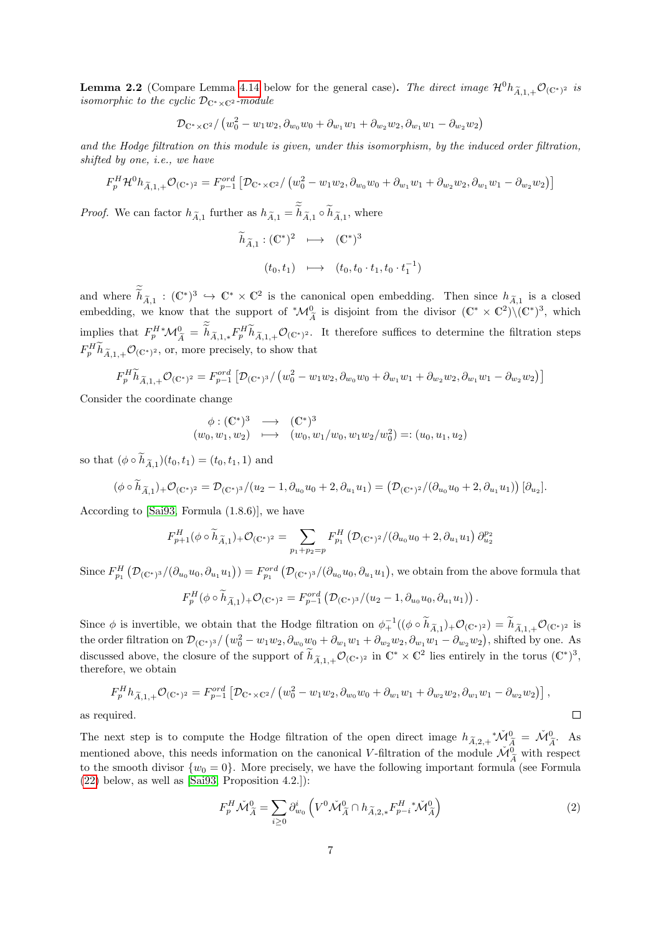<span id="page-6-1"></span>**Lemma 2.2** (Compare Lemma [4.14](#page-30-1) below for the general case). The direct image  $\mathcal{H}^0 h_{\tilde{A},1,+}\mathcal{O}_{(\mathbb{C}^*)^2}$  is isomorphic to the cyclic  $\mathcal{D}_{\mathbb{C}^*\times\mathbb{C}^2}$ -module

$$
\mathcal{D}_{\mathbb{C}^* \times \mathbb{C}^2} / (w_0^2 - w_1 w_2, \partial_{w_0} w_0 + \partial_{w_1} w_1 + \partial_{w_2} w_2, \partial_{w_1} w_1 - \partial_{w_2} w_2)
$$

and the Hodge filtration on this module is given, under this isomorphism, by the induced order filtration, shifted by one, i.e., we have

$$
F_p^H \mathcal{H}^0 h_{\widetilde{A},1,+} \mathcal{O}_{(\mathbb{C}^*)^2} = F_{p-1}^{ord} \left[ \mathcal{D}_{\mathbb{C}^* \times \mathbb{C}^2} / \left( w_0^2 - w_1 w_2, \partial_{w_0} w_0 + \partial_{w_1} w_1 + \partial_{w_2} w_2, \partial_{w_1} w_1 - \partial_{w_2} w_2 \right) \right]
$$

*Proof.* We can factor  $h_{\tilde{A},1}$  further as  $h_{\tilde{A},1} = h_{\tilde{A},1} \circ h_{\tilde{A},1}$ , where

$$
\widetilde{h}_{\widetilde{A},1} : (\mathbb{C}^*)^2 \longrightarrow (\mathbb{C}^*)^3
$$
  

$$
(t_0, t_1) \longrightarrow (t_0, t_0 \cdot t_1, t_0 \cdot t_1^{-1})
$$

and where  $\widetilde{h}_{\widetilde{A},1}$ :  $(\mathbb{C}^*)^3 \hookrightarrow \mathbb{C}^* \times \mathbb{C}^2$  is the canonical open embedding. Then since  $h_{\widetilde{A},1}$  is a closed embedding, we know that the support of  $^*\mathcal{M}_{\tilde{\Lambda}}^0$  is disjoint from the divisor  $(\mathbb{C}^*\times\mathbb{C}^2)\setminus(\mathbb{C}^*)^3$ , which  $\boldsymbol{A}$ implies that  $F_p^{H*} \mathcal{M}_{\widetilde{A}}^0 = \widetilde{h}_{\widetilde{A},1,*} F_p^{H} \widetilde{h}_{\widetilde{A},1,+} \mathcal{O}_{(\mathbb{C}^*)^2}$ . It therefore suffices to determine the filtration steps  $F_p^H \tilde{h}_{\tilde{A},1,+} \mathcal{O}_{(\mathbb{C}^*)^2}$ , or, more precisely, to show that

$$
F_p^H \widetilde{h}_{\widetilde{A},1,+} \mathcal{O}_{(\mathbb{C}^*)^2} = F_{p-1}^{ord} \left[ \mathcal{D}_{(\mathbb{C}^*)^3} / \left( w_0^2 - w_1 w_2, \partial_{w_0} w_0 + \partial_{w_1} w_1 + \partial_{w_2} w_2, \partial_{w_1} w_1 - \partial_{w_2} w_2 \right) \right]
$$

Consider the coordinate change

$$
\begin{array}{rcl}\n\phi: (\mathbb{C}^*)^3 & \longrightarrow & (\mathbb{C}^*)^3 \\
(w_0, w_1, w_2) & \longmapsto & (w_0, w_1/w_0, w_1w_2/w_0^2) =: (u_0, u_1, u_2)\n\end{array}
$$

so that  $(\phi \circ h_{\widetilde{A},1})(t_0, t_1) = (t_0, t_1, 1)$  and

$$
(\phi \circ \widetilde{h}_{\widetilde{A},1}) + \mathcal{O}_{(\mathbb{C}^*)^2} = \mathcal{D}_{(\mathbb{C}^*)^3} / (u_2 - 1, \partial_{u_0} u_0 + 2, \partial_{u_1} u_1) = \left( \mathcal{D}_{(\mathbb{C}^*)^2} / (\partial_{u_0} u_0 + 2, \partial_{u_1} u_1) \right) [\partial_{u_2}].
$$

According to [\[Sai93,](#page-75-9) Formula (1.8.6)], we have

$$
F_{p+1}^H(\phi \circ \widetilde{h}_{\widetilde{A},1})_+ \mathcal{O}_{(\mathbb{C}^*)^2} = \sum_{p_1+p_2=p} F_{p_1}^H \left( \mathcal{D}_{(\mathbb{C}^*)^2} / (\partial_{u_0} u_0 + 2, \partial_{u_1} u_1) \partial_{u_2}^{p_2} \right)
$$

Since  $F_{p_1}^H(\mathcal{D}_{(\mathbb{C}^*)^3}/(\partial_{u_0}u_0, \partial_{u_1}u_1)) = F_{p_1}^{ord}(\mathcal{D}_{(\mathbb{C}^*)^3}/(\partial_{u_0}u_0, \partial_{u_1}u_1),$  we obtain from the above formula that

$$
F_p^H(\phi \circ \widetilde{h}_{\widetilde{A},1})_+ \mathcal{O}_{(\mathbb{C}^*)^2} = F_{p-1}^{ord} \left( \mathcal{D}_{(\mathbb{C}^*)^3} / (u_2 - 1, \partial_{u_0} u_0, \partial_{u_1} u_1) \right).
$$

Since  $\phi$  is invertible, we obtain that the Hodge filtration on  $\phi_+^{-1}((\phi \circ \widetilde{h}_{\widetilde{A},1})_+ \mathcal{O}_{(\mathbb{C}^*)^2}) = \widetilde{h}_{\widetilde{A},1,+} \mathcal{O}_{(\mathbb{C}^*)^2}$  is the order filtration on  $\mathcal{D}_{(\mathbb{C}^*)^3}/(w_0^2 - w_1w_2, \partial_{w_0}w_0 + \partial_{w_1}w_1 + \partial_{w_2}w_2, \partial_{w_1}w_1 - \partial_{w_2}w_2)$ , shifted by one. As discussed above, the closure of the support of  $\widetilde{h}_{\widetilde{A},1,+}\mathcal{O}_{(\mathbb{C}^*)^2}$  in  $\mathbb{C}^*\times\mathbb{C}^2$  lies entirely in the torus  $(\mathbb{C}^*)^3$ , therefore, we obtain

$$
F_p^H h_{\tilde{A},1,+} \mathcal{O}_{(\mathbb{C}^*)^2} = F_{p-1}^{ord} \left[ \mathcal{D}_{\mathbb{C}^* \times \mathbb{C}^2} / \left( w_0^2 - w_1 w_2, \partial_{w_0} w_0 + \partial_{w_1} w_1 + \partial_{w_2} w_2, \partial_{w_1} w_1 - \partial_{w_2} w_2 \right) \right],
$$
  
direct.

as required.

The next step is to compute the Hodge filtration of the open direct image  $h_{\tilde{A},2,+}*\tilde{M}_{\tilde{A}}^0 = \tilde{M}_{\tilde{A}}^0$ . As mentioned above, this needs information on the canonical V-filtration of the module  $\widetilde{\mathcal{M}}_{\widetilde{A}}^0$  with respect to the smooth divisor  $\{w_0 = 0\}$ . More precisely, we have the following important formula (see Formula [\(22\)](#page-30-2) below, as well as [\[Sai93,](#page-75-9) Proposition 4.2.]):

<span id="page-6-0"></span>
$$
F_p^H \check{\mathcal{M}}_{\tilde{A}}^0 = \sum_{i \ge 0} \partial_{w_0}^i \left( V^0 \check{\mathcal{M}}_{\tilde{A}}^0 \cap h_{\tilde{A},2,*} F_{p-i}^H \check{\mathcal{M}}_{\tilde{A}}^0 \right) \tag{2}
$$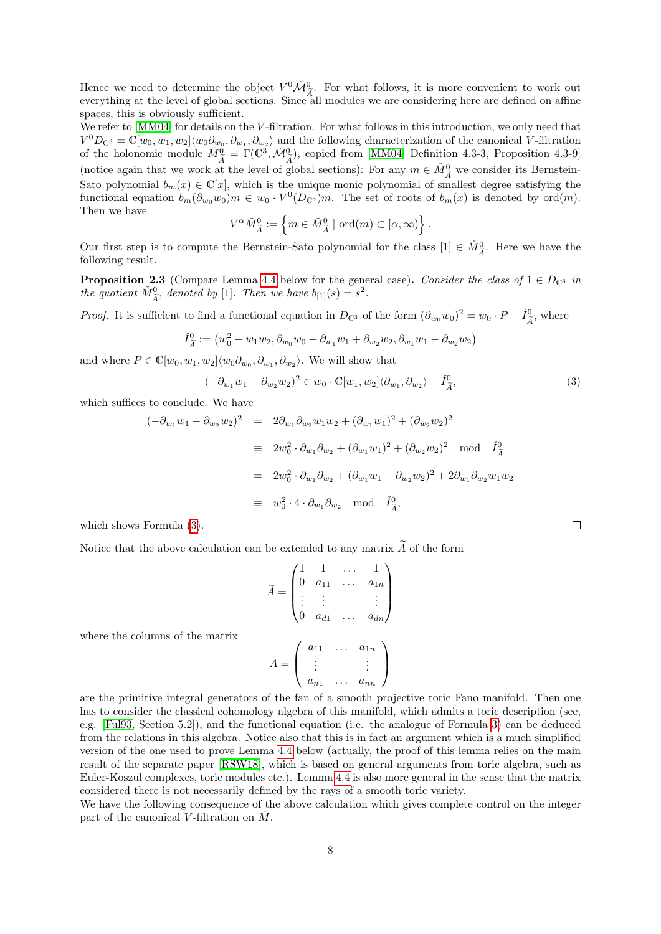Hence we need to determine the object  $V^0 \tilde{\mathcal{M}}_{A}^0$ . For what follows, it is more convenient to work out everything at the level of global sections. Since all modules we are considering here are defined on affine spaces, this is obviously sufficient.

We refer to [\[MM04\]](#page-75-10) for details on the V-filtration. For what follows in this introduction, we only need that  $V^0D_{\mathbb{C}^3} = \mathbb{C}[w_0, w_1, w_2] \langle w_0 \partial_{w_0}, \partial_{w_1}, \partial_{w_2} \rangle$  and the following characterization of the canonical V-filtration of the holonomic module  $\tilde{M}_{\tilde{A}}^{\tilde{0}} = \Gamma(\mathbb{C}^3, \tilde{\mathcal{M}}_{\tilde{A}}^0)$ , copied from [\[MM04,](#page-75-10) Definition 4.3-3, Proposition 4.3-9] (notice again that we work at the level of global sections): For any  $m \in M_A^0$  we consider its Bernstein-<br>Sets polynomial  $h_n(x) \in C[x]$ , which is the unique monic polynomial of amellest derms estisfying the Sato polynomial  $b_m(x) \in \mathbb{C}[x]$ , which is the unique monic polynomial of smallest degree satisfying the functional equation  $b_m(\partial_{w_0}w_0)m \in w_0 \cdot V^0(D_{\mathbb{C}^3})m$ . The set of roots of  $b_m(x)$  is denoted by ord $(m)$ . Then we have

$$
V^{\alpha} \check{M}^0_{\widetilde{A}} := \left\{ m \in \check{M}^0_{\widetilde{A}} \mid \text{ord}(m) \subset [\alpha, \infty) \right\}.
$$

Our first step is to compute the Bernstein-Sato polynomial for the class  $[1] \in \check{M}_{\tilde{A}}^0$ . Here we have the following result following result.

<span id="page-7-1"></span>**Proposition 2.3** (Compare Lemma [4.4](#page-21-0) below for the general case). Consider the class of  $1 \in D_{\mathbb{C}^3}$  in the quotient  $\check{M}_{\widetilde{A}}^0$ , denoted by [1]. Then we have  $b_{[1]}(s) = s^2$ .

*Proof.* It is sufficient to find a functional equation in  $D_{\mathbb{C}^3}$  of the form  $(\partial_{w_0}w_0)^2 = w_0 \cdot P + \check{I}_{\check{A}}^0$  $\tilde{A}^0$ , where

$$
\check{I}_{\tilde{A}}^0 := (w_0^2 - w_1 w_2, \partial_{w_0} w_0 + \partial_{w_1} w_1 + \partial_{w_2} w_2, \partial_{w_1} w_1 - \partial_{w_2} w_2)
$$

and where  $P \in \mathbb{C}[w_0, w_1, w_2] \langle w_0 \partial_{w_0}, \partial_{w_1}, \partial_{w_2} \rangle$ . We will show that

<span id="page-7-0"></span>
$$
(-\partial_{w_1} w_1 - \partial_{w_2} w_2)^2 \in w_0 \cdot \mathbb{C}[w_1, w_2] \langle \partial_{w_1}, \partial_{w_2} \rangle + \check{I}_{\widetilde{A}}^0,\tag{3}
$$

 $\Box$ 

which suffices to conclude. We have

$$
(-\partial_{w_1} w_1 - \partial_{w_2} w_2)^2 = 2\partial_{w_1} \partial_{w_2} w_1 w_2 + (\partial_{w_1} w_1)^2 + (\partial_{w_2} w_2)^2
$$
  
\n
$$
\equiv 2w_0^2 \cdot \partial_{w_1} \partial_{w_2} + (\partial_{w_1} w_1)^2 + (\partial_{w_2} w_2)^2 \text{ mod } \tilde{I}_{\tilde{A}}^0
$$
  
\n
$$
= 2w_0^2 \cdot \partial_{w_1} \partial_{w_2} + (\partial_{w_1} w_1 - \partial_{w_2} w_2)^2 + 2\partial_{w_1} \partial_{w_2} w_1 w_2
$$
  
\n
$$
\equiv w_0^2 \cdot 4 \cdot \partial_{w_1} \partial_{w_2} \text{ mod } \tilde{I}_{\tilde{A}}^0,
$$

which shows Formula [\(3\)](#page-7-0).

Notice that the above calculation can be extended to any matrix  $\tilde{A}$  of the form

$$
\widetilde{A} = \begin{pmatrix}\n1 & 1 & \dots & 1 \\
0 & a_{11} & \dots & a_{1n} \\
\vdots & \vdots & & \vdots \\
0 & a_{d1} & \dots & a_{dn}\n\end{pmatrix}
$$
\nwhere the columns of the matrix\n
$$
A = \begin{pmatrix}\na_{11} & \dots & a_{1n} \\
\vdots & & \vdots \\
a_{n1} & \dots & a_{nn}\n\end{pmatrix}
$$

are the primitive integral generators of the fan of a smooth projective toric Fano manifold. Then one has to consider the classical cohomology algebra of this manifold, which admits a toric description (see, e.g. [\[Ful93,](#page-74-13) Section 5.2]), and the functional equation (i.e. the analogue of Formula [3\)](#page-7-0) can be deduced from the relations in this algebra. Notice also that this is in fact an argument which is a much simplified version of the one used to prove Lemma [4.4](#page-21-0) below (actually, the proof of this lemma relies on the main result of the separate paper [\[RSW18\]](#page-75-11), which is based on general arguments from toric algebra, such as Euler-Koszul complexes, toric modules etc.). Lemma [4.4](#page-21-0) is also more general in the sense that the matrix considered there is not necessarily defined by the rays of a smooth toric variety.

We have the following consequence of the above calculation which gives complete control on the integer part of the canonical V-filtration on  $\dot{M}$ .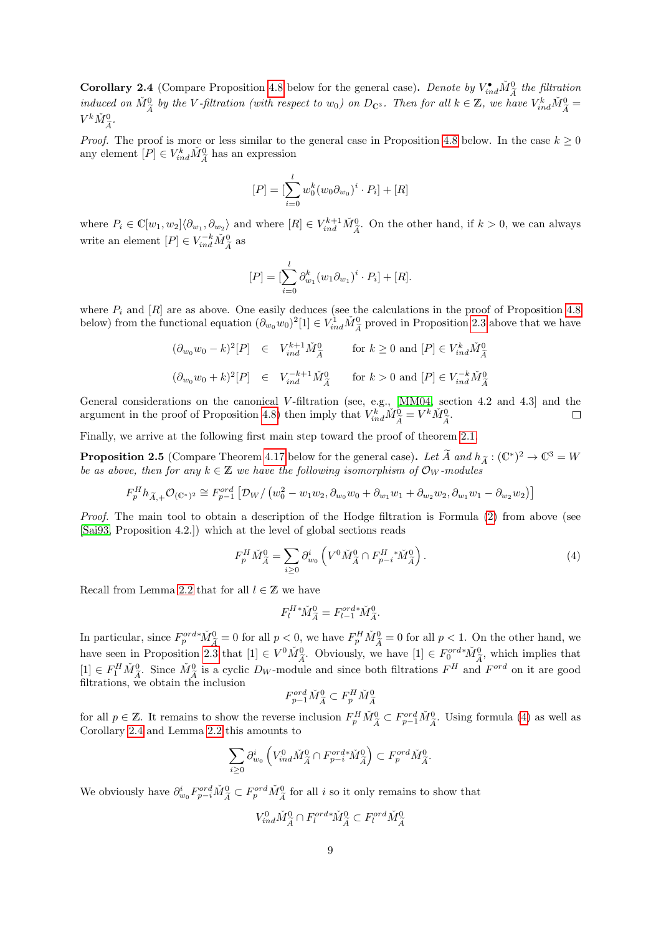<span id="page-8-1"></span>**Corollary 2.4** (Compare Proposition [4.8](#page-22-0) below for the general case). Denote by  $V_{ind}^{\bullet} \check{M}_{\tilde{A}}^0$  the filtration induced on  $\tilde{M}_{\tilde{A}}^0$  by the V-filtration (with respect to  $w_0$ ) on  $D_{\mathbb{C}^3}$ . Then for all  $k \in \mathbb{Z}$ , we have  $V_{ind}^k \tilde{M}_{\tilde{A}}^0 =$  $V^k \check{M}_{\widetilde{A}}^0$ .

*Proof.* The proof is more or less similar to the general case in Proposition [4.8](#page-22-0) below. In the case  $k \geq 0$ any element  $[P] \in V_{ind}^k \check{M}_{\widetilde{A}}^0$  has an expression

$$
[P] = [\sum_{i=0}^{l} w_0^k (w_0 \partial_{w_0})^i \cdot P_i] + [R]
$$

where  $P_i \in \mathbb{C}[w_1, w_2] \langle \partial_{w_1}, \partial_{w_2} \rangle$  and where  $[R] \in V_{ind}^{k+1} \check{M}_{\tilde{A}}^0$ . On the other hand, if  $k > 0$ , we can always write an element  $[P] \in V_{ind}^{-k} \check{M}_{\widetilde{A}}^0$  as

$$
[P] = [\sum_{i=0}^{l} \partial_{w_1}^{k} (w_1 \partial_{w_1})^i \cdot P_i] + [R].
$$

where  $P_i$  and  $[R]$  are as above. One easily deduces (see the calculations in the proof of Proposition [4.8](#page-22-0)) below) from the functional equation  $(\partial_{w_0} w_0)^2[1] \in V_{ind}^1 \check{M}_{\tilde{A}}^0$  proved in Proposition [2.3](#page-7-1) above that we have

$$
(\partial_{w_0} w_0 - k)^2 [P] \in V_{ind}^{k+1} \check{M}_{\tilde{A}}^0 \quad \text{for } k \ge 0 \text{ and } [P] \in V_{ind}^k \check{M}_{\tilde{A}}^0
$$
  

$$
(\partial_{w_0} w_0 + k)^2 [P] \in V_{ind}^{-k+1} \check{M}_{\tilde{A}}^0 \quad \text{for } k > 0 \text{ and } [P] \in V_{ind}^{-k} \check{M}_{\tilde{A}}^0
$$

General considerations on the canonical V-filtration (see, e.g., [\[MM04,](#page-75-10) section 4.2 and 4.3] and the argument in the proof of Proposition [4.8\)](#page-22-0) then imply that  $V_{ind}^k \check{M}_{\tilde{A}}^0 = V^k \check{M}_{\tilde{A}}^0$ .  $\Box$ 

Finally, we arrive at the following first main step toward the proof of theorem [2.1.](#page-4-1)

<span id="page-8-2"></span>**Proposition 2.5** (Compare Theorem [4.17](#page-34-0) below for the general case). Let  $\widetilde{A}$  and  $h_{\widetilde{A}} : (\mathbb{C}^*)^2 \to \mathbb{C}^3 = W$ be as above, then for any  $k \in \mathbb{Z}$  we have the following isomorphism of  $\mathcal{O}_W$ -modules

$$
F_p^H h_{\tilde{A},+} \mathcal{O}_{(\mathbb{C}^*)^2} \cong F_{p-1}^{ord} \left[ \mathcal{D}_W / (w_0^2 - w_1 w_2, \partial_{w_0} w_0 + \partial_{w_1} w_1 + \partial_{w_2} w_2, \partial_{w_1} w_1 - \partial_{w_2} w_2) \right]
$$

Proof. The main tool to obtain a description of the Hodge filtration is Formula [\(2\)](#page-6-0) from above (see [\[Sai93,](#page-75-9) Proposition 4.2.]) which at the level of global sections reads

<span id="page-8-0"></span>
$$
F_p^H \check{M}_{\tilde{A}}^0 = \sum_{i \ge 0} \partial_{w_0}^i \left( V^0 \check{M}_{\tilde{A}}^0 \cap F_{p-i}^H \, {}^* \check{M}_{\tilde{A}}^0 \right). \tag{4}
$$

Recall from Lemma [2.2](#page-6-1) that for all  $l \in \mathbb{Z}$  we have

$$
F_l^{H*}\check{M}_{\widetilde{A}}^0 = F_{l-1}^{ord*}\check{M}_{\widetilde{A}}^0.
$$

In particular, since  $F_p^{\text{ord}*}\tilde{M}_{\tilde{A}}^0 = 0$  for all  $p < 0$ , we have  $F_p^H \tilde{M}_{\tilde{A}}^0 = 0$  for all  $p < 1$ . On the other hand, we have seen in Proposition [2.3](#page-7-1) that  $[1] \in V^0 \tilde{M}_{\tilde{A}}^0$ . Obviously, we have  $[1] \in F$  $[1] \in F_1^H \check{M}_{\tilde{A}}^0$ . Since  $\check{M}_{\tilde{A}}^0$  is a cyclic  $D_W$ -module and since both filtrations  $F^H$  and  $F^{ord}$  on it are good filtrations  $\check{A}^W$ filtrations, we obtain the inclusion

$$
F_{p-1}^{ord} \check{M}^0_{\widetilde{A}} \subset F_p^H \check{M}^0_{\widetilde{A}}
$$

for all  $p \in \mathbb{Z}$ . It remains to show the reverse inclusion  $F_p^H \check{M}_{\tilde{A}}^0 \subset F_{p-1}^{ord} \check{M}_{\tilde{A}}^0$ . Using formula [\(4\)](#page-8-0) as well as Corollary 2.4 and Lamma 2.2 this amounts to Corollary [2.4](#page-8-1) and Lemma [2.2](#page-6-1) this amounts to

$$
\sum_{i\geq 0} \partial_{w_0}^i \left( V_{ind}^0 \check{M}_{\tilde{A}}^0 \cap F_{p-i}^{ord*} \check{M}_{\tilde{A}}^0 \right) \subset F_p^{ord} \check{M}_{\tilde{A}}^0.
$$

We obviously have  $\partial_{w_0}^i F_{p-i}^{ord} \check{M}_{\tilde{A}}^0 \subset F_p^{ord} \check{M}_{\tilde{A}}^0$  for all *i* so it only remains to show that

$$
V_{ind}^0 \check{M}_{\widetilde{A}}^0 \cap F_l^{ord*} \check{M}_{\widetilde{A}}^0 \subset F_l^{ord} \check{M}_{\widetilde{A}}^0
$$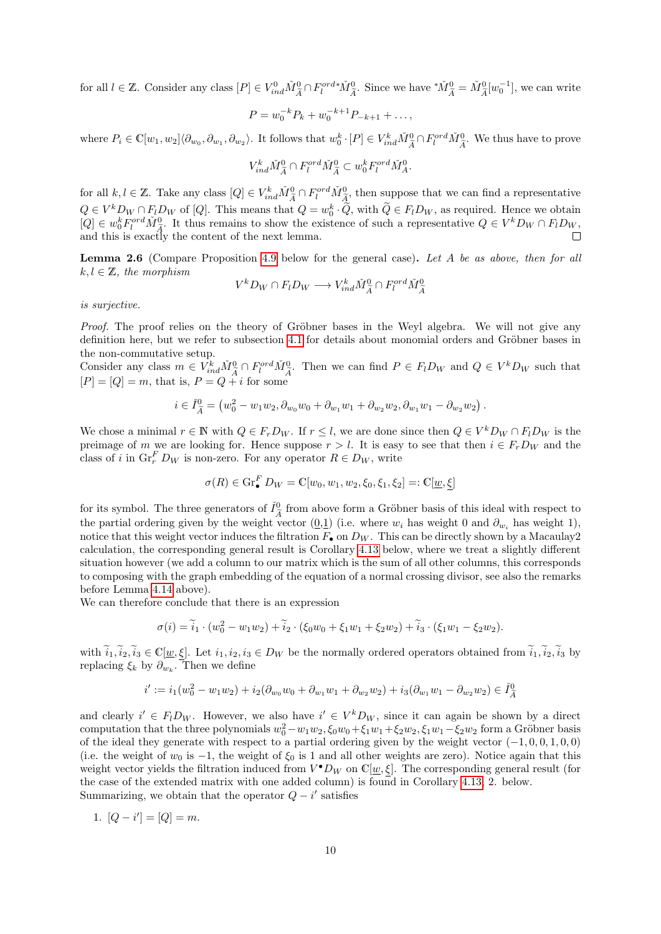for all  $l \in \mathbb{Z}$ . Consider any class  $[P] \in V_{ind}^0 \tilde{M}_{\tilde{A}}^0 \cap F_l^{ord*}\tilde{M}_{\tilde{A}}^0$ . Since we have  ${}^*\tilde{M}_{\tilde{A}}^0 = \tilde{M}_{\tilde{A}}^0[w_0^{-1}]$ , we can write

$$
P = w_0^{-k} P_k + w_0^{-k+1} P_{-k+1} + \dots,
$$

where  $P_i \in \mathbb{C}[w_1, w_2] \langle \partial_{w_0}, \partial_{w_1}, \partial_{w_2} \rangle$ . It follows that  $w_0^k \cdot [P] \in V_{ind}^k \tilde{M}_{\tilde{A}}^0 \cap F_l^{ord} \tilde{M}_{\tilde{A}}^0$ . We thus have to prove

$$
V_{ind}^k \check{M}_{\widetilde{A}}^0 \cap F_l^{ord} \check{M}_{\widetilde{A}}^0 \subset w_0^k F_l^{ord} \check{M}_A^0.
$$

for all  $k, l \in \mathbb{Z}$ . Take any class  $[Q] \in V_{ind}^k \tilde{M}_{\tilde{A}}^0 \cap F_l^{ord} \tilde{M}_{\tilde{A}}^0$ , then suppose that we can find a representative  $\frac{A}{2}$  $Q \in V^k D_W \cap F_l D_W$  of  $[Q]$ . This means that  $Q = w_0^k \cdot \tilde{Q}$ , with  $\tilde{Q} \in F_l D_W$ , as required. Hence we obtain  $[Q] \in w_0^k F_l^{ord} \tilde{M}_{\tilde{A}}^0$ . It thus remains to show the existence of such a representative  $Q \in V^k D_W \cap F_l$ and this is exactly the content of the next lemma.  $\Box$ 

Lemma 2.6 (Compare Proposition [4.9](#page-23-1) below for the general case). Let A be as above, then for all  $k, l \in \mathbb{Z}$ , the morphism

$$
V^k D_W \cap F_l D_W \longrightarrow V^k_{ind} \check{M}_{\widetilde{A}}^0 \cap F_l^{ord} \check{M}_{\widetilde{A}}^0
$$

is surjective.

Proof. The proof relies on the theory of Gröbner bases in the Weyl algebra. We will not give any definition here, but we refer to subsection [4.1](#page-19-0) for details about monomial orders and Gröbner bases in the non-commutative setup.

Consider any class  $m \in V_{ind}^k \check{M}_{\tilde{A}}^0 \cap F_l^{ord} \check{M}_{\tilde{A}}^0$ . Then we can find  $P \in F_l D_W$  and  $Q \in V^k D_W$  such that  $[P] = [Q] = m$ , that is,  $P = Q + i$  for some

$$
i \in \check{I}_{\tilde{A}}^0 = (w_0^2 - w_1 w_2, \partial_{w_0} w_0 + \partial_{w_1} w_1 + \partial_{w_2} w_2, \partial_{w_1} w_1 - \partial_{w_2} w_2).
$$

We chose a minimal  $r \in \mathbb{N}$  with  $Q \in F_r D_W$ . If  $r \leq l$ , we are done since then  $Q \in V^k D_W \cap F_l D_W$  is the preimage of m we are looking for. Hence suppose  $r > l$ . It is easy to see that then  $i \in F_rD_W$  and the class of i in  $\operatorname{Gr}_r^F D_W$  is non-zero. For any operator  $R \in D_W$ , write

$$
\sigma(R) \in \text{Gr}_{\bullet}^{F} D_{W} = \mathbb{C}[w_0, w_1, w_2, \xi_0, \xi_1, \xi_2] =: \mathbb{C}[\underline{w}, \underline{\xi}]
$$

for its symbol. The three generators of  $\check{I}^0_{\tilde{\sigma}}$  from above form a Gröbner basis of this ideal with respect to the partial ordering given by the weight vector  $(0,1)$  (i.e. where  $w_i$  has weight 0 and  $\partial_{w_i}$  has weight 1), notice that this weight vector induces the filtration  $F_{\bullet}$  on  $D_W$ . This can be directly shown by a Macaulay2 calculation, the corresponding general result is Corollary [4.13](#page-28-0) below, where we treat a slightly different situation however (we add a column to our matrix which is the sum of all other columns, this corresponds to composing with the graph embedding of the equation of a normal crossing divisor, see also the remarks before Lemma [4.14](#page-30-1) above).

We can therefore conclude that there is an expression

$$
\sigma(i) = \tilde{i}_1 \cdot (w_0^2 - w_1 w_2) + \tilde{i}_2 \cdot (\xi_0 w_0 + \xi_1 w_1 + \xi_2 w_2) + \tilde{i}_3 \cdot (\xi_1 w_1 - \xi_2 w_2).
$$

with  $\widetilde{i}_1,\widetilde{i}_2,\widetilde{i}_3\in\mathbb{C}[\underline{w},\underline{\xi}]$ . Let  $i_1,i_2,i_3\in D_W$  be the normally ordered operators obtained from  $\widetilde{i}_1,\widetilde{i}_2,\widetilde{i}_3$  by replacing  $\xi_k$  by  $\partial_{w_k}$ . Then we define

$$
i' := i_1(w_0^2 - w_1w_2) + i_2(\partial_{w_0}w_0 + \partial_{w_1}w_1 + \partial_{w_2}w_2) + i_3(\partial_{w_1}w_1 - \partial_{w_2}w_2) \in \check{I}_{\tilde{A}}^0
$$

and clearly  $i' \in F_l D_W$ . However, we also have  $i' \in V^k D_W$ , since it can again be shown by a direct computation that the three polynomials  $w_0^2 - w_1w_2$ ,  $\xi_0w_0 + \xi_1w_1 + \xi_2w_2$ ,  $\xi_1w_1 - \xi_2w_2$  form a Gröbner basis of the ideal they generate with respect to a partial ordering given by the weight vector  $(-1, 0, 0, 1, 0, 0)$ (i.e. the weight of  $w_0$  is -1, the weight of  $\xi_0$  is 1 and all other weights are zero). Notice again that this weight vector yields the filtration induced from  $V^{\bullet}D_W$  on  $\mathbb{C}[\underline{w},\xi]$ . The corresponding general result (for the case of the extended matrix with one added column) is found in Corollary [4.13,](#page-28-0) 2. below. Summarizing, we obtain that the operator  $Q - i'$  satisfies

1. 
$$
[Q - i'] = [Q] = m
$$
.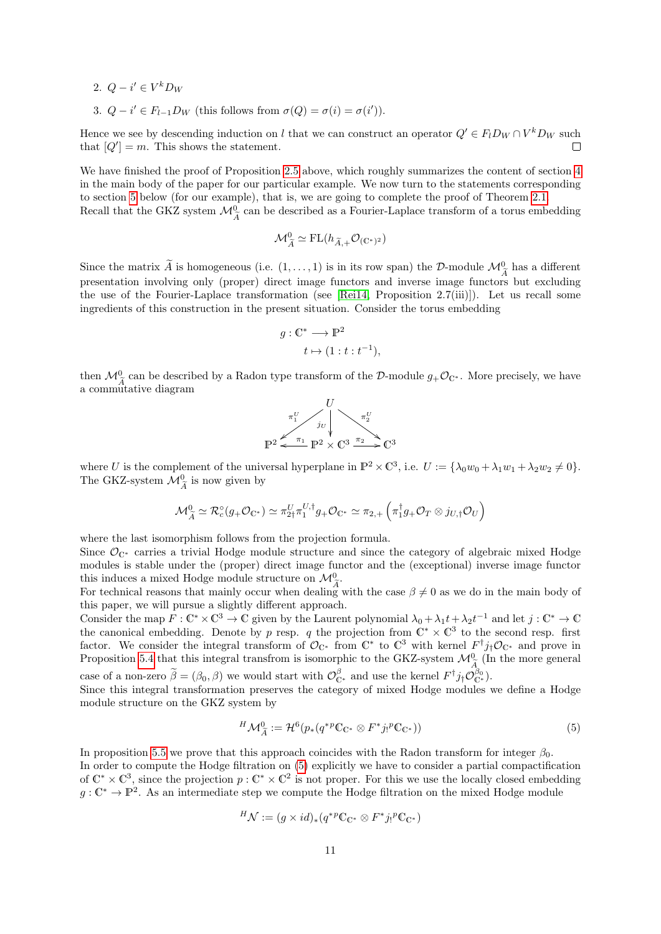- 2.  $Q i' \in V^k D_W$
- 3.  $Q i' \in F_{l-1}D_W$  (this follows from  $\sigma(Q) = \sigma(i) = \sigma(i')$ ).

Hence we see by descending induction on l that we can construct an operator  $Q' \in F_l D_W \cap V^k D_W$  such that  $[Q'] = m$ . This shows the statement.  $\Box$ 

We have finished the proof of Proposition [2.5](#page-8-2) above, which roughly summarizes the content of section [4](#page-18-0) in the main body of the paper for our particular example. We now turn to the statements corresponding to section [5](#page-35-0) below (for our example), that is, we are going to complete the proof of Theorem [2.1.](#page-4-1) Recall that the GKZ system  $\mathcal{M}_{\widetilde{A}}^0$  can be described as a Fourier-Laplace transform of a torus embedding

$$
\mathcal{M}_{\widetilde{A}}^0 \simeq \mathrm{FL}(h_{\widetilde{A},+}\mathcal{O}_{(\mathbb{C}^*)^2})
$$

Since the matrix A is homogeneous (i.e.  $(1, \ldots, 1)$  is in its row span) the D-module  $\mathcal{M}_{\widetilde{A}}^0$  has a different presentation involving only (proper) direct image functors and inverse image functors but excluding the use of the Fourier-Laplace transformation (see [\[Rei14,](#page-75-0) Proposition 2.7(iii)]). Let us recall some ingredients of this construction in the present situation. Consider the torus embedding

$$
g: \mathbb{C}^* \longrightarrow \mathbb{P}^2
$$
  

$$
t \mapsto (1 : t : t^{-1}),
$$

then  $\mathcal{M}^0_{\tilde{\Lambda}}$  can be described by a Radon type transform of the D-module  $g_+\mathcal{O}_{\mathbb{C}^*}$ . More precisely, we have  $A^{\text{max}}$  and  $B^{\text{max}}$  are denoted

$$
\begin{array}{ccc}\n & U & \\
\pi_1^U & \\
 & \downarrow U & \\
\hline\n\mathbb{P}^2 \leftarrow & \pi_1 \mathbb{P}^2 \times \mathbb{C}^3 \xrightarrow{\pi_2} \mathbb{C}^3\n\end{array}
$$

where U is the complement of the universal hyperplane in  $\mathbb{P}^2 \times \mathbb{C}^3$ , i.e.  $U := {\lambda_0 w_0 + \lambda_1 w_1 + \lambda_2 w_2 \neq 0}.$ The GKZ-system  $\mathcal{M}_{\widetilde{A}}^0$  is now given by

$$
\mathcal{M}_{\widetilde{A}}^{0} \simeq \mathcal{R}_{c}^{\circ}(g_{+}\mathcal{O}_{\mathbb{C}^{*}}) \simeq \pi_{2\uparrow}^{U}\pi_{1}^{U,\dagger}g_{+}\mathcal{O}_{\mathbb{C}^{*}} \simeq \pi_{2,+}\left(\pi_{1}^{\dagger}g_{+}\mathcal{O}_{T} \otimes j_{U,\dagger}\mathcal{O}_{U}\right)
$$

where the last isomorphism follows from the projection formula.

Since  $\mathcal{O}_{\mathbb{C}^*}$  carries a trivial Hodge module structure and since the category of algebraic mixed Hodge modules is stable under the (proper) direct image functor and the (exceptional) inverse image functor this induces a mixed Hodge module structure on  $\mathcal{M}^0_{\tilde{\lambda}}$ .

For technical reasons that mainly occur when dealing with the case  $\beta \neq 0$  as we do in the main body of this paper, we will pursue a slightly different approach.

Consider the map  $F: \mathbb{C}^* \times \mathbb{C}^3 \to \mathbb{C}$  given by the Laurent polynomial  $\lambda_0 + \lambda_1 t + \lambda_2 t^{-1}$  and let  $j: \mathbb{C}^* \to \mathbb{C}$ the canonical embedding. Denote by p resp. q the projection from  $\mathbb{C}^* \times \mathbb{C}^3$  to the second resp. first factor. We consider the integral transform of  $\mathcal{O}_{\mathbb{C}^*}$  from  $\mathbb{C}^*$  to  $\mathbb{C}^3$  with kernel  $F^{\dagger}j_{\dagger}\mathcal{O}_{\mathbb{C}^*}$  and prove in Proposition [5.4](#page-39-0) that this integral transfrom is isomorphic to the GKZ-system  $\mathcal{M}_{\tilde{A}}^{0}$  (In the more general case of a non-zero  $\widetilde{\beta} = (\beta_0, \beta)$  we would start with  $\mathcal{O}_{\mathbb{C}^*}^{\beta}$  and use the kernel  $F^{\dagger} j_{\dagger} \mathcal{O}_{\mathbb{C}^*}^{\beta_0}$ .

Since this integral transformation preserves the category of mixed Hodge modules we define a Hodge module structure on the GKZ system by

<span id="page-10-0"></span>
$$
{}^{H}\mathcal{M}_{\widetilde{A}}^0 := \mathcal{H}^6(p_*(q^{*p}\mathbb{C}_{\mathbb{C}^*} \otimes F^*j_!{}^p\mathbb{C}_{\mathbb{C}^*}))
$$
\n<sup>(5)</sup>

In proposition [5.5](#page-40-0) we prove that this approach coincides with the Radon transform for integer  $\beta_0$ . In order to compute the Hodge filtration on [\(5\)](#page-10-0) explicitly we have to consider a partial compactification of  $\mathbb{C}^* \times \mathbb{C}^3$ , since the projection  $p : \mathbb{C}^* \times \mathbb{C}^2$  is not proper. For this we use the locally closed embedding  $g: \mathbb{C}^* \to \mathbb{P}^2$ . As an intermediate step we compute the Hodge filtration on the mixed Hodge module

$$
{}^H{\mathcal N}:=(g\times id)_*(q^{*p}{\mathbb C}_{{\mathbb C}^*}\otimes F^*j_!{}^p{\mathbb C}_{{\mathbb C}^*})
$$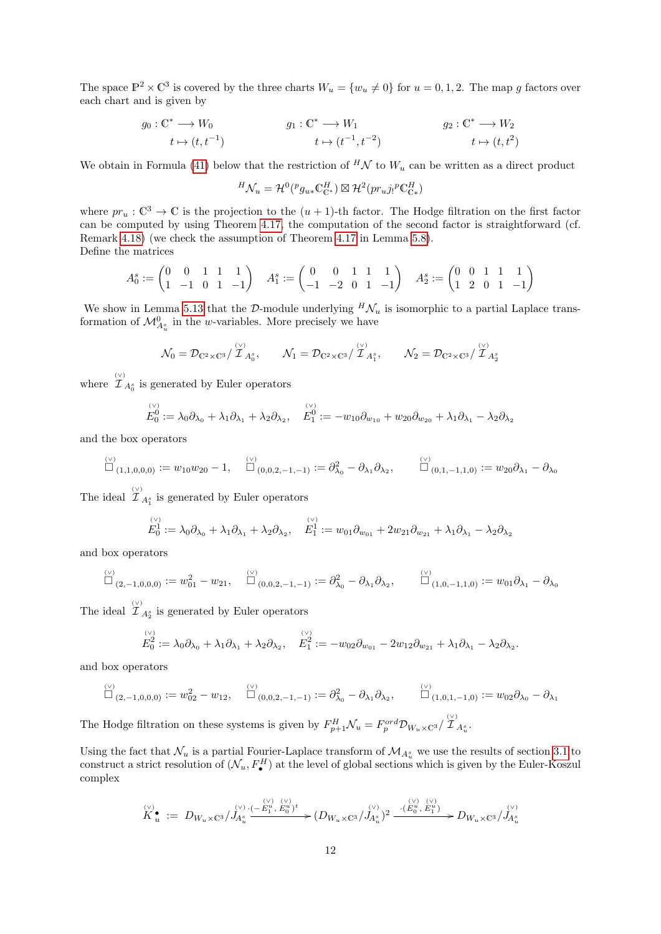The space  $\mathbb{P}^2 \times \mathbb{C}^3$  is covered by the three charts  $W_u = \{w_u \neq 0\}$  for  $u = 0, 1, 2$ . The map g factors over each chart and is given by

$$
g_0: \mathbb{C}^* \longrightarrow W_0
$$
  
\n
$$
t \mapsto (t, t^{-1})
$$
  
\n
$$
g_1: \mathbb{C}^* \longrightarrow W_1
$$
  
\n
$$
g_2: \mathbb{C}^* \longrightarrow W_2
$$
  
\n
$$
t \mapsto (t, t^2)
$$
  
\n
$$
g_2: \mathbb{C}^* \longrightarrow W_2
$$

We obtain in Formula [\(41\)](#page-44-0) below that the restriction of  $^H\mathcal{N}$  to  $W_u$  can be written as a direct product

$$
{}^H\mathcal{N}_u = \mathcal{H}^0({}^pg_{u*}\mathbb{C}^H_{\mathbb{C}^*}) \boxtimes \mathcal{H}^2(pr_uj_!{}^p\mathbb{C}^H_{\mathbb{C}^*})
$$

where  $pr_u : \mathbb{C}^3 \to \mathbb{C}$  is the projection to the  $(u + 1)$ -th factor. The Hodge filtration on the first factor can be computed by using Theorem [4.17,](#page-34-0) the computation of the second factor is straightforward (cf. Remark [4.18\)](#page-35-2) (we check the assumption of Theorem [4.17](#page-34-0) in Lemma [5.8\)](#page-44-1). Define the matrices

$$
A_0^s := \begin{pmatrix} 0 & 0 & 1 & 1 & 1 \\ 1 & -1 & 0 & 1 & -1 \end{pmatrix} \quad A_1^s := \begin{pmatrix} 0 & 0 & 1 & 1 & 1 \\ -1 & -2 & 0 & 1 & -1 \end{pmatrix} \quad A_2^s := \begin{pmatrix} 0 & 0 & 1 & 1 & 1 \\ 1 & 2 & 0 & 1 & -1 \end{pmatrix}
$$

We show in Lemma [5.13](#page-48-0) that the D-module underlying  $^H\mathcal{N}_u$  is isomorphic to a partial Laplace transformation of  $\mathcal{M}_{A_u^s}^0$  in the *w*-variables. More precisely we have

$$
\mathcal{N}_0 = \mathcal{D}_{\mathbb{C}^2 \times \mathbb{C}^3} / \overset{\langle \vee \rangle}{\mathcal{I}}_{A_0^s}, \qquad \mathcal{N}_1 = \mathcal{D}_{\mathbb{C}^2 \times \mathbb{C}^3} / \overset{\langle \vee \rangle}{\mathcal{I}}_{A_1^s}, \qquad \mathcal{N}_2 = \mathcal{D}_{\mathbb{C}^2 \times \mathbb{C}^3} / \overset{\langle \vee \rangle}{\mathcal{I}}_{A_2^s}
$$

where  $\hat{\mathcal{I}}_{A_0^s}$  is generated by Euler operators

$$
E_0^{(v)} := \lambda_0 \partial_{\lambda_0} + \lambda_1 \partial_{\lambda_1} + \lambda_2 \partial_{\lambda_2}, \quad E_1^{(v)} := -w_{10} \partial_{w_{10}} + w_{20} \partial_{w_{20}} + \lambda_1 \partial_{\lambda_1} - \lambda_2 \partial_{\lambda_2}
$$

and the box operators

$$
\overset{\text{\tiny{(v)}}}{\Box}_{(1,1,0,0,0)} := w_{10}w_{20} - 1, \quad \overset{\text{\tiny{(v)}}}{\Box}_{(0,0,2,-1,-1)} := \partial_{\lambda_0}^2 - \partial_{\lambda_1}\partial_{\lambda_2}, \qquad \overset{\text{\tiny{(v)}}}{\Box}_{(0,1,-1,1,0)} := w_{20}\partial_{\lambda_1} - \partial_{\lambda_0}
$$

The ideal  $\hat{\mathcal{I}}_{A_1^s}$  is generated by Euler operators

$$
E_0^{(v)} := \lambda_0 \partial_{\lambda_0} + \lambda_1 \partial_{\lambda_1} + \lambda_2 \partial_{\lambda_2}, \quad E_1^1 := w_{01} \partial_{w_{01}} + 2w_{21} \partial_{w_{21}} + \lambda_1 \partial_{\lambda_1} - \lambda_2 \partial_{\lambda_2}
$$

and box operators

$$
\overset{\text{\tiny{(v)}}}{\Box}_{(2,-1,0,0,0)} := w_{01}^2 - w_{21}, \quad \overset{\text{\tiny{(v)}}}{\Box}_{(0,0,2,-1,-1)} := \partial^2_{\lambda_0} - \partial_{\lambda_1} \partial_{\lambda_2}, \quad \overset{\text{\tiny{(v)}}}{\Box}_{(1,0,-1,1,0)} := w_{01} \partial_{\lambda_1} - \partial_{\lambda_0}
$$

The ideal  $\hat{\mathcal{I}}_{A_2^s}$  is generated by Euler operators

$$
E_0^{(v)} := \lambda_0 \partial_{\lambda_0} + \lambda_1 \partial_{\lambda_1} + \lambda_2 \partial_{\lambda_2}, \quad E_1^{(v)} := -w_{02} \partial_{w_{01}} - 2w_{12} \partial_{w_{21}} + \lambda_1 \partial_{\lambda_1} - \lambda_2 \partial_{\lambda_2}.
$$

and box operators

$$
\overset{\text{\tiny{(v)}}}{\Box}_{(2,-1,0,0,0)} := w_{02}^2 - w_{12}, \quad \overset{\text{\tiny{(v)}}}{\Box}_{(0,0,2,-1,-1)} := \partial^2_{\lambda_0} - \partial_{\lambda_1} \partial_{\lambda_2}, \quad \overset{\text{\tiny{(v)}}}{\Box}_{(1,0,1,-1,0)} := w_{02} \partial_{\lambda_0} - \partial_{\lambda_1}
$$

The Hodge filtration on these systems is given by  $F_{p+1}^H \mathcal{N}_u = F_p^{ord} \mathcal{D}_{W_u \times \mathbb{C}^3}/\overset{(v)}{\mathcal{I}}_{A_u^s}$ .

Using the fact that  $\mathcal{N}_u$  is a partial Fourier-Laplace transform of  $\mathcal{M}_{A_u^s}$  we use the results of section [3.1](#page-14-1) to construct a strict resolution of  $(\mathcal{N}_u, F^H_\bullet)$  at the level of global sections which is given by the Euler-Koszul complex

$$
\overset{\text{\tiny{(v)}}}{K}_{u}^{\bullet} \; := \; D_{W_{u} \times \mathbb{C}^{3}} / J_{A_{u}^{s}}^{\text{\tiny{(v)}}} \overset{\text{\tiny{(v)}}}{\longrightarrow} \overset{\text{\tiny{(v)}}}{E_{1}^{u}} \overset{\text{\tiny{(v)}}}{E_{0}^{u}})^{t}} \rightarrow (D_{W_{u} \times \mathbb{C}^{3}} / J_{A_{u}^{s}}^{\text{\tiny{(v)}}})^{2} \xrightarrow{\cdot (\overset{\text{\tiny{(v)}}}{E_{0}^{u}}, \overset{\text{\tiny{(v)}}}{E_{1}^{u}})} D_{W_{u} \times \mathbb{C}^{3}} / J_{A_{u}^{s}}^{\text{\tiny{(v)}}}
$$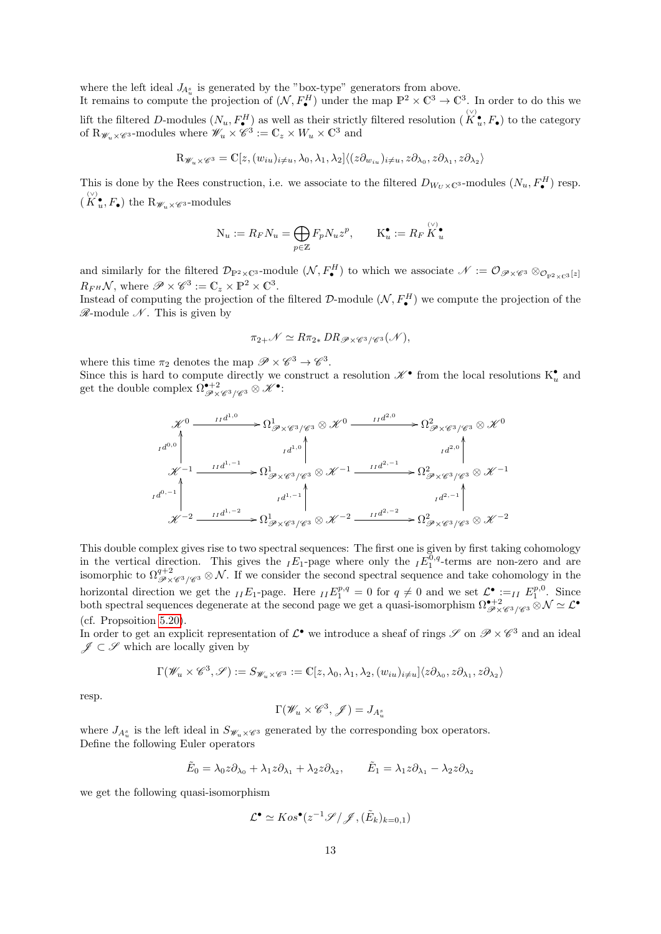where the left ideal  $J_{A_u^s}$  is generated by the "box-type" generators from above.

It remains to compute the projection of  $(\mathcal{N}, F^H_\bullet)$  under the map  $\mathbb{P}^2 \times \mathbb{C}^3 \to \mathbb{C}^3$ . In order to do this we lift the filtered D-modules  $(N_u, F^H_{\bullet})$  as well as their strictly filtered resolution  $(K_u^{\circ}, F_{\bullet})$  to the category of  $\mathbb{R}_{\mathscr{W}_u\times\mathscr{C}^3}$ -modules where  $\mathscr{W}_u\times\mathscr{C}^3:=\mathbb{C}_z\times W_u\times\mathbb{C}^3$  and

$$
\mathbf{R}_{\mathscr{W}_u \times \mathscr{C}^3} = \mathbb{C}[z, (w_{iu})_{i \neq u}, \lambda_0, \lambda_1, \lambda_2] \langle (z \partial_{w_{iu}})_{i \neq u}, z \partial_{\lambda_0}, z \partial_{\lambda_1}, z \partial_{\lambda_2} \rangle
$$

This is done by the Rees construction, i.e. we associate to the filtered  $D_{W_U \times \mathbb{C}^3}$ -modules  $(N_u, F^H_\bullet)$  resp.  $(K_u^{\bullet}, F_{\bullet})$  the  $\mathcal{R}_{\mathscr{W}_u \times \mathscr{C}^3}$ -modules

$$
\mathcal{N}_u:=R_F N_u=\bigoplus_{p\in\mathbb{Z}}F_p N_u z^p,\qquad \mathcal{K}_u^\bullet:=R_F\overset{(\vee)}{K}_u^\bullet
$$

and similarly for the filtered  $\mathcal{D}_{\mathbb{P}^2\times\mathbb{C}^3}$ -module  $(\mathcal{N}, F^H_{\bullet})$  to which we associate  $\mathcal{N} := \mathcal{O}_{\mathscr{P}\times\mathscr{C}^3} \otimes_{\mathcal{O}_{\mathbb{P}^2\times\mathbb{C}^3}[z]}$  $R_{F^H} \mathcal{N}$ , where  $\mathscr{P} \times \mathscr{C}^3 := \mathbb{C}_z \times \mathbb{P}^2 \times \mathbb{C}^3$ .

Instead of computing the projection of the filtered  $\mathcal{D}$ -module  $(\mathcal{N}, F_{\bullet}^H)$  we compute the projection of the  $\mathscr{R}\text{-module }\mathscr{N}.$  This is given by

$$
\pi_{2+} \mathcal{N} \simeq R \pi_{2*} D R_{\mathscr{P} \times \mathscr{C}^3/\mathscr{C}^3}(\mathscr{N}),
$$

where this time  $\pi_2$  denotes the map  $\mathscr{P} \times \mathscr{C}^3 \to \mathscr{C}^3$ .

Since this is hard to compute directly we construct a resolution  $\mathscr{K}^{\bullet}$  from the local resolutions  $K_u^{\bullet}$  and get the double complex  $\Omega^{\bullet+2}_{\mathscr{P}\times\mathscr{C}^3/\mathscr{C}^3}\otimes\mathscr{K}^\bullet$ :

$$
\mathcal{K}^{0} \longrightarrow \Omega^{1}_{\mathscr{P}\times\mathscr{C}^{3}/\mathscr{C}^{3}} \otimes \mathscr{K}^{0} \longrightarrow \Omega^{2}_{\mathscr{P}\times\mathscr{C}^{3}/\mathscr{C}^{3}} \otimes \mathscr{K}^{0}
$$
\n
$$
\mathcal{K}^{-1} \longrightarrow \Omega^{1}_{\mathscr{P}\times\mathscr{C}^{3}/\mathscr{C}^{3}} \otimes \mathscr{K}^{-1} \longrightarrow \Omega^{2}_{\mathscr{P}\times\mathscr{C}^{3}/\mathscr{C}^{3}} \otimes \mathscr{K}^{-1}
$$
\n
$$
\mathcal{K}^{-1} \longrightarrow \Omega^{1}_{\mathscr{P}\times\mathscr{C}^{3}/\mathscr{C}^{3}} \otimes \mathscr{K}^{-1} \longrightarrow \Omega^{2}_{\mathscr{P}\times\mathscr{C}^{3}/\mathscr{C}^{3}} \otimes \mathscr{K}^{-1}
$$
\n
$$
\mathcal{K}^{-2} \longrightarrow \Omega^{1}_{\mathscr{P}\times\mathscr{C}^{3}/\mathscr{C}^{3}} \otimes \mathscr{K}^{-2} \longrightarrow \Omega^{2}_{\mathscr{P}\times\mathscr{C}^{3}/\mathscr{C}^{3}} \otimes \mathscr{K}^{-2}
$$

This double complex gives rise to two spectral sequences: The first one is given by first taking cohomology in the vertical direction. This gives the  $_IE_1$ -page where only the  $_IE_1^{0,q}$ -terms are non-zero and are isomorphic to  $\Omega^{q+2}_{\mathscr{P}\times\mathscr{C}^3/\mathscr{C}^3}\otimes\mathcal{N}$ . If we consider the second spectral sequence and take cohomology in the horizontal direction we get the  $_{II}E_1$ -page. Here  $_{II}E_1^{p,q} = 0$  for  $q \neq 0$  and we set  $\mathcal{L}^{\bullet} := H E_1^{p,0}$ . Since both spectral sequences degenerate at the second page we get a quasi-isomorphism  $\Omega^{\bullet+2}_{\mathscr{P}\times\mathscr{C}^3/\mathscr{C}^3}\otimes\mathcal{N}\simeq\mathcal{L}^\bullet$ (cf. Propsoition [5.20\)](#page-54-0).

In order to get an explicit representation of  $\mathcal{L}^{\bullet}$  we introduce a sheaf of rings  $\mathscr{S}$  on  $\mathscr{P} \times \mathscr{C}^3$  and an ideal  $\mathscr{J} \subset \mathscr{S}$  which are locally given by

$$
\Gamma(\mathscr{W}_u\times \mathscr{C}^3,\mathscr{S}):=S_{\mathscr{W}_u\times \mathscr{C}^3}:=\mathbb{C}[z,\lambda_0,\lambda_1,\lambda_2,(w_{iu})_{i\neq u}]\langle z\partial_{\lambda_0},z\partial_{\lambda_1},z\partial_{\lambda_2}\rangle
$$

resp.

$$
\Gamma(\mathscr{W}_u\times \mathscr{C}^3,\mathscr{J})=J_{A^s_u}
$$

where  $J_{A_u^s}$  is the left ideal in  $S_{\mathscr{W}_u \times \mathscr{C}^3}$  generated by the corresponding box operators. Define the following Euler operators

$$
\tilde{E}_0 = \lambda_0 z \partial_{\lambda_0} + \lambda_1 z \partial_{\lambda_1} + \lambda_2 z \partial_{\lambda_2}, \qquad \tilde{E}_1 = \lambda_1 z \partial_{\lambda_1} - \lambda_2 z \partial_{\lambda_2}
$$

we get the following quasi-isomorphism

$$
\mathcal{L}^{\bullet} \simeq Kos^{\bullet}(z^{-1}\mathscr{S}/\mathscr{J}, (\tilde{E}_k)_{k=0,1})
$$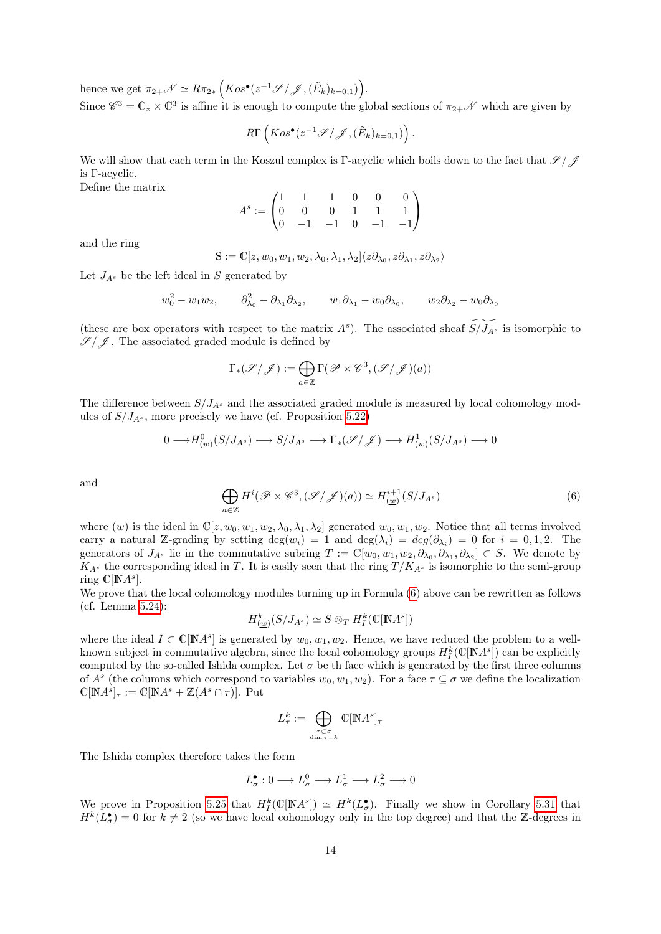hence we get  $\pi_{2+} \mathscr{N} \simeq R \pi_{2*} \left( Kos^{\bullet}(z^{-1} \mathscr{S}/\mathscr{J}, (\tilde{E}_k)_{k=0,1}) \right)$ .

Since  $\mathscr{C}^3 = \mathbb{C}_z \times \mathbb{C}^3$  is affine it is enough to compute the global sections of  $\pi_{2+}\mathscr{N}$  which are given by

$$
R\Gamma\left(Kos^{\bullet}(z^{-1}\mathscr{S}/\mathscr{J},(\tilde{E}_k)_{k=0,1})\right).
$$

We will show that each term in the Koszul complex is Γ-acyclic which boils down to the fact that  $\mathscr{S}/\mathscr{J}$ is Γ-acyclic.

Define the matrix

$$
A^s := \begin{pmatrix} 1 & 1 & 1 & 0 & 0 & 0 \\ 0 & 0 & 0 & 1 & 1 & 1 \\ 0 & -1 & -1 & 0 & -1 & -1 \end{pmatrix}
$$

and the ring

$$
\mathcal{S}:=\mathbb{C}[z,w_0,w_1,w_2,\lambda_0,\lambda_1,\lambda_2]\langle z\partial_{\lambda_0},z\partial_{\lambda_1},z\partial_{\lambda_2}\rangle
$$

Let  $J_{A^s}$  be the left ideal in S generated by

$$
w_0^2 - w_1 w_2
$$
,  $\partial_{\lambda_0}^2 - \partial_{\lambda_1} \partial_{\lambda_2}$ ,  $w_1 \partial_{\lambda_1} - w_0 \partial_{\lambda_0}$ ,  $w_2 \partial_{\lambda_2} - w_0 \partial_{\lambda_0}$ 

(these are box operators with respect to the matrix  $A^s$ ). The associated sheaf  $\widetilde{S/J_{A^s}}$  is isomorphic to  $\mathscr{S}/\mathscr{J}$ . The associated graded module is defined by

$$
\Gamma_*(\mathscr{S}/\mathscr{J}):=\bigoplus_{a\in\mathbb{Z}}\Gamma(\mathscr{P}\times\mathscr{C}^3,(\mathscr{S}/\mathscr{J})(a))
$$

The difference between  $S/J_{A^s}$  and the associated graded module is measured by local cohomology modules of  $S/J_{A^s}$ , more precisely we have (cf. Proposition [5.22\)](#page-56-0)

$$
0 \longrightarrow H^0_{(\underline{w})}(S/J_{A^s}) \longrightarrow S/J_{A^s} \longrightarrow \Gamma_*(\mathscr{S}/\mathscr{J}) \longrightarrow H^1_{(\underline{w})}(S/J_{A^s}) \longrightarrow 0
$$

and

<span id="page-13-0"></span>
$$
\bigoplus_{a \in \mathbb{Z}} H^i(\mathscr{P} \times \mathscr{C}^3, (\mathscr{S}/\mathscr{J})(a)) \simeq H^{i+1}(\mathscr{S}/J_{A^s})
$$
\n(6)

where  $(\underline{w})$  is the ideal in  $\mathbb{C}[z, w_0, w_1, w_2, \lambda_0, \lambda_1, \lambda_2]$  generated  $w_0, w_1, w_2$ . Notice that all terms involved carry a natural Z-grading by setting  $\deg(w_i) = 1$  and  $\deg(\lambda_i) = deg(\partial_{\lambda_i}) = 0$  for  $i = 0, 1, 2$ . The generators of  $J_{A^s}$  lie in the commutative subring  $T := \mathbb{C}[w_0, w_1, w_2, \partial_{\lambda_0}, \partial_{\lambda_1}, \partial_{\lambda_2}] \subset S$ . We denote by  $K_{A^s}$  the corresponding ideal in T. It is easily seen that the ring  $T/K_{A^s}$  is isomorphic to the semi-group ring  $\mathbb{C}[NA^s]$ .

We prove that the local cohomology modules turning up in Formula  $(6)$  above can be rewritten as follows (cf. Lemma [5.24\)](#page-57-1):

$$
H_{(\underline{w})}^k(S/J_{A^s}) \simeq S \otimes_T H^k_I(\mathbb{C}[\mathbb{N}A^s])
$$

where the ideal  $I \subset \mathbb{C}[\mathbb{N}A^s]$  is generated by  $w_0, w_1, w_2$ . Hence, we have reduced the problem to a wellknown subject in commutative algebra, since the local cohomology groups  $H_I^k(\mathbb{C}[\mathbb{N} A^s])$  can be explicitly computed by the so-called Ishida complex. Let  $\sigma$  be th face which is generated by the first three columns of  $A^s$  (the columns which correspond to variables  $w_0, w_1, w_2$ ). For a face  $\tau \subseteq \sigma$  we define the localization  $\mathbb{C}[{\mathbb N}A^s]_\tau := \mathbb{C}[{\mathbb N}A^s + {\mathbb Z}(A^s \cap \tau)].$  Put

$$
L^k_\tau := \bigoplus_{\tau \subset \sigma \atop \dim \tau = k} \mathbb{C}[\mathbb{N} A^s]_\tau
$$

The Ishida complex therefore takes the form

$$
L_\sigma^\bullet:0\longrightarrow L_\sigma^0\longrightarrow L_\sigma^1\longrightarrow L_\sigma^2\longrightarrow 0
$$

We prove in Proposition [5.25](#page-58-0) that  $H_I^k(\mathbb{C}[N\mathbb{A}^s]) \simeq H^k(L^{\bullet}_{\sigma})$ . Finally we show in Corollary [5.31](#page-62-1) that  $H^k(L^{\bullet}_{\sigma})=0$  for  $k\neq 2$  (so we have local cohomology only in the top degree) and that the Z-degrees in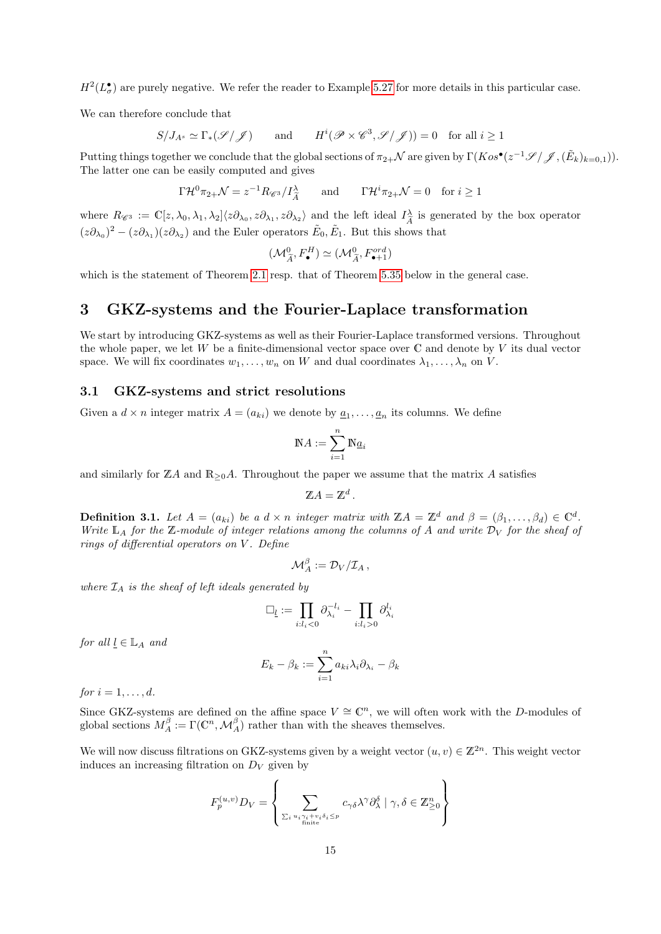$H^2(L^{\bullet}_{\sigma})$  are purely negative. We refer the reader to Example [5.27](#page-59-0) for more details in this particular case.

We can therefore conclude that

$$
S/J_{A^s} \simeq \Gamma_*(\mathscr{S}/\mathscr{J}) \qquad \text{and} \qquad H^i(\mathscr{P} \times \mathscr{C}^3, \mathscr{S}/\mathscr{J})) = 0 \quad \text{for all } i \ge 1
$$

Putting things together we conclude that the global sections of  $\pi_{2+} \mathcal{N}$  are given by  $\Gamma(Kos^{\bullet}(z^{-1}\mathscr{S}/\mathscr{J}, (\tilde{E}_k)_{k=0,1})).$ The latter one can be easily computed and gives

$$
\Gamma \mathcal{H}^0 \pi_{2+} \mathcal{N} = z^{-1} R_{\mathscr{C}^3} / I_{\tilde{A}}^{\lambda}
$$
 and  $\Gamma \mathcal{H}^i \pi_{2+} \mathcal{N} = 0$  for  $i \ge 1$ 

where  $R_{\mathscr{C}^3} := \mathbb{C}[z, \lambda_0, \lambda_1, \lambda_2] \langle z \partial_{\lambda_0}, z \partial_{\lambda_1}, z \partial_{\lambda_2} \rangle$  and the left ideal  $I_A^{\lambda}$  $\frac{\lambda}{\hat{A}}$  is generated by the box operator  $(z\partial_{\lambda_0})^2 - (z\partial_{\lambda_1})(z\partial_{\lambda_2})$  and the Euler operators  $\tilde{E}_0, \tilde{E}_1$ . But this shows that

$$
(\mathcal{M}_{\widetilde{A}}^0, F_{\bullet}^H) \simeq (\mathcal{M}_{\widetilde{A}}^0, F_{\bullet+1}^{ord})
$$

which is the statement of Theorem [2.1](#page-4-1) resp. that of Theorem [5.35](#page-63-0) below in the general case.

# <span id="page-14-0"></span>3 GKZ-systems and the Fourier-Laplace transformation

We start by introducing GKZ-systems as well as their Fourier-Laplace transformed versions. Throughout the whole paper, we let W be a finite-dimensional vector space over  $\mathbb C$  and denote by V its dual vector space. We will fix coordinates  $w_1, \ldots, w_n$  on W and dual coordinates  $\lambda_1, \ldots, \lambda_n$  on V.

#### <span id="page-14-1"></span>3.1 GKZ-systems and strict resolutions

Given a  $d \times n$  integer matrix  $A = (a_{ki})$  we denote by  $\underline{a}_1, \ldots, \underline{a}_n$  its columns. We define

$$
\mathbb{N} A := \sum_{i=1}^n \mathbb{N} \underline{a}_i
$$

and similarly for  $\mathbb{Z}A$  and  $\mathbb{R}_{\geq 0}A$ . Throughout the paper we assume that the matrix A satisfies

$$
\mathbb{Z}A=\mathbb{Z}^d.
$$

<span id="page-14-2"></span>**Definition 3.1.** Let  $A = (a_{ki})$  be a  $d \times n$  integer matrix with  $\mathbb{Z}A = \mathbb{Z}^d$  and  $\beta = (\beta_1, \ldots, \beta_d) \in \mathbb{C}^d$ . Write  $\mathbb{L}_A$  for the Z-module of integer relations among the columns of A and write  $\mathcal{D}_V$  for the sheaf of rings of differential operators on  $V$ . Define

$$
{\mathcal M}_A^\beta:={\mathcal D}_V/{\mathcal I}_A\,,
$$

where  $\mathcal{I}_A$  is the sheaf of left ideals generated by

$$
\Box_{\underline{l}} := \prod_{i:l_i<0} \partial_{\lambda_i}^{-l_i} - \prod_{i:l_i>0} \partial_{\lambda_i}^{l_i}
$$

for all  $l \in \mathbb{L}_A$  and

$$
E_k - \beta_k := \sum_{i=1}^n a_{ki} \lambda_i \partial_{\lambda_i} - \beta_k
$$

for  $i = 1, \ldots, d$ .

Since GKZ-systems are defined on the affine space  $V \cong \mathbb{C}^n$ , we will often work with the D-modules of global sections  $M_A^{\beta} := \Gamma(\mathbb{C}^n, \mathcal{M}_A^{\beta})$  rather than with the sheaves themselves.

We will now discuss filtrations on GKZ-systems given by a weight vector  $(u, v) \in \mathbb{Z}^{2n}$ . This weight vector induces an increasing filtration on  $D_V$  given by

$$
F_p^{(u,v)}D_V = \left\{ \sum_{\sum_i u_i \gamma_i + v_i \delta_i \le p} c_{\gamma \delta} \lambda^{\gamma} \partial_{\lambda}^{\delta} \mid \gamma, \delta \in \mathbb{Z}_{\ge 0}^n \right\}
$$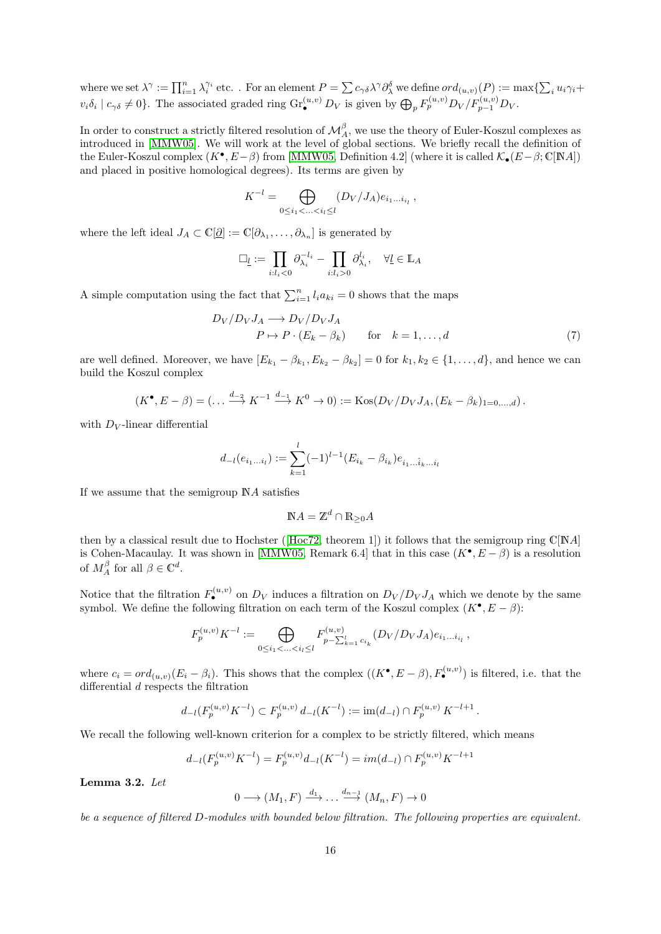where we set  $\lambda^{\gamma} := \prod_{i=1}^n \lambda_i^{\gamma_i}$  etc. . For an element  $P = \sum c_{\gamma\delta}\lambda^{\gamma}\partial_{\lambda}^{\delta}$  we define  $ord_{(u,v)}(P) := \max\{\sum_i u_i\gamma_i +$  $v_i \delta_i \mid c_{\gamma \delta} \neq 0$ . The associated graded ring  $\text{Gr}_{\bullet}^{(u,v)} D_V$  is given by  $\bigoplus_p F_p^{(u,v)} D_V / F_{p-1}^{(u,v)} D_V$ .

In order to construct a strictly filtered resolution of  $\mathcal{M}_{A}^{\beta}$ , we use the theory of Euler-Koszul complexes as introduced in [\[MMW05\]](#page-75-6). We will work at the level of global sections. We briefly recall the definition of the Euler-Koszul complex  $(K^{\bullet}, E - \beta)$  from [\[MMW05,](#page-75-6) Definition 4.2] (where it is called  $\mathcal{K}_{\bullet}(E - \beta; \mathbb{C}[NA])$ and placed in positive homological degrees). Its terms are given by

$$
K^{-l} = \bigoplus_{0 \le i_1 < \ldots < i_l \le l} (D_V / J_A) e_{i_1 \ldots i_{i_l}} \,,
$$

where the left ideal  $J_A \subset \mathbb{C}[\mathcal{Q}] := \mathbb{C}[\partial_{\lambda_1}, \dots, \partial_{\lambda_n}]$  is generated by

$$
\Box_{\underline{l}} := \prod_{i:l_i<0} \partial_{\lambda_i}^{-l_i} - \prod_{i:l_i>0} \partial_{\lambda_i}^{l_i}, \quad \forall \underline{l} \in \mathbb{L}_A
$$

A simple computation using the fact that  $\sum_{i=1}^{n} l_i a_{ki} = 0$  shows that the maps

$$
D_V/D_V J_A \longrightarrow D_V/D_V J_A
$$
  
\n $P \mapsto P \cdot (E_k - \beta_k) \qquad \text{for} \quad k = 1, ..., d$  (7)

are well defined. Moreover, we have  $[E_{k_1} - \beta_{k_1}, E_{k_2} - \beta_{k_2}] = 0$  for  $k_1, k_2 \in \{1, ..., d\}$ , and hence we can build the Koszul complex

$$
(K^{\bullet}, E - \beta) = (\dots \xrightarrow{d_{-2}} K^{-1} \xrightarrow{d_{-1}} K^0 \to 0) := \text{Kos}(D_V/D_V J_A, (E_k - \beta_k)_{1=0,\dots,d}).
$$

with  $D_V$ -linear differential

$$
d_{-l}(e_{i_1...i_l}) := \sum_{k=1}^l (-1)^{l-1} (E_{i_k} - \beta_{i_k}) e_{i_1...i_k...i_l}
$$

If we assume that the semigroup NA satisfies

$$
\mathbb{N}A = \mathbb{Z}^d \cap \mathbb{R}_{\geq 0}A
$$

thenby a classical result due to Hochster ([\[Hoc72,](#page-74-14) theorem 1]) it follows that the semigroup ring  $\mathbb{C}[NA]$ is Cohen-Macaulay. It was shown in [\[MMW05,](#page-75-6) Remark 6.4] that in this case  $(K^{\bullet}, E - \beta)$  is a resolution of  $M_A^{\beta}$  for all  $\beta \in \mathbb{C}^d$ .

Notice that the filtration  $F_{\bullet}^{(u,v)}$  on  $D_V$  induces a filtration on  $D_V/D_V J_A$  which we denote by the same symbol. We define the following filtration on each term of the Koszul complex  $(K^{\bullet}, E - \beta)$ :

$$
F_p^{(u,v)} K^{-l} := \bigoplus_{0 \le i_1 < \ldots < i_l \le l} F_{p - \sum_{k=1}^l c_{i_k}}^{(u,v)} (D_V / D_V J_A) e_{i_1 \ldots i_{i_l}},
$$

where  $c_i = ord_{(u,v)}(E_i - \beta_i)$ . This shows that the complex  $((K^{\bullet}, E - \beta), F_{\bullet}^{(u,v)})$  is filtered, i.e. that the differential d respects the filtration

$$
d_{-l}(F_p^{(u,v)}K^{-l}) \subset F_p^{(u,v)} d_{-l}(K^{-l}) := \text{im}(d_{-l}) \cap F_p^{(u,v)} K^{-l+1}.
$$

We recall the following well-known criterion for a complex to be strictly filtered, which means

$$
d_{-l}(F_p^{(u,v)}K^{-l}) = F_p^{(u,v)}d_{-l}(K^{-l}) = im(d_{-l}) \cap F_p^{(u,v)}K^{-l+1}
$$

Lemma 3.2. Let

 $0 \longrightarrow (M_1, F) \stackrel{d_1}{\longrightarrow} \dots \stackrel{d_{n-1}}{\longrightarrow} (M_n, F) \longrightarrow 0$ 

be a sequence of filtered D-modules with bounded below filtration. The following properties are equivalent.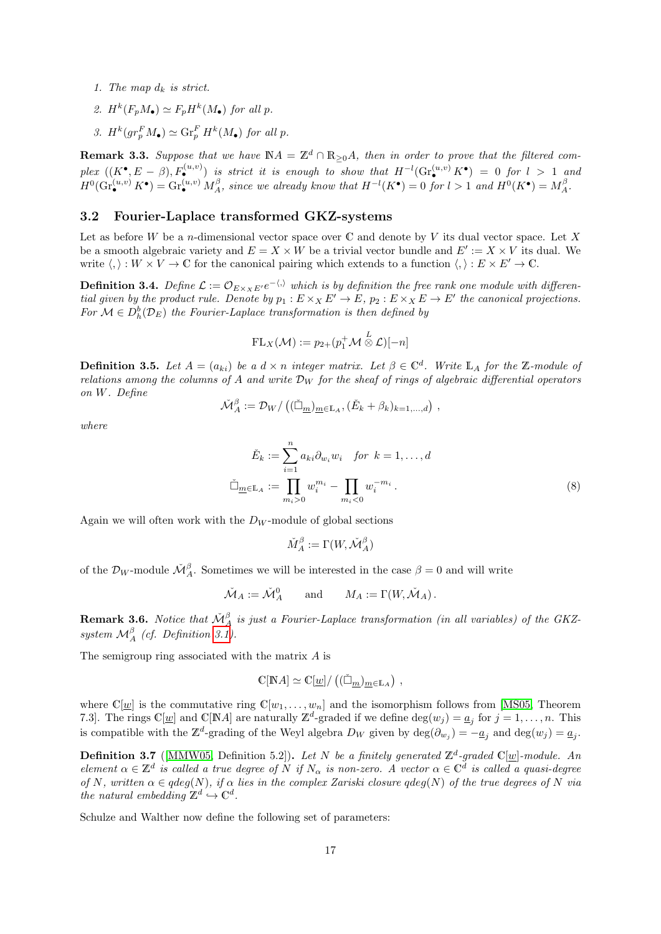- 1. The map  $d_k$  is strict.
- 2.  $H^k(F_pM_{\bullet}) \simeq F_pH^k(M_{\bullet})$  for all p.
- 3.  $H^k(gr_p^F M_{\bullet}) \simeq \text{Gr}_p^F H^k(M_{\bullet})$  for all p.

**Remark 3.3.** Suppose that we have  $NA = \mathbb{Z}^d \cap \mathbb{R}_{\geq 0}A$ , then in order to prove that the filtered complex  $((K^{\bullet}, E - \beta), F_{\bullet}^{(u,v)})$  is strict it is enough to show that  $H^{-l}(\text{Gr}_{\bullet}^{(u,v)} K^{\bullet}) = 0$  for  $l > 1$  and  $H^0(\text{Gr}_{\bullet}^{(u,v)} K^{\bullet}) = \text{Gr}_{\bullet}^{(u,v)} M_A^{\beta}$ , since we already know that  $H^{-l}(K^{\bullet}) = 0$  for  $l > 1$  and  $H^0(K^{\bullet}) = M_A^{\beta}$ .

#### <span id="page-16-0"></span>3.2 Fourier-Laplace transformed GKZ-systems

Let as before W be a *n*-dimensional vector space over  $\mathbb C$  and denote by V its dual vector space. Let X be a smooth algebraic variety and  $E = X \times W$  be a trivial vector bundle and  $E' := X \times V$  its dual. We write  $\langle , \rangle : W \times V \to \mathbb{C}$  for the canonical pairing which extends to a function  $\langle , \rangle : E \times E' \to \mathbb{C}$ .

**Definition 3.4.** Define  $\mathcal{L} := \mathcal{O}_{E \times x E'} e^{-\langle x \rangle}$  which is by definition the free rank one module with differential given by the product rule. Denote by  $p_1 : E \times_X E' \to E$ ,  $p_2 : E \times_X E \to E'$  the canonical projections. For  $\mathcal{M} \in D_h^b(\mathcal{D}_E)$  the Fourier-Laplace transformation is then defined by

$$
\mathrm{FL}_X(\mathcal{M}) := p_{2+}(p_1^+\mathcal{M}\overset{L}{\otimes}\mathcal{L})[-n]
$$

<span id="page-16-1"></span>**Definition 3.5.** Let  $A = (a_{ki})$  be a  $d \times n$  integer matrix. Let  $\beta \in \mathbb{C}^d$ . Write  $\mathbb{L}_A$  for the Z-module of relations among the columns of A and write  $\mathcal{D}_W$  for the sheaf of rings of algebraic differential operators on W. Define

$$
\check{\mathcal{M}}^{\beta}_{A} := \mathcal{D}_{W}/\left( (\check{\square}_{\underline{m}})_{\underline{m} \in \mathbb{L}_A}, (\check{E}_k + \beta_k)_{k=1,\dots,d} \right) ,
$$

where

$$
\check{E}_k := \sum_{i=1}^n a_{ki} \partial_{w_i} w_i \quad \text{for } k = 1, \dots, d
$$
\n
$$
\check{\Box}_{\underline{m} \in \mathbb{L}_A} := \prod_{m_i > 0} w_i^{m_i} - \prod_{m_i < 0} w_i^{-m_i} \,. \tag{8}
$$

Again we will often work with the  $D_W$ -module of global sections

$$
\check{M}^\beta_A := \Gamma(W, \check{\mathcal{M}}^\beta_A)
$$

of the  $\mathcal{D}_W$ -module  $\mathcal{M}_{A}^{\beta}$ . Sometimes we will be interested in the case  $\beta = 0$  and will write

$$
\check{\mathcal{M}}_A := \check{\mathcal{M}}_A^0
$$
 and  $M_A := \Gamma(W, \check{\mathcal{M}}_A)$ .

**Remark 3.6.** Notice that  $\check{\mathcal{M}}^{\beta}_{A}$  is just a Fourier-Laplace transformation (in all variables) of the GKZsystem  $\mathcal{M}_{A}^{\beta}$  (cf. Definition [3.1\)](#page-14-2).

The semigroup ring associated with the matrix A is

$$
\mathbb{C}[{\mathbb N}A]\simeq \mathbb{C}[\underline{w}]/((\check{\Box}_{m})_{m\in{\mathbb L}_A})\ ,
$$

where  $\mathbb{C}[\underline{w}]$  is the commutative ring  $\mathbb{C}[w_1,\ldots,w_n]$  and the isomorphism follows from [\[MS05,](#page-75-12) Theorem 7.3]. The rings  $\mathbb{C}[\underline{w}]$  and  $\mathbb{C}[\mathbb{N}A]$  are naturally  $\mathbb{Z}^d$ -graded if we define  $\deg(w_j) = \underline{a}_j$  for  $j = 1, \ldots, n$ . This is compatible with the  $\mathbb{Z}^d$ -grading of the Weyl algebra  $D_W$  given by  $\deg(\partial_{w_j}) = -\underline{a}_j$  and  $\deg(w_j) = \underline{a}_j$ .

**Definition 3.7** ([\[MMW05,](#page-75-6) Definition 5.2]). Let N be a finitely generated  $\mathbb{Z}^d$ -graded  $\mathbb{C}[\underline{w}]$ -module. An element  $\alpha \in \mathbb{Z}^d$  is called a true degree of N if  $N_\alpha$  is non-zero. A vector  $\alpha \in \mathbb{C}^d$  is called a quasi-degree of N, written  $\alpha \in \text{gdeg}(N)$ , if  $\alpha$  lies in the complex Zariski closure  $\text{gdeg}(N)$  of the true degrees of N via the natural embedding  $\mathbb{Z}^d \hookrightarrow \mathbb{C}^d$ .

Schulze and Walther now define the following set of parameters: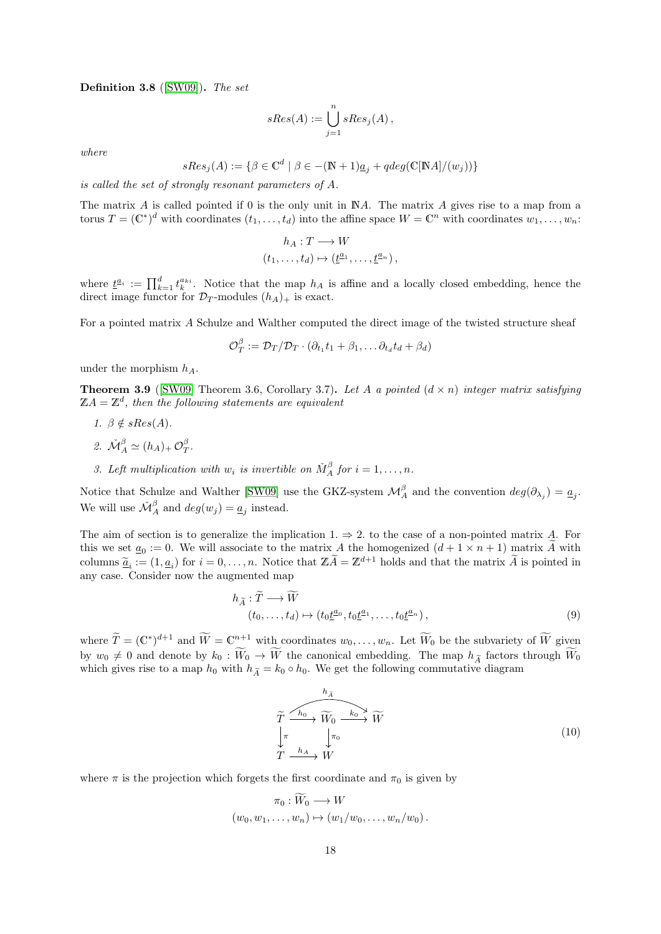<span id="page-17-0"></span>Definition 3.8 ([\[SW09\]](#page-76-0)). The set

$$
sRes(A) := \bigcup_{j=1}^{n} sRes_j(A) ,
$$

where

$$
sRes_j(A) := \{ \beta \in \mathbb{C}^d \mid \beta \in -(\mathbb{N}+1)\underline{a}_j + qdeg(\mathbb{C}[\mathbb{N}A]/(w_j)) \}
$$

is called the set of strongly resonant parameters of A.

The matrix A is called pointed if 0 is the only unit in NA. The matrix A gives rise to a map from a torus  $T = (\mathbb{C}^*)^d$  with coordinates  $(t_1, \ldots, t_d)$  into the affine space  $W = \mathbb{C}^n$  with coordinates  $w_1, \ldots, w_n$ :

$$
h_A: T \longrightarrow W
$$
  

$$
(t_1, \ldots, t_d) \mapsto (\underline{t}^{\underline{a}_1}, \ldots, \underline{t}^{\underline{a}_n}),
$$

where  $\underline{t}^{a_i} := \prod_{k=1}^d t_k^{a_{ki}}$ . Notice that the map  $h_A$  is affine and a locally closed embedding, hence the direct image functor for  $\mathcal{D}_T$ -modules  $(h_A)_+$  is exact.

For a pointed matrix A Schulze and Walther computed the direct image of the twisted structure sheaf

$$
\mathcal{O}_T^{\beta} := \mathcal{D}_T / \mathcal{D}_T \cdot (\partial_{t_1} t_1 + \beta_1, \dots \partial_{t_d} t_d + \beta_d)
$$

under the morphism  $h_A$ .

<span id="page-17-1"></span>**Theorem 3.9** ([\[SW09\]](#page-76-0) Theorem 3.6, Corollary 3.7). Let A a pointed  $(d \times n)$  integer matrix satisfying  $\mathbb{Z}A=\mathbb{Z}^d$ , then the following statements are equivalent

- 1.  $\beta \notin sRes(A)$ .
- 2.  $\mathcal{M}_A^{\beta} \simeq (h_A)_+ \mathcal{O}_T^{\beta}$ .
- 3. Left multiplication with  $w_i$  is invertible on  $\check{M}^{\beta}_A$  for  $i = 1, \ldots, n$ .

Notice that Schulze and Walther [\[SW09\]](#page-76-0) use the GKZ-system  $\mathcal{M}_{A}^{\beta}$  and the convention  $deg(\partial_{\lambda_j}) = \underline{a_j}$ . We will use  $\check{\mathcal{M}}^\beta_A$  and  $deg(w_j) = \underline{a}_j$  instead.

The aim of section is to generalize the implication 1.  $\Rightarrow$  2. to the case of a non-pointed matrix A. For this we set  $\underline{a}_0 := 0$ . We will associate to the matrix A the homogenized  $(d + 1 \times n + 1)$  matrix A with columns  $\tilde{a}_i := (1, a_i)$  for  $i = 0, \ldots, n$ . Notice that  $\mathbb{Z} \tilde{A} = \mathbb{Z}^{d+1}$  holds and that the matrix  $\tilde{A}$  is pointed in any case. Consider now the augmented map

$$
h_{\widetilde{A}} : \widetilde{T} \longrightarrow \widetilde{W}
$$
  
\n
$$
(t_0, \dots, t_d) \mapsto (t_0 \underline{t}^{a_0}, t_0 \underline{t}^{a_1}, \dots, t_0 \underline{t}^{a_n}),
$$
\n
$$
(9)
$$

where  $\widetilde{T} = (\mathbb{C}^*)^{d+1}$  and  $\widetilde{W} = \mathbb{C}_{\infty}^{n+1}$  with coordinates  $w_0, \ldots, w_n$ . Let  $\widetilde{W}_0$  be the subvariety of  $\widetilde{W}$  given by  $w_0 \neq 0$  and denote by  $k_0 : \widetilde{W}_0 \to \widetilde{W}$  the canonical embedding. The map  $h_{\widetilde{A}}$  factors through  $\widetilde{W}_0$ which gives rise to a map  $h_0$  with  $h_{\tilde{A}} = k_0 \circ h_0$ . We get the following commutative diagram

$$
\widetilde{T} \xrightarrow{h_0} \widetilde{W}_0 \xrightarrow{k_0} \widetilde{W}
$$
\n
$$
\downarrow_{\pi} \qquad \downarrow_{\pi_0} \qquad \qquad (10)
$$
\n
$$
T \xrightarrow{h_A} W
$$

where  $\pi$  is the projection which forgets the first coordinate and  $\pi_0$  is given by

$$
\pi_0: W_0 \longrightarrow W
$$
  

$$
(w_0, w_1, \dots, w_n) \mapsto (w_1/w_0, \dots, w_n/w_0).
$$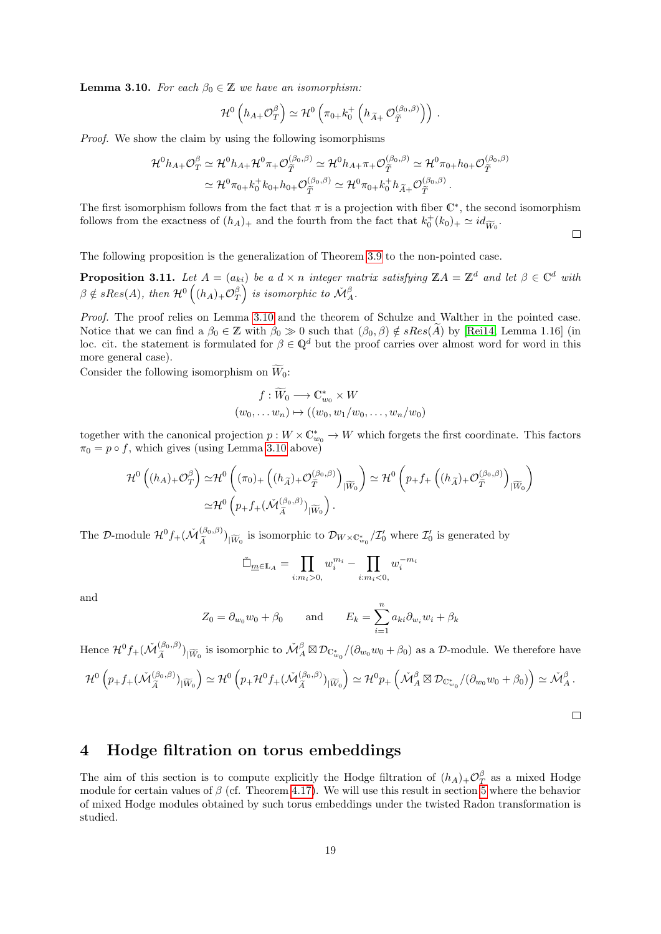<span id="page-18-2"></span>**Lemma 3.10.** For each  $\beta_0 \in \mathbb{Z}$  we have an isomorphism:

$$
\mathcal{H}^0\left(h_{A+}\mathcal{O}_T^{\beta}\right) \simeq \mathcal{H}^0\left(\pi_{0+}k_0^+\left(h_{\widetilde{A}+}\mathcal{O}_{\widetilde{T}}^{(\beta_0,\beta)}\right)\right).
$$

Proof. We show the claim by using the following isomorphisms

$$
\mathcal{H}^{0}h_{A+}\mathcal{O}_{T}^{\beta} \simeq \mathcal{H}^{0}h_{A+}\mathcal{H}^{0}\pi_{+}\mathcal{O}_{\widetilde{T}}^{(\beta_{0},\beta)} \simeq \mathcal{H}^{0}h_{A+}\pi_{+}\mathcal{O}_{\widetilde{T}}^{(\beta_{0},\beta)} \simeq \mathcal{H}^{0}\pi_{0+}h_{0+}\mathcal{O}_{\widetilde{T}}^{(\beta_{0},\beta)}
$$

$$
\simeq \mathcal{H}^{0}\pi_{0+}k_{0}^{+}k_{0+}h_{0+}\mathcal{O}_{\widetilde{T}}^{(\beta_{0},\beta)} \simeq \mathcal{H}^{0}\pi_{0+}k_{0}^{+}h_{\widetilde{A}+}\mathcal{O}_{\widetilde{T}}^{(\beta_{0},\beta)}.
$$

The first isomorphism follows from the fact that  $\pi$  is a projection with fiber  $\mathbb{C}^*$ , the second isomorphism follows from the exactness of  $(h_A)_+$  and the fourth from the fact that  $k_0^+(k_0)_+ \simeq id_{\widetilde{W}_0}$ .

The following proposition is the generalization of Theorem [3.9](#page-17-1) to the non-pointed case.

<span id="page-18-1"></span>**Proposition 3.11.** Let  $A = (a_{ki})$  be a  $d \times n$  integer matrix satisfying  $\mathbb{Z}A = \mathbb{Z}^d$  and let  $\beta \in \mathbb{C}^d$  with  $\beta \notin sRes(A)$ , then  $\mathcal{H}^{0}\left((h_{A})_{+}\mathcal{O}_{T}^{\beta}\right)$  is isomorphic to  $\check{\mathcal{M}}_{A}^{\beta}$ .

Proof. The proof relies on Lemma [3.10](#page-18-2) and the theorem of Schulze and Walther in the pointed case. Notice that we can find a  $\beta_0 \in \mathbb{Z}$  with  $\beta_0 \gg 0$  such that  $(\beta_0, \beta) \notin sRes(\tilde{A})$  by [\[Rei14,](#page-75-0) Lemma 1.16] (in loc. cit. the statement is formulated for  $\beta \in \mathbb{Q}^d$  but the proof carries over almost word for word in this more general case).

Consider the following isomorphism on  $\widetilde{W}_0$ :

$$
f: \widetilde{W}_0 \longrightarrow \mathbb{C}_{w_0}^* \times W
$$
  

$$
(w_0, \dots w_n) \mapsto ((w_0, w_1/w_0, \dots, w_n/w_0))
$$

together with the canonical projection  $p: W \times \mathbb{C}^*_{w_0} \to W$  which forgets the first coordinate. This factors  $\pi_0 = p \circ f$ , which gives (using Lemma [3.10](#page-18-2) above)

$$
\mathcal{H}^{0}\left((h_{A})_{+}\mathcal{O}_{T}^{\beta}\right) \simeq \mathcal{H}^{0}\left((\pi_{0})_{+}\left((h_{\widetilde{A}})_{+}\mathcal{O}_{\widetilde{T}}^{(\beta_{0},\beta)}\right)_{|\widetilde{W}_{0}}\right) \simeq \mathcal{H}^{0}\left(p_{+}f_{+}\left((h_{\widetilde{A}})_{+}\mathcal{O}_{\widetilde{T}}^{(\beta_{0},\beta)}\right)_{|\widetilde{W}_{0}}\right) \simeq \mathcal{H}^{0}\left(p_{+}f_{+}(\widetilde{\mathcal{M}}_{\widetilde{A}}^{(\beta_{0},\beta)})_{|\widetilde{W}_{0}}\right).
$$

The D-module  $\mathcal{H}^0 f_+(\tilde{\mathcal{M}}_{\tilde{\lambda}}^{(\beta_0,\beta)}$  $\left(\frac{(\beta_0,\beta)}{\widetilde{A}}\right)_{|\widetilde{W}_0}$  is isomorphic to  $\mathcal{D}_{W \times \mathbb{C}_{w_0}^*}/\mathcal{I}_0'$  where  $\mathcal{I}_0'$  is generated by

$$
\check{\Box}_{\underline{m}\in\mathbb{L}_A} = \prod_{i:m_i>0,} w_i^{m_i} - \prod_{i:m_i<0,} w_i^{-m_i}
$$

and

$$
Z_0 = \partial_{w_0} w_0 + \beta_0 \quad \text{and} \quad E_k = \sum_{i=1}^n a_{ki} \partial_{w_i} w_i + \beta_k
$$

Hence  $\mathcal{H}^0 f_+(\check{M}^{(\beta_0,\beta)}_{\widetilde{\Lambda}})$  $(\frac{(\beta_0,\beta)}{\widetilde{A}})_{\vert \widetilde{W}_0}$  is isomorphic to  $\widetilde{\mathcal{M}}_A^{\beta} \boxtimes \mathcal{D}_{\mathbb{C}_{w_0}^*}/(\partial_{w_0}w_0 + \beta_0)$  as a D-module. We therefore have

$$
\mathcal{H}^0\left(p_+f_+(\check{M}_{\widetilde{A}}^{(\beta_0,\beta)})_{|\widetilde{W}_0}\right) \simeq \mathcal{H}^0\left(p_+\mathcal{H}^0f_+(\check{M}_{\widetilde{A}}^{(\beta_0,\beta)})_{|\widetilde{W}_0}\right) \simeq \mathcal{H}^0p_+\left(\check{M}_A^{\beta}\boxtimes\mathcal{D}_{\mathbb{C}_{w_0}^*}/(\partial_{w_0}w_0+\beta_0)\right) \simeq \check{M}_A^{\beta}.
$$

 $\Box$ 

 $\Box$ 

### <span id="page-18-0"></span>4 Hodge filtration on torus embeddings

The aim of this section is to compute explicitly the Hodge filtration of  $(h_A)_+\mathcal{O}^{\beta}_{T}$  as a mixed Hodge module for certain values of  $\beta$  (cf. Theorem [4.17\)](#page-34-0). We will use this result in section [5](#page-35-0) where the behavior of mixed Hodge modules obtained by such torus embeddings under the twisted Radon transformation is studied.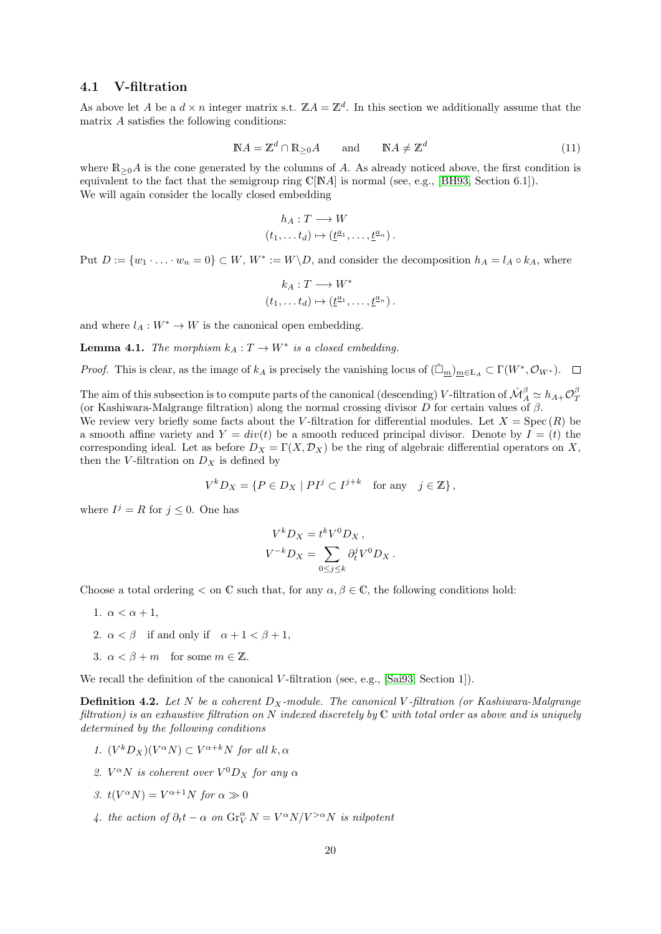#### <span id="page-19-0"></span>4.1 V-filtration

As above let A be a  $d \times n$  integer matrix s.t.  $\mathbb{Z}A = \mathbb{Z}^d$ . In this section we additionally assume that the matrix A satisfies the following conditions:

<span id="page-19-1"></span>
$$
NA = \mathbb{Z}^d \cap \mathbb{R}_{\geq 0}A \quad \text{and} \quad \mathbb{N}A \neq \mathbb{Z}^d \tag{11}
$$

where  $\mathbb{R}_{\geq 0}A$  is the cone generated by the columns of A. As already noticed above, the first condition is equivalent to the fact that the semigroup ring  $\mathbb{C}[NA]$  is normal (see, e.g., [\[BH93,](#page-74-15) Section 6.1]). We will again consider the locally closed embedding

$$
h_A: T \longrightarrow W
$$

$$
(t_1, \dots, t_d) \mapsto (\underline{t}^{a_1}, \dots, \underline{t}^{a_n}).
$$

Put  $D := \{w_1 \cdot \ldots \cdot w_n = 0\} \subset W$ ,  $W^* := W \backslash D$ , and consider the decomposition  $h_A = l_A \circ k_A$ , where

$$
k_A: T \longrightarrow W^*
$$
  

$$
(t_1, \ldots, t_d) \mapsto (\underline{t}^{a_1}, \ldots, \underline{t}^{a_n}).
$$

and where  $l_A: W^* \to W$  is the canonical open embedding.

<span id="page-19-2"></span>**Lemma 4.1.** The morphism  $k_A: T \to W^*$  is a closed embedding.

*Proof.* This is clear, as the image of  $k_A$  is precisely the vanishing locus of  $(\tilde{\Box}_m)_{m\in\mathbb{L}_A} \subset \Gamma(W^*, \mathcal{O}_{W^*})$ .

The aim of this subsection is to compute parts of the canonical (descending) V-filtration of  $\check{M}^{\beta}_A \simeq h_{A+} \mathcal{O}^{\beta}_T$ (or Kashiwara-Malgrange filtration) along the normal crossing divisor  $D$  for certain values of  $\beta$ . We review very briefly some facts about the V-filtration for differential modules. Let  $X = \text{Spec}(R)$  be a smooth affine variety and  $Y = div(t)$  be a smooth reduced principal divisor. Denote by  $I = (t)$  the corresponding ideal. Let as before  $D_X = \Gamma(X, \mathcal{D}_X)$  be the ring of algebraic differential operators on X, then the V-filtration on  $D_X$  is defined by

$$
V^k D_X = \{ P \in D_X \mid PI^j \subset I^{j+k} \text{ for any } j \in \mathbb{Z} \},
$$

where  $I^j = R$  for  $j \leq 0$ . One has

$$
V^k D_X = t^k V^0 D_X ,
$$
  

$$
V^{-k} D_X = \sum_{0 \le j \le k} \partial_t^j V^0 D_X .
$$

Choose a total ordering  $\lt$  on C such that, for any  $\alpha, \beta \in \mathbb{C}$ , the following conditions hold:

- 1.  $\alpha < \alpha + 1$ ,
- 2.  $\alpha < \beta$  if and only if  $\alpha + 1 < \beta + 1$ ,
- 3.  $\alpha < \beta + m$  for some  $m \in \mathbb{Z}$ .

We recall the definition of the canonical V-filtration (see, e.g., [\[Sai93,](#page-75-9) Section 1]).

<span id="page-19-3"></span>**Definition 4.2.** Let N be a coherent  $D_X$ -module. The canonical V-filtration (or Kashiwara-Malgrange filtration) is an exhaustive filtration on N indexed discretely by C with total order as above and is uniquely determined by the following conditions

- 1.  $(V^k D_X)(V^{\alpha} N) \subset V^{\alpha+k} N$  for all  $k, \alpha$
- 2.  $V^{\alpha}N$  is coherent over  $V^{0}D_{X}$  for any  $\alpha$
- 3.  $t(V^{\alpha}N) = V^{\alpha+1}N$  for  $\alpha \gg 0$
- 4. the action of  $\partial_t t \alpha$  on  $\text{Gr}_V^{\alpha} N = V^{\alpha} N / V^{> \alpha} N$  is nilpotent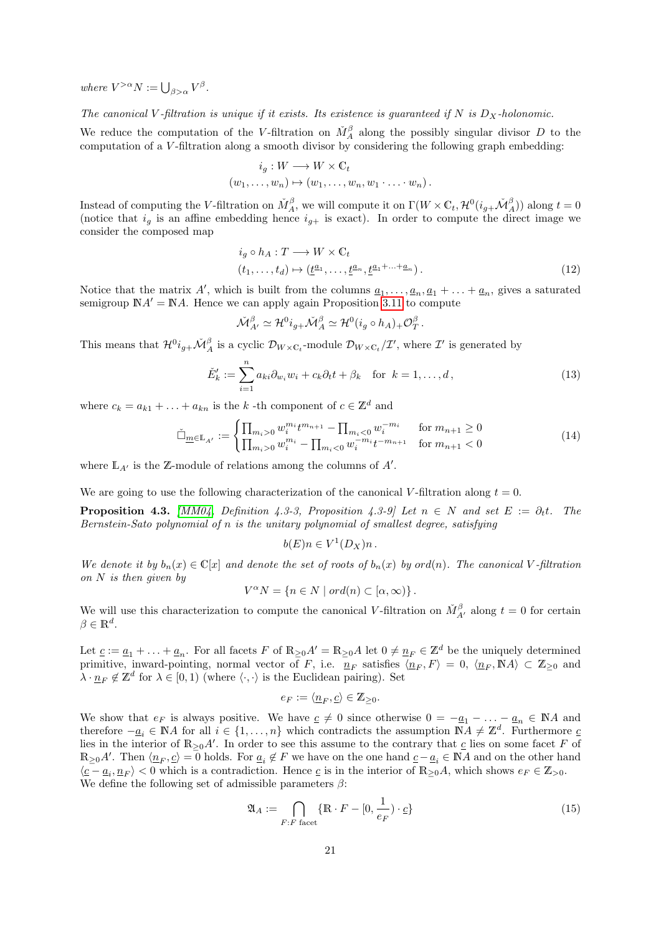where  $V^{>\alpha}N := \bigcup_{\beta > \alpha} V^{\beta}$ .

The canonical V-filtration is unique if it exists. Its existence is guaranteed if N is  $D_X$ -holonomic.

We reduce the computation of the V-filtration on  $\check{M}^{\beta}_A$  along the possibly singular divisor D to the computation of a V -filtration along a smooth divisor by considering the following graph embedding:

$$
i_g: W \longrightarrow W \times \mathbb{C}_t
$$
  

$$
(w_1, \dots, w_n) \mapsto (w_1, \dots, w_n, w_1 \cdot \dots \cdot w_n).
$$

Instead of computing the V-filtration on  $\check{M}^{\beta}_{A}$ , we will compute it on  $\Gamma(W \times \mathbb{C}_t, \mathcal{H}^0(i_{g+1}, \check{\mathcal{M}}^{\beta}_A))$  along  $t = 0$ (notice that  $i_g$  is an affine embedding hence  $i_{g+}$  is exact). In order to compute the direct image we consider the composed map

$$
i_g \circ h_A: T \longrightarrow W \times \mathbb{C}_t
$$
  
\n
$$
(t_1, \dots, t_d) \mapsto (\underline{t}^{a_1}, \dots, \underline{t}^{a_n}, \underline{t}^{a_1 + \dots + a_n}).
$$
\n
$$
(12)
$$

Notice that the matrix A', which is built from the columns  $\underline{a}_1, \ldots, \underline{a}_n, \underline{a}_1 + \ldots + \underline{a}_n$ , gives a saturated semigroup  $\mathbb{N}A' = \mathbb{N}A$ . Hence we can apply again Proposition [3.11](#page-18-1) to compute

$$
\check{\mathcal{M}}^\beta_{A'} \simeq \mathcal{H}^0 i_{g+} \check{\mathcal{M}}^\beta_A \simeq \mathcal{H}^0(i_g \circ h_A)_+ \mathcal{O}^\beta_T\,.
$$

This means that  $\mathcal{H}^0 i_{g+} \mathcal{M}_A^\beta$  is a cyclic  $\mathcal{D}_{W \times \mathbb{C}_t}$ -module  $\mathcal{D}_{W \times \mathbb{C}_t}/\mathcal{I}'$ , where  $\mathcal{I}'$  is generated by

<span id="page-20-1"></span>
$$
\check{E}'_k := \sum_{i=1}^n a_{ki} \partial_{w_i} w_i + c_k \partial_t t + \beta_k \quad \text{for } k = 1, \dots, d,
$$
\n(13)

where  $c_k = a_{k1} + \ldots + a_{kn}$  is the k -th component of  $c \in \mathbb{Z}^d$  and

$$
\check{\Box}_{\underline{m}\in\mathbb{L}_{A'}} := \begin{cases} \prod_{m_i>0} w_i^{m_i} t^{m_{n+1}} - \prod_{m_i<0} w_i^{-m_i} & \text{for } m_{n+1}\geq 0\\ \prod_{m_i>0} w_i^{m_i} - \prod_{m_i<0} w_i^{-m_i} t^{-m_{n+1}} & \text{for } m_{n+1}<0 \end{cases}
$$
(14)

where  $\mathbb{L}_{A'}$  is the Z-module of relations among the columns of  $A'$ .

We are going to use the following characterization of the canonical V-filtration along  $t = 0$ .

**Proposition 4.3.** [\[MM04,](#page-75-10) Definition 4.3-3, Proposition 4.3-9] Let  $n \in N$  and set  $E := \partial_t t$ . The Bernstein-Sato polynomial of n is the unitary polynomial of smallest degree, satisfying

$$
b(E)n \in V^1(D_X)n.
$$

We denote it by  $b_n(x) \in \mathbb{C}[x]$  and denote the set of roots of  $b_n(x)$  by ord(n). The canonical V-filtration on  $N$  is then given by

$$
V^{\alpha}N = \{ n \in N \mid ord(n) \subset [\alpha, \infty) \}.
$$

We will use this characterization to compute the canonical V-filtration on  $\check{M}_{A'}^{\beta}$  along  $t=0$  for certain  $\beta \in \mathbb{R}^d$ .

Let  $\underline{c} := \underline{a}_1 + \ldots + \underline{a}_n$ . For all facets F of  $\mathbb{R}_{\geq 0}A' = \mathbb{R}_{\geq 0}A$  let  $0 \neq \underline{n}_F \in \mathbb{Z}^d$  be the uniquely determined primitive, inward-pointing, normal vector of F, i.e.  $n_F$  satisfies  $\langle n_F, F \rangle = 0$ ,  $\langle n_F, \mathbb{N}A \rangle \subset \mathbb{Z}_{\geq 0}$  and  $\lambda \cdot \underline{n}_F \notin \mathbb{Z}^d$  for  $\lambda \in [0,1)$  (where  $\langle \cdot, \cdot \rangle$  is the Euclidean pairing). Set

$$
e_F:=\langle \underline{n}_F,\underline{c}\rangle\in\mathbb{Z}_{\geq 0}.
$$

We show that  $e_F$  is always positive. We have  $c \neq 0$  since otherwise  $0 = -a_1 - \ldots - a_n \in \mathbb{N}A$  and therefore  $-\underline{a}_i \in \mathbb{N}A$  for all  $i \in \{1,\ldots,n\}$  which contradicts the assumption  $\mathbb{N}A \neq \mathbb{Z}^d$ . Furthermore  $\underline{c}$ lies in the interior of  $\mathbb{R}_{\geq 0}A'$ . In order to see this assume to the contrary that  $\underline{c}$  lies on some facet F of  $\mathbb{R}_{\geq 0}A'$ . Then  $\langle \underline{n}_F, \underline{c} \rangle = 0$  holds. For  $\underline{a}_i \notin F$  we have on the one hand  $\underline{c} - \underline{a}_i \in \mathbb{N}A$  and on the other hand  $\langle \underline{c} - \underline{a}_i, \underline{n}_F \rangle < 0$  which is a contradiction. Hence  $\underline{c}$  is in the interior of  $\mathbb{R}_{\geq 0}A$ , which shows  $e_F \in \mathbb{Z}_{> 0}$ . We define the following set of admissible parameters  $\beta$ :

<span id="page-20-0"></span>
$$
\mathfrak{A}_A := \bigcap_{F:F \text{ facet}} \{ \mathbb{R} \cdot F - [0, \frac{1}{e_F}) \cdot \underline{c} \} \tag{15}
$$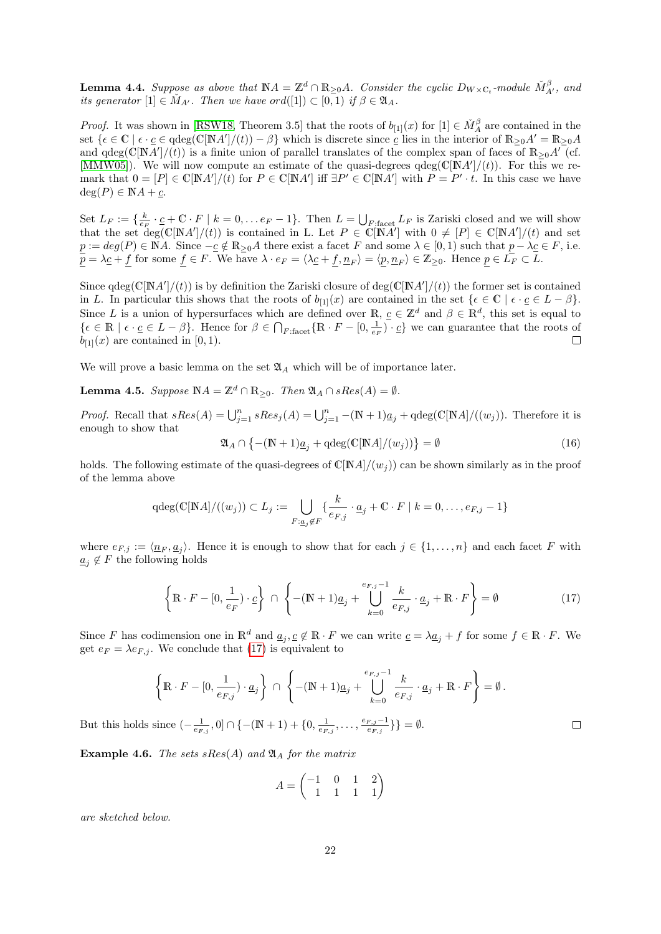<span id="page-21-0"></span>**Lemma 4.4.** Suppose as above that  $\mathbb{N}A = \mathbb{Z}^d \cap \mathbb{R}_{\geq 0}A$ . Consider the cyclic  $D_{W \times \mathbb{C}_t}$ -module  $\check{M}_{A'}^{\beta}$ , and its generator  $[1] \in M_{A'}$ . Then we have ord $([1]) \subset [0,1)$  if  $\beta \in \mathfrak{A}_A$ .

*Proof.* It was shown in [\[RSW18,](#page-75-11) Theorem 3.5] that the roots of  $b_{[1]}(x)$  for  $[1] \in \check{M}^{\beta}_A$  are contained in the set  $\{\epsilon \in \mathbb{C} \mid \epsilon \cdot \underline{c} \in \mathrm{qdeg}(\mathbb{C}[\mathbb{N}A']/(t)) - \beta\}$  which is discrete since  $\underline{c}$  lies in the interior of  $\mathbb{R}_{\geq 0}A' = \mathbb{R}_{\geq 0}A$ and qdeg( $\mathbb{C}[NA']/(t)$ ) is a finite union of parallel translates of the complex span of faces of  $\mathbb{R}_{\geq 0}A'$  (cf. [\[MMW05\]](#page-75-6)). We will now compute an estimate of the quasi-degrees  $qdeg(C[NA']/(t))$ . For this we remark that  $0 = [P] \in \mathbb{C}[\mathbb{N}A']/(t)$  for  $P \in \mathbb{C}[\mathbb{N}A']$  iff  $\exists P' \in \mathbb{C}[\mathbb{N}A']$  with  $P = P' \cdot t$ . In this case we have  $deg(P) \in \mathbb{N}A + c.$ 

Set  $L_F := \{ \frac{k}{e_F} \cdot \frac{c}{e_F + C} \cdot F \mid k = 0, \ldots e_F - 1 \}.$  Then  $L = \bigcup_{F : \text{face} \cup L_F} L_F$  is Zariski closed and we will show that the set deg( $\mathbb{C}[NA']/(t)$ ) is contained in L. Let  $P \in \mathbb{C}[NA']$  with  $0 \neq [P] \in \mathbb{C}[NA']/(t)$  and set  $\underline{p} := deg(P) \in \mathbb{N}A$ . Since  $-\underline{c} \notin \mathbb{R}_{\geq 0}A$  there exist a facet F and some  $\lambda \in [0,1)$  such that  $\underline{p} - \lambda \underline{c} \in F$ , i.e.  $p = \lambda_{\mathcal{L}} + f$  for some  $f \in F$ . We have  $\lambda \cdot e_F = \langle \lambda_{\mathcal{L}} + f, \underline{n}_F \rangle = \langle \underline{p}, \underline{n}_F \rangle \in \mathbb{Z}_{\geq 0}$ . Hence  $p \in \overline{L_F} \subset L$ .

Since  $qdeg(C[NA']/(t))$  is by definition the Zariski closure of  $deg(C[NA']/(t))$  the former set is contained in L. In particular this shows that the roots of  $b_{[1]}(x)$  are contained in the set  $\{\epsilon \in \mathbb{C} \mid \epsilon \cdot \underline{c} \in L - \beta\}.$ Since L is a union of hypersurfaces which are defined over  $\mathbb{R}, \underline{c} \in \mathbb{Z}^d$  and  $\beta \in \mathbb{R}^d$ , this set is equal to  $\{\epsilon \in \mathbb{R} \mid \epsilon \cdot \underline{c} \in L - \beta\}.$  Hence for  $\beta \in \bigcap_{F:\text{facet}} \{\mathbb{R} \cdot F - [0, \frac{1}{e_F}) \cdot \underline{c}\}\$ we can guarantee that the roots of  $b_{[1]}(x)$  are contained in [0, 1). П

We will prove a basic lemma on the set  $\mathfrak{A}_A$  which will be of importance later.

**Lemma 4.5.** Suppose  $\mathbb{N}A = \mathbb{Z}^d \cap \mathbb{R}_{\geq 0}$ . Then  $\mathfrak{A}_A \cap sRes(A) = \emptyset$ .

*Proof.* Recall that  $sRes(A) = \bigcup_{j=1}^{n} sRes_j(A) = \bigcup_{j=1}^{n} -(\mathbb{N}+1)\underline{a_j} + \text{qdeg}(\mathbb{C}[\mathbb{N}A]/((w_j)).$  Therefore it is enough to show that

$$
\mathfrak{A}_A \cap \left\{ - (\mathbb{N} + 1)\underline{a}_j + \mathrm{qdeg}(\mathbb{C}[\mathbb{N}A]/(w_j)) \right\} = \emptyset \tag{16}
$$

holds. The following estimate of the quasi-degrees of  $\mathbb{C}[NA]/(w_i)$  can be shown similarly as in the proof of the lemma above

$$
\mathrm{qdeg}(\mathbb{C}[{\mathbb{N}} A]/((w_j))\subset L_j:=\bigcup_{F:\underline{a}_j\not\in F}\{\frac{k}{e_{F,j}}\cdot \underline{a}_j+\mathbb{C}\cdot F\mid k=0,\ldots,e_{F,j}-1\}
$$

where  $e_{F,j} := \langle \underline{n}_F, \underline{a}_j \rangle$ . Hence it is enough to show that for each  $j \in \{1, ..., n\}$  and each facet F with  $\underline{a}_j \notin F$  the following holds

<span id="page-21-1"></span>
$$
\left\{ \mathbb{R} \cdot F - [0, \frac{1}{e_F}) \cdot \underline{c} \right\} \cap \left\{ - (\mathbb{N} + 1)\underline{a}_j + \bigcup_{k=0}^{e_{F,j}-1} \frac{k}{e_{F,j}} \cdot \underline{a}_j + \mathbb{R} \cdot F \right\} = \emptyset \tag{17}
$$

 $\Box$ 

Since F has codimension one in  $\mathbb{R}^d$  and  $\underline{a}_j, \underline{c} \notin \mathbb{R} \cdot F$  we can write  $\underline{c} = \lambda \underline{a}_j + f$  for some  $f \in \mathbb{R} \cdot F$ . We get  $e_F = \lambda e_{F,i}$ . We conclude that [\(17\)](#page-21-1) is equivalent to

$$
\left\{\mathbb{R}\cdot F - [0,\frac{1}{e_{F,j}})\cdot \underline{a}_j\right\} \cap \left\{-(\mathbb{N}+1)\underline{a}_j + \bigcup_{k=0}^{e_{F,j}-1}\frac{k}{e_{F,j}}\cdot \underline{a}_j + \mathbb{R}\cdot F\right\} = \emptyset.
$$

But this holds since  $(-\frac{1}{e_{F,j}},0] \cap \{-(\mathbb{N}+1)+\{0,\frac{1}{e_{F,j}},\ldots,\frac{e_{F,j}-1}{e_{F,j}}\}$  $_{eF,j}^{F,j-1}\}\big\} = \emptyset.$ 

**Example 4.6.** The sets sRes(A) and  $\mathfrak{A}_A$  for the matrix

$$
A = \begin{pmatrix} -1 & 0 & 1 & 2 \\ 1 & 1 & 1 & 1 \end{pmatrix}
$$

are sketched below.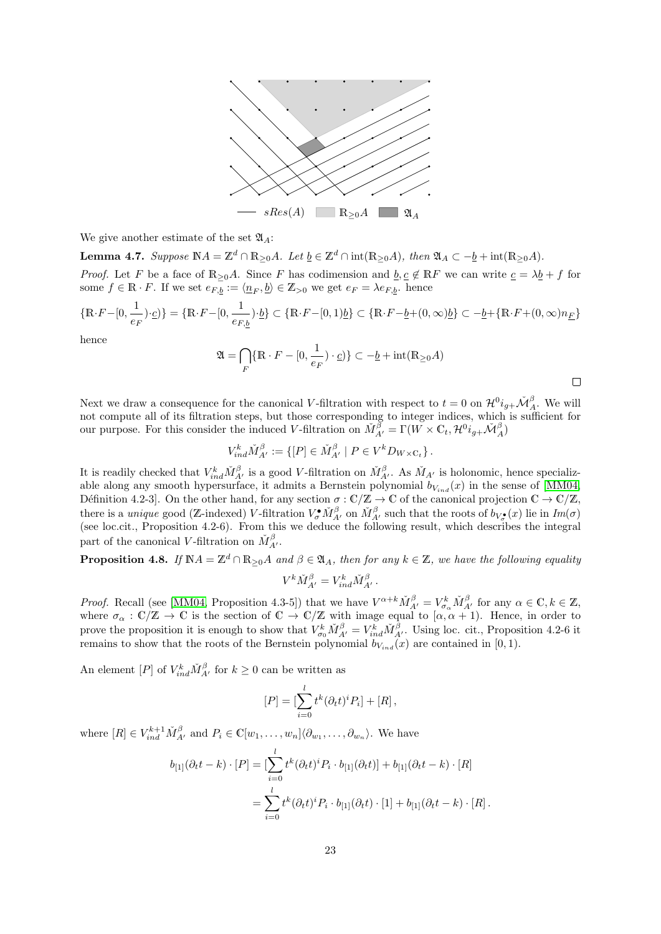

We give another estimate of the set  $\mathfrak{A}_4$ :

**Lemma 4.7.** Suppose  $\mathbb{N}A = \mathbb{Z}^d \cap \mathbb{R}_{\geq 0}A$ . Let  $\underline{b} \in \mathbb{Z}^d \cap \text{int}(\mathbb{R}_{\geq 0}A)$ , then  $\mathfrak{A}_A \subset -\underline{b} + \text{int}(\mathbb{R}_{\geq 0}A)$ .

*Proof.* Let F be a face of  $\mathbb{R}_{\geq 0}A$ . Since F has codimension and  $\underline{b}, \underline{c} \notin \mathbb{R}F$  we can write  $\underline{c} = \lambda \underline{b} + f$  for some  $f \in \mathbb{R} \cdot F$ . If we set  $e_{F,b} := \langle \underline{n}_F, \underline{b} \rangle \in \mathbb{Z}_{>0}$  we get  $e_F = \lambda e_{F,b}$ . hence

$$
\{\mathbb{R}\cdot F - [0,\frac{1}{e_F})\cdot \underline{c}\} = \{\mathbb{R}\cdot F - [0,\frac{1}{e_{F,\underline{b}}})\cdot \underline{b}\} \subset \{\mathbb{R}\cdot F - [0,1)\underline{b}\} \subset \{\mathbb{R}\cdot F - \underline{b} + (0,\infty)\underline{b}\} \subset -\underline{b} + \{\mathbb{R}\cdot F + (0,\infty)n_{\underline{F}}\}
$$

hence

$$
\mathfrak{A} = \bigcap_{F} \{ \mathbb{R} \cdot F - [0, \frac{1}{e_F}) \cdot \underline{c} \} \} \subset -\underline{b} + \mathrm{int}(\mathbb{R}_{\geq 0} A)
$$

Next we draw a consequence for the canonical V-filtration with respect to  $t = 0$  on  $\mathcal{H}^0 i_{g+} \mathcal{M}^{\beta}_A$ . We will not compute all of its filtration steps, but those corresponding to integer indices, which is sufficient for our purpose. For this consider the induced V-filtration on  $\check{M}^{\check{\beta}}_{A'} = \Gamma(W \times \mathbb{C}_t, \mathcal{H}^0 i_{g+} \check{\mathcal{M}}^{\beta}_{A})$ 

$$
V_{ind}^k \check{M}_{A'}^\beta := \{ [P] \in \check{M}_{A'}^\beta \mid P \in V^k D_{W \times \mathbb{C}_t} \}.
$$

It is readily checked that  $V_{ind}^k \check{M}_{A'}^{\beta}$  is a good V-filtration on  $\check{M}_{A'}^{\beta}$ . As  $\check{M}_{A'}$  is holonomic, hence specializable along any smooth hypersurface, it admits a Bernstein polynomial  $b_{V_{ind}}(x)$  in the sense of [\[MM04,](#page-75-10) Définition 4.2-3]. On the other hand, for any section  $\sigma : \mathbb{C}/\mathbb{Z} \to \mathbb{C}$  of the canonical projection  $\mathbb{C} \to \mathbb{C}/\mathbb{Z}$ , there is a unique good (Z-indexed) V-filtration  $V^{\bullet}_{\sigma} \check{M}^{\beta}_{A'}$  on  $\check{M}^{\beta}_{A'}$  such that the roots of  $b_{V^{\bullet}_{\sigma}}(x)$  lie in  $Im(\sigma)$ (see loc.cit., Proposition 4.2-6). From this we deduce the following result, which describes the integral part of the canonical V-filtration on  $\check{M}^{\beta}_{A'}$ .

<span id="page-22-0"></span>**Proposition 4.8.** If  $\mathbb{N}A = \mathbb{Z}^d \cap \mathbb{R}_{\geq 0}A$  and  $\beta \in \mathfrak{A}_A$ , then for any  $k \in \mathbb{Z}$ , we have the following equality  $V^k \check{M}^{\beta}_{A'} = V^k_{ind} \check{M}^{\beta}_{A'}$ .

*Proof.* Recall (see [\[MM04,](#page-75-10) Proposition 4.3-5]) that we have  $V^{\alpha+k} \tilde{M}_{A'}^{\beta} = V_{\sigma_{\alpha}}^k \tilde{M}_{A'}^{\beta}$  for any  $\alpha \in \mathbb{C}, k \in \mathbb{Z}$ , where  $\sigma_{\alpha}: \mathbb{C}/\mathbb{Z} \to \mathbb{C}$  is the section of  $\mathbb{C} \to \mathbb{C}/\mathbb{Z}$  with image equal to  $[\alpha, \alpha + 1]$ . Hence, in order to prove the proposition it is enough to show that  $V^k_{\sigma_0} \check{M}^\beta_{A'} = V^k_{ind} \check{M}^\beta_{A'}$ . Using loc. cit., Proposition 4.2-6 it remains to show that the roots of the Bernstein polynomial  $b_{V_{ind}}(x)$  are contained in [0, 1).

An element  $[P]$  of  $V_{ind}^k \tilde{M}_{A'}^\beta$  for  $k \geq 0$  can be written as

$$
[P] = \left[\sum_{i=0}^{l} t^{k} (\partial_t t)^i P_i\right] + [R],
$$

where  $[R] \in V_{ind}^{k+1} \check{M}_{A'}^{\beta}$  and  $P_i \in \mathbb{C}[w_1, \ldots, w_n] \langle \partial_{w_1}, \ldots, \partial_{w_n} \rangle$ . We have

$$
b_{[1]}(\partial_t t - k) \cdot [P] = \left[ \sum_{i=0}^l t^k (\partial_t t)^i P_i \cdot b_{[1]}(\partial_t t) \right] + b_{[1]}(\partial_t t - k) \cdot [R]
$$
  
= 
$$
\sum_{i=0}^l t^k (\partial_t t)^i P_i \cdot b_{[1]}(\partial_t t) \cdot [1] + b_{[1]}(\partial_t t - k) \cdot [R].
$$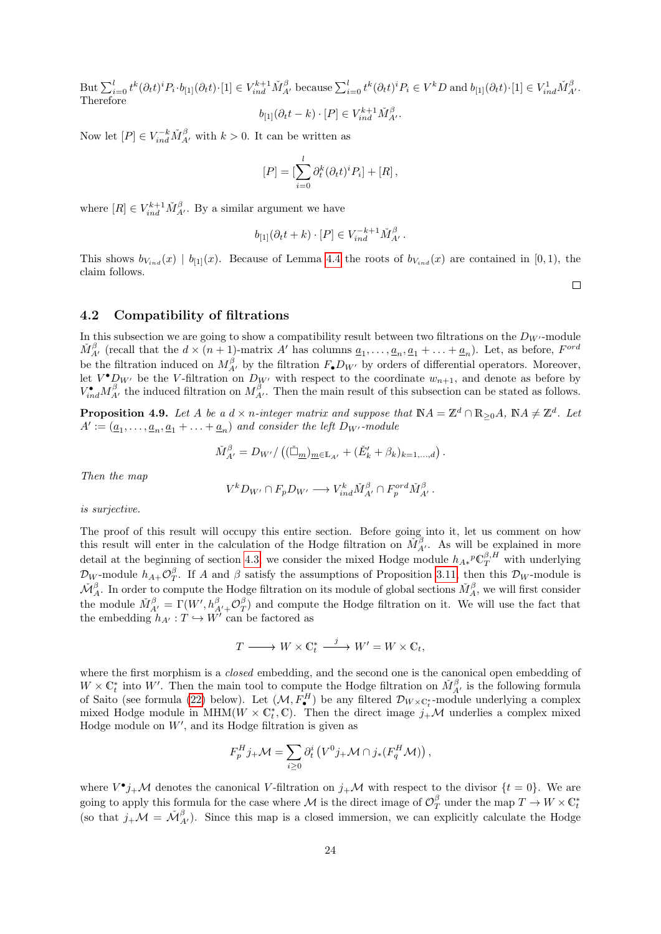But  $\sum_{i=0}^l t^k(\partial_t t)^i P_i \cdot b_{[1]}(\partial_t t) \cdot [1] \in V_{ind}^{k+1} \check{M}_{A'}^{\beta}$  because  $\sum_{i=0}^l t^k(\partial_t t)^i P_i \in V^k D$  and  $b_{[1]}(\partial_t t) \cdot [1] \in V_{ind}^1 \check{M}_{A'}^{\beta}$ . Therefore

$$
b_{[1]}(\partial_t t - k) \cdot [P] \in V_{ind}^{k+1} \check{M}_{A'}^\beta.
$$

Now let  $[P] \in V_{ind}^{-k} \check{M}_{A'}^{\beta}$  with  $k > 0$ . It can be written as

$$
[P] = \left[\sum_{i=0}^{l} \partial_t^k (\partial_t t)^i P_i\right] + [R],
$$

where  $[R] \in V_{ind}^{k+1} \check{M}_{A'}^{\beta}$ . By a similar argument we have

$$
b_{[1]}(\partial_t t + k) \cdot [P] \in V_{ind}^{-k+1} \check{M}_{A'}^{\beta}.
$$

This shows  $b_{V_{ind}}(x) \mid b_{[1]}(x)$ . Because of Lemma [4.4](#page-21-0) the roots of  $b_{V_{ind}}(x)$  are contained in [0, 1], the claim follows.

 $\Box$ 

### <span id="page-23-0"></span>4.2 Compatibility of filtrations

In this subsection we are going to show a compatibility result between two filtrations on the  $D_{W'}$ -module  $\check{M}^{\beta}_{A'}$  (recall that the  $d \times (n+1)$ -matrix A' has columns  $\underline{a}_1, \ldots, \underline{a}_n, \underline{a}_1 + \ldots + \underline{a}_n$ ). Let, as before,  $F^{ord}$ be the filtration induced on  $M_{A'}^{\beta}$  by the filtration  $F_{\bullet}D_{W'}$  by orders of differential operators. Moreover, let  $V^{\bullet}D_{W'}$  be the V-filtration on  $D_{W'}$  with respect to the coordinate  $w_{n+1}$ , and denote as before by  $V_{ind}^{\bullet} M_{A'}^{\beta}$  the induced filtration on  $M_{A'}^{\beta}$ . Then the main result of this subsection can be stated as follows.

<span id="page-23-1"></span>**Proposition 4.9.** Let A be a  $d \times n$ -integer matrix and suppose that  $NA = \mathbb{Z}^d \cap \mathbb{R}_{\geq 0}A$ ,  $NA \neq \mathbb{Z}^d$ . Let  $A' := (\underline{a}_1, \ldots, \underline{a}_n, \underline{a}_1 + \ldots + \underline{a}_n)$  and consider the left  $D_{W'}$ -module

$$
\check{M}^{\beta}_{A'} = D_{W'}/((\check{\Box}_{m})_{m \in \mathbb{L}_{A'}} + (\check{E}'_k + \beta_k)_{k=1,\dots,d}).
$$

Then the map

$$
V^k D_{W'} \cap F_p D_{W'} \longrightarrow V_{ind}^k \check{M}_{A'}^\beta \cap F_p^{ord} \check{M}_{A'}^\beta.
$$

is surjective.

The proof of this result will occupy this entire section. Before going into it, let us comment on how this result will enter in the calculation of the Hodge filtration on  $\check{M}^{\beta}_{A'}$ . As will be explained in more detail at the beginning of section [4.3,](#page-29-0) we consider the mixed Hodge module  $h_{A*}P\mathbb{C}_T^{\beta,H}$  with underlying  $\mathcal{D}_W$ -module  $h_{A+}\mathcal{O}_T^{\beta}$ . If A and  $\beta$  satisfy the assumptions of Proposition [3.11,](#page-18-1) then this  $\mathcal{D}_W$ -module is  $\check{M}^{\beta}_A$ . In order to compute the Hodge filtration on its module of global sections  $\check{M}^{\beta}_A$ , we will first consider the module  $\check{M}^{\beta}_{A'} = \Gamma(W', h^{\beta}_{A'+} \mathcal{O}^{\beta}_T)$  and compute the Hodge filtration on it. We will use the fact that the embedding  $h_{A'} : T \hookrightarrow W'$  can be factored as

$$
T \xrightarrow{\hspace{0.5cm}} W \times \mathbb{C}^*_t \xrightarrow{\hspace{0.5cm} j \hspace{0.5cm}} W' = W \times \mathbb{C}_t,
$$

where the first morphism is a *closed* embedding, and the second one is the canonical open embedding of  $W \times \mathbb{C}^*_t$  into W'. Then the main tool to compute the Hodge filtration on  $\check{M}^{\beta}_{A'}$  is the following formula of Saito (see formula [\(22\)](#page-30-2) below). Let  $(M, F^H_{\bullet})$  be any filtered  $\mathcal{D}_{W \times \mathbb{C}^*_t}$ -module underlying a complex mixed Hodge module in MHM( $W \times \mathbb{C}_t^*$ , C). Then the direct image  $j_+\mathcal{M}$  underlies a complex mixed Hodge module on  $W'$ , and its Hodge filtration is given as

$$
F_p^H j_+ \mathcal{M} = \sum_{i \geq 0} \partial_t^i \left( V^0 j_+ \mathcal{M} \cap j_* \left( F_q^H \mathcal{M} \right) \right),
$$

where  $V^{\bullet}j_{+}\mathcal{M}$  denotes the canonical V-filtration on  $j_{+}\mathcal{M}$  with respect to the divisor  $\{t=0\}$ . We are going to apply this formula for the case where M is the direct image of  $\mathcal{O}_T^{\beta}$  under the map  $T \to W \times \mathbb{C}^*_t$ (so that  $j_{+}M = \check{M}_{A'}^{\beta}$ ). Since this map is a closed immersion, we can explicitly calculate the Hodge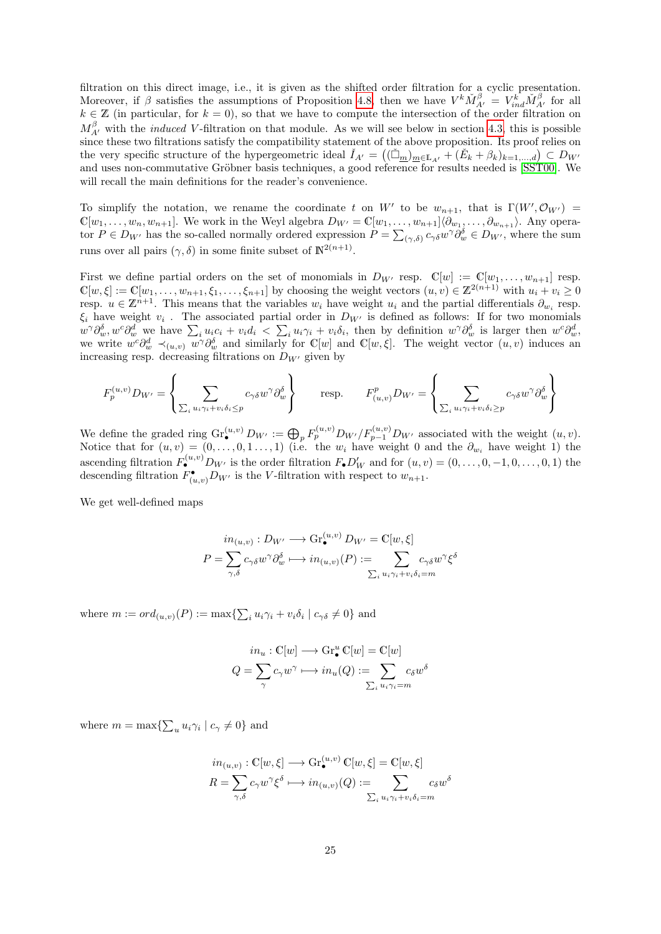filtration on this direct image, i.e., it is given as the shifted order filtration for a cyclic presentation. Moreover, if  $\beta$  satisfies the assumptions of Proposition [4.8,](#page-22-0) then we have  $V^k \check{M}^{\beta}_{A'} = V^k_{ind} \check{M}^{\beta}_{A'}$  for all  $k \in \mathbb{Z}$  (in particular, for  $k = 0$ ), so that we have to compute the intersection of the order filtration on  $M_{A'}^{\beta}$  with the *induced V*-filtration on that module. As we will see below in section [4.3,](#page-29-0) this is possible since these two filtrations satisfy the compatibility statement of the above proposition. Its proof relies on the very specific structure of the hypergeometric ideal  $\check{I}_{A'} = ((\check{\Box}_{m})_{m \in \mathbb{L}_{A'}} + (\check{E}_k + \beta_k)_{k=1,\dots,d}) \subset D_{W'}$ and uses non-commutative Gröbner basis techniques, a good reference for results needed is [\[SST00\]](#page-75-13). We will recall the main definitions for the reader's convenience.

To simplify the notation, we rename the coordinate t on W' to be  $w_{n+1}$ , that is  $\Gamma(W', \mathcal{O}_{W'}) =$  $\mathbb{C}[w_1,\ldots,w_n,w_{n+1}]$ . We work in the Weyl algebra  $D_{W'}=\mathbb{C}[w_1,\ldots,w_{n+1}]\langle \partial_{w_1},\ldots,\partial_{w_{n+1}}\rangle$ . Any operator  $P \in D_{W'}$  has the so-called normally ordered expression  $P = \sum_{(\gamma,\delta)} c_{\gamma\delta} w^{\gamma} \partial_w^{\delta} \in D_{W'}$ , where the sum runs over all pairs  $(\gamma, \delta)$  in some finite subset of  $\mathbb{N}^{2(n+1)}$ .

First we define partial orders on the set of monomials in  $D_{W'}$  resp.  $\mathbb{C}[w] := \mathbb{C}[w_1, \ldots, w_{n+1}]$  resp.  $\mathbb{C}[w,\xi] := \mathbb{C}[w_1,\ldots,w_{n+1},\xi_1,\ldots,\xi_{n+1}]$  by choosing the weight vectors  $(u,v) \in \mathbb{Z}^{2(n+1)}$  with  $u_i + v_i \geq 0$ resp.  $u \in \mathbb{Z}^{n+1}$ . This means that the variables  $w_i$  have weight  $u_i$  and the partial differentials  $\partial_{w_i}$  resp.  $\xi_i$  have weight  $v_i$ . The associated partial order in  $D_{W'}$  is defined as follows: If for two monomials  $w^{\gamma} \partial_{w}^{\delta}, w^{c} \partial_{w}^{d}$  we have  $\sum_{i} u_{i} c_{i} + v_{i} d_{i} < \sum_{i} u_{i} \gamma_{i} + v_{i} \delta_{i}$ , then by definition  $w^{\gamma} \partial_{w}^{\delta}$  is larger then  $w^{c} \partial_{w}^{d}$ . we write  $w^c \partial_w^d \prec_{(u,v)} \overline{w}^{\gamma} \partial_w^{\delta}$  and similarly for C[w] and C[w,  $\xi$ ]. The weight vector  $(u, v)$  induces an increasing resp. decreasing filtrations on  $D_{W'}$  given by

$$
F_p^{(u,v)} D_{W'} = \left\{ \sum_{\sum_i u_i \gamma_i + v_i \delta_i \le p} c_{\gamma \delta} w^{\gamma} \partial_w^{\delta} \right\} \qquad \text{resp.} \qquad F_{(u,v)}^p D_{W'} = \left\{ \sum_{\sum_i u_i \gamma_i + v_i \delta_i \ge p} c_{\gamma \delta} w^{\gamma} \partial_w^{\delta} \right\}
$$

We define the graded ring  $\text{Gr}_{\bullet}^{(u,v)} D_{W'} := \bigoplus_{p} F_{p}^{(u,v)} D_{W'}/F_{p-1}^{(u,v)} D_{W'}$  associated with the weight  $(u, v)$ . Notice that for  $(u, v) = (0, \ldots, 0, 1, \ldots, 1)$  (i.e. the  $w_i$  have weight 0 and the  $\partial_{w_i}$  have weight 1) the ascending filtration  $F_{\bullet}^{(u,v)}D_{W'}$  is the order filtration  $F_{\bullet}D'_{W}$  and for  $(u, v) = (0, \ldots, 0, -1, 0, \ldots, 0, 1)$  the descending filtration  $F_{(u,v)}^{\bullet}D_{W'}$  is the V-filtration with respect to  $w_{n+1}$ .

We get well-defined maps

$$
in_{(u,v)}: D_{W'} \longrightarrow \text{Gr}_{\bullet}^{(u,v)} D_{W'} = \mathbb{C}[w, \xi]
$$

$$
P = \sum_{\gamma, \delta} c_{\gamma\delta} w^{\gamma} \partial_{w}^{\delta} \longmapsto in_{(u,v)}(P) := \sum_{\sum_{i} u_{i}\gamma_{i} + v_{i}\delta_{i} = m} c_{\gamma\delta} w^{\gamma} \xi^{\delta}
$$

where  $m := ord_{(u,v)}(P) := \max\{\sum_i u_i \gamma_i + v_i \delta_i \mid c_{\gamma} \delta \neq 0\}$  and

$$
in_u: \mathbb{C}[w] \longrightarrow \text{Gr}^u_{\bullet} \mathbb{C}[w] = \mathbb{C}[w]
$$

$$
Q = \sum_{\gamma} c_{\gamma} w^{\gamma} \longmapsto in_u(Q) := \sum_{\sum_i u_i \gamma_i = m} c_{\delta} w^{\delta}
$$

where  $m = \max\{\sum_u u_i \gamma_i \mid c_\gamma \neq 0\}$  and

$$
in_{(u,v)}: \mathbb{C}[w,\xi] \longrightarrow \text{Gr}_{\bullet}^{(u,v)} \mathbb{C}[w,\xi] = \mathbb{C}[w,\xi]
$$

$$
R = \sum_{\gamma,\delta} c_{\gamma} w^{\gamma} \xi^{\delta} \longmapsto in_{(u,v)}(Q) := \sum_{\sum_{i} u_{i}\gamma_{i}+v_{i}\delta_{i}=m} c_{\delta} w^{\delta}
$$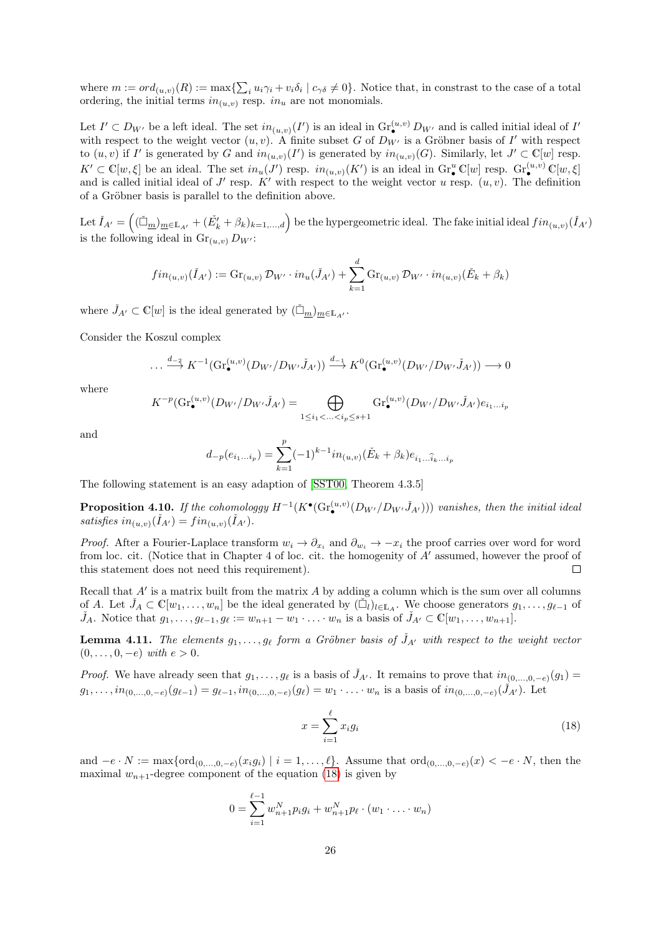where  $m := ord_{(u,v)}(R) := \max\{\sum_i u_i \gamma_i + v_i \delta_i \mid c_{\gamma} \delta \neq 0\}$ . Notice that, in constrast to the case of a total ordering, the initial terms  $in_{(u,v)}$  resp.  $in_u$  are not monomials.

Let  $I' \subset D_{W'}$  be a left ideal. The set  $in_{(u,v)}(I')$  is an ideal in  $\text{Gr}_{\bullet}^{(u,v)}D_{W'}$  and is called initial ideal of  $I'$ with respect to the weight vector  $(u, v)$ . A finite subset G of  $D_{W'}$  is a Gröbner basis of I' with respect to  $(u, v)$  if I' is generated by G and  $in_{(u,v)}(I')$  is generated by  $in_{(u,v)}(G)$ . Similarly, let  $J' \subset \mathbb{C}[w]$  resp.  $K' \subset \mathbb{C}[w,\xi]$  be an ideal. The set  $in_u(J')$  resp.  $in_{(u,v)}(K')$  is an ideal in  $\operatorname{Gr}_{\bullet}^u\mathbb{C}[w]$  resp.  $\operatorname{Gr}_{\bullet}^{(u,v)}\mathbb{C}[w,\xi]$ and is called initial ideal of  $J'$  resp. K' with respect to the weight vector u resp.  $(u, v)$ . The definition of a Gröbner basis is parallel to the definition above.

Let  $\check{I}_{A'} = ((\check{\Box}_{\underline{m}})_{\underline{m} \in \mathbb{L}_{A'}} + (\check{E'_k} + \beta_k)_{k=1,\dots,d})$  be the hypergeometric ideal. The fake initial ideal  $fin_{(u,v)}(\check{I}_{A'})$ is the following ideal in  $\text{Gr}_{(u,v)} D_{W'}$ :

$$
fin_{(u,v)}(\check{I}_{A'}):=Gr_{(u,v)}\mathcal{D}_{W'}\cdot in_u(\check{J}_{A'})+\sum_{k=1}^d Gr_{(u,v)}\mathcal{D}_{W'}\cdot in_{(u,v)}(\check{E}_k+\beta_k)
$$

where  $\check{J}_{A'} \subset \mathbb{C}[w]$  is the ideal generated by  $(\check{\Box}_{\underline{m}})_{\underline{m} \in \mathbb{L}_{A'}}$ .

Consider the Koszul complex

$$
\dots \xrightarrow{d_{-2}} K^{-1}(\text{Gr}_{\bullet}^{(u,v)}(D_{W'}/D_{W'}\check{J}_{A'})) \xrightarrow{d_{-1}} K^{0}(\text{Gr}_{\bullet}^{(u,v)}(D_{W'}/D_{W'}\check{J}_{A'})) \longrightarrow 0
$$

where

$$
K^{-p}(\mathrm{Gr}_{\bullet}^{(u,v)}(D_{W'}/D_{W'}\check{J}_{A'})=\bigoplus_{1\leq i_1<\ldots
$$

and

$$
d_{-p}(e_{i_1...i_p}) = \sum_{k=1}^p (-1)^{k-1} i n_{(u,v)} (\check{E}_k + \beta_k) e_{i_1...i_k...i_p}
$$

The following statement is an easy adaption of [\[SST00,](#page-75-13) Theorem 4.3.5]

<span id="page-25-1"></span>**Proposition 4.10.** If the cohomologgy  $H^{-1}(K^{\bullet}(Gr_{\bullet}^{(u,v)}(D_{W'}/D_{W'}\check{J}_{A'})))$  vanishes, then the initial ideal satisfies  $in_{(u,v)}(\check{I}_{A'}) = fin_{(u,v)}(\check{I}_{A'}).$ 

*Proof.* After a Fourier-Laplace transform  $w_i \to \partial_{x_i}$  and  $\partial_{w_i} \to -x_i$  the proof carries over word for word from loc. cit. (Notice that in Chapter 4 of loc. cit. the homogenity of  $A'$  assumed, however the proof of this statement does not need this requirement).  $\Box$ 

Recall that  $A'$  is a matrix built from the matrix  $A$  by adding a column which is the sum over all columns of A. Let  $\check{J}_A \subset \mathbb{C}[w_1,\ldots,w_n]$  be the ideal generated by  $(\check{\Box}_l)_{l\in\mathbb{L}_A}$ . We choose generators  $g_1,\ldots,g_{\ell-1}$  of  $\check{J}_A$ . Notice that  $g_1, \ldots, g_{\ell-1}, g_\ell := w_{n+1} - w_1 \cdot \ldots \cdot w_n$  is a basis of  $\check{J}_{A'} \subset \mathbb{C}[w_1, \ldots, w_{n+1}].$ 

<span id="page-25-2"></span>**Lemma 4.11.** The elements  $g_1, \ldots, g_\ell$  form a Gröbner basis of  $\check{J}_{A'}$  with respect to the weight vector  $(0, \ldots, 0, -e)$  with  $e > 0$ .

*Proof.* We have already seen that  $g_1, \ldots, g_\ell$  is a basis of  $\tilde{J}_{A'}$ . It remains to prove that  $in_{(0,\ldots,0,-\epsilon)}(g_1)$  $g_1, \ldots, i n_{(0,\ldots,0,-e)}(g_{\ell-1}) = g_{\ell-1}, i n_{(0,\ldots,0,-e)}(g_{\ell}) = w_1 \cdot \ldots \cdot w_n$  is a basis of  $i n_{(0,\ldots,0,-e)}(J_{A'})$ . Let

<span id="page-25-0"></span>
$$
x = \sum_{i=1}^{\ell} x_i g_i \tag{18}
$$

and  $-e \cdot N := \max\{\text{ord}_{(0,\ldots,0,-e)}(x_i g_i) \mid i = 1,\ldots,\ell\}.$  Assume that  $\text{ord}_{(0,\ldots,0,-e)}(x) < -e \cdot N$ , then the maximal  $w_{n+1}$ -degree component of the equation [\(18\)](#page-25-0) is given by

$$
0 = \sum_{i=1}^{\ell-1} w_{n+1}^N p_i g_i + w_{n+1}^N p_\ell \cdot (w_1 \cdot \ldots \cdot w_n)
$$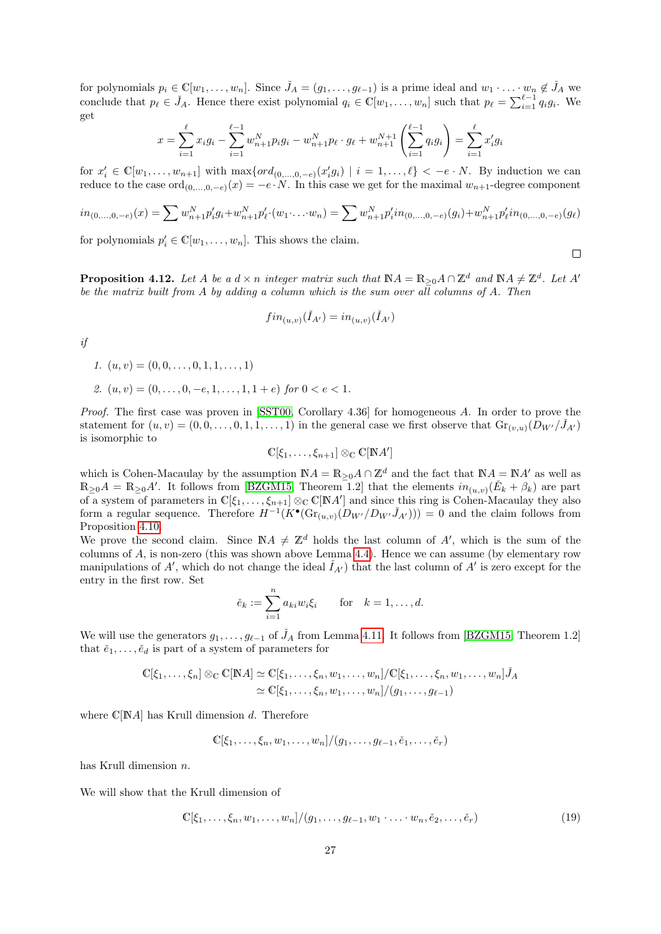for polynomials  $p_i \in \mathbb{C}[w_1,\ldots,w_n]$ . Since  $\check{J}_A=(g_1,\ldots,g_{\ell-1})$  is a prime ideal and  $w_1 \cdot \ldots \cdot w_n \notin \check{J}_A$  we conclude that  $p_\ell \in \check{J}_A$ . Hence there exist polynomial  $q_i \in \mathbb{C}[w_1, \ldots, w_n]$  such that  $p_\ell = \sum_{i=1}^{\ell-1} q_i g_i$ . We get

$$
x = \sum_{i=1}^{\ell} x_i g_i - \sum_{i=1}^{\ell-1} w_{n+1}^N p_i g_i - w_{n+1}^N p_{\ell} \cdot g_{\ell} + w_{n+1}^{N+1} \left( \sum_{i=1}^{\ell-1} q_i g_i \right) = \sum_{i=1}^{\ell} x'_i g_i
$$

for  $x'_i \in \mathbb{C}[w_1,\ldots,w_{n+1}]$  with  $\max\{ord_{(0,\ldots,0,-e)}(x'_ig_i) \mid i=1,\ldots,\ell\} < -e \cdot N$ . By induction we can reduce to the case  $\text{ord}_{(0,...,0,-e)}(x) = -e \cdot N$ . In this case we get for the maximal  $w_{n+1}$ -degree component

$$
in_{(0,\ldots,0,-e)}(x) = \sum w_{n+1}^N p'_i g_i + w_{n+1}^N p'_i \cdot (w_1 \cdot \ldots \cdot w_n) = \sum w_{n+1}^N p'_i i n_{(0,\ldots,0,-e)}(g_i) + w_{n+1}^N p'_i i n_{(0,\ldots,0,-e)}(g_i)
$$

for polynomials  $p'_i \in \mathbb{C}[w_1, \ldots, w_n]$ . This shows the claim.

<span id="page-26-1"></span>**Proposition 4.12.** Let A be a  $d \times n$  integer matrix such that  $\mathbb{N}A = \mathbb{R}_{\geq 0}A \cap \mathbb{Z}^d$  and  $\mathbb{N}A \neq \mathbb{Z}^d$ . Let A' be the matrix built from A by adding a column which is the sum over all columns of A. Then

$$
fin_{(u,v)}(\check{I}_{A'})=in_{(u,v)}(\check{I}_{A'})
$$

if

- 1.  $(u, v) = (0, 0, \ldots, 0, 1, 1, \ldots, 1)$
- 2.  $(u, v) = (0, \ldots, 0, -e, 1, \ldots, 1, 1+e)$  for  $0 < e < 1$ .

Proof. The first case was proven in [\[SST00,](#page-75-13) Corollary 4.36] for homogeneous A. In order to prove the statement for  $(u, v) = (0, 0, \ldots, 0, 1, 1, \ldots, 1)$  in the general case we first observe that  $\text{Gr}_{(v, u)}(D_{W'}/J_{A'})$ is isomorphic to

$$
\mathbb{C}[\xi_1,\ldots,\xi_{n+1}]\otimes_{\mathbb{C}}\mathbb{C}[\mathbb{N}A']
$$

which is Cohen-Macaulay by the assumption  $\mathbb{N}A = \mathbb{R}_{\geq 0}A \cap \mathbb{Z}^d$  and the fact that  $\mathbb{N}A = \mathbb{N}A'$  as well as  $\mathbb{R}_{\geq 0}A = \mathbb{R}_{\geq 0}A'$ . It follows from [\[BZGM15,](#page-74-16) Theorem 1.2] that the elements  $in_{(u,v)}(\check{E}_k + \beta_k)$  are part of a system of parameters in  $\mathbb{C}[\xi_1,\ldots,\xi_{n+1}]\otimes_{\mathbb{C}}\mathbb{C}[\mathbb{N}A']$  and since this ring is Cohen-Macaulay they also form a regular sequence. Therefore  $H^{-1}(K^{\bullet}(Gr_{(u,v)}(D_{W'}/D_{W'}\check{J}_{A'}))) = 0$  and the claim follows from Proposition [4.10.](#page-25-1)

We prove the second claim. Since  $\mathbb{N}A \neq \mathbb{Z}^d$  holds the last column of A', which is the sum of the columns of A, is non-zero (this was shown above Lemma [4.4\)](#page-21-0). Hence we can assume (by elementary row manipulations of A', which do not change the ideal  $\check{I}_{A'}$  that the last column of A' is zero except for the entry in the first row. Set

$$
\check{e}_k := \sum_{i=1}^n a_{ki} w_i \xi_i \quad \text{for} \quad k = 1, \dots, d.
$$

We will use the generators  $g_1, \ldots, g_{\ell-1}$  of  $\check{J}_A$  from Lemma [4.11.](#page-25-2) It follows from [\[BZGM15,](#page-74-16) Theorem 1.2] that  $\check{e}_1, \ldots, \check{e}_d$  is part of a system of parameters for

$$
\mathbb{C}[\xi_1,\ldots,\xi_n] \otimes_{\mathbb{C}} \mathbb{C}[NA] \simeq \mathbb{C}[\xi_1,\ldots,\xi_n,w_1,\ldots,w_n]/\mathbb{C}[\xi_1,\ldots,\xi_n,w_1,\ldots,w_n]\check{J}_A
$$
  

$$
\simeq \mathbb{C}[\xi_1,\ldots,\xi_n,w_1,\ldots,w_n]/(g_1,\ldots,g_{\ell-1})
$$

where  $\mathbb{C}[NA]$  has Krull dimension d. Therefore

$$
\mathbb{C}[\xi_1,\ldots,\xi_n,w_1,\ldots,w_n]/(g_1,\ldots,g_{\ell-1},\check{e}_1,\ldots,\check{e}_r)
$$

has Krull dimension n.

We will show that the Krull dimension of

<span id="page-26-0"></span>
$$
\mathbb{C}[\xi_1, \dots, \xi_n, w_1, \dots, w_n]/(g_1, \dots, g_{\ell-1}, w_1 \cdot \dots \cdot w_n, \check{e}_2, \dots, \check{e}_r)
$$
\n(19)

 $\Box$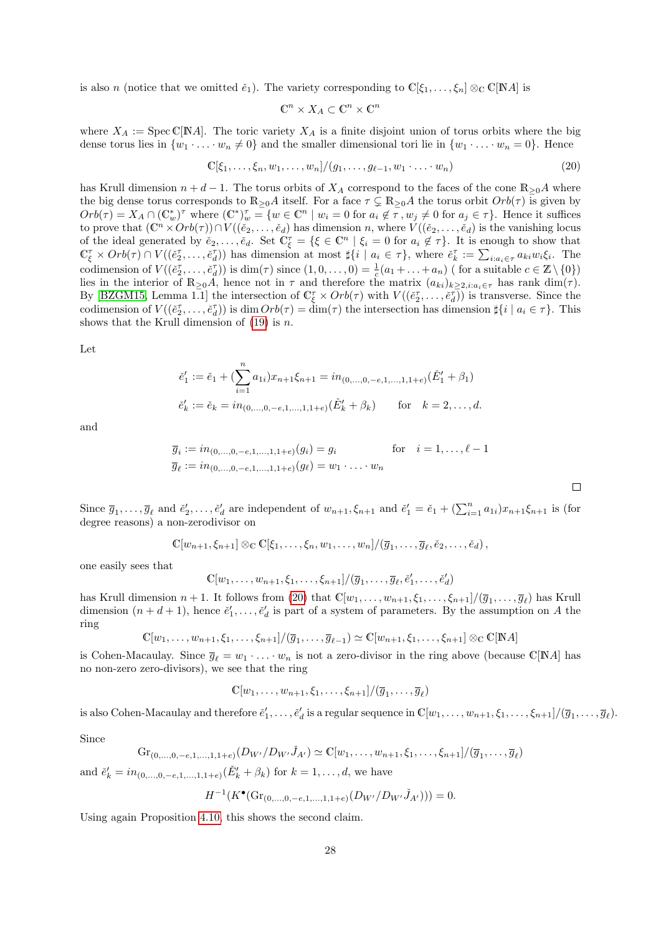is also n (notice that we omitted  $\check{e}_1$ ). The variety corresponding to  $\mathbb{C}[\xi_1,\ldots,\xi_n] \otimes_{\mathbb{C}} \mathbb{C}[\mathbb{N}A]$  is

$$
\mathbb{C}^n \times X_A \subset \mathbb{C}^n \times \mathbb{C}^n
$$

where  $X_A := \text{Spec } \mathbb{C}[\mathbb{N}A]$ . The toric variety  $X_A$  is a finite disjoint union of torus orbits where the big dense torus lies in  $\{w_1 \cdot \ldots \cdot w_n \neq 0\}$  and the smaller dimensional tori lie in  $\{w_1 \cdot \ldots \cdot w_n = 0\}$ . Hence

<span id="page-27-0"></span>
$$
\mathbb{C}[\xi_1,\ldots,\xi_n,w_1,\ldots,w_n]/(g_1,\ldots,g_{\ell-1},w_1\cdot\ldots\cdot w_n)
$$
\n
$$
(20)
$$

 $\Box$ 

has Krull dimension  $n + d - 1$ . The torus orbits of  $X_A$  correspond to the faces of the cone  $\mathbb{R}_{\geq 0}A$  where the big dense torus corresponds to  $\mathbb{R}_{>0}A$  itself. For a face  $\tau \subsetneq \mathbb{R}_{>0}A$  the torus orbit  $Orb(\tau)$  is given by  $Orb(\tau) = X_A \cap (\mathbb{C}^*_w)^\tau$  where  $(\mathbb{C}^*)^{\tau}_w = \{w \in \mathbb{C}^n \mid w_i = 0 \text{ for } a_i \notin \tau, w_j \neq 0 \text{ for } a_j \in \tau\}.$  Hence it suffices to prove that  $(\mathbb{C}^n \times Orb(\tau))\cap V((\check{e}_2,\ldots,\check{e}_d)$  has dimension n, where  $\check{V}((\check{e}_2,\ldots,\check{e}_d)$  is the vanishing locus of the ideal generated by  $\check{e}_2,\ldots,\check{e}_d$ . Set  $\mathbb{C}_{\xi}^{\tau} = \{\xi \in \mathbb{C}^n \mid \xi_i = 0 \text{ for } a_i \notin \tau\}.$  It is enough to show that  $\mathbb{C}_{\xi}^{\tau} \times Orb(\tau) \cap V((\check{e}_2^{\tau},\ldots,\check{e}_d^{\tau}))$  has dimension at most  $\sharp\{i \mid a_i \in \tau\}$ , where  $\check{e}_k^{\tau} := \sum_{i:a_i \in \tau} a_{ki}w_i\xi_i$ . The codimension of  $V((\tilde{e}_2^{\tau}, \ldots, \tilde{e}_d^{\tau}))$  is  $\dim(\tau)$  since  $(1, 0, \ldots, 0) = \frac{1}{c}(a_1 + \ldots + a_n)$  (for a suitable  $c \in \mathbb{Z} \setminus \{0\}$ ) lies in the interior of  $\mathbb{R}_{\geq 0}\tilde{A}$ , hence not in  $\tau$  and therefore the matrix  $(a_{ki})_{k\geq 2, i:a_i\in\tau}$  has rank dim( $\tau$ ). By [\[BZGM15,](#page-74-16) Lemma 1.1] the intersection of  $\mathbb{C}_{\xi}^{\tau} \times Orb(\tau)$  with  $V((\check{e}_2^{\tau},\ldots,\check{e}_d^{\tau}))$  is transverse. Since the codimension of  $V((\check{e}_2^{\tau},\ldots,\check{e}_d^{\tau}))$  is dim  $Orb(\tau)=\dim(\tau)$  the intersection has dimension  $\sharp\{i \mid a_i \in \tau\}$ . This shows that the Krull dimension of  $(19)$  is n.

Let

$$
\check{e}'_1 := \check{e}_1 + \left(\sum_{i=1}^n a_{1i}\right) x_{n+1} \xi_{n+1} = i n_{(0,\dots,0,-e,1,\dots,1,1+e)} (\check{E}'_1 + \beta_1)
$$
  

$$
\check{e}'_k := \check{e}_k = i n_{(0,\dots,0,-e,1,\dots,1,1+e)} (\check{E}'_k + \beta_k) \quad \text{for} \quad k = 2,\dots,d.
$$

and

$$
\overline{g}_i := in_{(0,\ldots,0,-e,1,\ldots,1,1+e)}(g_i) = g_i \quad \text{for} \quad i = 1,\ldots,\ell-1
$$
  

$$
\overline{g}_\ell := in_{(0,\ldots,0,-e,1,\ldots,1,1+e)}(g_\ell) = w_1 \cdot \ldots \cdot w_n
$$

Since  $\overline{g}_1,\ldots,\overline{g}_{\ell}$  and  $\check{e}'_2,\ldots,\check{e}'_d$  are independent of  $w_{n+1},\xi_{n+1}$  and  $\check{e}'_1=\check{e}_1+(\sum_{i=1}^n a_{1i})x_{n+1}\xi_{n+1}$  is (for degree reasons) a non-zerodivisor on

$$
\mathbb{C}[w_{n+1}, \xi_{n+1}] \otimes_{\mathbb{C}} \mathbb{C}[\xi_1, \ldots, \xi_n, w_1, \ldots, w_n]/(\overline{g}_1, \ldots, \overline{g}_\ell, \check{e}_2, \ldots, \check{e}_d),
$$

one easily sees that

$$
\mathbb{C}[w_1,\ldots,w_{n+1},\xi_1,\ldots,\xi_{n+1}]/(\overline{g}_1,\ldots,\overline{g}_{\ell},\check{e}'_1,\ldots,\check{e}'_d)
$$

has Krull dimension  $n+1$ . It follows from [\(20\)](#page-27-0) that  $\mathbb{C}[w_1,\ldots,w_{n+1},\xi_1,\ldots,\xi_{n+1}]/(\overline{g}_1,\ldots,\overline{g}_\ell)$  has Krull dimension  $(n + d + 1)$ , hence  $\check{e}'_1, \ldots, \check{e}'_d$  is part of a system of parameters. By the assumption on A the ring

$$
\mathbb{C}[w_1,\ldots,w_{n+1},\xi_1,\ldots,\xi_{n+1}]/(\overline{g}_1,\ldots,\overline{g}_{\ell-1})\simeq \mathbb{C}[w_{n+1},\xi_1,\ldots,\xi_{n+1}]\otimes_{\mathbb{C}}\mathbb{C}[\mathbb{N}A]
$$

is Cohen-Macaulay. Since  $\bar{g}_{\ell} = w_1 \cdot \ldots \cdot w_n$  is not a zero-divisor in the ring above (because C[NA] has no non-zero zero-divisors), we see that the ring

 $\mathbb{C}[w_1, \ldots, w_{n+1}, \xi_1, \ldots, \xi_{n+1}]/(\overline{g}_1, \ldots, \overline{g}_{\ell})$ 

is also Cohen-Macaulay and therefore  $\check{e}'_1,\ldots,\check{e}'_d$  is a regular sequence in  $\mathbb{C}[w_1,\ldots,w_{n+1},\xi_1,\ldots,\xi_{n+1}]/(\overline{g}_1,\ldots,\overline{g}_{\ell}).$ 

Since

$$
\mathrm{Gr}_{(0,\ldots,0,-e,1,\ldots,1,1+e)}(D_{W'}/D_{W'}\check{J}_{A'}) \simeq \mathbb{C}[w_1,\ldots,w_{n+1},\xi_1,\ldots,\xi_{n+1}]/(\overline{g}_1,\ldots,\overline{g}_\ell)
$$

and  $\check{e}'_k = in_{(0,...,0,-e,1,...,1,1+e)} (\check{E}'_k + \beta_k)$  for  $k = 1,...,d$ , we have

$$
H^{-1}(K^{\bullet}(\text{Gr}_{(0,\ldots,0,-e,1,\ldots,1,1+e)}(D_{W'}/D_{W'}\check{J}_{A'})))=0.
$$

Using again Proposition [4.10,](#page-25-1) this shows the second claim.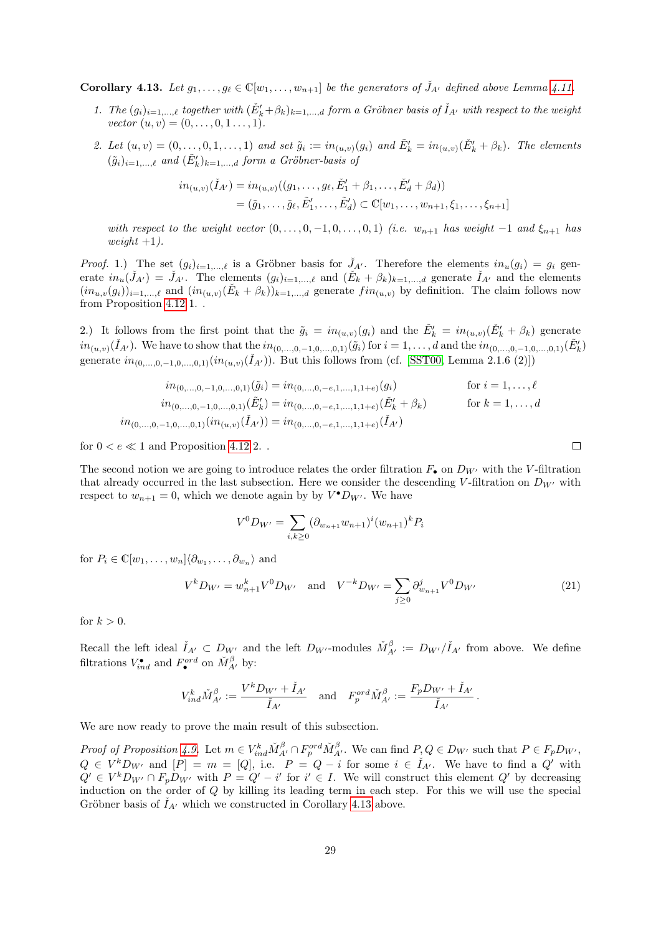<span id="page-28-0"></span>**Corollary 4.13.** Let  $g_1, \ldots, g_\ell \in \mathbb{C}[w_1, \ldots, w_{n+1}]$  be the generators of  $\tilde{J}_{A'}$  defined above Lemma [4.11.](#page-25-2)

- 1. The  $(g_i)_{i=1,\ldots,\ell}$  together with  $(\check{E}'_k+\beta_k)_{k=1,\ldots,d}$  form a Gröbner basis of  $\check{I}_{A'}$  with respect to the weight vector  $(u, v) = (0, \ldots, 0, 1 \ldots, 1)$ .
- 2. Let  $(u, v) = (0, \ldots, 0, 1, \ldots, 1)$  and set  $\tilde{g}_i := in_{(u,v)}(g_i)$  and  $\tilde{E}'_k = in_{(u,v)}(\check{E}'_k + \beta_k)$ . The elements  $(\tilde{g}_i)_{i=1,\ldots,\ell}$  and  $(\tilde{E}'_k)_{k=1,\ldots,d}$  form a Gröbner-basis of

$$
in_{(u,v)}(\check{I}_{A'}) = in_{(u,v)}((g_1, \ldots, g_\ell, \check{E}'_1 + \beta_1, \ldots, \check{E}'_d + \beta_d))
$$
  
=  $(\tilde{g}_1, \ldots, \tilde{g}_\ell, \tilde{E}'_1, \ldots, \tilde{E}'_d) \subset \mathbb{C}[w_1, \ldots, w_{n+1}, \xi_1, \ldots, \xi_{n+1}]$ 

with respect to the weight vector  $(0, \ldots, 0, -1, 0, \ldots, 0, 1)$  (i.e.  $w_{n+1}$  has weight  $-1$  and  $\xi_{n+1}$  has weight  $+1$ ).

*Proof.* 1.) The set  $(g_i)_{i=1,\ldots,\ell}$  is a Gröbner basis for  $J_{A'}$ . Therefore the elements  $in_u(g_i) = g_i$  generate  $in_u(\check{J}_{A'}) = \check{J}_{A'}$ . The elements  $(g_i)_{i=1,\dots,\ell}$  and  $(\check{E}_k + \beta_k)_{k=1,\dots,d}$  generate  $\check{I}_{A'}$  and the elements  $(in_{u,v}(g_i))_{i=1,\ldots,\ell}$  and  $(in_{(u,v)}(\check{E}_k+\beta_k))_{k=1,\ldots,d}$  generate  $fin_{(u,v)}$  by definition. The claim follows now from Proposition [4.12](#page-26-1) 1. .

2.) It follows from the first point that the  $\tilde{g}_i = in_{(u,v)}(g_i)$  and the  $\tilde{E}'_k = in_{(u,v)}(\tilde{E}'_k + \beta_k)$  generate  $in_{(u,v)}(\check{I}_{A'})$ . We have to show that the  $in_{(0,...,0,-1,0,...,0,1)}(\tilde{g}_i)$  for  $i=1,\ldots,d$  and the  $in_{(0,...,0,-1,0,...,0,1)}(\tilde{E}'_k)$ generate  $in_{(0,...,0,-1,0,...,0,1)}(in_{(u,v)}(\check{I}_{A'}))$ . But this follows from (cf. [\[SST00,](#page-75-13) Lemma 2.1.6 (2)])

$$
in_{(0,\ldots,0,-1,0,\ldots,0,1)}(\tilde{g}_i) = in_{(0,\ldots,0,-e,1,\ldots,1,1+e)}(g_i) \qquad \text{for } i = 1,\ldots,\ell
$$
  
\n
$$
in_{(0,\ldots,0,-1,0,\ldots,0,1)}(\tilde{E}'_k) = in_{(0,\ldots,0,-e,1,\ldots,1,1+e)}(\tilde{E}'_k + \beta_k) \qquad \text{for } k = 1,\ldots,d
$$
  
\n
$$
in_{(0,\ldots,0,-1,0,\ldots,0,1)}(in_{(u,v)}(\check{I}_{A'})) = in_{(0,\ldots,0,-e,1,\ldots,1,1+e)}(\check{I}_{A'})
$$

for  $0 < e \ll 1$  and Proposition [4.12](#page-26-1) 2.

The second notion we are going to introduce relates the order filtration  $F_{\bullet}$  on  $D_{W'}$  with the V-filtration that already occurred in the last subsection. Here we consider the descending V-filtration on  $D_{W'}$  with respect to  $w_{n+1} = 0$ , which we denote again by by  $V^{\bullet}D_{W'}$ . We have

$$
V^{0}D_{W'} = \sum_{i,k \geq 0} (\partial_{w_{n+1}} w_{n+1})^{i} (w_{n+1})^{k} P_{i}
$$

for  $P_i \in \mathbb{C}[w_1, \ldots, w_n] \langle \partial_{w_1}, \ldots, \partial_{w_n} \rangle$  and

<span id="page-28-1"></span>
$$
V^{k}D_{W'} = w_{n+1}^{k}V^{0}D_{W'} \quad \text{and} \quad V^{-k}D_{W'} = \sum_{j\geq 0} \partial_{w_{n+1}}^{j}V^{0}D_{W'} \tag{21}
$$

for  $k > 0$ .

Recall the left ideal  $\check{I}_{A'} \subset D_{W'}$  and the left  $D_{W'}$ -modules  $\check{M}_{A'}^{\beta} := D_{W'} / \check{I}_{A'}$  from above. We define filtrations  $V_{ind}^{\bullet}$  and  $F_{\bullet}^{ord}$  on  $\check{M}_{A'}^{\beta}$  by:

$$
V_{ind}^k \check{M}_{A'}^{\beta} := \frac{V^k D_{W'} + \check{I}_{A'}}{\check{I}_{A'}} \quad \text{and} \quad F_p^{ord} \check{M}_{A'}^{\beta} := \frac{F_p D_{W'} + \check{I}_{A'}}{\check{I}_{A'}}.
$$

We are now ready to prove the main result of this subsection.

Proof of Proposition [4.9.](#page-23-1) Let  $m \in V_{ind}^k \tilde{M}_{A'}^{\beta} \cap F_p^{ord} \tilde{M}_{A'}^{\beta}$ . We can find  $P, Q \in D_{W'}$  such that  $P \in F_p D_{W'}$ ,  $Q \in V^k D_{W'}$  and  $[P] = m = [Q]$ , i.e.  $P = Q - i$  for some  $i \in I_{A'}$ . We have to find a Q' with  $Q' \in V^k D_{W'} \cap F_p D_{W'}$  with  $P = Q' - i'$  for  $i' \in I$ . We will construct this element  $Q'$  by decreasing induction on the order of Q by killing its leading term in each step. For this we will use the special Gröbner basis of  $I_{A}$  which we constructed in Corollary [4.13](#page-28-0) above.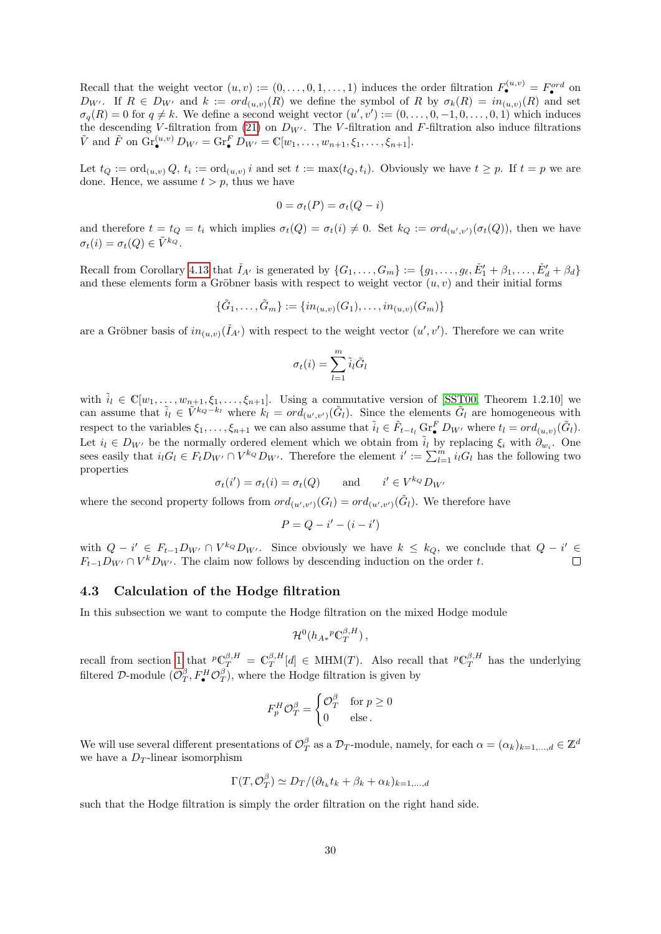Recall that the weight vector  $(u, v) := (0, \ldots, 0, 1, \ldots, 1)$  induces the order filtration  $F_{\bullet}^{(u, v)} = F_{\bullet}^{ord}$  on  $D_{W'}$ . If  $R \in D_{W'}$  and  $k := ord_{(u,v)}(R)$  we define the symbol of R by  $\sigma_k(R) = in_{(u,v)}(R)$  and set  $\sigma_q(R) = 0$  for  $q \neq k$ . We define a second weight vector  $(u', v') := (0, \ldots, 0, -1, 0, \ldots, 0, 1)$  which induces the descending V-filtration from [\(21\)](#page-28-1) on  $D_{W'}$ . The V-filtration and F-filtration also induce filtrations  $\tilde{V}$  and  $\tilde{F}$  on  $\text{Gr}_{\bullet}^{(u,v)} D_{W'} = \text{Gr}_{\bullet}^{F} D_{W'} = \mathbb{C}[w_1, \ldots, w_{n+1}, \xi_1, \ldots, \xi_{n+1}].$ 

Let  $t_Q := \text{ord}_{(u,v)} Q$ ,  $t_i := \text{ord}_{(u,v)} i$  and set  $t := \max(t_Q, t_i)$ . Obviously we have  $t \geq p$ . If  $t = p$  we are done. Hence, we assume  $t > p$ , thus we have

$$
0 = \sigma_t(P) = \sigma_t(Q - i)
$$

and therefore  $t = t_Q = t_i$  which implies  $\sigma_t(Q) = \sigma_t(i) \neq 0$ . Set  $k_Q := ord_{(u',v')}(\sigma_t(Q))$ , then we have  $\sigma_t(i) = \sigma_t(Q) \in \tilde{V}^{k_Q}.$ 

Recall from Corollary [4.13](#page-28-0) that  $\check{I}_{A'}$  is generated by  $\{G_1,\ldots,G_m\} := \{g_1,\ldots,g_\ell,\check{E}'_1+\beta_1,\ldots,\check{E}'_d+\beta_d\}$ and these elements form a Gröbner basis with respect to weight vector  $(u, v)$  and their initial forms

$$
\{\tilde{G}_1, \ldots, \tilde{G}_m\} := \{in_{(u,v)}(G_1), \ldots, in_{(u,v)}(G_m)\}
$$

are a Gröbner basis of  $in_{(u,v)}(\check{I}_{A})$  with respect to the weight vector  $(u',v')$ . Therefore we can write

$$
\sigma_t(i) = \sum_{l=1}^m \tilde{i}_l \tilde{G}_l
$$

with  $\tilde{i}_l \in \mathbb{C}[w_1,\ldots,w_{n+1},\xi_1,\ldots,\xi_{n+1}]$ . Using a commutative version of [\[SST00,](#page-75-13) Theorem 1.2.10] we can assume that  $\tilde{i}_l \in \tilde{V}^{k_Q-k_l}$  where  $k_l = ord_{(u',v')}(\tilde{G}_l)$ . Since the elements  $\tilde{G}_l$  are homogeneous with respect to the variables  $\xi_1, \ldots, \xi_{n+1}$  we can also assume that  $\tilde{i}_l \in \tilde{F}_{t-t_l}$  Gr $\tilde{F}_{\bullet}$   $D_{W'}$  where  $t_l = ord_{(u,v)}(\tilde{G}_l)$ . Let  $i_l \in D_{W'}$  be the normally ordered element which we obtain from  $\tilde{i}_l$  by replacing  $\xi_i$  with  $\partial_{w_i}$ . One sees easily that  $i_l G_l \in F_t D_{W'} \cap V^{k_Q} D_{W'}$ . Therefore the element  $i' := \sum_{l=1}^m i_l G_l$  has the following two properties

$$
\sigma_t(i') = \sigma_t(i) = \sigma_t(Q) \quad \text{and} \quad i' \in V^{k_Q} D_{W'}
$$

where the second property follows from  $ord_{(u',v')}(G_l) = ord_{(u',v')}(\tilde{G}_l)$ . We therefore have

$$
P = Q - i' - (i - i')
$$

with  $Q - i' \in F_{t-1}D_{W'} \cap V^{k_Q}D_{W'}$ . Since obviously we have  $k \leq k_Q$ , we conclude that  $Q - i' \in$  $F_{t-1}D_{W'} \cap V^k D_{W'}$ . The claim now follows by descending induction on the order t.

#### <span id="page-29-0"></span>4.3 Calculation of the Hodge filtration

In this subsection we want to compute the Hodge filtration on the mixed Hodge module

$$
{\mathcal H}^0(h_{A*}{}^p{\mathbb C}^{\beta,H}_T)\,,
$$

recall from section [1](#page-1-0) that  ${}^p\mathbb{C}^{\beta,H}_T = \mathbb{C}^{\beta,H}_T[d] \in \text{MHM}(T)$ . Also recall that  ${}^p\mathbb{C}^{\beta,H}_T$  has the underlying filtered D-module  $(\mathcal{O}_T^{\beta}, F^H_{\bullet} \mathcal{O}_T^{\beta})$ , where the Hodge filtration is given by

$$
F_p^H \mathcal{O}_T^{\beta} = \begin{cases} \mathcal{O}_T^{\beta} & \text{for } p \ge 0 \\ 0 & \text{else.} \end{cases}
$$

We will use several different presentations of  $\mathcal{O}_T^{\beta}$  as a  $\mathcal{D}_T$ -module, namely, for each  $\alpha = (\alpha_k)_{k=1,\dots,d} \in \mathbb{Z}^d$ we have a  $D_T$ -linear isomorphism

$$
\Gamma(T, \mathcal{O}_T^{\beta}) \simeq D_T / (\partial_{t_k} t_k + \beta_k + \alpha_k)_{k=1,\dots,d}
$$

such that the Hodge filtration is simply the order filtration on the right hand side.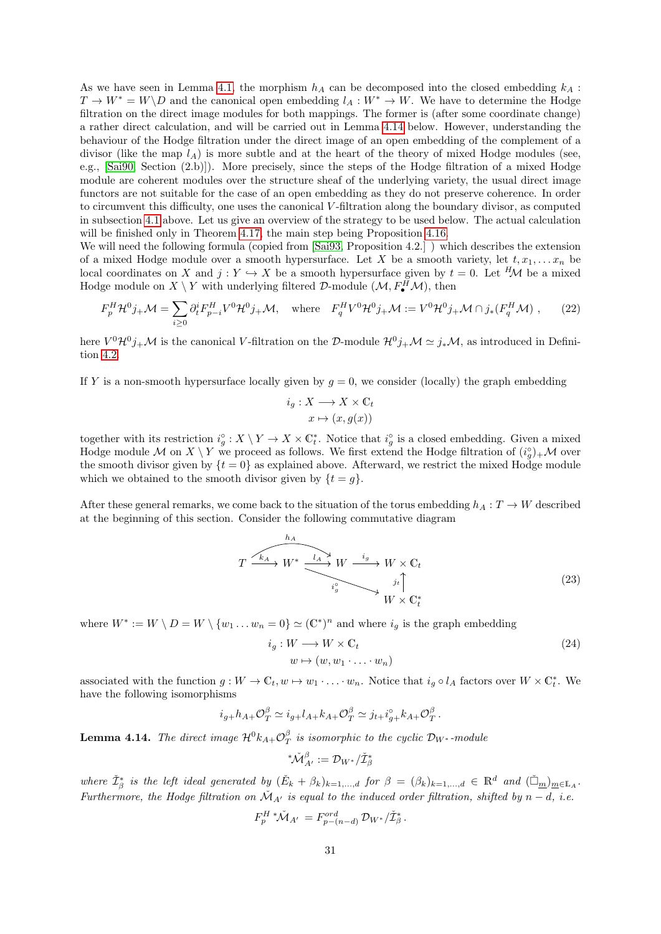As we have seen in Lemma [4.1,](#page-19-2) the morphism  $h_A$  can be decomposed into the closed embedding  $k_A$ :  $T \to W^* = W \backslash D$  and the canonical open embedding  $l_A : W^* \to W$ . We have to determine the Hodge filtration on the direct image modules for both mappings. The former is (after some coordinate change) a rather direct calculation, and will be carried out in Lemma [4.14](#page-30-1) below. However, understanding the behaviour of the Hodge filtration under the direct image of an open embedding of the complement of a divisor (like the map  $l_A$ ) is more subtle and at the heart of the theory of mixed Hodge modules (see, e.g., [\[Sai90,](#page-75-1) Section (2.b)]). More precisely, since the steps of the Hodge filtration of a mixed Hodge module are coherent modules over the structure sheaf of the underlying variety, the usual direct image functors are not suitable for the case of an open embedding as they do not preserve coherence. In order to circumvent this difficulty, one uses the canonical V -filtration along the boundary divisor, as computed in subsection [4.1](#page-19-0) above. Let us give an overview of the strategy to be used below. The actual calculation will be finished only in Theorem [4.17,](#page-34-0) the main step being Proposition [4.16.](#page-33-0)

We will need the following formula (copied from [\[Sai93,](#page-75-9) Proposition 4.2.]) which describes the extension of a mixed Hodge module over a smooth hypersurface. Let X be a smooth variety, let  $t, x_1, \ldots x_n$  be local coordinates on X and  $j: Y \hookrightarrow X$  be a smooth hypersurface given by  $t = 0$ . Let  $^H\mathcal{M}$  be a mixed Hodge module on  $X \setminus Y$  with underlying filtered  $D$ -module  $(\mathcal{M}, F^H_{\bullet} \mathcal{M})$ , then

<span id="page-30-2"></span>
$$
F_p^H \mathcal{H}^0 j_+ \mathcal{M} = \sum_{i \ge 0} \partial_t^i F_{p-i}^H V^0 \mathcal{H}^0 j_+ \mathcal{M}, \quad \text{where} \quad F_q^H V^0 \mathcal{H}^0 j_+ \mathcal{M} := V^0 \mathcal{H}^0 j_+ \mathcal{M} \cap j_*(F_q^H \mathcal{M}), \tag{22}
$$

here  $V^0 \mathcal{H}^0 j_+ \mathcal{M}$  is the canonical V-filtration on the D-module  $\mathcal{H}^0 j_+ \mathcal{M} \simeq j_* \mathcal{M}$ , as introduced in Definition [4.2.](#page-19-3)

If Y is a non-smooth hypersurface locally given by  $g = 0$ , we consider (locally) the graph embedding

$$
i_g: X \longrightarrow X \times \mathbb{C}_t
$$

$$
x \mapsto (x, g(x))
$$

together with its restriction  $i_g^{\circ}: X \setminus Y \to X \times \mathbb{C}_t^*$ . Notice that  $i_g^{\circ}$  is a closed embedding. Given a mixed Hodge module M on  $X \setminus Y$  we proceed as follows. We first extend the Hodge filtration of  $(i_g^{\circ})_{+}M$  over the smooth divisor given by  $\{t = 0\}$  as explained above. Afterward, we restrict the mixed Hodge module which we obtained to the smooth divisor given by  $\{t = g\}.$ 

After these general remarks, we come back to the situation of the torus embedding  $h_A : T \to W$  described at the beginning of this section. Consider the following commutative diagram

<span id="page-30-0"></span>
$$
T \xrightarrow{\begin{array}{c}\hbar_A\\
\hline\n\end{array}} W^* \xrightarrow{\begin{array}{c}\n\downarrow_A \searrow \\
\hline\n\end{array}} W \xrightarrow{\begin{array}{c}\n\downarrow_g\\
\downarrow_g\end{array}} W \times \mathbb{C}_t
$$
\n
$$
\begin{array}{c}\n\downarrow_g\\
\downarrow_g\\
W \times \mathbb{C}_t^* \n\end{array}
$$
\n(23)

where  $W^* := W \setminus D = W \setminus \{w_1 \dots w_n = 0\} \simeq (\mathbb{C}^*)^n$  and where  $i_g$  is the graph embedding

<span id="page-30-3"></span>
$$
i_g: W \longrightarrow W \times \mathbb{C}_t
$$
  
\n
$$
w \mapsto (w, w_1 \cdot \ldots \cdot w_n)
$$
\n
$$
(24)
$$

associated with the function  $g: W \to \mathbb{C}_t, w \mapsto w_1 \cdot \ldots \cdot w_n$ . Notice that  $i_g \circ l_A$  factors over  $W \times \mathbb{C}_t^*$ . We have the following isomorphisms

$$
i_{g+}h_{A+}\mathcal{O}_{T}^{\beta} \simeq i_{g+}l_{A+}k_{A+}\mathcal{O}_{T}^{\beta} \simeq j_{t+}i_{g+}^{\circ}k_{A+}\mathcal{O}_{T}^{\beta}.
$$

<span id="page-30-1"></span>**Lemma 4.14.** The direct image  $\mathcal{H}^0 k_{A+} \mathcal{O}_T^{\beta}$  is isomorphic to the cyclic  $\mathcal{D}_{W^*}$ -module

$$
\displaystyle{ \raisebox{0.6ex}{\scriptsize{*}}} \check{\mathcal{M}}^{\beta}_{A'} := \mathcal{D}_{W^*} / \check{\mathcal{I}}^*_{\beta}
$$

where  $\check{\mathcal{I}}^*_{\beta}$  is the left ideal generated by  $(\check{E}_k + \beta_k)_{k=1,\dots,d}$  for  $\beta = (\beta_k)_{k=1,\dots,d} \in \mathbb{R}^d$  and  $(\check{\Box}_{\underline{m}})_{\underline{m} \in \mathbb{L}_A}$ . Furthermore, the Hodge filtration on  $\mathcal{M}_{A'}$  is equal to the induced order filtration, shifted by  $n - d$ , i.e.

$$
F_p^{H*}\check{\mathcal{M}}_{A'} = F_{p-(n-d)}^{ord} \mathcal{D}_{W*}/\check{\mathcal{I}}_{\beta}^*.
$$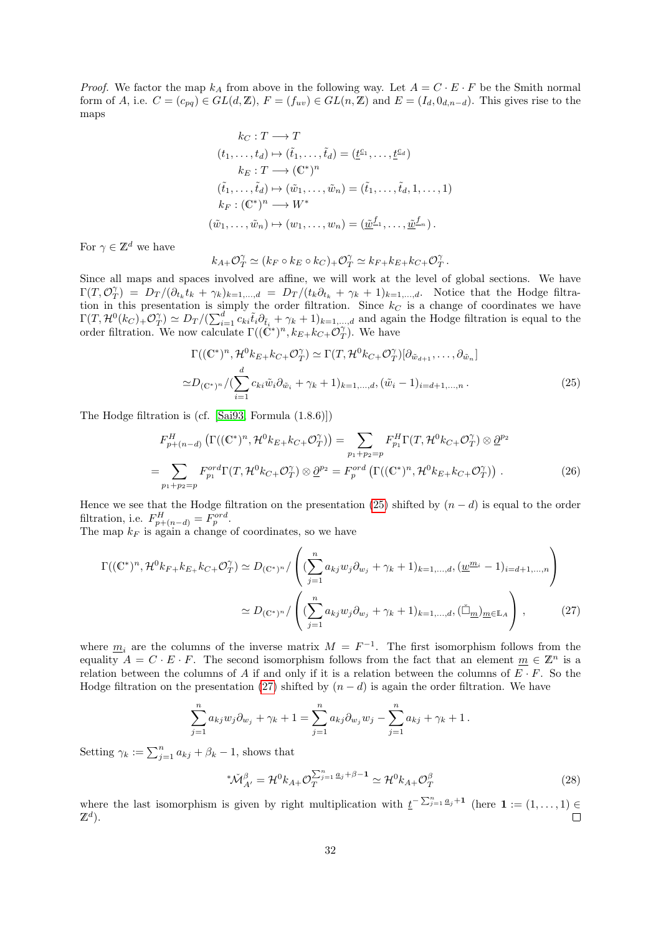*Proof.* We factor the map  $k_A$  from above in the following way. Let  $A = C \cdot E \cdot F$  be the Smith normal form of A, i.e.  $C = (c_{pq}) \in GL(d, \mathbb{Z}), F = (f_{uv}) \in GL(n, \mathbb{Z})$  and  $E = (I_d, 0_{d,n-d})$ . This gives rise to the maps

$$
k_C: T \longrightarrow T
$$
  
\n
$$
(t_1, \dots, t_d) \mapsto (\tilde{t}_1, \dots, \tilde{t}_d) = (\underline{t}^{\underline{c}_1}, \dots, \underline{t}^{\underline{c}_d})
$$
  
\n
$$
k_E: T \longrightarrow (\mathbb{C}^*)^n
$$
  
\n
$$
(\tilde{t}_1, \dots, \tilde{t}_d) \mapsto (\tilde{w}_1, \dots, \tilde{w}_n) = (\tilde{t}_1, \dots, \tilde{t}_d, 1, \dots, 1)
$$
  
\n
$$
k_F: (\mathbb{C}^*)^n \longrightarrow W^*
$$
  
\n
$$
(\tilde{w}_1, \dots, \tilde{w}_n) \mapsto (w_1, \dots, w_n) = (\underline{\tilde{w}}^{\underline{f}_1}, \dots, \underline{\tilde{w}}^{\underline{f}_n}).
$$

For  $\gamma \in \mathbb{Z}^d$  we have

<span id="page-31-0"></span>
$$
k_{A+}\mathcal{O}^{\gamma}_{T} \simeq (k_{F} \circ k_{E} \circ k_{C})_{+}\mathcal{O}^{\gamma}_{T} \simeq k_{F+}k_{E+}k_{C+}\mathcal{O}^{\gamma}_{T}.
$$

Since all maps and spaces involved are affine, we will work at the level of global sections. We have  $\Gamma(T, \mathcal{O}_T^{\gamma}) = D_T/(\partial_{t_k} t_k + \gamma_k)_{k=1,\dots,d} = D_T/(t_k \partial_{t_k} + \gamma_k + 1)_{k=1,\dots,d}$ . Notice that the Hodge filtration in this presentation is simply the order filtration. Since  $k<sub>C</sub>$  is a change of coordinates we have  $\Gamma(T, \mathcal{H}^0(k_C)_{+} O_T^{\gamma}) \simeq D_T/(\sum_{i=1}^d c_{ki} \tilde{t}_i \partial_{\tilde{t}_i} + \gamma_k + 1)_{k=1,\dots,d}$  and again the Hodge filtration is equal to the order filtration. We now calculate  $\Gamma((\mathbb{C}^*)^n, k_{E+}k_{C+}\mathcal{O}_T^{\gamma})$ . We have

$$
\Gamma((\mathbb{C}^*)^n, \mathcal{H}^0 k_{E+} k_{C+} \mathcal{O}_T^\gamma) \simeq \Gamma(T, \mathcal{H}^0 k_{C+} \mathcal{O}_T^\gamma) [\partial_{\tilde{w}_{d+1}}, \dots, \partial_{\tilde{w}_n}]
$$
  

$$
\simeq D_{(\mathbb{C}^*)^n} / (\sum_{i=1}^d c_{ki} \tilde{w}_i \partial_{\tilde{w}_i} + \gamma_k + 1)_{k=1,\dots,d}, (\tilde{w}_i - 1)_{i=d+1,\dots,n}.
$$
 (25)

The Hodge filtration is (cf. [\[Sai93,](#page-75-9) Formula (1.8.6)])

$$
F_{p+(n-d)}^H \left( \Gamma((\mathbb{C}^*)^n, \mathcal{H}^0 k_{E+} k_{C+} \mathcal{O}_T^{\gamma}) \right) = \sum_{p_1+p_2=p} F_{p_1}^H \Gamma(T, \mathcal{H}^0 k_{C+} \mathcal{O}_T^{\gamma}) \otimes \underline{\partial}^{p_2}
$$
  
= 
$$
\sum_{p_1+p_2=p} F_{p_1}^{ord} \Gamma(T, \mathcal{H}^0 k_{C+} \mathcal{O}_T^{\gamma}) \otimes \underline{\partial}^{p_2} = F_p^{ord} \left( \Gamma((\mathbb{C}^*)^n, \mathcal{H}^0 k_{E+} k_{C+} \mathcal{O}_T^{\gamma}) \right).
$$
 (26)

Hence we see that the Hodge filtration on the presentation [\(25\)](#page-31-0) shifted by  $(n - d)$  is equal to the order filtration, i.e.  $F_{p+(n-d)}^{H} = F_{p}^{ord}$ .

The map  $k_F$  is again a change of coordinates, so we have

$$
\Gamma((\mathbb{C}^*)^n, \mathcal{H}^0 k_{F+} k_{E+} k_{C+} \mathcal{O}_T^{\gamma}) \simeq D_{(\mathbb{C}^*)^n} / \left( (\sum_{j=1}^n a_{kj} w_j \partial_{w_j} + \gamma_k + 1)_{k=1,\dots,d}, (\underline{w}^{m_i} - 1)_{i=d+1,\dots,n} \right)
$$

$$
\simeq D_{(\mathbb{C}^*)^n} / \left( (\sum_{j=1}^n a_{kj} w_j \partial_{w_j} + \gamma_k + 1)_{k=1,\dots,d}, (\check{\Box}_m)_{m \in \mathbb{L}_A} \right),
$$
(27)

where  $\underline{m}_i$  are the columns of the inverse matrix  $M = F^{-1}$ . The first isomorphism follows from the equality  $A = C \cdot E \cdot F$ . The second isomorphism follows from the fact that an element  $\underline{m} \in \mathbb{Z}^n$  is a relation between the columns of A if and only if it is a relation between the columns of  $E \cdot F$ . So the Hodge filtration on the presentation [\(27\)](#page-31-1) shifted by  $(n-d)$  is again the order filtration. We have

$$
\sum_{j=1}^{n} a_{kj} w_j \partial_{w_j} + \gamma_k + 1 = \sum_{j=1}^{n} a_{kj} \partial_{w_j} w_j - \sum_{j=1}^{n} a_{kj} + \gamma_k + 1.
$$

Setting  $\gamma_k := \sum_{j=1}^n a_{kj} + \beta_k - 1$ , shows that

<span id="page-31-1"></span>
$$
^*\widetilde{\mathcal{M}}_{A'}^\beta = \mathcal{H}^0 k_{A+} \mathcal{O}_T^{\sum_{j=1}^n \underline{a}_j + \beta - 1} \simeq \mathcal{H}^0 k_{A+} \mathcal{O}_T^\beta \tag{28}
$$

where the last isomorphism is given by right multiplication with  $\underline{t}^{-\sum_{j=1}^{n} \underline{a}_j+1}$  (here  $1 := (1, \ldots, 1) \in$  $\mathbb{Z}^d$ ).  $\Box$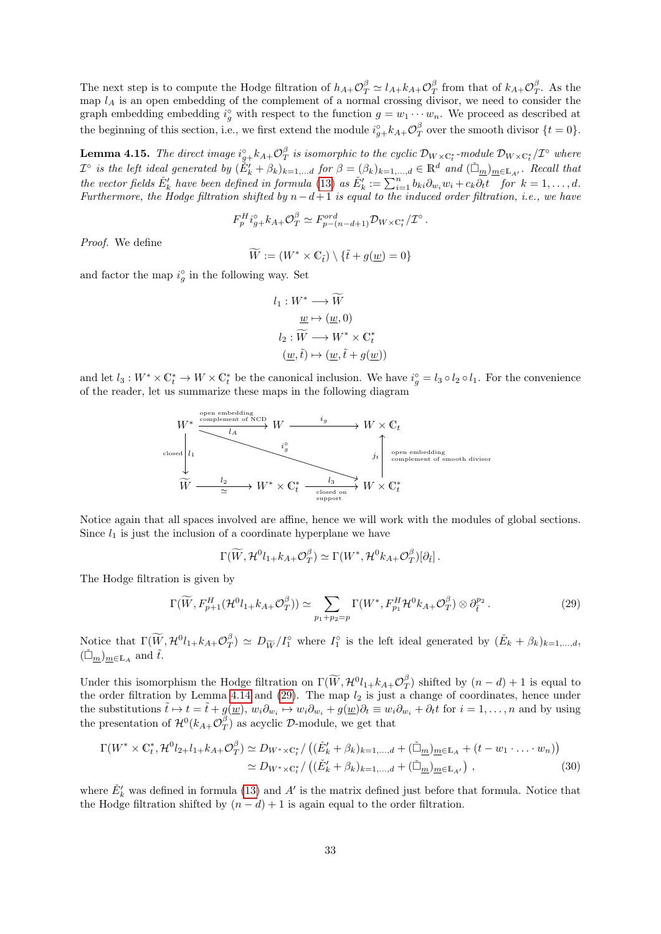The next step is to compute the Hodge filtration of  $h_{A+}\mathcal{O}_{T}^{\beta} \simeq l_{A+}k_{A+}\mathcal{O}_{T}^{\beta}$  from that of  $k_{A+}\mathcal{O}_{T}^{\beta}$ . As the map  $l_A$  is an open embedding of the complement of a normal crossing divisor, we need to consider the graph embedding embedding  $i_g^{\circ}$  with respect to the function  $g = w_1 \cdots w_n$ . We proceed as described at the beginning of this section, i.e., we first extend the module  $i^{\circ}_{g+} k_{A+} \mathcal{O}^{\beta}_T$  over the smooth divisor  $\{t = 0\}$ .

<span id="page-32-1"></span>**Lemma 4.15.** The direct image  $i_{g+}^{\circ}k_{A+}\mathcal{O}_{T}^{\beta}$  is isomorphic to the cyclic  $\mathcal{D}_{W\times \mathbb{C}_{t}^*}$ -module  $\mathcal{D}_{W\times \mathbb{C}_{t}^*}/\mathcal{I}^{\circ}$  where  $\mathcal{I}^{\circ}$  is the left ideal generated by  $(\check{E}'_k + \beta_k)_{k=1,...d}$  for  $\beta = (\beta_k)_{k=1,...,d} \in \mathbb{R}^d$  and  $(\check{\Box}_{\underline{m}})_{\underline{m} \in \mathbb{L}_{A'}}$ . Recall that the vector fields  $E'_k$  have been defined in formula [\(13\)](#page-20-1) as  $E'_k := \sum_{i=1}^n b_{ki} \partial_{w_i} w_i + c_k \overline{\partial_t t}$  for  $k = 1, \ldots, d$ . Furthermore, the Hodge filtration shifted by  $n-d+1$  is equal to the induced order filtration, i.e., we have

$$
F_p^H i_{g+}^{\circ} k_{A+} \mathcal{O}_T^{\beta} \simeq F_{p-(n-d+1)}^{ord} \mathcal{D}_{W \times \mathbb{C}_t^*}/\mathcal{I}^{\circ}.
$$

Proof. We define

$$
\widetilde{W} := (W^* \times \mathbb{C}_{\tilde{t}}) \setminus \{\tilde{t} + g(\underline{w}) = 0\}
$$

and factor the map  $i_g^{\circ}$  in the following way. Set

$$
l_1: W^* \longrightarrow \widetilde{W}
$$
  
\n
$$
\underline{w} \mapsto (\underline{w}, 0)
$$
  
\n
$$
l_2: \widetilde{W} \longrightarrow W^* \times \mathbb{C}_t^*
$$
  
\n
$$
(\underline{w}, \tilde{t}) \mapsto (\underline{w}, \tilde{t} + g(\underline{w}))
$$

and let  $l_3: W^* \times \mathbb{C}_t^* \to W \times \mathbb{C}_t^*$  be the canonical inclusion. We have  $i_g^{\circ} = l_3 \circ l_2 \circ l_1$ . For the convenience of the reader, let us summarize these maps in the following diagram



Notice again that all spaces involved are affine, hence we will work with the modules of global sections. Since  $l_1$  is just the inclusion of a coordinate hyperplane we have

<span id="page-32-2"></span>
$$
\Gamma(\widetilde{W}, \mathcal{H}^0 l_{1+} k_{A+} \mathcal{O}_T^{\beta}) \simeq \Gamma(W^*, \mathcal{H}^0 k_{A+} \mathcal{O}_T^{\beta})[\partial_{\tilde{t}}].
$$

The Hodge filtration is given by

<span id="page-32-0"></span>
$$
\Gamma(\widetilde{W}, F_{p+1}^H(\mathcal{H}^0 l_{1+k} A_+ \mathcal{O}_T^{\beta})) \simeq \sum_{p_1+p_2=p} \Gamma(W^*, F_{p_1}^H \mathcal{H}^0 k_{A+} \mathcal{O}_T^{\beta}) \otimes \partial_{\tilde{t}}^{p_2}.
$$
\n(29)

Notice that  $\Gamma(\widetilde{W}, \mathcal{H}^0 l_{1+k} A_+ \mathcal{O}_T^{\beta}) \simeq D_{\widetilde{W}}/I_1^{\circ}$  where  $I_1^{\circ}$  is the left ideal generated by  $(\check{E}_k + \beta_k)_{k=1,\dots,d}$  $(\check{\Box}_{\underline{m}})_{\underline{m}\in\mathbb{L}_A}$  and  $\tilde{t}$ .

Under this isomorphism the Hodge filtration on  $\Gamma(\widetilde{W}, \mathcal{H}^0 l_{1+}k_{A+}\mathcal{O}^{\beta}_T)$  shifted by  $(n-d)+1$  is equal to the order filtration by Lemma [4.14](#page-30-1) and  $(29)$ . The map  $l_2$  is just a change of coordinates, hence under the substitutions  $\tilde{t} \mapsto t = \tilde{t} + g(\underline{w}), w_i \partial_{w_i} \mapsto w_i \partial_{w_i} + g(\underline{w}) \partial_t \equiv w_i \partial_{w_i} + \partial_t t$  for  $i = 1, ..., n$  and by using the presentation of  $\mathcal{H}^0(k_{A+}\mathcal{O}^{\beta}_{T})$  as acyclic D-module, we get that

$$
\Gamma(W^* \times \mathbb{C}_t^*, \mathcal{H}^0 l_{2+} l_{1+} k_{A+} \mathcal{O}_T^{\beta}) \simeq D_{W^* \times \mathbb{C}_t^*} / ((\check{E}_k' + \beta_k)_{k=1,\dots,d} + (\check{\Box}_m)_{m \in \mathbb{L}_A} + (t - w_1 \cdot \dots \cdot w_n))
$$
  
\simeq D\_{W^\* \times \mathbb{C}\_t^\*} / ((\check{E}\_k' + \beta\_k)\_{k=1,\dots,d} + (\check{\Box}\_m)\_{m \in \mathbb{L}\_{A'}}), (30)

where  $\check{E}'_k$  was defined in formula [\(13\)](#page-20-1) and  $A'$  is the matrix defined just before that formula. Notice that the Hodge filtration shifted by  $(n - d) + 1$  is again equal to the order filtration.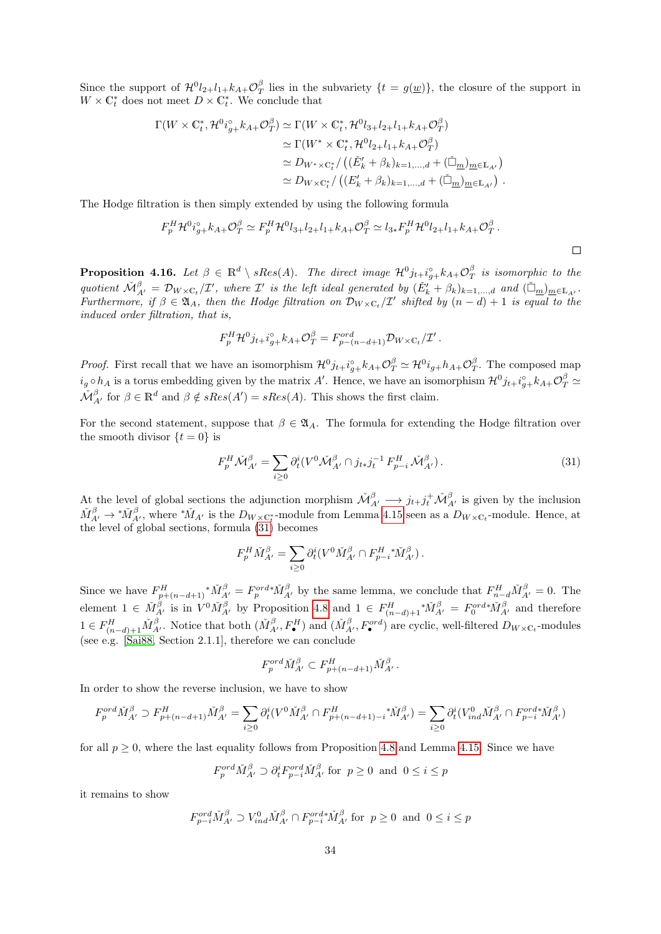Since the support of  $\mathcal{H}^0 l_{2+l_1+k} A_+ \mathcal{O}_T^{\beta}$  lies in the subvariety  $\{t = g(\underline{w})\}$ , the closure of the support in  $W \times \mathbb{C}_t^*$  does not meet  $D \times \mathbb{C}_t^*$ . We conclude that

$$
\Gamma(W \times \mathbb{C}_t^*, \mathcal{H}^0 i_{g+}^{\circ} k_{A+} \mathcal{O}_T^{\beta}) \simeq \Gamma(W \times \mathbb{C}_t^*, \mathcal{H}^0 l_{3+} l_{2+} l_{1+} k_{A+} \mathcal{O}_T^{\beta})
$$
  
\n
$$
\simeq \Gamma(W^* \times \mathbb{C}_t^*, \mathcal{H}^0 l_{2+} l_{1+} k_{A+} \mathcal{O}_T^{\beta})
$$
  
\n
$$
\simeq D_{W^* \times \mathbb{C}_t^*} / \left( (\check{E}_k' + \beta_k)_{k=1,\dots,d} + (\check{\Box}_{\underline{m}})_{\underline{m} \in \mathbb{L}_{A'}} \right)
$$
  
\n
$$
\simeq D_{W \times \mathbb{C}_t^*} / \left( (E_k' + \beta_k)_{k=1,\dots,d} + (\check{\Box}_{\underline{m}})_{\underline{m} \in \mathbb{L}_{A'}} \right).
$$

The Hodge filtration is then simply extended by using the following formula

$$
F_p^H \mathcal{H}^0 i_{g+}^{\circ} k_{A+} \mathcal{O}_T^{\beta} \simeq F_p^H \mathcal{H}^0 l_{3+} l_{2+} l_{1+} k_{A+} \mathcal{O}_T^{\beta} \simeq l_{3*} F_p^H \mathcal{H}^0 l_{2+} l_{1+} k_{A+} \mathcal{O}_T^{\beta}.
$$

<span id="page-33-0"></span>**Proposition 4.16.** Let  $\beta \in \mathbb{R}^d \setminus sRes(A)$ . The direct image  $\mathcal{H}^0 j_{t+} i_{g+}^{\circ} k_{A+} \mathcal{O}_T^{\beta}$  is isomorphic to the quotient  $\check{\mathcal{M}}_{A'}^{\beta} = \mathcal{D}_{W \times \mathbb{C}_t}/\mathcal{I}'$ , where  $\mathcal{I}'$  is the left ideal generated by  $(\check{E}'_k + \beta_k)_{k=1,\dots,d}$  and  $(\check{\Box}_{\underline{m}})_{\underline{m} \in \mathbb{L}_{A'}}$ . Furthermore, if  $\beta \in \mathfrak{A}_A$ , then the Hodge filtration on  $\mathcal{D}_{W \times \mathbb{C}_t}/\mathcal{I}'$  shifted by  $(n-d)+1$  is equal to the induced order filtration, that is,

$$
F_p^H \mathcal{H}^0 j_{t+} i_{g+}^{\circ} k_{A+} \mathcal{O}_T^{\beta} = F_{p-(n-d+1)}^{ord} \mathcal{D}_{W \times \mathbb{C}_t} / \mathcal{I}'.
$$

*Proof.* First recall that we have an isomorphism  $\mathcal{H}^0 j_{t+1}^{\circ} j_{t+1}^{\circ} k_{A+} \mathcal{O}_T^{\beta} \simeq \mathcal{H}^0 i_{g+} h_{A+} \mathcal{O}_T^{\beta}$ . The composed map  $i_g \circ h_A$  is a torus embedding given by the matrix A'. Hence, we have an isomorphism  $\mathcal{H}^0 j_{t+} i_{g+}^{\circ} k_{A+} \mathcal{O}_T^{\beta} \simeq$  $\check{\mathcal{M}}_{A'}^{\beta}$  for  $\beta \in \mathbb{R}^d$  and  $\beta \notin sRes(A') = sRes(A)$ . This shows the first claim.

For the second statement, suppose that  $\beta \in \mathfrak{A}_4$ . The formula for extending the Hodge filtration over the smooth divisor  $\{t = 0\}$  is

<span id="page-33-1"></span>
$$
F_p^H \check{\mathcal{M}}_{A'}^{\beta} = \sum_{i \ge 0} \partial_t^i (V^0 \check{\mathcal{M}}_{A'}^{\beta} \cap j_{t*} j_t^{-1} F_{p-i}^H \check{\mathcal{M}}_{A'}^{\beta}). \tag{31}
$$

At the level of global sections the adjunction morphism  $\mathcal{M}_{A'}^{\beta} \longrightarrow j_{t+j} \dot{t}^{\beta} \mathcal{M}_{A'}^{\beta}$  is given by the inclusion  $\check{M}^{\beta}_{A'} \to {}^*\check{M}^{\beta}_{A'}$ , where  ${}^*\check{M}_{A'}$  is the  $D_{W \times \mathbb{C}^*_t}$ -module from Lemma [4.15](#page-32-1) seen as a  $D_{W \times \mathbb{C}^*_t}$ -module. Hence, at the level of global sections, formula  $(31)$  becomes

$$
F_p^H \check{M}^\beta_{A'} = \sum_{i \geq 0} \partial_t^i (V^0 \check{M}^\beta_{A'} \cap F_{p-i}^H {^*} \check{M}^\beta_{A'}).
$$

Since we have  $F_{p+(n-d+1)}^H * \check{M}_{A'}^\beta = F_p^{ord*} \check{M}_{A'}^\beta$  by the same lemma, we conclude that  $F_{n-d}^H \check{M}_{A'}^\beta = 0$ . The element  $1 \in \check{M}_{A'}^{\beta}$  is in  $V^0 \check{M}_{A'}^{\beta}$  by Proposition [4.8](#page-22-0) and  $1 \in F_{(n-d)+1}^H \check{M}_{A'}^{\beta} = F_0^{ord*} \check{M}_{A'}^{\beta}$  and therefore  $1 \in F_{(n-d)+1}^H \check{M}_{A'}^{\beta}$ . Notice that both  $(\check{M}_{A'}^{\beta}, F_{\bullet}^{H})$  and  $(\check{M}_{A'}^{\beta}, F_{\bullet}^{ord})$  are cyclic, well-filtered  $D_{W \times \mathbb{C}_t}$ -modules (see e.g. [\[Sai88,](#page-75-14) Section 2.1.1], therefore we can conclude

$$
F_p^{ord} \check{M}_{A'}^{\beta} \subset F_{p+(n-d+1)}^H \check{M}_{A'}^{\beta}.
$$

In order to show the reverse inclusion, we have to show

$$
F_p^{ord} \check{M}^\beta_{A'} \supset F^H_{p+(n-d+1)} \check{M}^\beta_{A'} = \sum_{i \geq 0} \partial_t^i (V^0 \check{M}^\beta_{A'} \cap F^H_{p+(n-d+1)-i} {}^*\check{M}^\beta_{A'}) = \sum_{i \geq 0} \partial_t^i (V^0_{ind} \check{M}^\beta_{A'} \cap F^{ord*}_{p-i} \check{M}^\beta_{A'})
$$

for all  $p \geq 0$ , where the last equality follows from Proposition [4.8](#page-22-0) and Lemma [4.15.](#page-32-1) Since we have

$$
F_p^{ord} \check{M}_{A'}^{\beta} \supset \partial_t^i F_{p-i}^{ord} \check{M}_{A'}^{\beta} \text{ for } p \ge 0 \text{ and } 0 \le i \le p
$$

it remains to show

$$
F_{p-i}^{\operatorname{ord}} \check{M}_{A'}^{\beta} \supset V_{ind}^0 \check{M}_{A'}^{\beta} \cap F_{p-i}^{\operatorname{ord}*} \check{M}_{A'}^{\beta} \text{ for } p \ge 0 \text{ and } 0 \le i \le p
$$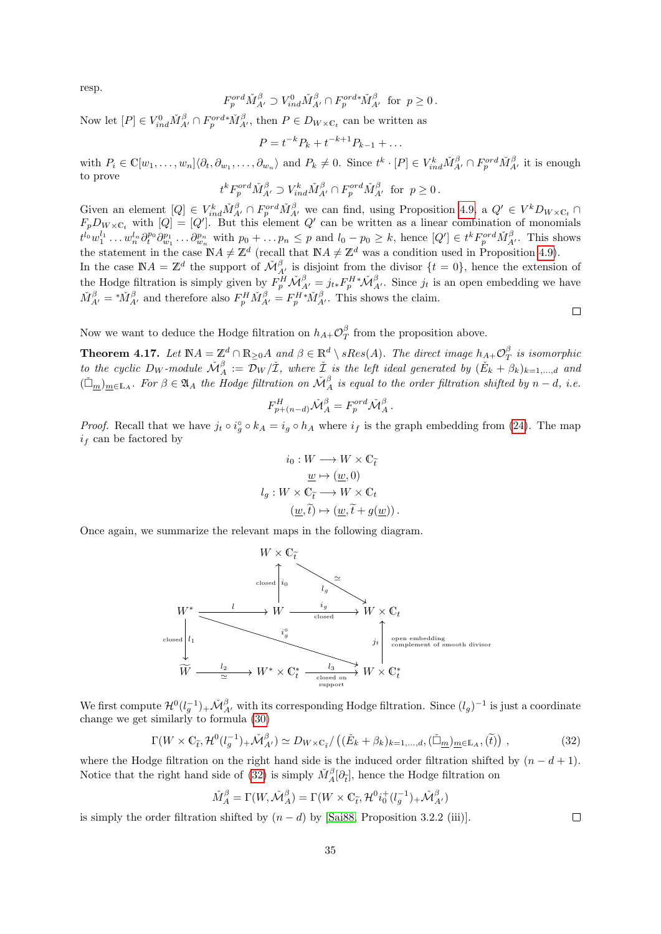resp.

$$
F_p^{ord} \check{M}_{A'}^{\beta} \supset V_{ind}^0 \check{M}_{A'}^{\beta} \cap F_p^{ord*} \check{M}_{A'}^{\beta} \text{ for } p \ge 0.
$$

Now let  $[P] \in V^0_{ind} \check{M}^\beta_{A'} \cap F_p^{ord*} \check{M}^\beta_{A'}$ , then  $P \in D_{W \times \mathbb{C}_t}$  can be written as

$$
P = t^{-k} P_k + t^{-k+1} P_{k-1} + \dots
$$

with  $P_i \in \mathbb{C}[w_1,\ldots,w_n]\langle \partial_t, \partial_{w_1},\ldots,\partial_{w_n}\rangle$  and  $P_k \neq 0$ . Since  $t^k \cdot [P] \in V_{ind}^k \tilde{M}_{A'}^\beta \cap F_p^{ord} \tilde{M}_{A'}^\beta$  it is enough to prove

$$
t^k F_p^{\text{ord}} \check{M}_{A'}^\beta \supset V_{ind}^k \check{M}_{A'}^\beta \cap F_p^{\text{ord}} \check{M}_{A'}^\beta \text{ for } p \ge 0.
$$

Given an element  $[Q] \in V_{ind}^k \tilde{M}_{A'}^\beta \cap F_p^{ord} \tilde{M}_{A'}^\beta$  we can find, using Proposition [4.9,](#page-23-1) a  $Q' \in V^k D_{W \times C_t} \cap$  $F_pD_{W\times C_t}$  with  $[Q] = [Q']$ . But this element Q' can be written as a linear combination of monomials  $t^{l_0}w_1^{l_1}\dots w_n^{l_n}\partial_t^{p_0}\partial_{w_1}^{p_1}\dots\partial_{w_n}^{p_n}$  with  $p_0+\dots p_n\leq p$  and  $l_0-p_0\geq k$ , hence  $[Q']\in t^kF_p^{ord}\check{M}_{A'}^{\beta}$ . This shows the statement in the case  $\mathbb{N}A \neq \mathbb{Z}^d$  (recall that  $\mathbb{N}A \neq \mathbb{Z}^d$  was a condition used in Proposition [4.9\)](#page-23-1).

In the case  $\mathbb{N}A = \mathbb{Z}^d$  the support of  $\mathcal{M}_{A'}^{\beta}$  is disjoint from the divisor  $\{t = 0\}$ , hence the extension of the Hodge filtration is simply given by  $F_p^H \check{\mathcal{M}}_{A'}^\beta = j_{t*} F_p^{H*} \check{\mathcal{M}}_{A'}^\beta$ . Since  $j_t$  is an open embedding we have  $\check{M}^{\beta}_{A'} = {}^*\check{M}^{\beta}_{A'}$  and therefore also  $F^H_p \check{M}^{\beta}_{A'} = F^{H*}_p \check{M}^{\beta}_{A'}$ . This shows the claim.  $\Box$ 

Now we want to deduce the Hodge filtration on  $h_{A+} \mathcal{O}^{\beta}_{T}$  from the proposition above.

<span id="page-34-0"></span>**Theorem 4.17.** Let  $\mathbb{N}A = \mathbb{Z}^d \cap \mathbb{R}_{\geq 0}A$  and  $\beta \in \mathbb{R}^d \setminus sRes(A)$ . The direct image  $h_{A+}\mathcal{O}_T^{\beta}$  is isomorphic to the cyclic  $D_W$ -module  $\check{\mathcal{M}}_A^{\beta} := \mathcal{D}_W/\check{\mathcal{I}}$ , where  $\check{\mathcal{I}}$  is the left ideal generated by  $(\check{E}_k + \beta_k)_{k=1,\dots,d}$  and  $(\check{\Box}_{m})_{m\in\mathbb{L}_A}$ . For  $\beta\in\mathfrak{A}_A$  the Hodge filtration on  $\check{\mathcal{M}}_A^{\beta}$  is equal to the order filtration shifted by  $n-d$ , i.e.

$$
F_{p+(n-d)}^H \check{\mathcal{M}}_A^\beta = F_p^{ord} \check{\mathcal{M}}_A^\beta.
$$

*Proof.* Recall that we have  $j_t \circ i_g^{\circ} \circ k_A = i_g \circ h_A$  where  $i_f$  is the graph embedding from [\(24\)](#page-30-3). The map  $i_f$  can be factored by

$$
i_0: W \longrightarrow W \times \mathbb{C}_{\tilde{t}}
$$

$$
\underline{w} \mapsto (\underline{w}, 0)
$$

$$
l_g: W \times \mathbb{C}_{\tilde{t}} \longrightarrow W \times \mathbb{C}_t
$$

$$
(\underline{w}, \tilde{t}) \mapsto (\underline{w}, \tilde{t} + g(\underline{w})).
$$

Once again, we summarize the relevant maps in the following diagram.



We first compute  $\mathcal{H}^0(l_g^{-1})_+\tilde{\mathcal{M}}_{A'}^{\beta}$  with its corresponding Hodge filtration. Since  $(l_g)^{-1}$  is just a coordinate change we get similarly to formula [\(30\)](#page-32-2)

<span id="page-34-1"></span>
$$
\Gamma(W \times \mathbb{C}_{\tilde{t}}, \mathcal{H}^0(l_g^{-1})_+ \check{\mathcal{M}}_{A'}^\beta) \simeq D_{W \times \mathbb{C}_{\tilde{t}}}/\left((\check{E}_k + \beta_k)_{k=1,\dots,d}, (\check{\Box}_m)_{m \in \mathbb{L}_A}, (\check{t})\right),\tag{32}
$$

where the Hodge filtration on the right hand side is the induced order filtration shifted by  $(n - d + 1)$ . Notice that the right hand side of [\(32\)](#page-34-1) is simply  $\check{M}^{\beta}_A[\partial_{\vec{t}}]$ , hence the Hodge filtration on

$$
\check{M}^{\beta}_{A} = \Gamma(W, \check{\mathcal{M}}^{\beta}_{A}) = \Gamma(W \times \mathbb{C}_{\tilde{t}}, \mathcal{H}^0 i^+_0 (l^{-1}_g)_{+} \check{\mathcal{M}}^{\beta}_{A'})
$$

is simply the order filtration shifted by  $(n - d)$  by [\[Sai88,](#page-75-14) Proposition 3.2.2 (iii)].

 $\Box$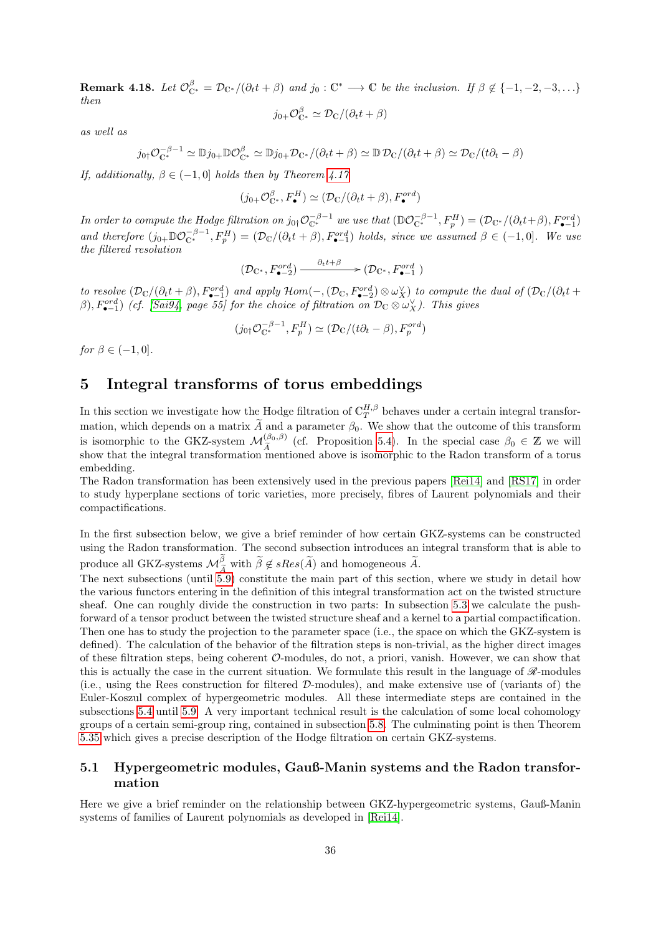<span id="page-35-2"></span>**Remark 4.18.** Let  $\mathcal{O}_{\mathbb{C}^*}^{\beta} = \mathcal{D}_{\mathbb{C}^*}/(\partial_t t + \beta)$  and  $j_0 : \mathbb{C}^* \longrightarrow \mathbb{C}$  be the inclusion. If  $\beta \notin \{-1, -2, -3, \dots\}$ then

$$
j_{0+}\mathcal{O}_{\mathbb{C}^*}^{\beta} \simeq \mathcal{D}_{\mathbb{C}}/(\partial_t t + \beta)
$$

as well as

$$
j_{0\dagger} \mathcal{O}_{\mathbb{C}^*}^{-\beta-1} \simeq \mathbb{D} j_{0+} \mathbb{D} \mathcal{O}_{\mathbb{C}^*}^{\beta} \simeq \mathbb{D} j_{0+} \mathcal{D}_{\mathbb{C}^*} / (\partial_t t + \beta) \simeq \mathbb{D} \mathcal{D}_{\mathbb{C}} / (\partial_t t + \beta) \simeq \mathcal{D}_{\mathbb{C}} / (t \partial_t - \beta)
$$

If, additionally,  $\beta \in (-1,0]$  holds then by Theorem [4.17](#page-34-0)

$$
(j_{0+}\mathcal{O}_{\mathbb{C}^*}^{\beta}, F_{\bullet}^H) \simeq (\mathcal{D}_{\mathbb{C}}/(\partial_t t + \beta), F_{\bullet}^{ord})
$$

In order to compute the Hodge filtration on  $j_{0}$ + $\mathcal{O}_{\mathbb{C}^*}^{-\beta-1}$  we use that  $(\mathbb{D} \mathcal{O}_{\mathbb{C}^*}^{-\beta-1}, F_p^H) = (\mathcal{D}_{\mathbb{C}^*}/(\partial_t t + \beta), F_{\bullet-1}^{ord})$ and therefore  $(j_{0+} \mathbb{D} \mathcal{O}_{\mathbb{C}^*}^{-\beta-1}, F_p^H) = (\mathcal{D}_{\mathbb{C}}/(\partial_t t + \beta), F_{\bullet-1}^{ord})$  holds, since we assumed  $\beta \in (-1,0]$ . We use the filtered resolution

$$
(\mathcal{D}_{\mathbb{C}^*}, F_{\bullet-2}^{ord}) \xrightarrow{\partial_t t + \beta} (\mathcal{D}_{\mathbb{C}^*}, F_{\bullet-1}^{ord})
$$

to resolve  $(\mathcal{D}_{\mathbb{C}}/(\partial_t t + \beta), F_{\bullet-1}^{ord})$  and apply  $\mathcal{H}om(-, (\mathcal{D}_{\mathbb{C}}, F_{\bullet-2}^{ord}) \otimes \omega_X^{\vee})$  to compute the dual of  $(\mathcal{D}_{\mathbb{C}}/(\partial_t t +$  $(\beta), F_{\bullet-1}^{ord}$ ) (cf. [\[Sai94,](#page-75-15) page 55] for the choice of filtration on  $\mathcal{D}_{\mathbb{C}} \otimes \omega_X^{\vee}$ ). This gives

$$
(j_{0\dagger} \mathcal{O}_{\mathbb{C}^*}^{-\beta - 1}, F_p^H) \simeq (\mathcal{D}_{\mathbb{C}}/(t\partial_t - \beta), F_p^{ord})
$$

for  $\beta \in (-1,0]$ .

# <span id="page-35-0"></span>5 Integral transforms of torus embeddings

In this section we investigate how the Hodge filtration of  $\mathbb{C}_T^{H,\beta}$  behaves under a certain integral transformation, which depends on a matrix  $\widetilde{A}$  and a parameter  $\beta_0$ . We show that the outcome of this transform is isomorphic to the GKZ-system  $\mathcal{M}_{\tilde{A}}^{(\beta_0,\beta)}$  (cf. Proposition [5.4\)](#page-39-0). In the special case  $\beta_0 \in \mathbb{Z}$  we will<br>show that the integral transformation mentioned above is isomorphic to the Badon transform of a toru show that the integral transformation mentioned above is isomorphic to the Radon transform of a torus embedding.

The Radon transformation has been extensively used in the previous papers [\[Rei14\]](#page-75-0) and [\[RS17\]](#page-75-3) in order to study hyperplane sections of toric varieties, more precisely, fibres of Laurent polynomials and their compactifications.

In the first subsection below, we give a brief reminder of how certain GKZ-systems can be constructed using the Radon transformation. The second subsection introduces an integral transform that is able to produce all GKZ-systems  $\mathcal{M}_{\widetilde{A}}^{\beta}$  with  $\widetilde{\beta} \notin sRes(\widetilde{A})$  and homogeneous  $\widetilde{A}$ .<br>The next subsections (until [5.9\)](#page-62-0) constitute the main part of this section, where we study in detail how

the various functors entering in the definition of this integral transformation act on the twisted structure sheaf. One can roughly divide the construction in two parts: In subsection [5.3](#page-41-0) we calculate the pushforward of a tensor product between the twisted structure sheaf and a kernel to a partial compactification. Then one has to study the projection to the parameter space (i.e., the space on which the GKZ-system is defined). The calculation of the behavior of the filtration steps is non-trivial, as the higher direct images of these filtration steps, being coherent  $\mathcal{O}\text{-modules}$ , do not, a priori, vanish. However, we can show that this is actually the case in the current situation. We formulate this result in the language of  $\mathscr{R}\text{-modules}$ (i.e., using the Rees construction for filtered D-modules), and make extensive use of (variants of) the Euler-Koszul complex of hypergeometric modules. All these intermediate steps are contained in the subsections [5.4](#page-47-0) until [5.9.](#page-62-0) A very important technical result is the calculation of some local cohomology groups of a certain semi-group ring, contained in subsection [5.8.](#page-57-0) The culminating point is then Theorem [5.35](#page-63-0) which gives a precise description of the Hodge filtration on certain GKZ-systems.

### <span id="page-35-1"></span>5.1 Hypergeometric modules, Gauß-Manin systems and the Radon transformation

Here we give a brief reminder on the relationship between GKZ-hypergeometric systems, Gauß-Manin systems of families of Laurent polynomials as developed in [\[Rei14\]](#page-75-0).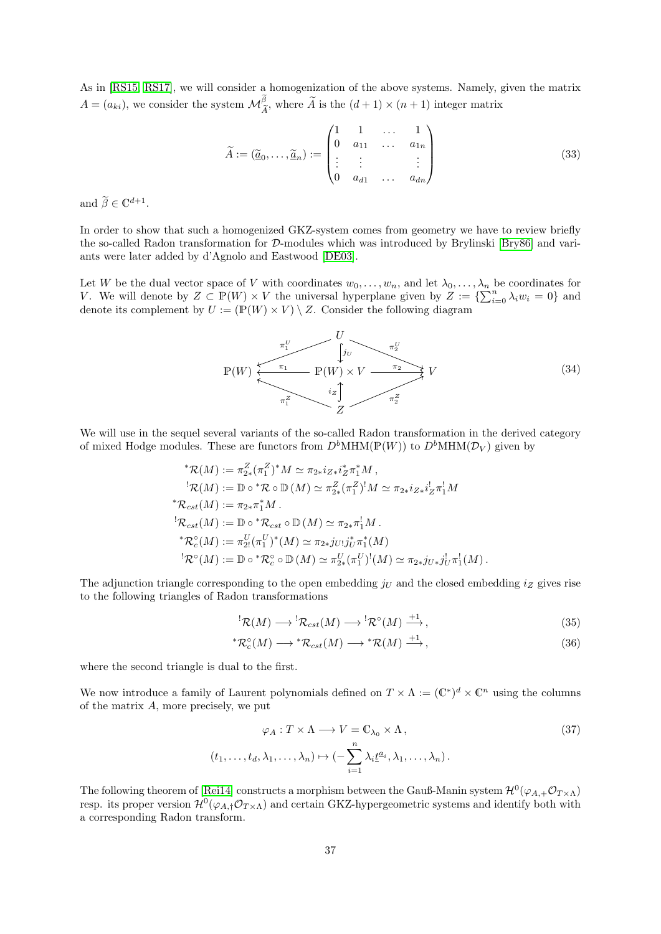As in [\[RS15,](#page-75-0) [RS17\]](#page-75-1), we will consider a homogenization of the above systems. Namely, given the matrix  $A = (a_{ki})$ , we consider the system  $\mathcal{M}_{\widetilde{A}}^{\beta}$ , where  $\widetilde{A}$  is the  $(d+1) \times (n+1)$  integer matrix

<span id="page-36-3"></span>
$$
\widetilde{A} := (\widetilde{\underline{a}}_0, \dots, \widetilde{\underline{a}}_n) := \begin{pmatrix} 1 & 1 & \dots & 1 \\ 0 & a_{11} & \dots & a_{1n} \\ \vdots & \vdots & & \vdots \\ 0 & a_{d1} & \dots & a_{dn} \end{pmatrix}
$$
\n(33)

and  $\widetilde{\beta} \in \mathbb{C}^{d+1}$ .

In order to show that such a homogenized GKZ-system comes from geometry we have to review briefly the so-called Radon transformation for D-modules which was introduced by Brylinski [\[Bry86\]](#page-74-0) and variants were later added by d'Agnolo and Eastwood [\[DE03\]](#page-74-1).

Let W be the dual vector space of V with coordinates  $w_0, \ldots, w_n$ , and let  $\lambda_0, \ldots, \lambda_n$  be coordinates for V. We will denote by  $Z \subset \mathbb{P}(W) \times V$  the universal hyperplane given by  $Z := \{ \sum_{i=0}^{n} \lambda_i w_i = 0 \}$  and denote its complement by  $U := (\mathbb{P}(W) \times V) \setminus Z$ . Consider the following diagram

<span id="page-36-2"></span>
$$
P(W) \xleftarrow{\pi_1^U} P(W) \times V \xrightarrow{\pi_2^U} V
$$
\n
$$
\uparrow
$$
\n
$$
P(W) \times V \xrightarrow{\pi_2} V
$$
\n(34)

We will use in the sequel several variants of the so-called Radon transformation in the derived category of mixed Hodge modules. These are functors from  $D^bMHM(\mathbb{P}(W))$  to  $D^bMHM(\mathcal{D}_V)$  given by

$$
{}^*\mathcal{R}(M) := \pi_{2*}^Z (\pi_1^Z)^* M \simeq \pi_{2*} i_{Z*} i_Z^* \pi_1^* M,
$$
  
\n
$$
{}^!\mathcal{R}(M) := \mathbb{D} \circ {}^*\mathcal{R} \circ \mathbb{D}(M) \simeq \pi_{2*}^Z (\pi_1^Z)^! M \simeq \pi_{2*} i_{Z*} i_Z^! \pi_1^! M
$$
  
\n
$$
{}^*\mathcal{R}_{cst}(M) := \pi_{2*} \pi_1^* M.
$$
  
\n
$$
{}^!\mathcal{R}_{cst}(M) := \mathbb{D} \circ {}^*\mathcal{R}_{cst} \circ \mathbb{D}(M) \simeq \pi_{2*} \pi_1^! M.
$$
  
\n
$$
{}^*\mathcal{R}_c^{\circ}(M) := \pi_{2!}^U (\pi_1^U)^* (M) \simeq \pi_{2*} j_{U!} j_U^* \pi_1^*(M)
$$
  
\n
$$
{}^!\mathcal{R}^{\circ}(M) := \mathbb{D} \circ {}^*\mathcal{R}_c^{\circ} \circ \mathbb{D}(M) \simeq \pi_{2*}^U (\pi_1^U)^! (M) \simeq \pi_{2*} j_{U*} j_U^! \pi_1^1(M).
$$

The adjunction triangle corresponding to the open embedding  $j_U$  and the closed embedding  $i_Z$  gives rise to the following triangles of Radon transformations

<span id="page-36-1"></span><span id="page-36-0"></span>
$$
{}^{!}\mathcal{R}(M) \longrightarrow {}^{!}\mathcal{R}_{cst}(M) \longrightarrow {}^{!}\mathcal{R}^{\circ}(M) \stackrel{+1}{\longrightarrow}, \tag{35}
$$

$$
{}^*{\mathcal R}_c^{\circ}(M) \longrightarrow {}^*{\mathcal R}_{cst}(M) \longrightarrow {}^*{\mathcal R}(M) \stackrel{+1}{\longrightarrow}, \tag{36}
$$

where the second triangle is dual to the first.

We now introduce a family of Laurent polynomials defined on  $T \times \Lambda := (\mathbb{C}^*)^d \times \mathbb{C}^n$  using the columns of the matrix A, more precisely, we put

$$
\varphi_A: T \times \Lambda \longrightarrow V = \mathbb{C}_{\lambda_0} \times \Lambda,
$$
  
( $t_1, \ldots, t_d, \lambda_1, \ldots, \lambda_n$ )  $\mapsto$  ( $-\sum_{i=1}^n \lambda_i \underline{t}^{a_i}, \lambda_1, \ldots, \lambda_n$ ). (37)

The following theorem of [\[Rei14\]](#page-75-2) constructs a morphism between the Gauß-Manin system  $\mathcal{H}^0(\varphi_{A,+}\mathcal{O}_{T\times\Lambda})$ resp. its proper version  $\mathcal{H}^0(\varphi_{A,\dagger}\mathcal{O}_{T\times\Lambda})$  and certain GKZ-hypergeometric systems and identify both with a corresponding Radon transform.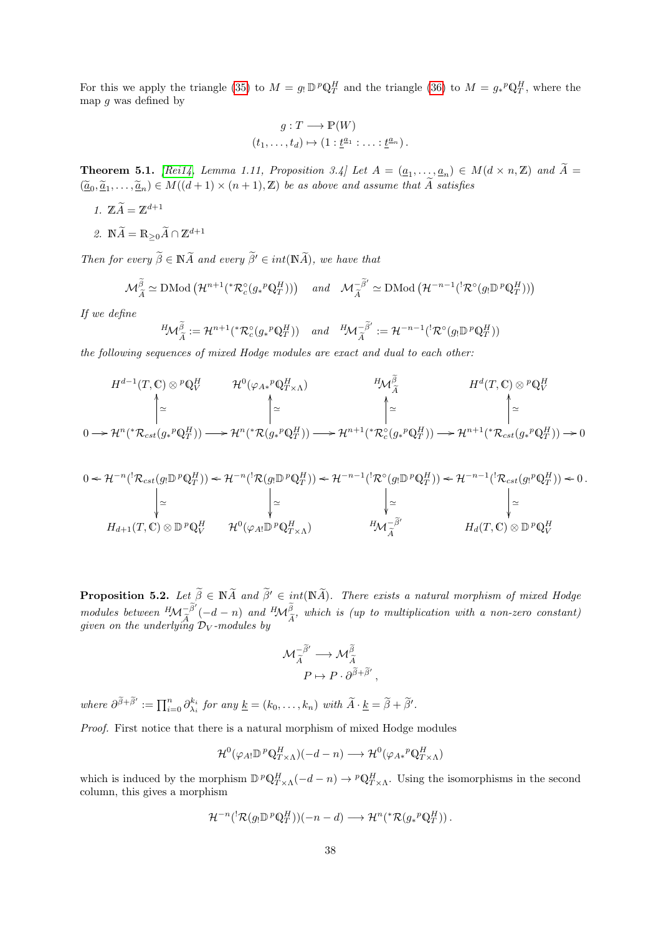For this we apply the triangle [\(35\)](#page-36-0) to  $M = g_! \mathbb{D}^p \mathbb{Q}^H_T$  and the triangle [\(36\)](#page-36-1) to  $M = g_*^p \mathbb{Q}^H_T$ , where the map  $g$  was defined by

$$
g: T \longrightarrow \mathbb{P}(W)
$$
  

$$
(t_1, \ldots, t_d) \mapsto (1 : \underline{t}^{a_1} : \ldots : \underline{t}^{a_n}).
$$

<span id="page-37-0"></span>**Theorem 5.1.** [\[Rei14,](#page-75-2) Lemma 1.11, Proposition 3.4] Let  $A = (\underline{a}_1, \ldots, \underline{a}_n) \in M(d \times n, \mathbb{Z})$  and  $\widetilde{A} = \widetilde{A}$  $(\underline{\tilde{a}}_0, \underline{\tilde{a}}_1, \ldots, \underline{\tilde{a}}_n) \in M((d+1) \times (n+1), \mathbb{Z})$  be as above and assume that  $\tilde{A}$  satisfies

- 1.  $\widetilde{Z} \cdot \widetilde{A} = \mathbb{Z}^{d+1}$
- 2.  $\mathbb{N}\widetilde{A}=\mathbb{R}_{\geq 0}\widetilde{A}\cap \mathbb{Z}^{d+1}$

Then for every  $\widetilde{\beta} \in \mathbb{N} \widetilde{A}$  and every  $\widetilde{\beta}' \in int(\mathbb{N} \widetilde{A})$ , we have that

$$
\mathcal{M}_{\widetilde{A}}^{\widetilde{\beta}} \simeq \mathrm{DMod}\left(\mathcal{H}^{n+1}({}^*\mathcal{R}_c^{\circ}(g_*{}^p \mathbb{Q}_T^H))\right) \quad \text{and} \quad \mathcal{M}_{\widetilde{A}}^{-\widetilde{\beta}'} \simeq \mathrm{DMod}\left(\mathcal{H}^{-n-1}({}^! \mathcal{R}^{\circ}(g_! \mathbb{D}^p \mathbb{Q}_T^H))\right)
$$

If we define

$$
{}^{H}\!{\cal M}_{\widetilde{A}}^{\widetilde{\beta}}:={\cal H}^{n+1}({}^*\mathcal{R}_c^{\circ}(g_*{}^p{\mathbb{Q}}^H_T)) \quad and \quad {}^{H}\!{\cal M}_{\widetilde{A}}^{-\widetilde{\beta}'}:={\cal H}^{-n-1}({}^{!}\mathcal{R}^{\circ}(g_!{}^{{\mathbb{D}}}{}^p{\mathbb{Q}}^H_T))
$$

the following sequences of mixed Hodge modules are exact and dual to each other:

$$
H^{d-1}(T, \mathbb{C}) \otimes {}^{p}\mathbb{Q}_{V}^{H} \qquad \mathcal{H}^{0}(\varphi_{A*} {}^{p}\mathbb{Q}_{T\times\Lambda}^{H}) \qquad H^{d}(\overline{T}, \mathbb{C}) \otimes {}^{p}\mathbb{Q}_{V}^{H}
$$
  
\n
$$
\uparrow \simeq \qquad \qquad \uparrow \simeq \qquad \qquad \uparrow \simeq \qquad \qquad \uparrow \simeq \qquad \qquad \uparrow \simeq \qquad \qquad \downarrow
$$
  
\n
$$
0 \longrightarrow \mathcal{H}^{n}({}^{*}\mathcal{R}_{cst}(g_{*} {}^{p}\mathbb{Q}_{T}^{H})) \longrightarrow \mathcal{H}^{n}({}^{*}\mathcal{R}(g_{*} {}^{p}\mathbb{Q}_{T}^{H})) \longrightarrow \mathcal{H}^{n+1}({}^{*}\mathcal{R}_{c}^{\circ}(g_{*} {}^{p}\mathbb{Q}_{T}^{H})) \longrightarrow \mathcal{H}^{n+1}({}^{*}\mathcal{R}_{cst}(g_{*} {}^{p}\mathbb{Q}_{T}^{H})) \longrightarrow 0
$$

$$
0 \leftarrow \mathcal{H}^{-n}({}^{!}\mathcal{R}_{cst}(g_{!}\mathbb{D}^{p}\mathbb{Q}_{T}^{H})) \leftarrow \mathcal{H}^{-n}({}^{!}\mathcal{R}(g_{!}\mathbb{D}^{p}\mathbb{Q}_{T}^{H})) \leftarrow \mathcal{H}^{-n-1}({}^{!}\mathcal{R}^{\circ}(g_{!}\mathbb{D}^{p}\mathbb{Q}_{T}^{H})) \leftarrow \mathcal{H}^{-n-1}({}^{!}\mathcal{R}_{cst}(g_{!}^{p}\mathbb{Q}_{T}^{H})) \leftarrow 0.
$$
\n
$$
\begin{vmatrix}\n\omega & \omega & \omega \\
\omega & \omega & \omega \\
\omega & \omega & \omega \\
\omega & \omega & \omega\n\end{vmatrix}
$$
\n
$$
H_{d+1}(T, \mathbb{C}) \otimes \mathbb{D}^{p}\mathbb{Q}_{V}^{H} \qquad \mathcal{H}^{0}(\varphi_{A!}\mathbb{D}^{p}\mathbb{Q}_{T\times\Lambda}^{H}) \qquad H_{\mathcal{M}}^{-\tilde{\beta}'} \qquad H_{d}(T, \mathbb{C}) \otimes \mathbb{D}^{p}\mathbb{Q}_{V}^{H}
$$

<span id="page-37-1"></span>**Proposition 5.2.** Let  $\widetilde{\beta} \in \mathbb{N} \widetilde{A}$  and  $\widetilde{\beta}' \in \text{int}(\mathbb{N} \widetilde{A})$ . There exists a natural morphism of mixed Hodge modules between  ${}^H \mathcal{M}_{\tilde{A}}^{-\tilde{\beta}'}(-d-n)$  and  ${}^H \mathcal{M}_{\tilde{A}}^{\tilde{\beta}}$ , which is (up to multiplication with a non-zero constant)<br>given on the underlying  $\mathcal{D}_{\tilde{A}}$  modules by given on the underlying  $\mathcal{D}_V$ -modules by

$$
\mathcal{M}_{\widetilde{A}}^{-\widetilde{\beta}'} \longrightarrow \mathcal{M}_{\widetilde{A}}^{\widetilde{\beta}}
$$

$$
P \mapsto P \cdot \partial^{\widetilde{\beta} + \widetilde{\beta}'}
$$

,

where  $\partial^{\widetilde{\beta}+\widetilde{\beta}'} := \prod_{i=0}^n \partial_{\lambda_i}^{k_i}$  for any  $\underline{k} = (k_0, \ldots, k_n)$  with  $\widetilde{A} \cdot \underline{k} = \widetilde{\beta} + \widetilde{\beta}'$ .

Proof. First notice that there is a natural morphism of mixed Hodge modules

$$
\mathcal{H}^0(\varphi_{A!}\mathbb{D}^p\mathbb{Q}^H_{T\times\Lambda})(-d-n)\longrightarrow \mathcal{H}^0(\varphi_{A*}{}^p\mathbb{Q}^H_{T\times\Lambda})
$$

which is induced by the morphism  $\mathbb{D}^p \mathbb{Q}^H_{T \times \Lambda}(-d - n) \to^p \mathbb{Q}^H_{T \times \Lambda}$ . Using the isomorphisms in the second column, this gives a morphism

$$
\mathcal{H}^{-n}({}^{!}\mathcal{R}(g_{!}\mathbb{D}^p\mathbb{Q}^H_T))(-n-d)\longrightarrow \mathcal{H}^{n}({}^{*}\mathcal{R}(g_{*}^p\mathbb{Q}^H_T)).
$$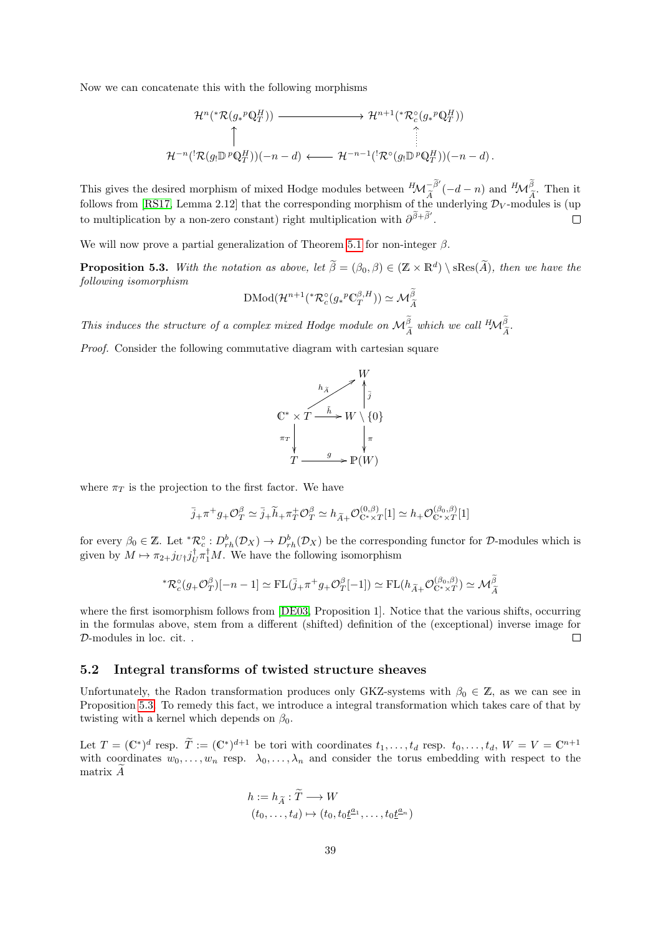Now we can concatenate this with the following morphisms

$$
\mathcal{H}^{n}({}^*\mathcal{R}(g_*^p\mathbb{Q}_T^H)) \longrightarrow \mathcal{H}^{n+1}({}^*\mathcal{R}_c^{\circ}(g_*^p\mathbb{Q}_T^H))
$$
\n
$$
\uparrow \qquad \qquad \uparrow
$$
\n
$$
\mathcal{H}^{-n}({}^!\mathcal{R}(g_!\mathbb{D}^p\mathbb{Q}_T^H))(-n-d) \longleftarrow \mathcal{H}^{-n-1}({}^!\mathcal{R}^{\circ}(g_!\mathbb{D}^p\mathbb{Q}_T^H))(-n-d).
$$

This gives the desired morphism of mixed Hodge modules between  ${}^H \mathcal{M}_{\widetilde{A}}^{-\widetilde{\beta}'}(-d-n)$  and  ${}^H \mathcal{M}_{\widetilde{A}}^{\widetilde{\beta}}$ . Then it follows from [\[RS17,](#page-75-1) Lemma 2.12] that the corresponding morphism of the underlying  $\mathcal{D}_V$ -modules is (up to multiplication by a non-zero constant) right multiplication with  $\partial^{\tilde{\beta}+\tilde{\beta}'}$ .  $\Box$ 

We will now prove a partial generalization of Theorem [5.1](#page-37-0) for non-integer  $\beta$ .

<span id="page-38-0"></span>**Proposition 5.3.** With the notation as above, let  $\widetilde{\beta} = (\beta_0, \beta) \in (\mathbb{Z} \times \mathbb{R}^d) \setminus \text{sRes}(\widetilde{A})$ , then we have the following isomorphism

$$
\mathrm{DMod}(\mathcal{H}^{n+1}({}^*\mathcal{R}_c^{\circ}(g_*{}^p\mathbb{C}_T^{\beta,H})) \simeq \mathcal{M}_{\widetilde{A}}^{\widetilde{\beta}}
$$

This induces the structure of a complex mixed Hodge module on  $\mathcal{M}_{\widetilde{A}}^{\beta}$  which we call  ${}^H \! \mathcal{M}_{\widetilde{A}}^{\beta}$ .

Proof. Consider the following commutative diagram with cartesian square



where  $\pi_T$  is the projection to the first factor. We have

$$
\overline{j}_{+}\pi^{+}g_{+}\mathcal{O}_{T}^{\beta} \simeq \overline{j}_{+}\widetilde{h}_{+}\pi_{T}^{+}\mathcal{O}_{T}^{\beta} \simeq h_{\widetilde{A}+}\mathcal{O}_{\mathbb{C}^{*}\times T}^{(0,\beta)}[1] \simeq h_{+}\mathcal{O}_{\mathbb{C}^{*}\times T}^{(\beta_{0},\beta)}[1]
$$

for every  $\beta_0 \in \mathbb{Z}$ . Let  ${}^*\mathcal{R}_c^{\circ}: D_{rh}^b(\mathcal{D}_X) \to D_{rh}^b(\mathcal{D}_X)$  be the corresponding functor for  $\mathcal{D}$ -modules which is given by  $M \mapsto \pi_{2+}j_{U^{\dagger}}j^{\dagger}_{U}\pi^{\dagger}_{1}M$ . We have the following isomorphism

$$
{}^*\mathcal{R}_c^{\circ}(g_+\mathcal{O}_T^{\beta})[-n-1] \simeq \mathrm{FL}(\bar{j}_+\pi^+g_+\mathcal{O}_T^{\beta}[-1]) \simeq \mathrm{FL}(h_{\widetilde{A}^+}\mathcal{O}_{\mathbb{C}^*\times T}^{(\beta_0,\beta)}) \simeq \mathcal{M}_{\widetilde{A}}^{\widetilde{\beta}}
$$

where the first isomorphism follows from [\[DE03,](#page-74-1) Proposition 1]. Notice that the various shifts, occurring in the formulas above, stem from a different (shifted) definition of the (exceptional) inverse image for D-modules in loc. cit. .  $\Box$ 

#### <span id="page-38-1"></span>5.2 Integral transforms of twisted structure sheaves

Unfortunately, the Radon transformation produces only GKZ-systems with  $\beta_0 \in \mathbb{Z}$ , as we can see in Proposition [5.3.](#page-38-0) To remedy this fact, we introduce a integral transformation which takes care of that by twisting with a kernel which depends on  $\beta_0$ .

Let  $T = (\mathbb{C}^*)^d$  resp.  $\widetilde{T} := (\mathbb{C}^*)^{d+1}$  be tori with coordinates  $t_1, \ldots, t_d$  resp.  $t_0, \ldots, t_d, W = V = \mathbb{C}^{n+1}$ with coordinates  $w_0, \ldots, w_n$  resp.  $\lambda_0, \ldots, \lambda_n$  and consider the torus embedding with respect to the matrix  $\ddot{A}$ 

$$
h := h_{\widetilde{A}} : \widetilde{T} \longrightarrow W
$$
  

$$
(t_0, \dots, t_d) \mapsto (t_0, t_0 \underline{t}^{a_1}, \dots, t_0 \underline{t}^{a_n})
$$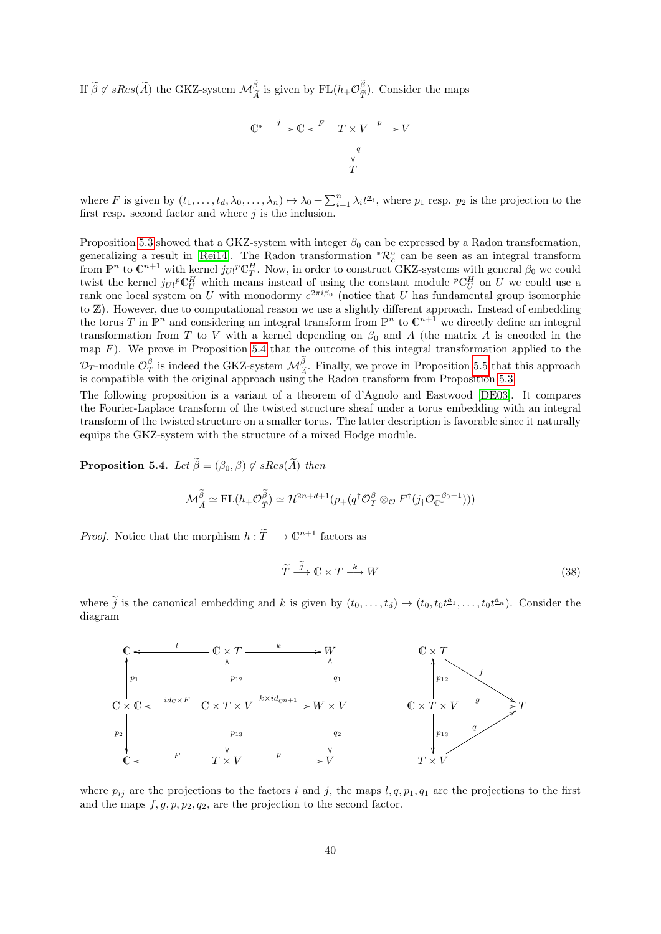If  $\widetilde{\beta} \notin sRes(\widetilde{A})$  the GKZ-system  $\mathcal{M}_{\widetilde{A}}^{\beta}$  is given by  $FL(h_+\mathcal{O}_{\widetilde{T}}^{\beta})$  $(\tilde{\tau})$ . Consider the maps

$$
\mathbb{C}^* \xrightarrow{j} \mathbb{C} \xleftarrow{F} T \times V \xrightarrow{p} V
$$

$$
\downarrow{q}
$$

$$
T
$$

where F is given by  $(t_1,\ldots,t_d,\lambda_0,\ldots,\lambda_n) \mapsto \lambda_0 + \sum_{i=1}^n \lambda_i \underline{t}^{a_i}$ , where  $p_1$  resp.  $p_2$  is the projection to the first resp. second factor and where  $j$  is the inclusion.

Proposition [5.3](#page-38-0) showed that a GKZ-system with integer  $\beta_0$  can be expressed by a Radon transformation, generalizing a result in [\[Rei14\]](#page-75-2). The Radon transformation  ${}^*\mathcal{R}_c^{\circ}$  can be seen as an integral transform from  $\mathbb{P}^n$  to  $\mathbb{C}^{n+1}$  with kernel  $j_{U!}P\mathbb{C}^H_T$ . Now, in order to construct GKZ-systems with general  $\beta_0$  we could twist the kernel  $j_{U}$ <sup>p</sup>C<sub>U</sub><sup>H</sup> which means instead of using the constant module <sup>p</sup>C<sub>U</sub><sup>H</sup> on U we could use a rank one local system on U with monodormy  $e^{2\pi i\beta_0}$  (notice that U has fundamental group isomorphic to Z). However, due to computational reason we use a slightly different approach. Instead of embedding the torus T in  $\mathbb{P}^n$  and considering an integral transform from  $\mathbb{P}^n$  to  $\mathbb{C}^{n+1}$  we directly define an integral transformation from T to V with a kernel depending on  $\beta_0$  and A (the matrix A is encoded in the map  $F$ ). We prove in Proposition [5.4](#page-39-0) that the outcome of this integral transformation applied to the  $\mathcal{D}_T$ -module  $\mathcal{O}_T^{\beta}$  is indeed the GKZ-system  $\mathcal{M}_{\tilde{A}}^{\beta}$ . Finally, we prove in Proposition [5.5](#page-40-0) that this approach<br>is compatible with the original approach using the Badon transform from Proposition 5.3 is compatible with the original approach using the Radon transform from Proposition [5.3.](#page-38-0)

The following proposition is a variant of a theorem of d'Agnolo and Eastwood [\[DE03\]](#page-74-1). It compares the Fourier-Laplace transform of the twisted structure sheaf under a torus embedding with an integral transform of the twisted structure on a smaller torus. The latter description is favorable since it naturally equips the GKZ-system with the structure of a mixed Hodge module.

<span id="page-39-0"></span>**Proposition 5.4.** Let  $\widetilde{\beta} = (\beta_0, \beta) \notin sRes(\widetilde{A})$  then

$$
\mathcal{M}_{\widetilde{A}}^{\widetilde{\beta}} \simeq \mathrm{FL}(h_+\mathcal{O}_{\widetilde{T}}^{\widetilde{\beta}}) \simeq \mathcal{H}^{2n+d+1}(p_+(q^\dagger \mathcal{O}_{T}^{\beta} \otimes_{\mathcal{O}} F^\dagger(j_\dagger \mathcal{O}_{\mathbb{C}^*}^{-\beta_0-1})))
$$

*Proof.* Notice that the morphism  $h : \widetilde{T} \longrightarrow \mathbb{C}^{n+1}$  factors as

<span id="page-39-1"></span>
$$
\widetilde{T} \xrightarrow{j} \mathbb{C} \times T \xrightarrow{k} W \tag{38}
$$

where  $\tilde{j}$  is the canonical embedding and k is given by  $(t_0, \ldots, t_d) \mapsto (t_0, t_0 \underline{t}^{a_1}, \ldots, t_0 \underline{t}^{a_n})$ . Consider the diagram



where  $p_{ij}$  are the projections to the factors i and j, the maps  $l, q, p_1, q_1$  are the projections to the first and the maps  $f, g, p, p_2, q_2$ , are the projection to the second factor.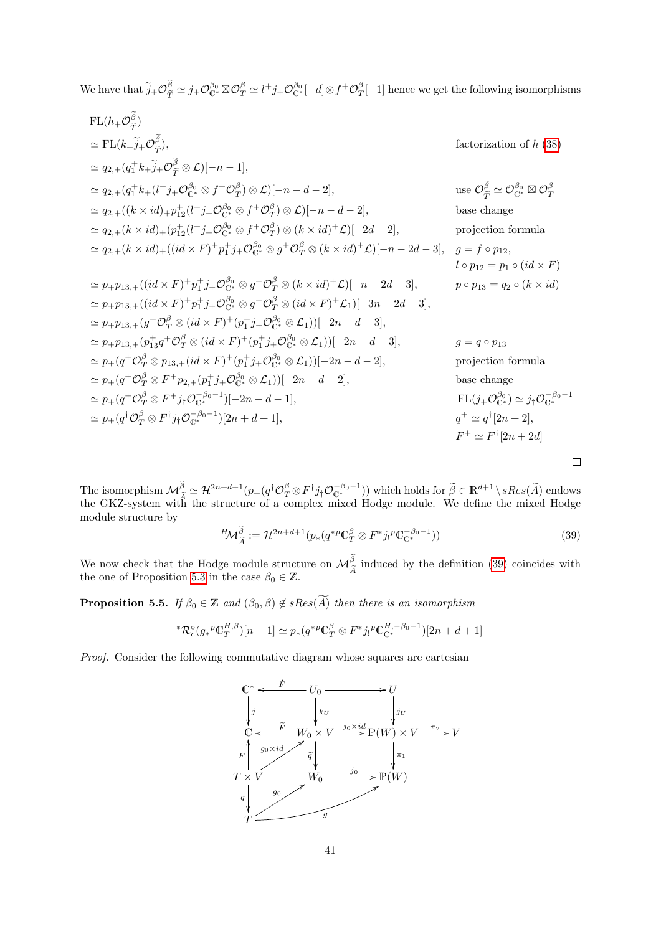We have that  $\tilde{j}_{+}\mathcal{O}_{\tilde{T}}^{\beta} \simeq j_{+}\mathcal{O}_{\mathbb{C}^*}^{\beta_0} \boxtimes \mathcal{O}_{T}^{\beta} \simeq l^+j_{+}\mathcal{O}_{\mathbb{C}^*}^{\beta_0}[-d] \otimes f^+\mathcal{O}_{T}^{\beta}[-1]$  hence we get the following isomorphisms

FL(
$$
h_{+}\mathcal{O}_{\tilde{T}}^{\tilde{\beta}}
$$
)  
\n
$$
\simeq FL(k_{+}\tilde{j}_{+}\mathcal{O}_{\tilde{T}}^{\tilde{\beta}}),
$$
 factorization of  $h$  (38)  
\n
$$
\simeq q_{2,+}(q_{1}^{+}k_{+}\tilde{j}_{+}\mathcal{O}_{\tilde{T}}^{\tilde{\beta}}\otimes \mathcal{L})[-n-1],
$$
  
\n
$$
\simeq q_{2,+}(q_{1}^{+}k_{+}(\tilde{l}^{+}j_{+}\mathcal{O}_{\tilde{C}}^{\tilde{\beta}}\otimes \mathcal{L})[-n-d-2],
$$
use  $\mathcal{O}_{\tilde{T}}^{\tilde{\beta}}\simeq \mathcal{O}_{C}^{\beta_{0}}\otimes \mathcal{O}_{T}^{\beta}$   
\n
$$
\simeq q_{2,+}((k\times id)_{+}p_{12}^{+1}(\tilde{l}^{+}j_{+}\mathcal{O}_{C}^{\beta_{0}}\otimes \mathcal{J}^{+}\mathcal{O}_{T}^{\beta})\otimes \mathcal{L})[-n-d-2],
$$
use  $\mathcal{O}_{\tilde{T}}^{\tilde{\beta}}\simeq \mathcal{O}_{C}^{\beta_{0}}\otimes \mathcal{O}_{T}^{\beta}$   
\n
$$
\simeq q_{2,+}(k\times id)_{+}(\tilde{p}_{12}^{+}(\tilde{l}^{+}j_{+}\mathcal{O}_{C}^{\beta_{0}}\otimes \mathcal{J}^{+}\mathcal{O}_{T}^{\beta})\otimes (k\times id)^{+}\mathcal{L})[-2d-2],
$$
base change  
\nprojection formula  
\n
$$
\simeq p_{2,+}(k\times id)_{+}((id\times F)^{+}p_{1}^{+}j_{+}\mathcal{O}_{C}^{\beta_{0}}\otimes \mathcal{J}^{+}\mathcal{O}_{T}^{\beta}\otimes (k\times id)^{+}\mathcal{L})[-n-2d-3],
$$
  
\n
$$
p_{2,1}^{+}p_{12}^{+} = p_{12}^{+}q_{12}^{+}((id\times F)^{+}p_{12}^{+}j_{+}\mathcal{O}_{C}^{\beta_{0}}\otimes \mathcal{J}^{+}\mathcal{O}_{T}
$$

The isomorphism  $\mathcal{M}_{\widetilde{A}}^{\beta} \simeq \mathcal{H}^{2n+d+1}(p_+(q^{\dagger}\mathcal{O}_{T}^{\beta} \otimes F^{\dagger}j_{\dagger}\mathcal{O}_{C^*}^{-\beta_0-1}))$  which holds for  $\widetilde{\beta} \in \mathbb{R}^{d+1} \setminus sRes(\widetilde{A})$  endows the GKZ-system with the structure of a complex mixed Hodge module structure by

<span id="page-40-1"></span>
$$
{}^{H}\mathcal{M}_{\tilde{A}}^{\tilde{\beta}} := \mathcal{H}^{2n+d+1}(p_*(q^{*p}\mathbb{C}_T^{\beta} \otimes F^*j_!{}^p\mathbb{C}_{\mathbb{C}^*}^{-\beta_0-1}))
$$
\n(39)

 $\Box$ 

We now check that the Hodge module structure on  $\mathcal{M}_{\widetilde{A}}^{\beta}$  induced by the definition [\(39\)](#page-40-1) coincides with the one of Proposition 5.3 in the case  $\beta_2 \in \mathbb{Z}$ the one of Proposition [5.3](#page-38-0) in the case  $\beta_0 \in \mathbb{Z}$ .

<span id="page-40-0"></span>**Proposition 5.5.** If  $\beta_0 \in \mathbb{Z}$  and  $(\beta_0, \beta) \notin sRes(\widetilde{A})$  then there is an isomorphism

\*
$$
\mathcal{R}_c^{\circ}(g_*^p \mathbb{C}_T^{H,\beta})[n+1] \simeq p_*(q^{*p} \mathbb{C}_T^{\beta} \otimes F^* j_!^p \mathbb{C}_{\mathbb{C}^*}^{H,-\beta_0-1})[2n+d+1]
$$

Proof. Consider the following commutative diagram whose squares are cartesian

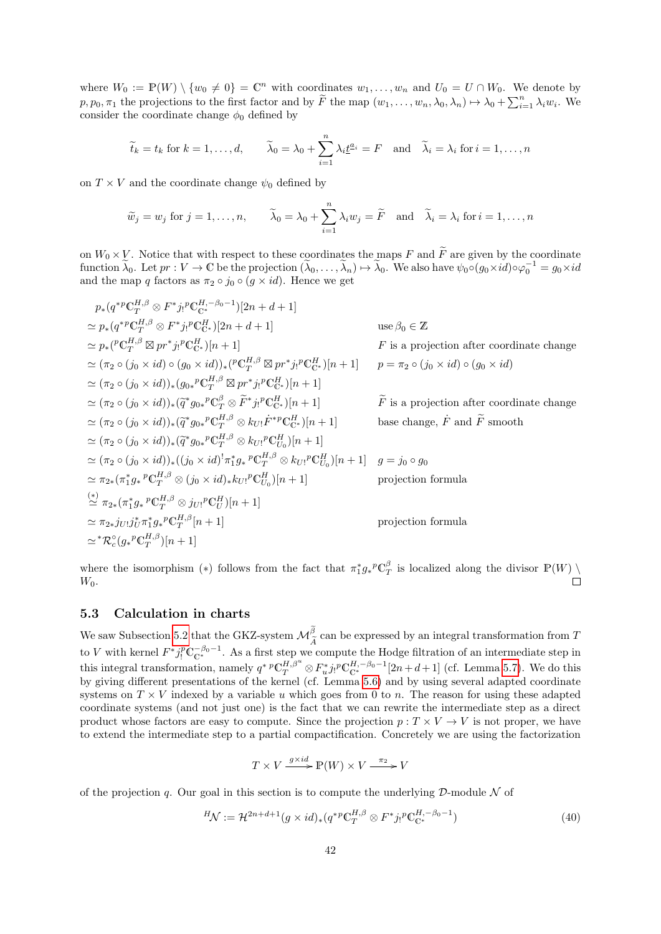where  $W_0 := \mathbb{P}(W) \setminus \{w_0 \neq 0\} = \mathbb{C}^n$  with coordinates  $w_1, \ldots, w_n$  and  $U_0 = U \cap W_0$ . We denote by  $p, p_0, \pi_1$  the projections to the first factor and by  $\widetilde{F}$  the map  $(w_1, \ldots, w_n, \lambda_0, \lambda_n) \mapsto \lambda_0 + \sum_{i=1}^n \lambda_i w_i$ . We consider the coordinate change  $\phi_0$  defined by

$$
\widetilde{t}_k = t_k
$$
 for  $k = 1, ..., d$ ,  $\widetilde{\lambda}_0 = \lambda_0 + \sum_{i=1}^n \lambda_i \underline{t}^{a_i} = F$  and  $\widetilde{\lambda}_i = \lambda_i$  for  $i = 1, ..., n$ 

on  $T \times V$  and the coordinate change  $\psi_0$  defined by

$$
\widetilde{w}_j = w_j
$$
 for  $j = 1, ..., n$ ,  $\widetilde{\lambda}_0 = \lambda_0 + \sum_{i=1}^n \lambda_i w_j = \widetilde{F}$  and  $\widetilde{\lambda}_i = \lambda_i$  for  $i = 1, ..., n$ 

on  $W_0 \times V$ . Notice that with respect to these coordinates the maps F and  $\widetilde{F}$  are given by the coordinate function  $\tilde{\lambda}_0$ . Let  $pr : V \to \mathbb{C}$  be the projection  $(\tilde{\lambda}_0, \ldots, \tilde{\lambda}_n) \mapsto \tilde{\lambda}_0$ . We also have  $\psi_0 \circ (g_0 \times id) \circ \varphi_0^{-1} = g_0 \times id$ and the map q factors as  $\pi_2 \circ j_0 \circ (g \times id)$ . Hence we get

$$
p_*(q^{*p} \mathbb{C}_T^{H,\beta} \otimes F^*j_!{}^p \mathbb{C}_{\mathbb{C}^*}^{H,-\beta_0-1})[2n+d+1]
$$
  
\n
$$
\simeq p_*(q^{*p} \mathbb{C}_T^{H,\beta} \otimes F^*j_!{}^p \mathbb{C}_{\mathbb{C}^*}^{H,-\beta_0-1})[2n+d+1]
$$
  
\n
$$
\simeq p_*({}^p \mathbb{C}_T^{H,\beta} \otimes pr^*j_!{}^p \mathbb{C}_{\mathbb{C}^*}^{H})[n+1]
$$
  
\n
$$
\simeq (\pi_2 \circ (j_0 \times id) \circ (g_0 \times id))_*(\mathbb{C}_T^{H,\beta} \otimes pr^*j_!{}^p \mathbb{C}_{\mathbb{C}^*}^{H})[n+1]
$$
  
\n
$$
\simeq (\pi_2 \circ (j_0 \times id))_*(g_{0*}{}^p \mathbb{C}_T^{H,\beta} \otimes pr^*j_!{}^p \mathbb{C}_{\mathbb{C}^*}^{H})[n+1]
$$
  
\n
$$
\simeq (\pi_2 \circ (j_0 \times id))_*(\widetilde{q}^* g_{0*}{}^p \mathbb{C}_T^{H,\beta} \otimes \widetilde{F}^*j_!{}^p \mathbb{C}_{\mathbb{C}^*}^{H})[n+1]
$$
  
\n
$$
\simeq (\pi_2 \circ (j_0 \times id))_*(\widetilde{q}^* g_{0*}{}^p \mathbb{C}_T^{H,\beta} \otimes k_{U!} \dot{F}^*{}^p \mathbb{C}_{\mathbb{C}^*}^{H})[n+1]
$$
  
\n
$$
\simeq (\pi_2 \circ (j_0 \times id))_*(\widetilde{q}^* g_{0*}{}^p \mathbb{C}_T^{H,\beta} \otimes k_{U!}{}^p \mathbb{C}_{\mathbb{C}^*}^{H})[n+1]
$$
  
\n
$$
\simeq (\pi_2 \circ (j_0 \times id))_*(\widetilde{q}^* g_{0*}{}^p \mathbb{C}_T^{H,\beta} \otimes k_{U!}{}^p \mathbb{C}_{\mathbb{C}^*}
$$

where the isomorphism (\*) follows from the fact that  $\pi_1^* g_*^p \mathbb{C}^\beta_T$  is localized along the divisor  $\mathbb{P}(W) \setminus$  $W_0$ .  $\Box$ 

## 5.3 Calculation in charts

We saw Subsection [5.2](#page-38-1) that the GKZ-system  $\mathcal{M}^{\beta}_{\tau}$  can be expressed by an integral transformation from T  $\boldsymbol{A}$ to V with kernel  $F^* j_!^p \mathbb{C}^{-\beta_0-1}_{\mathbb{C}^*}$ . As a first step we compute the Hodge filtration of an intermediate step in this integral transformation, namely  $q^* {^p \mathbb{C}^{H,\beta^u}_{T}} \otimes F^*_{u} j_! {^p \mathbb{C}^{H,-\beta_0-1}_{\mathbb{C}^*}}[2n+d+1]$  (cf. Lemma [5.7\)](#page-42-0). We do this by giving different presentations of the kernel (cf. Lemma [5.6\)](#page-42-1) and by using several adapted coordinate systems on  $T \times V$  indexed by a variable u which goes from 0 to n. The reason for using these adapted coordinate systems (and not just one) is the fact that we can rewrite the intermediate step as a direct product whose factors are easy to compute. Since the projection  $p: T \times V \to V$  is not proper, we have to extend the intermediate step to a partial compactification. Concretely we are using the factorization

$$
T \times V \xrightarrow{g \times id} \mathbb{P}(W) \times V \xrightarrow{\pi_2} V
$$

of the projection q. Our goal in this section is to compute the underlying  $\mathcal D$ -module  $\mathcal N$  of

<span id="page-41-0"></span>
$$
{}^{H}\mathcal{N} := \mathcal{H}^{2n+d+1}(g \times id)_{*}(q^{*p} \mathbb{C}_{T}^{H,\beta} \otimes F^{*}j_{!}{}^{p} \mathbb{C}_{\mathbb{C}^{*}}^{H,-\beta_{0}-1})
$$
(40)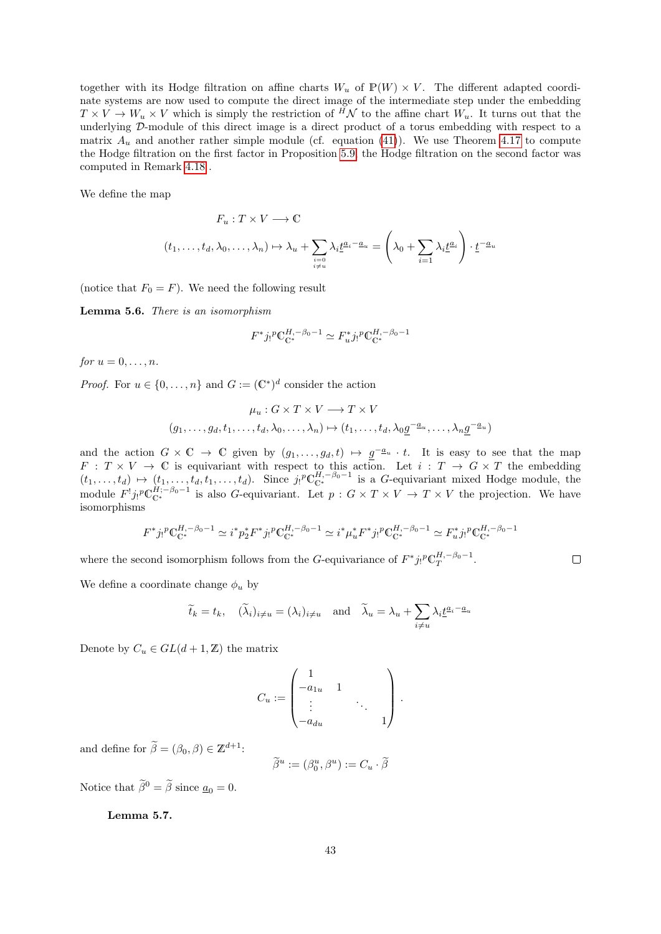together with its Hodge filtration on affine charts  $W_u$  of  $\mathbb{P}(W) \times V$ . The different adapted coordinate systems are now used to compute the direct image of the intermediate step under the embedding  $T \times V \to W_u \times V$  which is simply the restriction of  $\tilde{H}N$  to the affine chart  $W_u$ . It turns out that the underlying D-module of this direct image is a direct product of a torus embedding with respect to a matrix  $A_u$  and another rather simple module (cf. equation [\(41\)](#page-44-0)). We use Theorem [4.17](#page-34-0) to compute the Hodge filtration on the first factor in Proposition [5.9,](#page-45-0) the Hodge filtration on the second factor was computed in Remark [4.18](#page-35-0) .

We define the map

$$
F_u: T \times V \longrightarrow \mathbb{C}
$$

$$
(t_1, \dots, t_d, \lambda_0, \dots, \lambda_n) \mapsto \lambda_u + \sum_{\substack{i=0 \ i \neq u}} \lambda_i \underline{t}^{a_i - a_u} = \left(\lambda_0 + \sum_{i=1} \lambda_i \underline{t}^{a_i}\right) \cdot \underline{t}^{-a_u}
$$

(notice that  $F_0 = F$ ). We need the following result

<span id="page-42-1"></span>Lemma 5.6. There is an isomorphism

$$
F^*j_!{}^p\mathbb{C}^{H,-\beta_0-1}_{\mathbb{C}^*}\simeq F_u^*j_!{}^p\mathbb{C}^{H,-\beta_0-1}_{\mathbb{C}^*}
$$

for  $u = 0, \ldots, n$ .

*Proof.* For  $u \in \{0, ..., n\}$  and  $G := (\mathbb{C}^*)^d$  consider the action

$$
\mu_u : G \times T \times V \longrightarrow T \times V
$$
  

$$
(g_1, \dots, g_d, t_1, \dots, t_d, \lambda_0, \dots, \lambda_n) \mapsto (t_1, \dots, t_d, \lambda_0 \underline{g}^{-\underline{a}_u}, \dots, \lambda_n \underline{g}^{-\underline{a}_u})
$$

and the action  $G \times \mathbb{C} \to \mathbb{C}$  given by  $(g_1, \ldots, g_d, t) \mapsto g^{-a_u} \cdot t$ . It is easy to see that the map  $F: T \times V \to \mathbb{C}$  is equivariant with respect to this action. Let  $i: T \to G \times T$  the embedding  $(t_1,\ldots,t_d) \mapsto (t_1,\ldots,t_d,t_1,\ldots,t_d)$ . Since  $j_!{}^p\mathbb{C}_{\mathbb{C}^*}^{H,-\beta_0-1}$  is a G-equivariant mixed Hodge module, the module  $F^! j_!{}^p \mathbb{C}^{H; -\beta_0-1}_{\mathbb{C}^*}$  is also G-equivariant. Let  $p: G \times T \times V \to T \times V$  the projection. We have isomorphisms

$$
F^* j_!{}^p \mathbb{C}_{\mathbb{C}^*}^{H,-\beta_0-1} \simeq i^* p_2^* F^* j_!{}^p \mathbb{C}_{\mathbb{C}^*}^{H,-\beta_0-1} \simeq i^* \mu_u^* F^* j_!{}^p \mathbb{C}_{\mathbb{C}^*}^{H,-\beta_0-1} \simeq F_u^* j_!{}^p \mathbb{C}_{\mathbb{C}^*}^{H,-\beta_0-1}
$$

where the second isomorphism follows from the G-equivariance of  $F^*j_!{}^p\mathbb{C}_T^{H,-\beta_0-1}$ .

 $\Box$ 

We define a coordinate change  $\phi_u$  by

$$
\widetilde{t}_k = t_k, \quad (\widetilde{\lambda}_i)_{i \neq u} = (\lambda_i)_{i \neq u} \quad \text{and} \quad \widetilde{\lambda}_u = \lambda_u + \sum_{i \neq u} \lambda_i \underline{t}^{a_i - a_u}
$$

Denote by  $C_u \in GL(d+1,\mathbb{Z})$  the matrix

$$
C_u := \begin{pmatrix} 1 & & & \\ -a_{1u} & 1 & & \\ \vdots & & \ddots & \\ -a_{du} & & & 1 \end{pmatrix}.
$$

and define for  $\widetilde{\beta} = (\beta_0, \beta) \in \mathbb{Z}^{d+1}$ :

$$
\widetilde{\beta}^u := (\beta^u_0, \beta^u) := C_u \cdot \widetilde{\beta}
$$

Notice that  $\widetilde{\beta}^0 = \widetilde{\beta}$  since  $a_0 = 0$ .

<span id="page-42-0"></span>Lemma 5.7.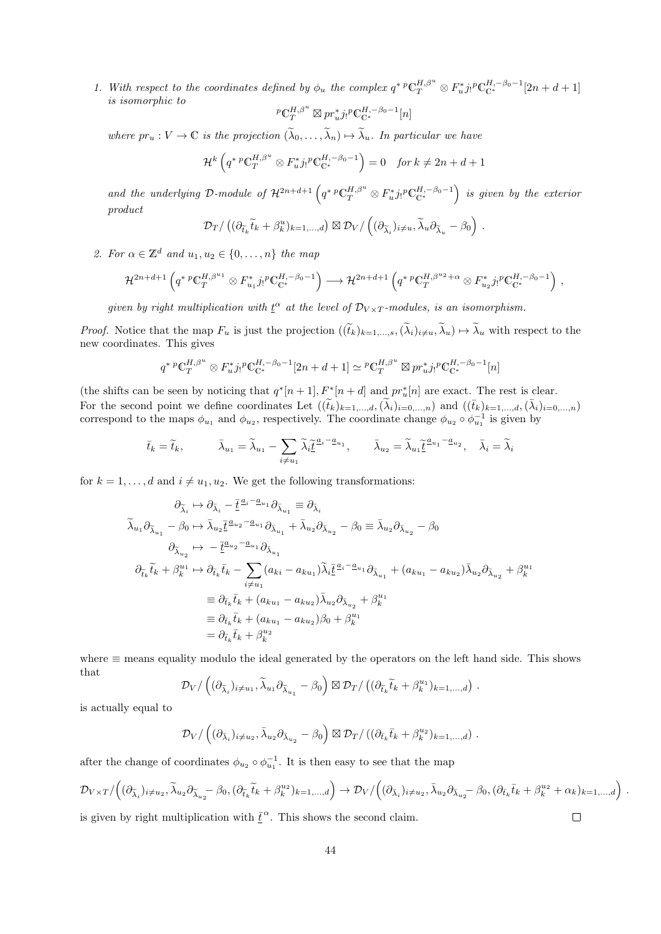1. With respect to the coordinates defined by  $\phi_u$  the complex  $q^* {^p \mathbb{C}^{H,\beta^u}}_T \otimes F^*_u j! {^p \mathbb{C}^{H,-\beta_0-1}} [2n+d+1]$ is isomorphic to

$$
{}^p\mathbb{C}^{H,\beta^u}_{T}\boxtimes pr_u^*j_!{}^p\mathbb{C}^{H,-\beta_0-1}_{\mathbb{C}^*}[n]
$$

where  $pr_u: V \to \mathbb{C}$  is the projection  $(\widetilde{\lambda}_0, \ldots, \widetilde{\lambda}_n) \mapsto \widetilde{\lambda}_u$ . In particular we have

$$
\mathcal{H}^k\left(q^* \, {}^p\mathbb{C}^{H,\beta^u}_T \otimes F_u^* j!^p \mathbb{C}^{H,-\beta_0-1}_{\mathbb{C}^*}\right) = 0 \quad \text{for } k \neq 2n + d + 1
$$

and the underlying D-module of  $\mathcal{H}^{2n+d+1}\left(q^* \,{}^p\mathbb{C}^{H,\beta^u}_{T}\otimes F^*_{u}j \,{}^p\mathbb{C}^{H,-\beta_0-1}_\mathbb{C}\right)$  is given by the exterior product

$$
\mathcal{D}_T/\left((\partial_{\widetilde{t}_k}\widetilde{t}_k+\beta_k^u)_{k=1,\ldots,d}\right)\boxtimes \mathcal{D}_V/\left((\partial_{\widetilde{\lambda}_i})_{i\neq u},\widetilde{\lambda}_u\partial_{\widetilde{\lambda}_u}-\beta_0\right).
$$

2. For  $\alpha \in \mathbb{Z}^d$  and  $u_1, u_2 \in \{0, \ldots, n\}$  the map

$$
\mathcal{H}^{2n+d+1}\left(q^{* p} \mathbb{C}_{T}^{H,\beta^{u_1}} \otimes F_{u_1}^{*} j_{!}{}^p \mathbb{C}_{\mathbb{C}^*}^{H,-\beta_0-1}\right) \longrightarrow \mathcal{H}^{2n+d+1}\left(q^{* p} \mathbb{C}_{T}^{H,\beta^{u_2}+\alpha} \otimes F_{u_2}^{*} j_{!}{}^p \mathbb{C}_{\mathbb{C}^*}^{H,-\beta_0-1}\right),
$$

given by right multiplication with  $\underline{t}^{\alpha}$  at the level of  $\mathcal{D}_{V\times T}$ -modules, is an isomorphism.

*Proof.* Notice that the map  $F_u$  is just the projection  $((\tilde{t}_k)_{k=1,\ldots,s},(\tilde{\lambda}_i)_{i\neq u},\tilde{\lambda}_u) \mapsto \tilde{\lambda}_u$  with respect to the new coordinates. This gives

$$
q^* \, {}^p\mathbb{C}^{H,\beta^u}_T \otimes F_u^* j! \, {}^p\mathbb{C}^{H,-\beta_0-1}_{\mathbb{C}^*}[2n+d+1] \simeq {}^p\mathbb{C}^{H,\beta^u}_T \boxtimes pr_u^* j! \, {}^p\mathbb{C}^{H,-\beta_0-1}_{\mathbb{C}^*}[n]
$$

(the shifts can be seen by noticing that  $q^*[n+1], F^*[n+d]$  and  $pr_u^*[n]$  are exact. The rest is clear. For the second point we define coordinates Let  $((\tilde{t}_k)_{k=1,\ldots,d},(\tilde{\lambda}_i)_{i=0,\ldots,n})$  and  $((\bar{t}_k)_{k=1,\ldots,d},(\bar{\lambda}_i)_{i=0,\ldots,n})$ correspond to the maps  $\phi_{u_1}$  and  $\phi_{u_2}$ , respectively. The coordinate change  $\phi_{u_2} \circ \phi_{u_1}^{-1}$  is given by

$$
\bar{t}_k = \tilde{t}_k, \qquad \bar{\lambda}_{u_1} = \tilde{\lambda}_{u_1} - \sum_{i \neq u_1} \tilde{\lambda}_i \tilde{\underline{t}}^{a_i - \underline{a}_{u_1}}, \qquad \bar{\lambda}_{u_2} = \tilde{\lambda}_{u_1} \tilde{\underline{t}}^{a_{u_1} - \underline{a}_{u_2}}, \quad \bar{\lambda}_i = \tilde{\lambda}_i
$$

for  $k = 1, \ldots, d$  and  $i \neq u_1, u_2$ . We get the following transformations:

$$
\partial_{\tilde{\lambda}_i} \mapsto \partial_{\tilde{\lambda}_i} - \underline{\tilde{t}}^{a_i - a_{u_1}} \partial_{\tilde{\lambda}_{u_1}} \equiv \partial_{\tilde{\lambda}_i}
$$
\n
$$
\tilde{\lambda}_{u_1} \partial_{\tilde{\lambda}_{u_1}} - \beta_0 \mapsto \bar{\lambda}_{u_2} \underline{\tilde{t}}^{a_{u_2} - a_{u_1}} \partial_{\tilde{\lambda}_{u_1}} + \bar{\lambda}_{u_2} \partial_{\tilde{\lambda}_{u_2}} - \beta_0 \equiv \bar{\lambda}_{u_2} \partial_{\tilde{\lambda}_{u_2}} - \beta_0
$$
\n
$$
\partial_{\tilde{\lambda}_{u_2}} \mapsto -\underline{\tilde{t}}^{a_{u_2} - a_{u_1}} \partial_{\tilde{\lambda}_{u_1}}
$$
\n
$$
\partial_{\tilde{t}_k} \tilde{t}_k + \beta_k^{u_1} \mapsto \partial_{\tilde{t}_k} \bar{t}_k - \sum_{i \neq u_1} (a_{ki} - a_{ku_1}) \tilde{\lambda}_i \underline{\tilde{t}}^{a_i - a_{u_1}} \partial_{\tilde{\lambda}_{u_1}} + (a_{ku_1} - a_{ku_2}) \bar{\lambda}_{u_2} \partial_{\tilde{\lambda}_{u_2}} + \beta_k^{u_1}
$$
\n
$$
\equiv \partial_{\tilde{t}_k} \bar{t}_k + (a_{ku_1} - a_{ku_2}) \bar{\lambda}_{u_2} \partial_{\tilde{\lambda}_{u_2}} + \beta_k^{u_1}
$$
\n
$$
\equiv \partial_{\tilde{t}_k} \bar{t}_k + (a_{ku_1} - a_{ku_2}) \beta_0 + \beta_k^{u_1}
$$
\n
$$
= \partial_{\tilde{t}_k} \bar{t}_k + \beta_k^{u_2}
$$

where ≡ means equality modulo the ideal generated by the operators on the left hand side. This shows that

$$
\mathcal{D}_{V}/\left((\partial_{\widetilde{\lambda}_{i}})_{i\neq u_{1}}, \widetilde{\lambda}_{u_{1}}\partial_{\widetilde{\lambda}_{u_{1}}}-\beta_{0}\right) \boxtimes \mathcal{D}_{T}/\left((\partial_{\widetilde{t}_{k}}\widetilde{t}_{k}+\beta_{k}^{u_{1}})_{k=1,...,d}\right).
$$

is actually equal to

$$
\mathcal{D}_{V}/\left((\partial_{\bar{\lambda}_{i}})_{i\neq u_{2}}, \bar{\lambda}_{u_{2}}\partial_{\bar{\lambda}_{u_{2}}}-\beta_{0}\right) \boxtimes \mathcal{D}_{T}/\left((\partial_{\bar{t}_{k}}\bar{t}_{k}+\beta_{k}^{u_{2}})_{k=1,\ldots,d}\right).
$$

after the change of coordinates  $\phi_{u_2} \circ \phi_{u_1}^{-1}$ . It is then easy to see that the map

$$
\mathcal{D}_{V\times T}/\left((\partial_{\widetilde{\lambda}_{i}})_{i\neq u_2}, \widetilde{\lambda}_{u_2}\partial_{\widetilde{\lambda}_{u_2}} - \beta_0, (\partial_{\widetilde{t}_k}\widetilde{t}_k + \beta_k^{u_2})_{k=1,\dots,d}\right) \to \mathcal{D}_V/\left((\partial_{\bar{\lambda}_{i}})_{i\neq u_2}, \bar{\lambda}_{u_2}\partial_{\bar{\lambda}_{u_2}} - \beta_0, (\partial_{\bar{t}_k}\bar{t}_k + \beta_k^{u_2} + \alpha_k)_{k=1,\dots,d}\right)
$$

.

 $\Box$ 

is given by right multiplication with  $\underline{\bar{t}}^{\alpha}$ . This shows the second claim.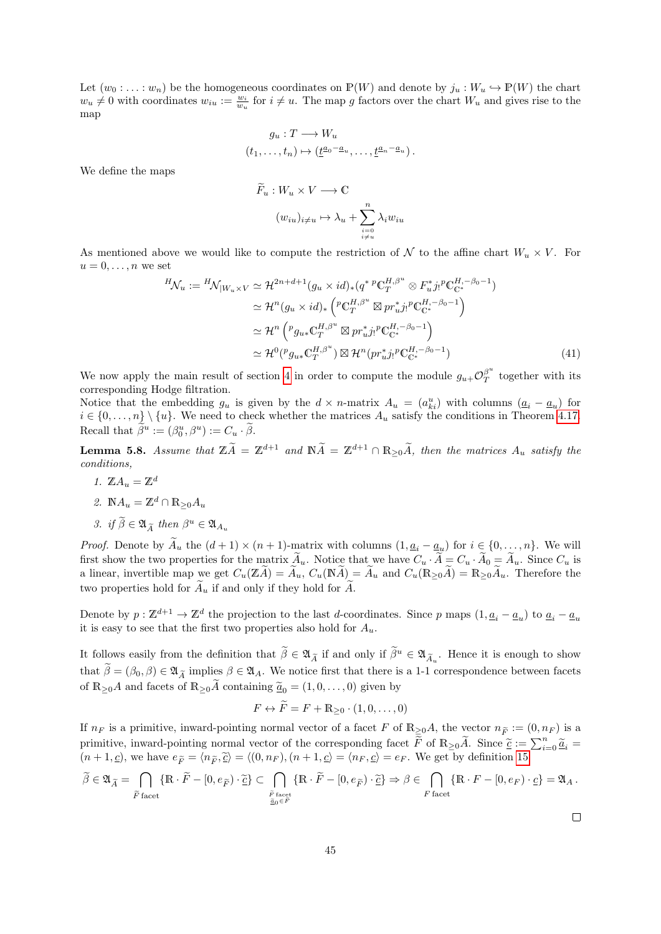Let  $(w_0 : \ldots : w_n)$  be the homogeneous coordinates on  $\mathbb{P}(W)$  and denote by  $j_u : W_u \hookrightarrow \mathbb{P}(W)$  the chart  $w_u \neq 0$  with coordinates  $w_{iu} := \frac{w_i}{w_u}$  for  $i \neq u$ . The map g factors over the chart  $W_u$  and gives rise to the map

$$
g_u: T \longrightarrow W_u
$$
  

$$
(t_1, \dots, t_n) \mapsto (\underline{t}^{a_0 - a_u}, \dots, \underline{t}^{a_n - a_u}).
$$

We define the maps

<span id="page-44-0"></span>
$$
\widetilde{F}_u: W_u \times V \longrightarrow \mathbb{C}
$$

$$
(w_{iu})_{i \neq u} \mapsto \lambda_u + \sum_{\substack{i=0 \ i \neq u}}^n \lambda_i w_{iu}
$$

As mentioned above we would like to compute the restriction of  $\mathcal N$  to the affine chart  $W_u \times V$ . For  $u=0,\ldots,n$  we set

$$
{}^{H}\mathcal{N}_{u} := {}^{H}\mathcal{N}_{|W_{u}\times V} \simeq \mathcal{H}^{2n+d+1}(g_{u}\times id)_{*}(q^{*}{}^{p}\mathbb{C}_{T}^{H,\beta^{u}}\otimes F_{u}^{*}j_{!}{}^{p}\mathbb{C}_{\mathbb{C}^{*}}^{H,-\beta_{0}-1})
$$
  
\n
$$
\simeq \mathcal{H}^{n}(g_{u}\times id)_{*}\left({}^{p}\mathbb{C}_{T}^{H,\beta^{u}}\boxtimes pr_{u}^{*}j_{!}{}^{p}\mathbb{C}_{\mathbb{C}^{*}}^{H,-\beta_{0}-1}\right)
$$
  
\n
$$
\simeq \mathcal{H}^{n}\left({}^{p}g_{u*}\mathbb{C}_{T}^{H,\beta^{u}}\boxtimes pr_{u}^{*}j_{!}{}^{p}\mathbb{C}_{\mathbb{C}^{*}}^{H,-\beta_{0}-1}\right)
$$
  
\n
$$
\simeq \mathcal{H}^{0}({}^{p}g_{u*}\mathbb{C}_{T}^{H,\beta^{u}})\boxtimes \mathcal{H}^{n}(pr_{u}^{*}j_{!}{}^{p}\mathbb{C}_{\mathbb{C}^{*}}^{H,-\beta_{0}-1})
$$
\n(41)

We now apply the main result of section [4](#page-18-0) in order to compute the module  $g_{u+}O_T^{\beta^u}$  $T$  together with its corresponding Hodge filtration.

Notice that the embedding  $g_u$  is given by the  $d \times n$ -matrix  $A_u = (a_{ki}^u)$  with columns  $(\underline{a}_i - \underline{a}_u)$  for  $i \in \{0, \ldots, n\} \setminus \{u\}$ . We need to check whether the matrices  $A_u$  satisfy the conditions in Theorem [4.17.](#page-34-0) Recall that  $\beta^u := (\beta_0^u, \beta^u) := C_u \cdot \beta$ .

<span id="page-44-1"></span>**Lemma 5.8.** Assume that  $\mathbb{Z}\tilde{A} = \mathbb{Z}^{d+1}$  and  $\mathbb{N}\tilde{A} = \mathbb{Z}^{d+1} \cap \mathbb{R}_{\geq 0}\tilde{A}$ , then the matrices  $A_u$  satisfy the conditions,

1. 
$$
\mathbb{Z}A_u = \mathbb{Z}^d
$$
  
2.  $\mathbb{N}A_u = \mathbb{Z}^d \cap \mathbb{R}_{\geq 0}A_u$ 

$$
\sim
$$

3. if 
$$
\tilde{\beta} \in \mathfrak{A}_{\tilde{A}}
$$
 then  $\beta^u \in \mathfrak{A}_{A_u}$ 

*Proof.* Denote by  $A_u$  the  $(d+1) \times (n+1)$ -matrix with columns  $(1, \underline{a_i} - \underline{a_u})$  for  $i \in \{0, \ldots, n\}$ . We will first show the two properties for the matrix  $\widetilde{A}_u$ . Notice that we have  $C_u \cdot \widetilde{A}_v = C_u \cdot \widetilde{A}_0 = \widetilde{A}_u$ . Since  $C_u$  is a linear, invertible map we get  $C_u(\mathbb{Z}A) = A_u$ ,  $C_u(\mathbb{N}A) = A_u$  and  $C_u(\mathbb{R}_{\geq 0}A) = \mathbb{R}_{\geq 0}A_u$ . Therefore the two properties hold for  $\widetilde{A}_u$  if and only if they hold for  $\widetilde{A}_v$ .

Denote by  $p: \mathbb{Z}^{d+1} \to \mathbb{Z}^d$  the projection to the last d-coordinates. Since p maps  $(1, \underline{a}_i - \underline{a}_u)$  to  $\underline{a}_i - \underline{a}_u$ it is easy to see that the first two properties also hold for  $A_u$ .

It follows easily from the definition that  $\hat{\beta} \in \mathfrak{A}_{\tilde{A}}$  if and only if  $\hat{\beta}^u \in \mathfrak{A}_{\tilde{A}_u}$ . Hence it is enough to show that  $\widetilde{\beta} = (\beta_0, \beta) \in \mathfrak{A}_{\widetilde{A}}$  implies  $\beta \in \mathfrak{A}_A$ . We notice first that there is a 1-1 correspondence between facets of  $\mathbb{R}_{\geq 0}A$  and facets of  $\mathbb{R}_{\geq 0}\tilde{A}$  containing  $\tilde{a}_0 = (1, 0, \ldots, 0)$  given by

$$
F \leftrightarrow \widetilde{F} = F + \mathbb{R}_{\geq 0} \cdot (1, 0, \dots, 0)
$$

If  $n_F$  is a primitive, inward-pointing normal vector of a facet F of  $\mathbb{R}_{\geq 0}A$ , the vector  $n_{\widetilde{F}} := (0, n_F)$  is a primitive, inward-pointing normal vector of the corresponding facet  $\tilde{F}$  of  $\mathbb{R}_{\geq 0}\tilde{A}$ . Since  $\tilde{e} := \sum_{i=0}^n \tilde{a}_i = (n+1,c)$  we have  $e_i = (n-\tilde{e}) = (0, n-1,c) = (n+1,c) = (n-c) = e_i$ . We get by definition 15  $(n+1,\underline{c})$ , we have  $e_{\widetilde{F}} = \langle n_{\widetilde{F}},\widetilde{\underline{c}} \rangle = \langle (0,n_F), (n+1,\underline{c}) = \langle n_F, \underline{c} \rangle = e_F$ . We get by definition [15](#page-20-0)

$$
\widetilde{\beta} \in \mathfrak{A}_{\widetilde{A}} = \bigcap_{\widetilde{F} \text{ facet}} \{ \mathbb{R} \cdot \widetilde{F} - [0, e_{\widetilde{F}}) \cdot \widetilde{\underline{c}} \} \subset \bigcap_{\substack{\widetilde{F} \text{ facet} \\ \widetilde{\underline{a}}_0 \in \widetilde{F}}} \{ \mathbb{R} \cdot \widetilde{F} - [0, e_{\widetilde{F}}) \cdot \widetilde{\underline{c}} \} \Rightarrow \beta \in \bigcap_{F \text{ facet}} \{ \mathbb{R} \cdot F - [0, e_F) \cdot \underline{c} \} = \mathfrak{A}_A \, .
$$

 $\Box$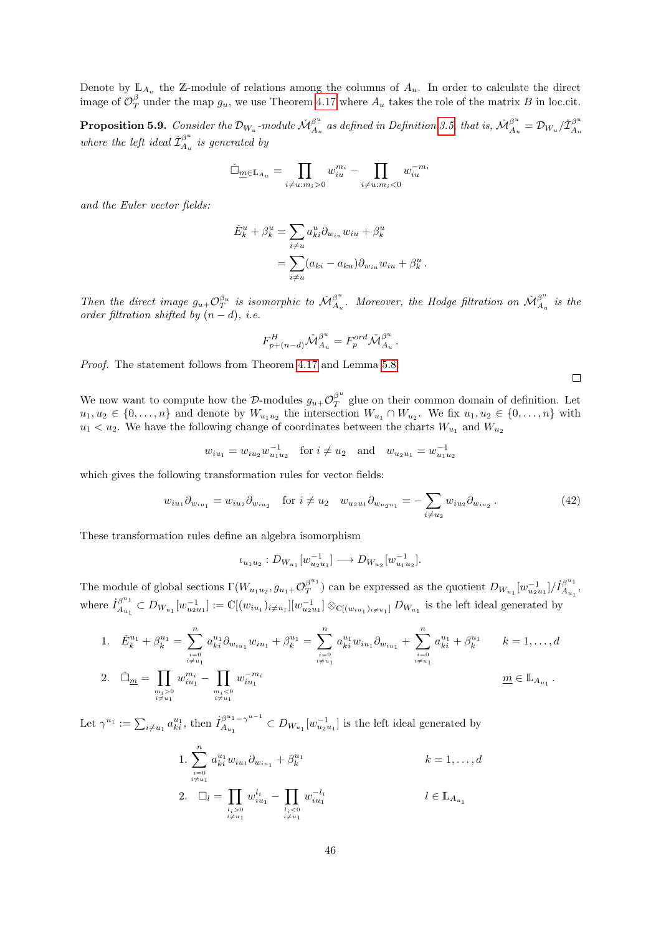Denote by  $\mathbb{L}_{A_u}$  the Z-module of relations among the columns of  $A_u$ . In order to calculate the direct image of  $\mathcal{O}_T^{\beta}$  under the map  $g_u$ , we use Theorem [4.17](#page-34-0) where  $A_u$  takes the role of the matrix B in loc.cit.

<span id="page-45-0"></span>**Proposition 5.9.** Consider the  $\mathcal{D}_{W_u}$ -module  $\check{\mathcal{M}}_{A_u}^{\beta^u}$  $\frac{\beta^u}{A_u}$  as defined in Definition [3.5,](#page-16-0) that is,  $\check{\cal M}_{A_u}^{\beta^u}$  $\frac{\beta^u}{A_u} = \mathcal{D}_{W_u}/\check{\mathcal{I}}^{\beta^u}_{A_u}$  $A_u$ where the left ideal  $\check{\mathcal{I}}^{\beta^u}_{A_u}$  $\mathcal{L}_{A_u}^{\rho}$  is generated by

$$
\tilde{\Box}_{\underline{m}\in\mathbb{L}_{A_u}}=\prod_{i\neq u:m_i>0}w_{iu}^{m_i}-\prod_{i\neq u:m_i<0}w_{iu}^{-m_i}
$$

and the Euler vector fields:

$$
\check{E}_k^u + \beta_k^u = \sum_{i \neq u} a_{ki}^u \partial_{w_{iu}} w_{iu} + \beta_k^u
$$
  
= 
$$
\sum_{i \neq u} (a_{ki} - a_{ku}) \partial_{w_{iu}} w_{iu} + \beta_k^u.
$$

Then the direct image  $g_{u+} \mathcal{O}_T^{\beta_u}$  is isomorphic to  $\mathcal{M}_{A_u}^{\beta^u}$  $\mathring{A}_u^u$ . Moreover, the Hodge filtration on  $\check{\mathcal{M}}_{A_u}^{\beta^u}$  $\frac{\beta}{A_u}$  is the order filtration shifted by  $(n - d)$ , i.e.

$$
F_{p+(n-d)}^H \check{\mathcal{M}}_{A_u}^{\beta^u} = F_p^{ord} \check{\mathcal{M}}_{A_u}^{\beta^u}.
$$

Proof. The statement follows from Theorem [4.17](#page-34-0) and Lemma [5.8.](#page-44-1)

We now want to compute how the D-modules  $g_{u+} \mathcal{O}_T^{\beta^u}$  $T<sub>T</sub><sup>\rho</sup>$  glue on their common domain of definition. Let  $u_1, u_2 \in \{0, \ldots, n\}$  and denote by  $W_{u_1u_2}$  the intersection  $W_{u_1} \cap W_{u_2}$ . We fix  $u_1, u_2 \in \{0, \ldots, n\}$  with  $u_1 < u_2$ . We have the following change of coordinates between the charts  $W_{u_1}$  and  $W_{u_2}$ 

$$
w_{iu_1} = w_{iu_2} w_{u_1 u_2}^{-1}
$$
 for  $i \neq u_2$  and  $w_{u_2 u_1} = w_{u_1 u_2}^{-1}$ 

which gives the following transformation rules for vector fields:

<span id="page-45-1"></span>
$$
w_{iu_1}\partial_{w_{iu_1}} = w_{iu_2}\partial_{w_{iu_2}} \quad \text{for } i \neq u_2 \quad w_{u_2u_1}\partial_{w_{u_2u_1}} = -\sum_{i \neq u_2} w_{iu_2}\partial_{w_{iu_2}}.
$$
 (42)

These transformation rules define an algebra isomorphism

$$
\iota_{u_1u_2}: D_{W_{u_1}}[w_{u_2u_1}^{-1}] \longrightarrow D_{W_{u_2}}[w_{u_1u_2}^{-1}].
$$

The module of global sections  $\Gamma(W_{u_1u_2}, g_{u_1+} \mathcal{O}_T^{\beta^{u_1}})$  $\beta^{u_1}_{T}$  ) can be expressed as the quotient  $D_{W_{u_1}}[w_{u_2 u_1}^{-1}]/\dot{I}_{A_{u_1}}^{\beta^{u_1}}$  $A_{u_1}^{\beta^{-1}},$ where  $\dot{I}_{A}^{\beta^{u_1}}$  $\beta^{u_1}_{A_{u_1}} \subset D_{W_{u_1}}[w_{u_2u_1}^{-1}] := \mathbb{C}[(w_{iu_1})_{i \neq u_1}] [w_{u_2u_1}^{-1}] \otimes_{\mathbb{C}[(w_{iu_1})_{i \neq u_1}]} D_{W_{u_1}}$  is the left ideal generated by

1. 
$$
\check{E}_{k}^{u_{1}} + \beta_{k}^{u_{1}} = \sum_{\substack{i=0 \ i \neq u_{1}}}^{n} a_{ki}^{u_{1}} \partial_{w_{iu_{1}}} w_{iu_{1}} + \beta_{k}^{u_{1}} = \sum_{\substack{i=0 \ i \neq u_{1}}}^{n} a_{ki}^{u_{1}} w_{iu_{1}} \partial_{w_{iu_{1}}} + \sum_{\substack{i=0 \ i \neq u_{1}}}^{n} a_{ki}^{u_{1}} + \beta_{k}^{u_{1}} \qquad k = 1, ..., d
$$
  
2. 
$$
\check{\Box}_{\underline{m}} = \prod_{\substack{m_{i} > 0 \ i \neq u_{1}}} w_{iu_{1}}^{m_{i}} - \prod_{\substack{i \neq u_{1}}} w_{iu_{1}}^{-m_{i}}
$$
  $\underline{m} \in \mathbb{L}_{A_{u_{1}}}.$ 

Let  $\gamma^{u_1} := \sum_{i \neq u_1} a_{ki}^{u_1}$ , then  $\dot{I}_{A_{u_1}}^{\beta^{u_1} - \gamma^{u-1}}$  $A_{u_1}^{\beta^{u_1} - \gamma^{u-1}} \subset D_{W_{u_1}}[w_{u_2u_1}^{-1}]$  is the left ideal generated by

1. 
$$
\sum_{\substack{i=0 \ i \neq u_1}}^{n} a_{ki}^{u_1} w_{iu_1} \partial_{w_{iu_1}} + \beta_k^{u_1}
$$
  
\n2. 
$$
\Box_l = \prod_{\substack{l_i > 0 \ i \neq u_1}} w_{iu_1}^{l_i} - \prod_{\substack{l_i < 0 \ i \neq u_1}} w_{iu_1}^{-l_i}
$$
  
\n $l \in \mathbb{L}_{A_{u_1}}$ 

 $\Box$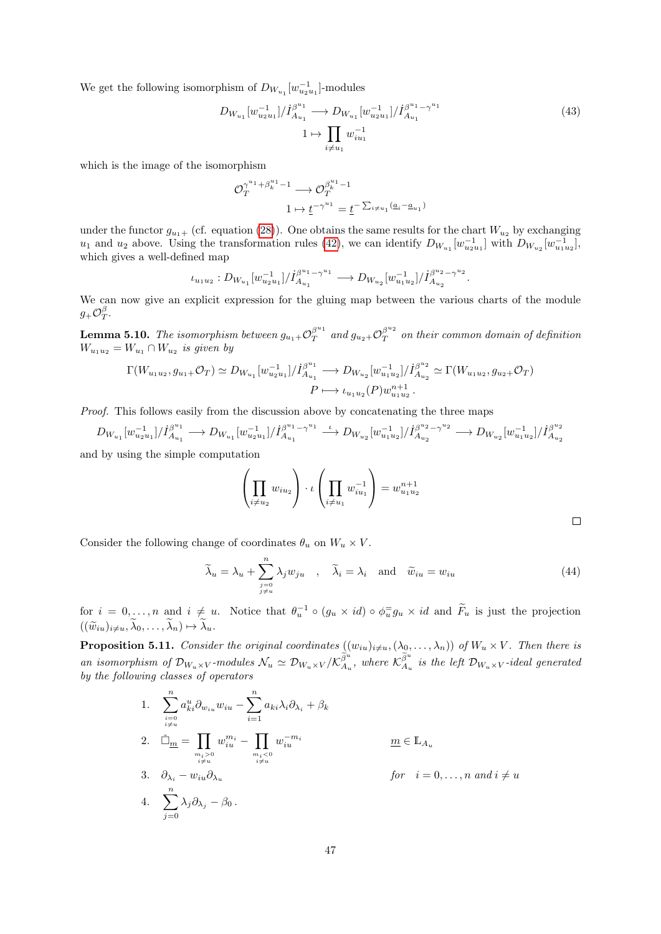We get the following isomorphism of  $D_{W_{u_1}}[w_{u_2u_1}^{-1}]$ -modules

$$
D_{W_{u_1}}[w_{u_2u_1}^{-1}]/\dot{I}_{A_{u_1}}^{\beta^{u_1}} \longrightarrow D_{W_{u_1}}[w_{u_2u_1}^{-1}]/\dot{I}_{A_{u_1}}^{\beta^{u_1} - \gamma^{u_1}}
$$
\n
$$
1 \mapsto \prod_{i \neq u_1} w_{iu_1}^{-1}
$$
\n(43)

which is the image of the isomorphism

$$
\begin{aligned} \mathcal{O}_T^{\gamma^{u_1}+\beta_k^{u_1}-1} &\longrightarrow \mathcal{O}_T^{\beta_k^{u_1}-1} \\ &1 &\mapsto \underline{t}^{-\gamma^{u_1}} = \underline{t}^{-\sum_{i\neq u_1}(\underline{a}_i-\underline{a}_{u_1})} \end{aligned}
$$

under the functor  $g_{u_1+}$  (cf. equation [\(28\)](#page-31-0)). One obtains the same results for the chart  $W_{u_2}$  by exchanging  $u_1$  and  $u_2$  above. Using the transformation rules [\(42\)](#page-45-1), we can identify  $D_{W_{u_1}}[w_{u_2u_1}^{-1}]$  with  $D_{W_{u_2}}[w_{u_1u_2}^{-1}]$ , which gives a well-defined map

$$
\iota_{u_1 u_2}:D_{W_{u_1}}[w_{u_2 u_1}^{-1}]/\dot{I}_{A_{u_1}}^{\beta^{u_1}-\gamma^{u_1}} \longrightarrow D_{W_{u_2}}[w_{u_1 u_2}^{-1}]/\dot{I}_{A_{u_2}}^{\beta^{u_2}-\gamma^{u_2}}.
$$

We can now give an explicit expression for the gluing map between the various charts of the module  $g_+\mathcal{O}^{\beta}_T.$ 

<span id="page-46-2"></span>**Lemma 5.10.** The isomorphism between  $g_{u_1+} \mathcal{O}_T^{\beta^{u_1}}$  $\int_T^{\beta^{u_1}}$  and  $g_{u_2+} \mathcal{O}_T^{\beta^{u_2}}$  $T^{\beta}$  on their common domain of definition  $W_{u_1u_2} = W_{u_1} \cap W_{u_2}$  is given by

$$
\Gamma(W_{u_1u_2}, g_{u_1+}\mathcal{O}_T) \simeq D_{W_{u_1}}[w_{u_2u_1}^{-1}]/\dot{I}_{A_{u_1}}^{\beta^{u_1}} \longrightarrow D_{W_{u_2}}[w_{u_1u_2}^{-1}]/\dot{I}_{A_{u_2}}^{\beta^{u_2}} \simeq \Gamma(W_{u_1u_2}, g_{u_2+}\mathcal{O}_T)
$$
  

$$
P \longmapsto \iota_{u_1u_2}(P)w_{u_1u_2}^{n+1}.
$$

Proof. This follows easily from the discussion above by concatenating the three maps

$$
D_{W_{u_1}}[w_{u_2u_1}^{-1}]/\dot{I}_{A_{u_1}}^{\beta^{u_1}} \longrightarrow D_{W_{u_1}}[w_{u_2u_1}^{-1}]/\dot{I}_{A_{u_1}}^{\beta^{u_1}-\gamma^{u_1}} \longrightarrow D_{W_{u_2}}[w_{u_1u_2}^{-1}]/\dot{I}_{A_{u_2}}^{\beta^{u_2}-\gamma^{u_2}} \longrightarrow D_{W_{u_2}}[w_{u_1u_2}^{-1}]/\dot{I}_{A_{u_2u_2}}^{\beta^{u_2}-\gamma^{u_2}} \longrightarrow D_{W_{u_2}}[w_{u_1u_2}^{-1}]/\dot{I}_{A_{u_2}}^{\beta^{u_1}-\gamma^{u_2}} \longrightarrow D_{W_{u_2}}[w_{u_1u_2}^{-1}]/\dot{I}_{A_{u_2}}^{\beta^{u_1}-\gamma^{u_2}} \longrightarrow D_{W_{u_2}}[w_{u_1u_2}^{-1}]/\dot{I}_{A_{u_2}}^{\beta^{u_1}-\gamma^{u_2}} \longrightarrow D_{W_{u_2}}[w_{u_1u_2}^{-1}]/\dot{I}_{A_{u_2}}^{\beta^{u_1}-\gamma^{u_2}} \longrightarrow D_{W_{u_2}}[w_{u_1u_2}^{-1}]/\dot{I}_{A_{u_2}}^{\beta^{u_2}-\gamma^{u_2}} \longrightarrow D_{W_{u_2}}[w_{u_1u_2}^{-1}]/\dot{I}_{A_{u_2}}^{\beta^{u_2}-\gamma^{u_2}} \longrightarrow D_{W_{u_2}}[w_{u_1u_2}^{-1}]/\dot{I}_{A_{u_2}}^{\beta^{u_2}-\gamma^{u_2}} \longrightarrow D_{W_{u_2}}[w_{u_1u_2}^{-1}]/\dot{I}_{A_{u_2}}^{\beta^{u_2}-\gamma^{u_2}} \longrightarrow D_{W_{u_2}}[w_{u_1u_2}^{-1}]/\dot{I}_{A_{u_2}}^{\beta^{u_2}-\gamma^{u_2}} \longrightarrow D_{W_{u_2}}[w_{u_1u_2}^{-1}]/\dot{I}_{A_{u_2}}^{\beta^{u_2}-\gamma^{u_2}} \longrightarrow D_{W_{u_2}}[w_{u_1u_2}^{-1}]/\dot{I}_{A_{u_2}}^{\beta^{u_2}-\gamma^{u_2}} \longrightarrow D_{W_{u_2}}[w_{u_
$$

and by using the simple computation

$$
\left(\prod_{i\neq u_2} w_{iu_2}\right) \cdot \iota\left(\prod_{i\neq u_1} w_{iu_1}^{-1}\right) = w_{u_1 u_2}^{n+1}
$$

Consider the following change of coordinates  $\theta_u$  on  $W_u \times V$ .

<span id="page-46-0"></span>
$$
\widetilde{\lambda}_u = \lambda_u + \sum_{\substack{j=0 \ j \neq u}}^n \lambda_j w_{ju} \quad , \quad \widetilde{\lambda}_i = \lambda_i \quad \text{and} \quad \widetilde{w}_{iu} = w_{iu}
$$
\n
$$
(44)
$$

for  $i = 0, \ldots, n$  and  $i \neq u$ . Notice that  $\theta_u^{-1} \circ (g_u \times id) \circ \phi_u^{-1} g_u \times id$  and  $\tilde{F}_u$  is just the projection  $((\widetilde{w}_{iu})_{i\neq u}, \lambda_0, \ldots, \lambda_n) \mapsto \lambda_u.$ 

<span id="page-46-1"></span>**Proposition 5.11.** Consider the original coordinates  $((w_{iu})_{i\neq u},(\lambda_0,\ldots,\lambda_n))$  of  $W_u\times V$ . Then there is an isomorphism of  $\mathcal{D}_{W_u\times V}$ -modules  $\mathcal{N}_u \simeq \mathcal{D}_{W_u\times V}/\mathcal{K}_{A_u}^{\tilde{\beta}^u}$ , where  $\mathcal{K}_{A_u}^{\tilde{\beta}^u}$  is the left  $\mathcal{D}_{W_u\times V}$ -ideal generated by the following classes of operators

1. 
$$
\sum_{\substack{i=0 \ i \neq u}}^{n} a_{ki}^{u} \partial_{w_{iu}} w_{iu} - \sum_{i=1}^{n} a_{ki} \lambda_i \partial_{\lambda_i} + \beta_k
$$
  
\n2. 
$$
\tilde{\Box}_{\underline{m}} = \prod_{\substack{m_i > 0 \ i \neq u}} w_{iu}^{m_i} - \prod_{\substack{m_i < 0 \ i \neq u}} w_{iu}^{-m_i}
$$
  
\n3. 
$$
\partial_{\lambda_i} - w_{iu} \partial_{\lambda_u}
$$
  
\n4. 
$$
\sum_{j=0}^{n} \lambda_j \partial_{\lambda_j} - \beta_0.
$$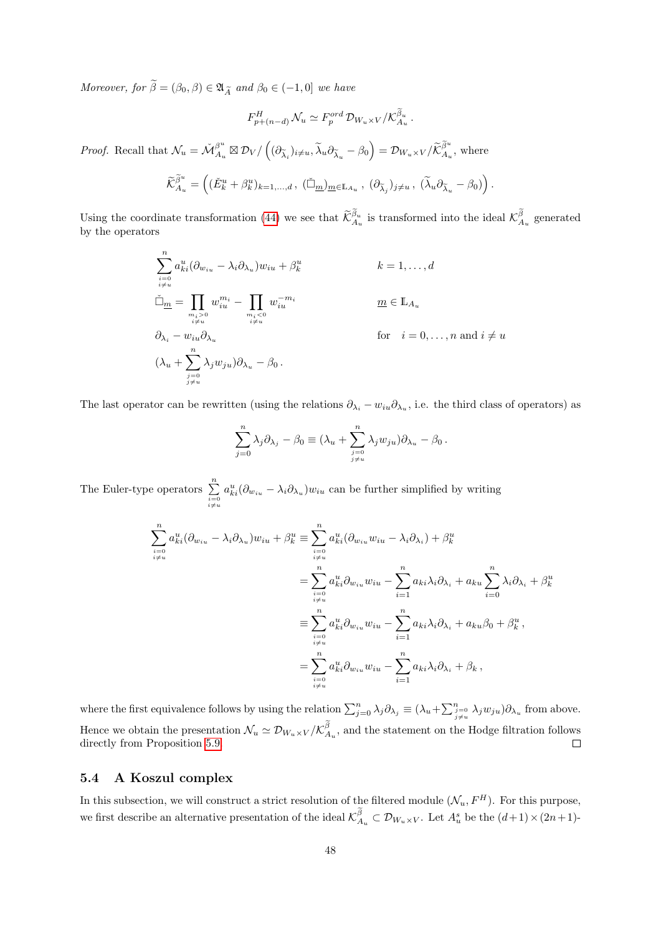Moreover, for  $\widetilde{\beta} = (\beta_0, \beta) \in \mathfrak{A}_{\widetilde{A}}$  and  $\beta_0 \in (-1, 0]$  we have

$$
F_{p+(n-d)}^H \mathcal{N}_u \simeq F_p^{ord} \mathcal{D}_{W_u \times V} / \mathcal{K}_{A_u}^{\beta_u}.
$$

*Proof.* Recall that  $\mathcal{N}_u = \check{\mathcal{M}}_{A_u}^{\beta^u}$  $\beta^u_{A_u} \boxtimes \mathcal{D}_V / ((\partial_{\widetilde{\lambda}_i})_{i \neq u}, \widetilde{\lambda}_u \partial_{\widetilde{\lambda}_u} - \beta_0) = \mathcal{D}_{W_u \times V} / \widetilde{\mathcal{K}}_{A_u}^{\widetilde{\beta}^u},$  where

$$
\widetilde{\mathcal{K}}_{A_u}^{\widetilde{\beta}^u} = \left( (\check{E}_k^u + \beta_k^u)_{k=1,\dots,d} , (\check{\Box}_{\underline{m}})_{\underline{m} \in \mathbb{L}_{A_u}} , (\partial_{\widetilde{\lambda}_j})_{j \neq u} , (\widetilde{\lambda}_u \partial_{\widetilde{\lambda}_u} - \beta_0) \right).
$$

Using the coordinate transformation [\(44\)](#page-46-0) we see that  $\widetilde{\mathcal{K}}_{A_u}^{\beta_u}$  is transformed into the ideal  $\mathcal{K}_{A_u}^{\beta}$  generated by the operators

$$
\sum_{\substack{i=0 \ i \neq u}}^{n} a_{ki}^{u} (\partial_{w_{iu}} - \lambda_i \partial_{\lambda_u}) w_{iu} + \beta_k^{u}
$$
\n
$$
\tilde{\Box}_{\underline{m}} = \prod_{\substack{m_i > 0 \ i \neq u}} w_{iu}^{m_i} - \prod_{\substack{m_i < 0 \ i \neq u}} w_{iu}^{-m_i}
$$
\n
$$
\partial_{\lambda_i} - w_{iu} \partial_{\lambda_u}
$$
\nfor  $i = 0, ..., n$  and  $i \neq u$ \n
$$
(\lambda_u + \sum_{\substack{j=0 \ j \neq u}}^{n} \lambda_j w_{ju}) \partial_{\lambda_u} - \beta_0.
$$

The last operator can be rewritten (using the relations  $\partial_{\lambda_i} - w_{iu}\partial_{\lambda_u}$ , i.e. the third class of operators) as

$$
\sum_{j=0}^n \lambda_j \partial_{\lambda_j} - \beta_0 \equiv (\lambda_u + \sum_{\substack{j=0 \ j \neq u}}^n \lambda_j w_{ju}) \partial_{\lambda_u} - \beta_0.
$$

The Euler-type operators  $\sum_{\substack{i=0 \ i \neq u}}^{n}$  $a_{ki}^u(\partial_{w_{iu}} - \lambda_i \partial_{\lambda_u})w_{iu}$  can be further simplified by writing

$$
\sum_{\substack{i=0 \ i \neq u}}^{n} a_{ki}^{u} (\partial_{w_{iu}} - \lambda_i \partial_{\lambda_u}) w_{iu} + \beta_k^u \equiv \sum_{\substack{i=0 \ i \neq u}}^{n} a_{ki}^{u} (\partial_{w_{iu}} w_{iu} - \lambda_i \partial_{\lambda_i}) + \beta_k^u
$$
  

$$
= \sum_{\substack{i=0 \ i \neq u}}^{n} a_{ki}^{u} \partial_{w_{iu}} w_{iu} - \sum_{i=1}^{n} a_{ki} \lambda_i \partial_{\lambda_i} + a_{ku} \sum_{i=0}^{n} \lambda_i \partial_{\lambda_i} + \beta_k^u
$$
  

$$
\equiv \sum_{\substack{i=0 \ i \neq u}}^{n} a_{ki}^{u} \partial_{w_{iu}} w_{iu} - \sum_{i=1}^{n} a_{ki} \lambda_i \partial_{\lambda_i} + a_{ku} \beta_0 + \beta_k^u,
$$
  

$$
= \sum_{\substack{i=0 \ i \neq u}}^{n} a_{ki}^{u} \partial_{w_{iu}} w_{iu} - \sum_{i=1}^{n} a_{ki} \lambda_i \partial_{\lambda_i} + \beta_k ,
$$

where the first equivalence follows by using the relation  $\sum_{j=0}^{n} \lambda_j \partial_{\lambda_j} \equiv (\lambda_u + \sum_{\substack{j=0 \ j \neq u}}^{n} \lambda_j w_{ju}) \partial_{\lambda_u}$  from above. Hence we obtain the presentation  $\mathcal{N}_u \simeq \mathcal{D}_{W_u \times V}/\mathcal{K}_{A_u}^{\beta}$ , and the statement on the Hodge filtration follows directly from Proposition [5.9.](#page-45-0)  $\Box$ 

# <span id="page-47-0"></span>5.4 A Koszul complex

In this subsection, we will construct a strict resolution of the filtered module  $(\mathcal{N}_u, F^H)$ . For this purpose, we first describe an alternative presentation of the ideal  $\mathcal{K}_{A_u}^{\beta} \subset \mathcal{D}_{W_u \times V}$ . Let  $A_u^s$  be the  $(d+1) \times (2n+1)$ -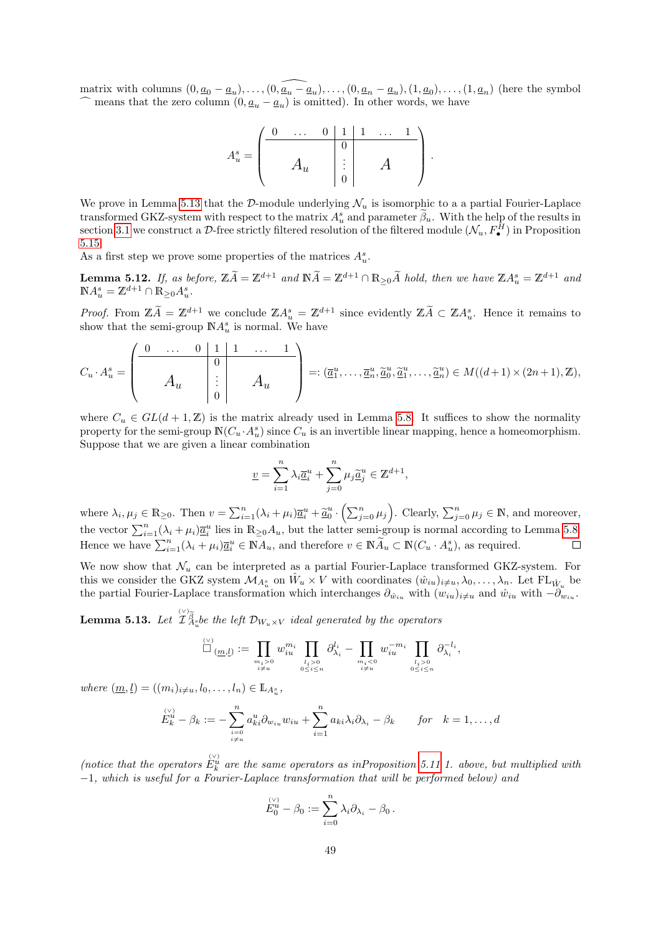matrix with columns  $(0, \underline{a}_0 - \underline{a}_u), \ldots, (0, \widehat{\underline{a}_u - \underline{a}_u}), \ldots, (0, \underline{a}_n - \underline{a}_u), (1, \underline{a}_0), \ldots, (1, \underline{a}_n)$  (here the symbol  $\widehat{\phantom{a}}$  means that the zero column  $(0, \underline{a}_u - \underline{a}_u)$  is omitted). In other words, we have

$$
A_u^s = \begin{pmatrix} 0 & \dots & 0 & 1 & 1 & \dots & 1 \\ & & & & 0 & & \\ & & A_u & & \vdots & & A \\ & & & & 0 & & \\ & & & & 0 & & \end{pmatrix}.
$$

We prove in Lemma [5.13](#page-48-0) that the D-module underlying  $\mathcal{N}_u$  is isomorphic to a a partial Fourier-Laplace transformed GKZ-system with respect to the matrix  $A_u^s$  and parameter  $\beta_u$ . With the help of the results in section [3.1](#page-14-0) we construct a D-free strictly filtered resolution of the filtered module  $(\mathcal{N}_u, F^H_\bullet)$  in Proposition [5.15.](#page-50-0)

As a first step we prove some properties of the matrices  $A_u^s$ .

<span id="page-48-1"></span>**Lemma 5.12.** If, as before,  $\mathbb{Z}\widetilde{A} = \mathbb{Z}^{d+1}$  and  $\mathbb{N}\widetilde{A} = \mathbb{Z}^{d+1} \cap \mathbb{R}_{\geq 0}\widetilde{A}$  hold, then we have  $\mathbb{Z}A_u^s = \mathbb{Z}^{d+1}$  and  $\mathbb{N}A_u^s = \mathbb{Z}^{d+1} \cap \mathbb{R}_{\geq 0}A_u^s.$ 

*Proof.* From  $\mathbb{Z}\tilde{A} = \mathbb{Z}^{d+1}$  we conclude  $\mathbb{Z}A_s^s = \mathbb{Z}^{d+1}$  since evidently  $\mathbb{Z}\tilde{A} \subset \mathbb{Z}A_u^s$ . Hence it remains to show that the semi-group  $\mathbb{N}A_u^s$  is normal. We have

$$
C_u \cdot A_u^s = \begin{pmatrix} 0 & \dots & 0 & 1 & 1 & \dots & 1 \\ & & 0 & & & \\ & & A_u & & \vdots & \\ & & & 0 & & \end{pmatrix} =: (\overline{a}_1^u, \dots, \overline{a}_n^u, \widetilde{a}_0^u, \widetilde{a}_1^u, \dots, \widetilde{a}_n^u) \in M((d+1) \times (2n+1), \mathbb{Z}),
$$

where  $C_u \in GL(d+1,\mathbb{Z})$  is the matrix already used in Lemma [5.8.](#page-44-1) It suffices to show the normality property for the semi-group  $\mathbb{N}(C_u \cdot A_u^s)$  since  $C_u$  is an invertible linear mapping, hence a homeomorphism. Suppose that we are given a linear combination

$$
\underline{v} = \sum_{i=1}^n \lambda_i \underline{\overline{a}}_i^u + \sum_{j=0}^n \mu_j \underline{\widetilde{a}}_j^u \in \mathbb{Z}^{d+1},
$$

where  $\lambda_i, \mu_j \in \mathbb{R}_{\geq 0}$ . Then  $v = \sum_{i=1}^n (\lambda_i + \mu_i) \overline{\underline{a}}_i^u + \underline{\widetilde{a}}_0^u \cdot (\sum_{j=0}^n \mu_j)$ . Clearly,  $\sum_{j=0}^n \mu_j \in \mathbb{N}$ , and moreover, the vector  $\sum_{i=1}^{n} (\lambda_i + \mu_i) \overline{a}_i^u$  lies in  $\mathbb{R}_{\geq 0} A_u$ , but the latter semi-group is normal according to Lemma [5.8.](#page-44-1) Hence we have  $\sum_{i=1}^{n} (\lambda_i + \mu_i) \overline{a}_i^u \in \mathbb{N} A_u$ , and therefore  $v \in \mathbb{N} \widetilde{A}_u \subset \mathbb{N} (C_u \cdot A_u^s)$ , as required.  $\Box$ 

We now show that  $\mathcal{N}_u$  can be interpreted as a partial Fourier-Laplace transformed GKZ-system. For this we consider the GKZ system  $\mathcal{M}_{A_u^s}$  on  $\hat{W}_u \times V$  with coordinates  $(\hat{w}_{iu})_{i \neq u}, \lambda_0, \ldots, \lambda_n$ . Let  $FL_{\hat{W}_u}$  be the partial Fourier-Laplace transformation which interchanges  $\partial_{\hat{w}_{iu}}$  with  $(w_{iu})_{i\neq u}$  and  $\hat{w}_{iu}$  with  $-\partial_{w_{iu}}$ .

<span id="page-48-0"></span>**Lemma 5.13.** Let  $\widetilde{T}_{A}^{\otimes \widetilde{\beta}}_{A}$  be the left  $\mathcal{D}_{W_u \times V}$  ideal generated by the operators

$$
\Box_{(\underline{m},\underline{l})} := \prod_{\substack{m_i>0\\i\neq u}} w_{iu}^{m_i} \prod_{\substack{l_i>0\\0\leq i\leq n}} \partial_{\lambda_i}^{l_i} - \prod_{\substack{m_i<0\\i\neq u}} w_{iu}^{-m_i} \prod_{\substack{l_i>0\\0\leq i\leq n}} \partial_{\lambda_i}^{-l_i},
$$

where  $(\underline{m}, \underline{l}) = ((m_i)_{i \neq u}, l_0, \dots, l_n) \in \mathbb{L}_{A_u^s}$ ,

$$
E_k^{\langle V \rangle} - \beta_k := -\sum_{\substack{i=0 \ i \neq u}}^n a_{ki}^u \partial_{w_{iu}} w_{iu} + \sum_{i=1}^n a_{ki} \lambda_i \partial_{\lambda_i} - \beta_k \quad \text{for} \quad k = 1, \dots, d
$$

(notice that the operators  $E_k^{\vee}$  are the same operators as inProposition [5.11](#page-46-1) 1. above, but multiplied with −1, which is useful for a Fourier-Laplace transformation that will be performed below) and

$$
\stackrel{(\vee)}{E_0^u} - \beta_0 := \sum_{i=0}^n \lambda_i \partial_{\lambda_i} - \beta_0 \, .
$$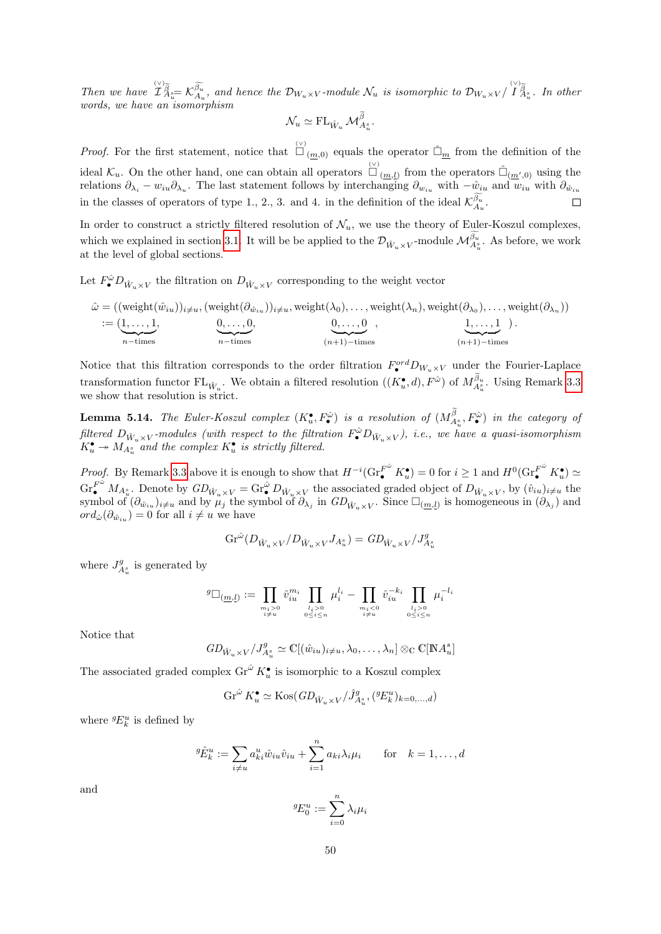Then we have  $\hat{\mathcal{I}}^{\otimes}_{A_{\tilde{u}}}= \mathcal{K}^{\widetilde{\beta_{u}}}_{A_{u}},$  and hence the  $\mathcal{D}_{W_{u}\times V}$ -module  $\mathcal{N}_{u}$  is isomorphic to  $\mathcal{D}_{W_{u}\times V}/\hat{\mathcal{I}}^{\otimes}_{A_{\tilde{u}}}$ . In other words, we have an isomorphism

$$
\mathcal{N}_u \simeq \mathrm{FL}_{\hat{W}_u} \mathcal{M}_{A_u^s}^{\beta}.
$$

*Proof.* For the first statement, notice that  $\Box_{(m,0)}^{\vee}$  equals the operator  $\Box_m$  from the definition of the ideal  $\mathcal{K}_u$ . On the other hand, one can obtain all operators  $\overline{\Box}_{(\underline{m},\underline{l})}$  from the operators  $\tilde{\Box}_{(\underline{m}',0)}$  using the relations  $\partial_{\lambda_i} - w_{iu}\partial_{\lambda_u}$ . The last statement follows by interchanging  $\partial_{w_{iu}}$  with  $-\hat{w}_{iu}$  and  $w_{iu}$  with  $\partial_{\hat{w}_{iu}}$ in the classes of operators of type 1., 2., 3. and 4. in the definition of the ideal  $\mathcal{K}_{A_u}^{\beta_u}$ .

In order to construct a strictly filtered resolution of  $\mathcal{N}_u$ , we use the theory of Euler-Koszul complexes, which we explained in section [3.1.](#page-14-0) It will be be applied to the  $\mathcal{D}_{\hat{W}_u \times V}$ -module  $\mathcal{M}_{A_u^s}^{\beta_u}$ . As before, we work at the level of global sections.

Let  $F^{\hat{\omega}}_{\bullet}D_{\hat{W}_u\times V}$  the filtration on  $D_{\hat{W}_u\times V}$  corresponding to the weight vector

$$
\hat{\omega} = ((\text{weight}(\hat{w}_{iu}))_{i \neq u}, (\text{weight}(\partial_{\hat{w}_{iu}}))_{i \neq u}, \text{weight}(\lambda_0), \dots, \text{weight}(\lambda_n), \text{weight}(\partial_{\lambda_0}), \dots, \text{weight}(\partial_{\lambda_n}))
$$
  

$$
:= (\underbrace{1, \dots, 1}_{n-\text{times}}, \underbrace{0, \dots, 0}_{n-\text{times}}, \underbrace{0, \dots, 0}_{(n+1)-\text{times}}, \underbrace{1, \dots, 1}_{(n+1)-\text{times}}).
$$

Notice that this filtration corresponds to the order filtration  $F^{ord}_{\bullet}D_{W_u\times V}$  under the Fourier-Laplace transformation functor  $FL_{\hat{W}_u}$ . We obtain a filtered resolution  $((K_u^{\bullet}, d), F^{\hat{\omega}})$  of  $M_{A_u^s}^{\beta_u}$ . Using Remark [3.3](#page-16-1) we show that resolution is strict.

<span id="page-49-0"></span>**Lemma 5.14.** The Euler-Koszul complex  $(K_u^{\bullet}, F_{\bullet}^{\hat{\omega}})$  is a resolution of  $(M_{A_u^s}^{\beta}, F_{\bullet}^{\hat{\omega}})$  in the category of filtered  $D_{\hat{W}_u \times V}$ -modules (with respect to the filtration  $F^{\hat{\omega}} D_{\hat{W}_u \times V}$ ), i.e., we have a quasi-isomorphism  $K_u^{\bullet} \twoheadrightarrow M_{A_u^s}^{u \nightharpoonup u \nightharpoonup u}$  and the complex  $K_u^{\bullet}$  is strictly filtered.

Proof. By Remark [3.3](#page-16-1) above it is enough to show that  $H^{-i}(\text{Gr}_{\bullet}^{F^{\hat{\omega}}}K_{u}^{\bullet})=0$  for  $i\geq 1$  and  $H^{0}(\text{Gr}_{\bullet}^{F^{\hat{\omega}}}K_{u}^{\bullet})\simeq$  $\text{Gr}_{\bullet}^{F^{\hat{\omega}}} M_{A^s_{u}}$ . Denote by  $GD_{\hat{W}_u \times V} = \text{Gr}_{\bullet}^{\hat{\omega}} D_{\hat{W}_u \times V}$  the associated graded object of  $D_{\hat{W}_u \times V}$ , by  $(\hat{v}_{iu})_{i \neq u}$  the symbol of  $(\partial_{\hat{w}_{i}})_{i\neq u}$  and by  $\mu_j$  the symbol of  $\partial_{\lambda_j}$  in  $GD_{\hat{W}_u \times V}$ . Since  $\square_{(\underline{m},\underline{l})}$  is homogeneous in  $(\partial_{\lambda_j})$  and  $ord_{\hat{\omega}}(\partial_{\hat{w}_{iu}})=0$  for all  $i \neq u$  we have

$$
\text{Gr}^{\hat{\omega}}(D_{\hat{W}_u \times V}/D_{\hat{W}_u \times V} J_{A^s_u}) = \text{GL}_{\hat{W}_u \times V}/J^g_{A^s_u}
$$

where  $J_{A_u^s}^g$  is generated by

$$
g_{\square_{(\underline{m},\underline{l})}} := \prod_{\substack{m_i > 0 \\ i \neq u}} \hat{v}_{iu}^{m_i} \prod_{\substack{l_i > 0 \\ 0 \leq i \leq n}} \mu_i^{l_i} - \prod_{\substack{m_i < 0 \\ i \neq u}} \hat{v}_{iu}^{-k_i} \prod_{\substack{l_i > 0 \\ 0 \leq i \leq n}} \mu_i^{-l_i}
$$

Notice that

$$
GD_{\hat{W}_u \times V}/J_{A_u^s}^g \simeq \mathbb{C}[(\hat{w}_{iu})_{i \neq u}, \lambda_0, \dots, \lambda_n] \otimes_{\mathbb{C}} \mathbb{C}[\mathbb{N}A_u^s]
$$

The associated graded complex  $\text{Gr}^{\hat{\omega}} K_u^{\bullet}$  is isomorphic to a Koszul complex

$$
\operatorname{Gr}^{\hat{\omega}} K_u^{\bullet} \simeq \operatorname{Kos} (GD_{\hat{W}_u \times V}/\hat{J}_{A_u^s}^g, ({}^g E_k^u)_{k=0,\dots,d})
$$

where  ${}^g\!E^u_k$  is defined by

$$
{}^{g}\hat{E}^{u}_{k} := \sum_{i \neq u} a^{u}_{ki} \hat{w}_{iu} \hat{v}_{iu} + \sum_{i=1}^{n} a_{ki} \lambda_i \mu_i \quad \text{for} \quad k = 1, \dots, d
$$

and

$$
{}^g\!E^u_0:=\sum_{i=0}^n\lambda_i\mu_i
$$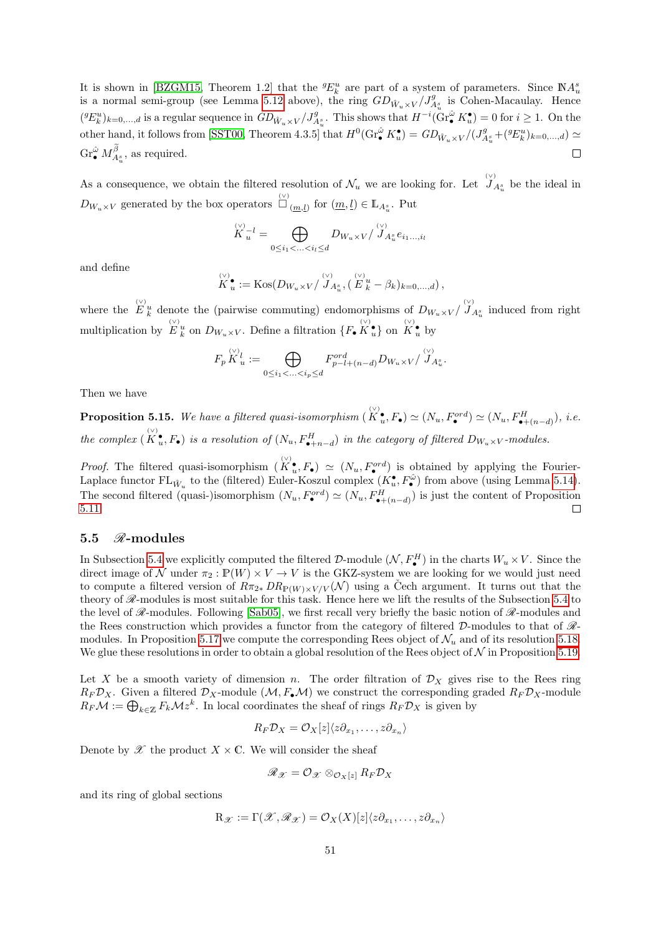It is shown in [\[BZGM15,](#page-74-2) Theorem 1.2] that the  ${}^{g}E^{u}_{k}$  are part of a system of parameters. Since  $\mathbb{N}A^{s}_{u}$ is a normal semi-group (see Lemma [5.12](#page-48-1) above), the ring  $GD_{\hat{W}_u \times V}/J_{A_u^s}^g$  is Cohen-Macaulay. Hence  $({}^gE^u_k)_{k=0,\dots,d}$  is a regular sequence in  $GD_{\hat{W}_u\times V}/J^g_{A^s_u}$ . This shows that  $H^{-i}(\text{Gr}_{\bullet}^{\hat{\omega}} K^{\bullet}_u)=0$  for  $i\geq 1$ . On the other hand, it follows from [\[SST00,](#page-75-3) Theorem 4.3.5] that  $H^0(\text{Gr}_{\bullet}^{\hat{\omega}} K_u^{\bullet}) = GD_{\hat{W}_u \times V}/(J_{A_u^s}^g + ({}^gE_u^u)_{k=0,\ldots,d}) \simeq$  $\text{Gr}_{\bullet}^{\hat{\omega}} M_{A_u^s}^{\beta}$ , as required.  $\Box$ 

As a consequence, we obtain the filtered resolution of  $\mathcal{N}_u$  we are looking for. Let  $\bigcup_{A_u^s}^{\langle \vee \rangle}$  be the ideal in  $D_{W_u \times V}$  generated by the box operators  $\bigcup_{m,l}^{\infty}$  for  $(\underline{m}, \underline{l}) \in \mathbb{L}_{A_u^s}$ . Put

$$
\overset{\scriptscriptstyle(\vee)}{K}_u{}^l=\bigoplus_{0\leq i_1<\ldots
$$

and define

$$
\overset{\scriptscriptstyle(\vee)}{K}_u^\bullet := \mathrm{Kos}(D_{W_u \times V}/\overset{\scriptscriptstyle(\vee)}{J}_{A_u^\circ}, (\overset{\scriptscriptstyle(\vee)}{E}_k^\circ - \beta_k)_{k=0,\dots,d}),
$$

where the  $E_k^{\vee}$  denote the (pairwise commuting) endomorphisms of  $D_{W_u\times V}/\overline{J}_{A_u^s}$  induced from right multiplication by  $E_k^{\vee}$  on  $D_{W_u \times V}$ . Define a filtration  $\{F_{\bullet} \overset{(\vee)}{K}_u^{\bullet} \}$  on  $\overset{(\vee)}{K}_u^{\bullet}$  by

$$
F_p \overset{\langle \vee \rangle_l}{K}_u := \bigoplus_{0 \le i_1 < \ldots < i_p \le d} F_{p-l+(n-d)}^{ord} D_{W_u \times V} / \overset{\langle \vee \rangle_l}{J}_{A_u^s}.
$$

Then we have

<span id="page-50-0"></span>**Proposition 5.15.** We have a filtered quasi-isomorphism  $(K_u^{\vee}, F_{\bullet}) \simeq (N_u, F_{\bullet}^{ord}) \simeq (N_u, F_{\bullet+(n-d)}^H)$ , i.e. the complex  $(K_u^{\bullet}, F_{\bullet})$  is a resolution of  $(N_u, F_{\bullet+n-d}^H)$  in the category of filtered  $D_{W_u \times V}$ -modules.

*Proof.* The filtered quasi-isomorphism  $(K_u^{\bullet}, F_{\bullet}) \simeq (N_u, F_{\bullet}^{ord})$  is obtained by applying the Fourier-Laplace functor  $FL_{\hat{W}_u}$  to the (filtered) Euler-Koszul complex  $(K_u^{\bullet}, F_{\bullet}^{\hat{\omega}})$  from above (using Lemma [5.14\)](#page-49-0). The second filtered (quasi-)isomorphism  $(N_u, F^{ord}_{\bullet}) \simeq (N_u, F^{H}_{\bullet+(n-d)})$  is just the content of Proposition [5.11.](#page-46-1)  $\Box$ 

### 5.5  $\mathcal{R}\text{-modules}$

In Subsection [5.4](#page-47-0) we explicitly computed the filtered D-module  $(\mathcal{N}, F^H_\bullet)$  in the charts  $W_u \times V$ . Since the direct image of N under  $\pi_2 : \mathbb{P}(W) \times V \to V$  is the GKZ-system we are looking for we would just need to compute a filtered version of  $R\pi_{2*} DR_{\mathbb{P}(W)\times V/V}(\mathcal{N})$  using a Cech argument. It turns out that the theory of  $\mathscr{R}\text{-modules}$  is most suitable for this task. Hence here we lift the results of the Subsection [5.4](#page-47-0) to the level of  $\mathscr{R}\text{-modules}$ . Following [\[Sab05\]](#page-75-4), we first recall very briefly the basic notion of  $\mathscr{R}\text{-modules}$  and the Rees construction which provides a functor from the category of filtered  $\mathcal{D}$ -modules to that of  $\mathcal{R}$ -modules. In Proposition [5.17](#page-52-0) we compute the corresponding Rees object of  $\mathcal{N}_u$  and of its resolution [5.18.](#page-52-1) We glue these resolutions in order to obtain a global resolution of the Rees object of  $N$  in Proposition [5.19.](#page-53-0)

Let X be a smooth variety of dimension n. The order filtration of  $\mathcal{D}_X$  gives rise to the Rees ring  $R_F \mathcal{D}_X$ . Given a filtered  $\mathcal{D}_X$ -module  $(\mathcal{M}, F_{\bullet} \mathcal{M})$  we construct the corresponding graded  $R_F \mathcal{D}_X$ -module  $R_F \mathcal{M} := \bigoplus_{k \in \mathbb{Z}} F_k \mathcal{M} z^k$ . In local coordinates the sheaf of rings  $R_F \mathcal{D}_X$  is given by

$$
R_F \mathcal{D}_X = \mathcal{O}_X[z] \langle z \partial_{x_1}, \dots, z \partial_{x_n} \rangle
$$

Denote by  $\mathscr X$  the product  $X \times \mathbb C$ . We will consider the sheaf

$$
\mathscr{R}_{\mathscr{X}} = \mathcal{O}_{\mathscr{X}} \otimes_{\mathcal{O}_X[z]} R_F \mathcal{D}_X
$$

and its ring of global sections

$$
\mathrm{R}_{\mathscr{X}}:=\Gamma(\mathscr{X},\mathscr{R}_{\mathscr{X}})=\mathcal{O}_X(X)[z]\langle z\partial_{x_1},\ldots,z\partial_{x_n}\rangle
$$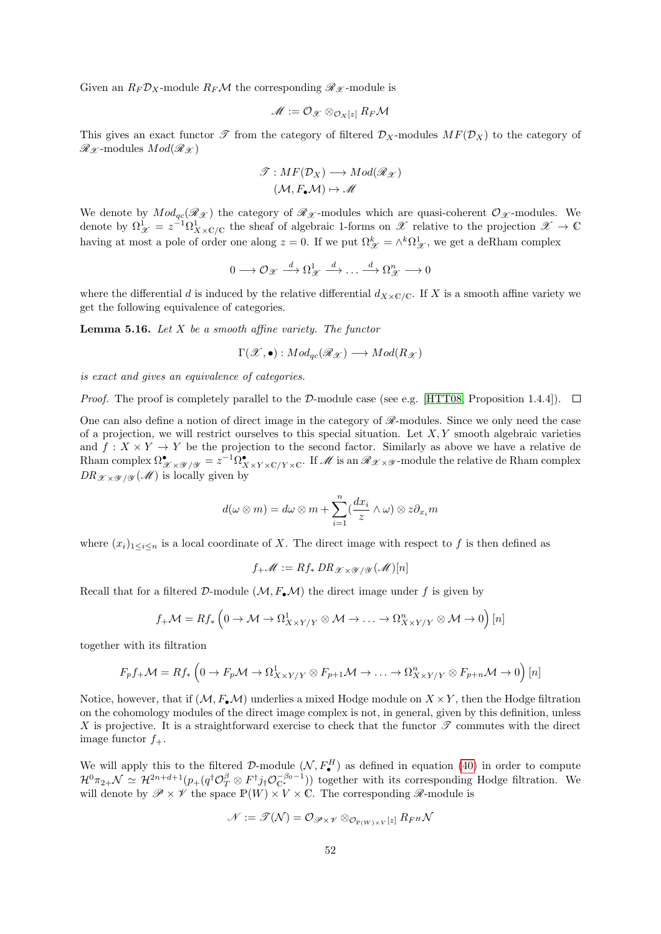Given an  $R_F \mathcal{D}_X$ -module  $R_F \mathcal{M}$  the corresponding  $\mathcal{R}_{\mathcal{X}}$ -module is

$$
\mathscr{M}:=\mathcal{O}_{\mathscr{X}}\otimes_{\mathcal{O}_{X}[z]}R_{F}\mathcal{M}
$$

This gives an exact functor  $\mathscr T$  from the category of filtered  $\mathcal D_X$ -modules  $MF(\mathcal D_X)$  to the category of  $\mathscr{R}_{\mathscr{X}}$ -modules  $Mod(\mathscr{R}_{\mathscr{X}})$ 

$$
\mathcal{T}: MF(\mathcal{D}_X) \longrightarrow Mod(\mathcal{R}_{\mathcal{X}})
$$

$$
(\mathcal{M}, F_{\bullet}\mathcal{M}) \mapsto \mathcal{M}
$$

We denote by  $Mod_{ac}(\mathcal{R}_{\mathcal{X}})$  the category of  $\mathcal{R}_{\mathcal{X}}$ -modules which are quasi-coherent  $\mathcal{O}_{\mathcal{X}}$ -modules. We denote by  $\Omega^1_{\mathscr{X}} = z^{-1}\Omega^1_{X\times\mathbb{C}/\mathbb{C}}$  the sheaf of algebraic 1-forms on  $\mathscr{X}$  relative to the projection  $\mathscr{X} \to \mathbb{C}$ having at most a pole of order one along  $z = 0$ . If we put  $\Omega_{\mathcal{X}}^k = \wedge^k \Omega_{\mathcal{X}}^1$ , we get a deRham complex

$$
0 \longrightarrow \mathcal{O}_{\mathscr{X}} \stackrel{d}{\longrightarrow} \Omega^1_{\mathscr{X}} \stackrel{d}{\longrightarrow} \dots \stackrel{d}{\longrightarrow} \Omega^n_{\mathscr{X}} \longrightarrow 0
$$

where the differential d is induced by the relative differential  $d_{X\times\mathbb{C}/\mathbb{C}}$ . If X is a smooth affine variety we get the following equivalence of categories.

<span id="page-51-0"></span>**Lemma 5.16.** Let  $X$  be a smooth affine variety. The functor

$$
\Gamma(\mathscr{X},\bullet): Mod_{qc}(\mathscr{R}_\mathscr{X}) \longrightarrow Mod(R_\mathscr{X})
$$

is exact and gives an equivalence of categories.

*Proof.* The proof is completely parallel to the D-module case (see e.g. [\[HTT08,](#page-74-3) Proposition 1.4.4]).  $\square$ 

One can also define a notion of direct image in the category of  $\mathscr R$ -modules. Since we only need the case of a projection, we will restrict ourselves to this special situation. Let  $X, Y$  smooth algebraic varieties and  $f: X \times Y \to Y$  be the projection to the second factor. Similarly as above we have a relative de Rham complex  $\Omega^\bullet_{\mathscr{X} \times \mathscr{Y} / \mathscr{Y}} = z^{-1} \Omega^\bullet_{X \times Y \times \mathbb{C}/Y \times \mathbb{C}}$ . If  $\mathscr{M}$  is an  $\mathscr{R}_{\mathscr{X} \times \mathscr{Y}}$ -module the relative de Rham complex  $DR_{\mathscr{X} \times \mathscr{Y} / \mathscr{Y}}(\mathscr{M})$  is locally given by

$$
d(\omega \otimes m) = d\omega \otimes m + \sum_{i=1}^{n} \left(\frac{dx_i}{z} \wedge \omega\right) \otimes z \partial_{x_i} m
$$

where  $(x_i)_{1\leq i\leq n}$  is a local coordinate of X. The direct image with respect to f is then defined as

$$
f_{+}\mathscr{M} := Rf_{*} \, DR_{\mathscr{X} \times \mathscr{Y} / \mathscr{Y}}(\mathscr{M})[n]
$$

Recall that for a filtered  $\mathcal{D}$ -module  $(\mathcal{M}, F_*\mathcal{M})$  the direct image under f is given by

$$
f_{+}\mathcal{M}=Rf_{*}\left(0 \to \mathcal{M} \to \Omega_{X \times Y/Y}^{1} \otimes \mathcal{M} \to \ldots \to \Omega_{X \times Y/Y}^{n} \otimes \mathcal{M} \to 0\right)[n]
$$

together with its filtration

$$
F_p f_+ \mathcal{M} = R f_* \left( 0 \to F_p \mathcal{M} \to \Omega^1_{X \times Y/Y} \otimes F_{p+1} \mathcal{M} \to \dots \to \Omega^n_{X \times Y/Y} \otimes F_{p+n} \mathcal{M} \to 0 \right) [n]
$$

Notice, however, that if  $(M, F_{\bullet}M)$  underlies a mixed Hodge module on  $X \times Y$ , then the Hodge filtration on the cohomology modules of the direct image complex is not, in general, given by this definition, unless X is projective. It is a straightforward exercise to check that the functor  $\mathscr T$  commutes with the direct image functor  $f_+$ .

We will apply this to the filtered D-module  $(\mathcal{N}, F^H_{\bullet})$  as defined in equation [\(40\)](#page-41-0) in order to compute  $\mathcal{H}^0\pi_{2+}\mathcal{N} \simeq \mathcal{H}^{2n+d+1}(p_+(q^\dagger \mathcal{O}_T^{\beta} \otimes F^\dagger j_!\mathcal{O}_C^{-\beta_0-1}))$  together with its corresponding Hodge filtration. We will denote by  $\mathscr{P} \times \mathscr{V}$  the space  $\mathbb{P}(W) \times V \times \mathbb{C}$ . The corresponding  $\mathscr{R}$ -module is

$$
\mathscr{N}:=\mathscr{T}(\mathcal{N})=\mathcal{O}_{\mathscr{P}\times \mathscr{V}}\otimes_{\mathcal{O}_{\mathbb{P}(W)\times V}[z]}R_{F^{H}}\mathcal{N}
$$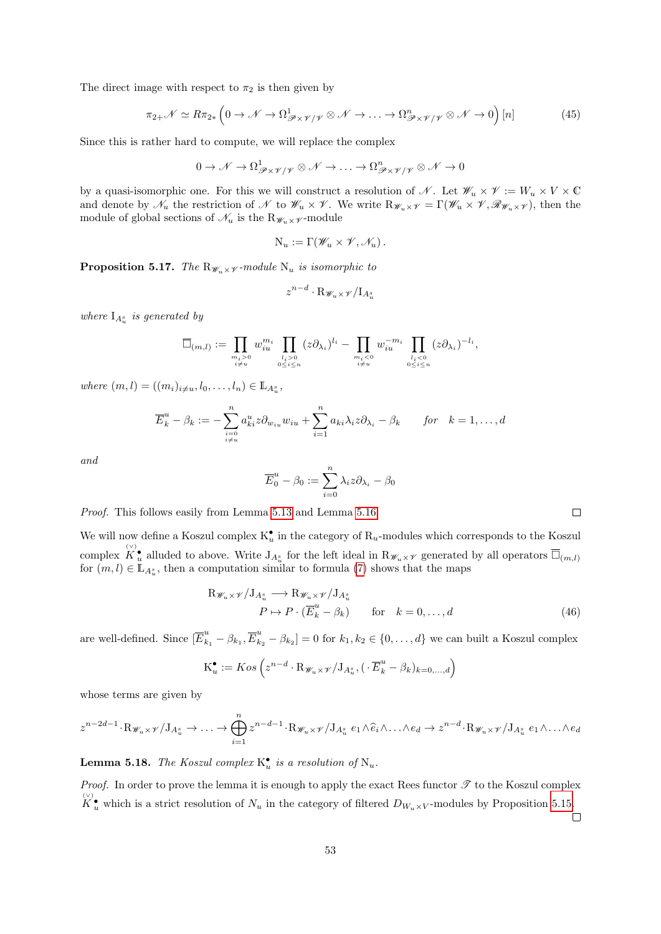The direct image with respect to  $\pi_2$  is then given by

<span id="page-52-2"></span>
$$
\pi_{2+} \mathcal{N} \simeq R \pi_{2*} \left( 0 \to \mathcal{N} \to \Omega^1_{\mathscr{P} \times \mathscr{V}/\mathscr{V}} \otimes \mathcal{N} \to \dots \to \Omega^n_{\mathscr{P} \times \mathscr{V}/\mathscr{V}} \otimes \mathcal{N} \to 0 \right) [n] \tag{45}
$$

Since this is rather hard to compute, we will replace the complex

$$
0\to\mathscr{N}\to\Omega^1_{\mathscr{P}\times\mathscr{V}/\mathscr{V}}\otimes\mathscr{N}\to\ldots\to\Omega^n_{\mathscr{P}\times\mathscr{V}/\mathscr{V}}\otimes\mathscr{N}\to 0
$$

by a quasi-isomorphic one. For this we will construct a resolution of N. Let  $\mathscr{W}_u \times \mathscr{V} := W_u \times V \times \mathbb{C}$ and denote by  $\mathcal{N}_u$  the restriction of  $\mathcal N$  to  $\mathcal{W}_u \times \mathcal{V}$ . We write  $R_{\mathcal{W}_u \times \mathcal{V}} = \Gamma(\mathcal{W}_u \times \mathcal{V}, \mathcal{R}_{\mathcal{W}_u \times \mathcal{V}})$ , then the module of global sections of  $\mathcal{N}_u$  is the  $R_{\mathcal{W}_u \times \mathcal{V}}$ -module

$$
N_u := \Gamma(\mathscr{W}_u \times \mathscr{V}, \mathscr{N}_u).
$$

<span id="page-52-0"></span>**Proposition 5.17.** The  $R_{\mathscr{W}_u \times \mathscr{V}}$ -module  $N_u$  is isomorphic to

$$
z^{n-d}\cdot\mathrm{R}_{\mathscr{W}_u\times\mathscr{V}}/\mathrm{I}_{A^s_u}
$$

where  $I_{A_u^s}$  is generated by

$$
\overline{\Box}_{(m,l)}:=\prod_{m_i>0\atop i\neq u}w_{iu}^{m_i}\prod_{\substack{l_i>0\cr 0\leq i\leq n}}(z\partial_{\lambda_i})^{l_i}-\prod_{m_i<0\atop i\neq u}w_{iu}^{-m_i}\prod_{\substack{l_i<0\cr 0\leq i\leq n}}(z\partial_{\lambda_i})^{-l_i},
$$

where  $(m, l) = ((m_i)_{i \neq u}, l_0, \ldots, l_n) \in \mathbb{L}_{A_u^s}$ ,

$$
\overline{E}_k^u - \beta_k := -\sum_{\substack{i=0 \ i \neq u}}^n a_{ki}^u z \partial_{w_{iu}} w_{iu} + \sum_{i=1}^n a_{ki} \lambda_i z \partial_{\lambda_i} - \beta_k \quad \text{for} \quad k = 1, \dots, d
$$

and

$$
\overline{E}_0^u - \beta_0 := \sum_{i=0}^n \lambda_i z \partial_{\lambda_i} - \beta_0
$$

Proof. This follows easily from Lemma [5.13](#page-48-0) and Lemma [5.16.](#page-51-0)

We will now define a Koszul complex  $K_u^{\bullet}$  in the category of  $R_u$ -modules which corresponds to the Koszul complex  $K_u^{\bullet}$  alluded to above. Write  $J_{A_u^s}$  for the left ideal in  $\mathbb{R}_{\mathscr{W}_u\times\mathscr{V}}$  generated by all operators  $\overline{\Box}_{(m,l)}$ for  $(m, l) \in \mathbb{L}_{A_u^s}$ , then a computation similar to formula [\(7\)](#page-15-0) shows that the maps

$$
R\mathscr{W}_u \times \mathscr{V}/J_{A_u^s} \longrightarrow R\mathscr{W}_u \times \mathscr{V}/J_{A_u^s}
$$
  
\n
$$
P \mapsto P \cdot (\overline{E}_k^u - \beta_k) \qquad \text{for} \quad k = 0, \dots, d
$$
 (46)

are well-defined. Since  $[\overline{E}_{k_1}^u - \beta_{k_1}, \overline{E}_{k_2}^u - \beta_{k_2}] = 0$  for  $k_1, k_2 \in \{0, ..., d\}$  we can built a Koszul complex

$$
\mathbf{K}_u^{\bullet} := Kos\left(z^{n-d} \cdot \mathbf{R}_{\mathscr{W}_u \times \mathscr{V}} / \mathbf{J}_{A_u^s}, \left(\cdot \overline{E}_k^u - \beta_k\right)_{k=0,\dots,d}\right)
$$

whose terms are given by

$$
z^{n-2d-1} \cdot R_{\mathscr{W}_u \times \mathscr{V}} / J_{A_u^s} \to \dots \to \bigoplus_{i=1}^n z^{n-d-1} \cdot R_{\mathscr{W}_u \times \mathscr{V}} / J_{A_u^s} \cdot e_1 \wedge \widehat{e}_i \wedge \dots \wedge e_d \to z^{n-d} \cdot R_{\mathscr{W}_u \times \mathscr{V}} / J_{A_u^s} \cdot e_1 \wedge \dots \wedge e_d
$$

<span id="page-52-1"></span>**Lemma 5.18.** The Koszul complex  $K_u^{\bullet}$  is a resolution of  $N_u$ .

*Proof.* In order to prove the lemma it is enough to apply the exact Rees functor  $\mathscr T$  to the Koszul complex  $K_u^{\vee}$  which is a strict resolution of  $N_u$  in the category of filtered  $D_{W_u \times V}$ -modules by Proposition [5.15.](#page-50-0)

 $\Box$ 

 $\Box$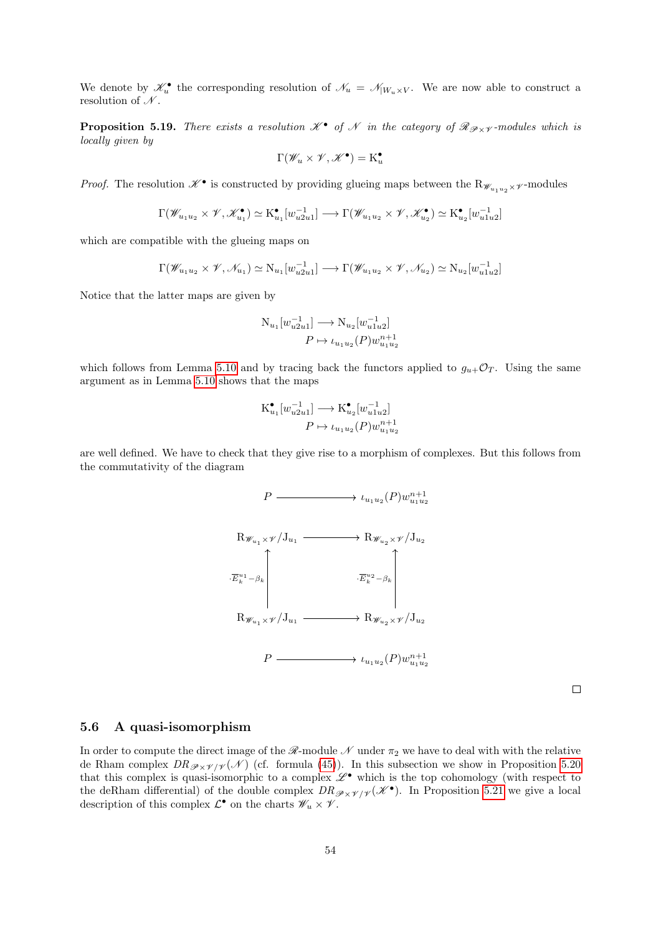We denote by  $\mathscr{K}_u^{\bullet}$  the corresponding resolution of  $\mathscr{N}_u = \mathscr{N}_{|W_u \times V}$ . We are now able to construct a resolution of  $\mathcal{N}$ .

<span id="page-53-0"></span>**Proposition 5.19.** There exists a resolution  $\mathcal{K}^{\bullet}$  of  $\mathcal{N}$  in the category of  $\mathcal{R}_{\mathcal{P}\times\mathcal{V}}$ -modules which is locally given by

$$
\Gamma(\mathscr{W}_u\times \mathscr{V},\mathscr{K}^\bullet)=K^\bullet_u
$$

*Proof.* The resolution  $\mathscr{K}^{\bullet}$  is constructed by providing glueing maps between the  $R_{\mathscr{W}_{u_1u_2}\times\mathscr{V}}$ -modules

$$
\Gamma(\mathscr{W}_{u_1u_2} \times \mathscr{V}, \mathscr{K}_{u_1}^{\bullet}) \simeq \mathrm{K}_{u_1}^{\bullet}[w_{u_2u_1}^{-1}] \longrightarrow \Gamma(\mathscr{W}_{u_1u_2} \times \mathscr{V}, \mathscr{K}_{u_2}^{\bullet}) \simeq \mathrm{K}_{u_2}^{\bullet}[w_{u_1u_2}^{-1}]
$$

which are compatible with the glueing maps on

$$
\Gamma(\mathscr{W}_{u_1u_2}\times\mathscr{V},\mathscr{N}_{u_1})\simeq N_{u_1}[w_{u_2u_1}^{-1}]\longrightarrow \Gamma(\mathscr{W}_{u_1u_2}\times\mathscr{V},\mathscr{N}_{u_2})\simeq N_{u_2}[w_{u_1u_2}^{-1}]
$$

Notice that the latter maps are given by

$$
\begin{aligned} \mathcal{N}_{u_1}[w_{u2u1}^{-1}] &\longrightarrow \mathcal{N}_{u_2}[w_{u1u2}^{-1}] \\ P &\mapsto \iota_{u_1u_2}(P)w_{u_1u_2}^{n+1} \end{aligned}
$$

which follows from Lemma [5.10](#page-46-2) and by tracing back the functors applied to  $g_{u+}\mathcal{O}_T$ . Using the same argument as in Lemma [5.10](#page-46-2) shows that the maps

$$
K_{u_1}^{\bullet}[w_{u2u1}^{-1}] \longrightarrow K_{u_2}^{\bullet}[w_{u1u2}^{-1}]
$$

$$
P \mapsto \iota_{u_1u_2}(P)w_{u_1u_2}^{n+1}
$$

are well defined. We have to check that they give rise to a morphism of complexes. But this follows from the commutativity of the diagram



 $\Box$ 

#### 5.6 A quasi-isomorphism

In order to compute the direct image of the  $\mathcal{R}\text{-module }\mathcal{N}$  under  $\pi_2$  we have to deal with with the relative de Rham complex  $DR_{\mathscr{P}\times\mathscr{V}/\mathscr{V}}(\mathscr{N})$  (cf. formula [\(45\)](#page-52-2)). In this subsection we show in Proposition [5.20](#page-54-0) that this complex is quasi-isomorphic to a complex  $\mathscr{L}^{\bullet}$  which is the top cohomology (with respect to the deRham differential) of the double complex  $DR_{\mathscr{P} \times \mathscr{V}/\mathscr{V}}(\mathscr{K}^{\bullet})$ . In Proposition [5.21](#page-54-1) we give a local description of this complex  $\mathcal{L}^{\bullet}$  on the charts  $\mathscr{W}_u \times \mathscr{V}$ .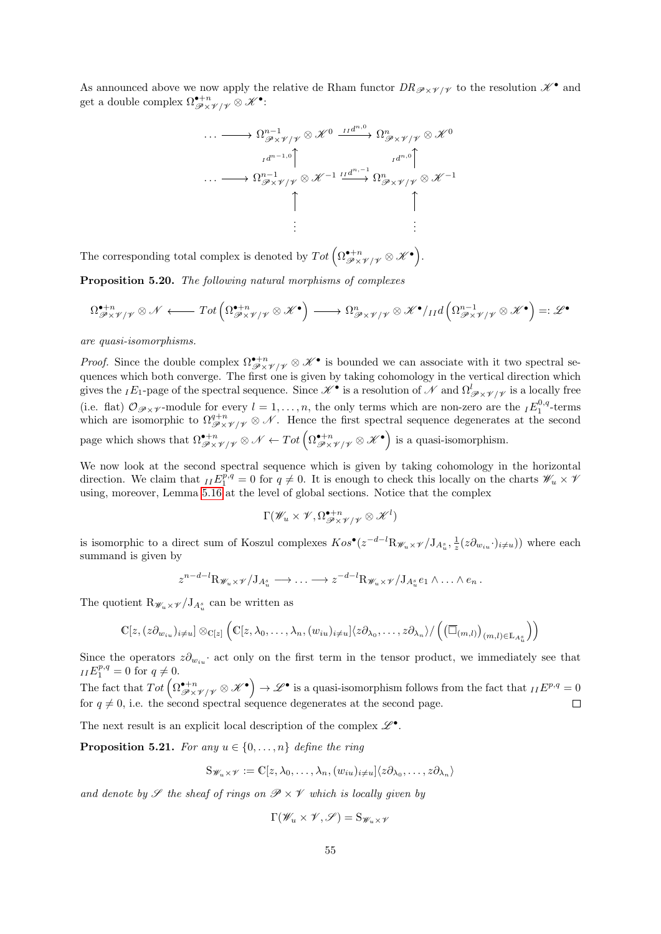As announced above we now apply the relative de Rham functor  $DR_{\mathscr{P} \times \mathscr{V}/\mathscr{V}}$  to the resolution  $\mathscr{K}^{\bullet}$  and get a double complex  $\Omega_{\mathscr{P} \times \mathscr{V} / \mathscr{V}}^{\bullet + n} \otimes \mathscr{K}^{\bullet}$ :

$$
\cdots \longrightarrow \Omega_{\mathscr{P}\times\mathscr{V}/\mathscr{V}}^{n-1} \otimes \mathscr{K}^{0} \xrightarrow{\operatorname{Id}^{n,0}} \Omega_{\mathscr{P}\times\mathscr{V}/\mathscr{V}}^{n} \otimes \mathscr{K}^{0}
$$
\n
$$
\cdots \longrightarrow \Omega_{\mathscr{P}\times\mathscr{V}/\mathscr{V}}^{n-1} \otimes \mathscr{K}^{-1} \xrightarrow{\operatorname{Id}^{n,-1}} \Omega_{\mathscr{P}\times\mathscr{V}/\mathscr{V}}^{n} \otimes \mathscr{K}^{-1}
$$
\n
$$
\uparrow
$$
\n
$$
\uparrow
$$
\n
$$
\uparrow
$$
\n
$$
\vdots
$$

The corresponding total complex is denoted by  $Tot \left( \Omega_{\mathscr{P} \times \mathscr{V} / \mathscr{V}}^{\bullet + n} \otimes \mathscr{K}^{\bullet} \right)$ .

<span id="page-54-0"></span>Proposition 5.20. The following natural morphisms of complexes

$$
\Omega^{\bullet+n}_{\mathscr{P}\times\mathscr{V}/\mathscr{V}}\otimes\mathscr{N}\longleftarrow Tot\left(\Omega^{\bullet+n}_{\mathscr{P}\times\mathscr{V}/\mathscr{V}}\otimes\mathscr{K}^{\bullet}\right)\longrightarrow\Omega^n_{\mathscr{P}\times\mathscr{V}/\mathscr{V}}\otimes\mathscr{K}^{\bullet}/\mathrm{Id}\left(\Omega^{n-1}_{\mathscr{P}\times\mathscr{V}/\mathscr{V}}\otimes\mathscr{K}^{\bullet}\right)=:\mathscr{L}^{\bullet}
$$

are quasi-isomorphisms.

*Proof.* Since the double complex  $\Omega^{\bullet+n}_{\mathscr{P}\times\mathscr{V}/\mathscr{V}}\otimes\mathscr{K}^{\bullet}$  is bounded we can associate with it two spectral sequences which both converge. The first one is given by taking cohomology in the vertical direction which gives the  $_IE_1$ -page of the spectral sequence. Since  $\mathscr{K}^{\bullet}$  is a resolution of  $\mathscr{N}$  and  $\Omega^l_{\mathscr{P}\times\mathscr{V}/\mathscr{V}}$  is a locally free (i.e. flat)  $\mathcal{O}_{\mathscr{P}\times\mathscr{V}}$ -module for every  $l=1,\ldots,n$ , the only terms which are non-zero are the  $_IE_1^{0,q}$ -terms which are isomorphic to  $\Omega^{q+n}_{\mathscr{P} \times \mathscr{V}/\mathscr{V}} \otimes \mathscr{N}$ . Hence the first spectral sequence degenerates at the second page which shows that  $\Omega^{\bullet+n}_{\mathscr{P} \times \mathscr{V}/\mathscr{V}} \otimes \mathscr{N} \leftarrow Tot \left( \Omega^{\bullet+n}_{\mathscr{P} \times \mathscr{V}/\mathscr{V}} \otimes \mathscr{K}^{\bullet} \right)$  is a quasi-isomorphism.

We now look at the second spectral sequence which is given by taking cohomology in the horizontal direction. We claim that  $I^T I^{\vec{p},q}_1 = 0$  for  $q \neq 0$ . It is enough to check this locally on the charts  $\mathscr{W}_u \times \mathscr{V}_v$ using, moreover, Lemma [5.16](#page-51-0) at the level of global sections. Notice that the complex

$$
\Gamma(\mathscr{W}_u\times \mathscr{V}, \Omega^{ \bullet+n}_{\mathscr{P} \times \mathscr{V}/\mathscr{V}} \otimes \mathscr{K}^l)
$$

is isomorphic to a direct sum of Koszul complexes  $Kos^{\bullet}(z^{-d-l}R_{\mathscr{W}_u\times\mathscr{V}}/J_{A_u^s}, \frac{1}{z}(z\partial_{w_{iu}}\cdot)_{i\neq u})$  where each summand is given by

$$
z^{n-d-l} \mathcal{R}_{\mathscr{W}_u \times \mathscr{V}} / \mathcal{J}_{A_u^s} \longrightarrow \ldots \longrightarrow z^{-d-l} \mathcal{R}_{\mathscr{W}_u \times \mathscr{V}} / \mathcal{J}_{A_u^s} e_1 \wedge \ldots \wedge e_n.
$$

The quotient  $\mathcal{R}_{\mathscr{W}_u \times \mathscr{V}} / J_{A_u^s}$  can be written as

$$
\mathbb{C}[z,(z\partial_{w_{iu}})_{i\neq u}]\otimes_{\mathbb{C}[z]}\left(\mathbb{C}[z,\lambda_0,\ldots,\lambda_n,(w_{iu})_{i\neq u}]\langle z\partial_{\lambda_0},\ldots,z\partial_{\lambda_n}\rangle/\left(\left(\overline{\Box}_{(m,l)}\right)_{(m,l)\in\mathbb{L}_{A^s_u}}\right)\right)
$$

Since the operators  $z\partial_{w_{in}}$  act only on the first term in the tensor product, we immediately see that  $_{II}E_1^{p,q} = 0$  for  $q \neq 0$ .

The fact that  $Tot\left(\Omega^{\bullet+n}_{\mathscr{P}\times\mathscr{V}/\mathscr{V}}\otimes\mathscr{K}^\bullet\right)\to\mathscr{L}^\bullet$  is a quasi-isomorphism follows from the fact that  $_{II}E^{p,q}=0$ for  $q \neq 0$ , i.e. the second spectral sequence degenerates at the second page.  $\Box$ 

The next result is an explicit local description of the complex  $\mathscr{L}^\bullet$ .

<span id="page-54-1"></span>**Proposition 5.21.** For any  $u \in \{0, \ldots, n\}$  define the ring

$$
S_{\mathscr{W}_u\times\mathscr{V}}:=\mathbb{C}[z,\lambda_0,\ldots,\lambda_n,(w_{iu})_{i\neq u}]\langle z\partial_{\lambda_0},\ldots,z\partial_{\lambda_n}\rangle
$$

and denote by  $\mathscr S$  the sheaf of rings on  $\mathscr P\times\mathscr V$  which is locally given by

$$
\Gamma(\mathscr{W}_u\times \mathscr{V},\mathscr{S})=\mathrm{S}_{\mathscr{W}_u\times \mathscr{V}}
$$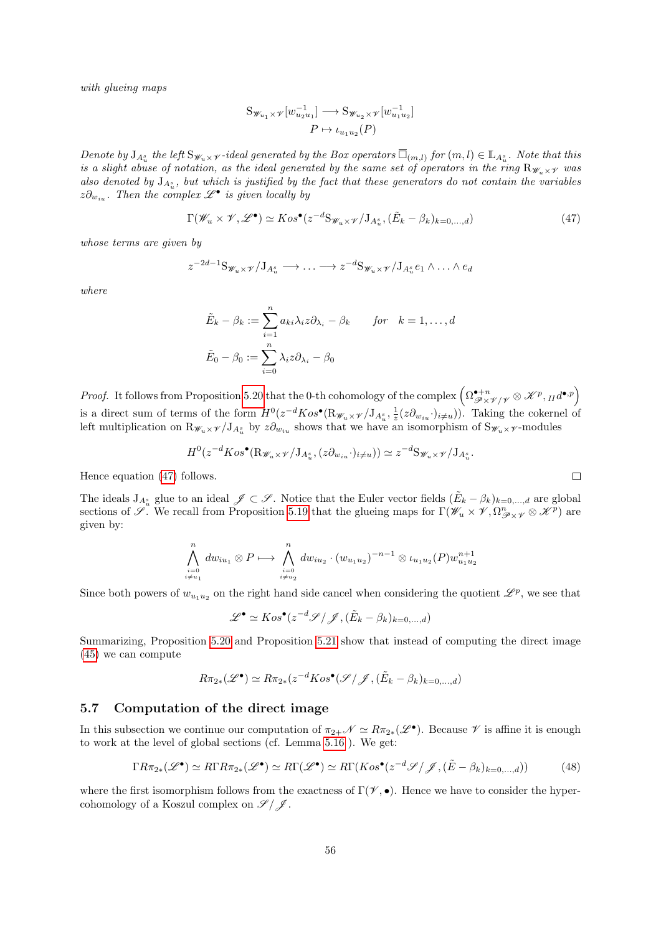with glueing maps

$$
S_{\mathscr{W}_{u_1} \times \mathscr{V}}[w_{u_2 u_1}^{-1}] \longrightarrow S_{\mathscr{W}_{u_2} \times \mathscr{V}}[w_{u_1 u_2}^{-1}]
$$

$$
P \mapsto \iota_{u_1 u_2}(P)
$$

Denote by  $J_{A_u^s}$  the left  $S_{\mathscr{W}_u\times\mathscr{V}}$ -ideal generated by the Box operators  $\overline{\Box}_{(m,l)}$  for  $(m,l)\in \mathbb{L}_{A_u^s}$ . Note that this is a slight abuse of notation, as the ideal generated by the same set of operators in the ring  $R_{\mathscr{W}_u\times\mathscr{Y}}$  was also denoted by  $J_{A_u^s}$ , but which is justified by the fact that these generators do not contain the variables  $z\partial_{w_{iu}}$ . Then the complex  $\mathscr{L}^{\bullet}$  is given locally by

<span id="page-55-0"></span>
$$
\Gamma(\mathscr{W}_u \times \mathscr{V}, \mathscr{L}^\bullet) \simeq Kos^\bullet(z^{-d}S_{\mathscr{W}_u \times \mathscr{V}}/J_{A_u^s}, (\tilde{E}_k - \beta_k)_{k=0,\dots,d})
$$
(47)

whose terms are given by

$$
z^{-2d-1}S_{\mathscr{W}_u\times\mathscr{V}}/J_{A_u^s}\longrightarrow\ldots\longrightarrow z^{-d}S_{\mathscr{W}_u\times\mathscr{V}}/J_{A_u^s}e_1\wedge\ldots\wedge e_d
$$

where

$$
\tilde{E}_k - \beta_k := \sum_{i=1}^n a_{ki} \lambda_i z \partial_{\lambda_i} - \beta_k \quad \text{for} \quad k = 1, ..., d
$$
  

$$
\tilde{E}_0 - \beta_0 := \sum_{i=0}^n \lambda_i z \partial_{\lambda_i} - \beta_0
$$

Proof. It follows from Proposition [5.20](#page-54-0) that the 0-th cohomology of the complex  $\left(\Omega^{\bullet+n}_{\mathscr{P}\times\mathscr{V}/\mathscr{V}}\otimes\mathscr{K}^p,{}_{II}d^{\bullet,p}\right)$ is a direct sum of terms of the form  $H^0(z^{-d}Kos^{\bullet}(\mathbf{R}_{\mathscr{W}_u\times\mathscr{V}}/\mathbf{J}_{A_u^s},\frac{1}{z}(z\partial_{w_{iu}}\cdot)_{i\neq u}))$ . Taking the cokernel of left multiplication on  $R_{\mathscr{W}_u\times\mathscr{V}}/J_{A_u^s}$  by  $z\partial_{w_{iu}}$  shows that we have an isomorphism of  $S_{\mathscr{W}_u\times\mathscr{V}}$ -modules

$$
H^0(z^{-d}Kos^{\bullet}(\mathbf{R}_{\mathscr{W}_u\times\mathscr{V}}/J_{A^s_u},(z\partial_{w_{iu}}\cdot)_{i\neq u}))\simeq z^{-d}\mathbf{S}_{\mathscr{W}_u\times\mathscr{V}}/J_{A^s_u}.
$$

Hence equation [\(47\)](#page-55-0) follows.

The ideals  $J_{A_u^s}$  glue to an ideal  $\mathscr{J} \subset \mathscr{S}$ . Notice that the Euler vector fields  $(\tilde{E}_k - \beta_k)_{k=0,\dots,d}$  are global sections of  $\mathscr{S}$ . We recall from Proposition [5.19](#page-53-0) that the glueing maps for  $\Gamma(\mathscr{W}_u \times \mathscr{V}, \Omega^n_{\mathscr{P} \times \mathscr{V}} \otimes \mathscr{K}^p)$  are given by:

$$
\bigwedge_{\substack{i=0 \ i \neq u_1}}^n dw_{iu_1} \otimes P \longmapsto \bigwedge_{\substack{i=0 \ i \neq u_2}}^n dw_{iu_2} \cdot (w_{u_1 u_2})^{-n-1} \otimes \iota_{u_1 u_2}(P) w_{u_1 u_2}^{n+1}
$$

Since both powers of  $w_{u_1u_2}$  on the right hand side cancel when considering the quotient  $\mathscr{L}^p$ , we see that

 $\mathscr{L}^{\bullet} \simeq Kos^{\bullet}(z^{-d}\mathscr{S}/\mathscr{J},(\tilde{E}_k-\beta_k)_{k=0,...,d})$ 

Summarizing, Proposition [5.20](#page-54-0) and Proposition [5.21](#page-54-1) show that instead of computing the direct image [\(45\)](#page-52-2) we can compute

$$
R\pi_{2*}(\mathscr{L}^{\bullet}) \simeq R\pi_{2*}(z^{-d}Kos^{\bullet}(\mathscr{S}/\mathscr{J}, (\tilde{E}_k - \beta_k)_{k=0,\dots,d})
$$

## 5.7 Computation of the direct image

In this subsection we continue our computation of  $\pi_{2+}\mathscr{N} \simeq R\pi_{2*}(\mathscr{L}^{\bullet})$ . Because  $\mathscr{V}$  is affine it is enough to work at the level of global sections (cf. Lemma [5.16](#page-51-0) ). We get:

<span id="page-55-1"></span>
$$
\Gamma R \pi_{2*}(\mathscr{L}^{\bullet}) \simeq R \Gamma R \pi_{2*}(\mathscr{L}^{\bullet}) \simeq R \Gamma(\mathscr{L}^{\bullet}) \simeq R \Gamma(Kos^{\bullet}(z^{-d}\mathscr{S}/\mathscr{J}, (\tilde{E} - \beta_k)_{k=0,...,d})) \tag{48}
$$

where the first isomorphism follows from the exactness of  $\Gamma(\mathscr{V},\bullet)$ . Hence we have to consider the hypercohomology of a Koszul complex on  $\mathscr{S}/\mathscr{J}$ .

 $\Box$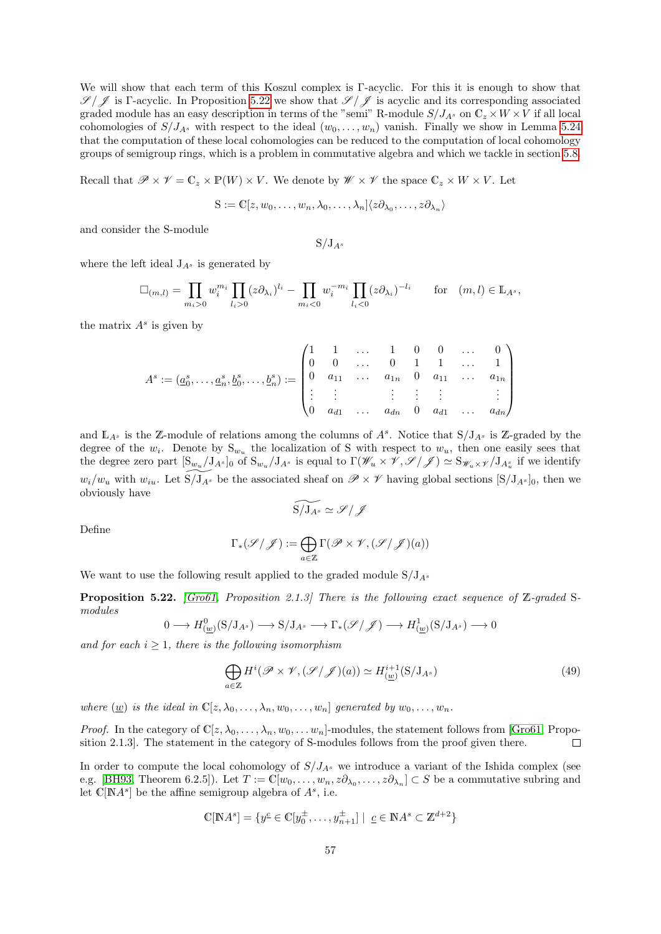We will show that each term of this Koszul complex is Γ-acyclic. For this it is enough to show that  $\mathscr{S}/\mathscr{J}$  is Γ-acyclic. In Proposition [5.22](#page-56-0) we show that  $\mathscr{S}/\mathscr{J}$  is acyclic and its corresponding associated graded module has an easy description in terms of the "semi" R-module  $S/J_{A^s}$  on  $\mathbb{C}_z \times W \times V$  if all local cohomologies of  $S/J_{A^s}$  with respect to the ideal  $(w_0, \ldots, w_n)$  vanish. Finally we show in Lemma [5.24](#page-57-0) that the computation of these local cohomologies can be reduced to the computation of local cohomology groups of semigroup rings, which is a problem in commutative algebra and which we tackle in section [5.8.](#page-57-1)

Recall that  $\mathscr{P} \times \mathscr{V} = \mathbb{C}_z \times \mathbb{P}(W) \times V$ . We denote by  $\mathscr{W} \times \mathscr{V}$  the space  $\mathbb{C}_z \times W \times V$ . Let

$$
S := \mathbb{C}[z, w_0, \dots, w_n, \lambda_0, \dots, \lambda_n] \langle z \partial_{\lambda_0}, \dots, z \partial_{\lambda_n} \rangle
$$

and consider the S-module

$$
S/J_{A^s}
$$

where the left ideal  $J_{A^s}$  is generated by

$$
\Box_{(m,l)} = \prod_{m_i>0} w_i^{m_i} \prod_{l_i>0} (z \partial_{\lambda_i})^{l_i} - \prod_{m_i<0} w_i^{-m_i} \prod_{l_i<0} (z \partial_{\lambda_i})^{-l_i} \quad \text{for} \quad (m,l) \in \mathbb{L}_{A^s},
$$

the matrix  $A^s$  is given by

$$
A^s := (\underline{a}_0^s, \ldots, \underline{a}_n^s, \underline{b}_0^s, \ldots, \underline{b}_n^s) := \begin{pmatrix} 1 & 1 & \ldots & 1 & 0 & 0 & \ldots & 0 \\ 0 & 0 & \ldots & 0 & 1 & 1 & \ldots & 1 \\ 0 & a_{11} & \ldots & a_{1n} & 0 & a_{11} & \ldots & a_{1n} \\ \vdots & \vdots & & \vdots & \vdots & \vdots & & \vdots \\ 0 & a_{d1} & \ldots & a_{dn} & 0 & a_{d1} & \ldots & a_{dn} \end{pmatrix}
$$

and  $\mathbb{L}_{A^s}$  is the Z-module of relations among the columns of  $A^s$ . Notice that  $S/J_{A^s}$  is Z-graded by the degree of the  $w_i$ . Denote by  $S_{w_u}$  the localization of S with respect to  $w_u$ , then one easily sees that the degree zero part  $[S_{w_u}/J_{A^s}]_0$  of  $S_{w_u}/J_{A^s}$  is equal to  $\Gamma(\mathscr{W}_u \times \mathscr{V}, \mathscr{S}/\mathscr{J}) \simeq S_{\mathscr{W}_u \times \mathscr{V}}/J_{A^s_u}$  if we identify  $w_i/w_u$  with  $w_{iu}$ . Let  $S/J_{A^s}$  be the associated sheaf on  $\mathscr{P} \times \mathscr{V}$  having global sections  $[S/J_{A^s}]_0$ , then we obviously have

$$
\widetilde{\mathrm{S}/\mathrm{J}_{A^s}}\simeq \mathscr{S}/\mathscr{J}
$$

Define

$$
\Gamma_*(\mathscr{S}/\mathscr{J}):=\bigoplus_{a\in\mathbb{Z}}\Gamma(\mathscr{P}\times\mathscr{V},(\mathscr{S}/\mathscr{J})(a))
$$

We want to use the following result applied to the graded module  $S/J_{A^s}$ 

<span id="page-56-0"></span>**Proposition 5.22.** [\[Gro61,](#page-74-4) Proposition 2.1.3] There is the following exact sequence of  $\mathbb{Z}$ -graded Smodules

$$
0 \longrightarrow H^0_{(\underline{w})}(S/J_{A^s}) \longrightarrow S/J_{A^s} \longrightarrow \Gamma_*(\mathscr{S}/\mathscr{J}) \longrightarrow H^1_{(\underline{w})}(S/J_{A^s}) \longrightarrow 0
$$

and for each  $i \geq 1$ , there is the following isomorphism

<span id="page-56-1"></span>
$$
\bigoplus_{a \in \mathbb{Z}} H^i(\mathscr{P} \times \mathscr{V}, (\mathscr{S}/\mathscr{J})(a)) \simeq H^{i+1}(\mathcal{S}/\mathcal{J}_{A^s})
$$
\n(49)

where  $(\underline{w})$  is the ideal in  $\mathbb{C}[z, \lambda_0, \ldots, \lambda_n, w_0, \ldots, w_n]$  generated by  $w_0, \ldots, w_n$ .

*Proof.* In the category of  $\mathbb{C}[z, \lambda_0, \ldots, \lambda_n, w_0, \ldots, w_n]$ -modules, the statement follows from [\[Gro61,](#page-74-4) Proposition 2.1.3]. The statement in the category of S-modules follows from the proof given there.  $\Box$ 

In order to compute the local cohomology of  $S/J_{A^s}$  we introduce a variant of the Ishida complex (see e.g. [\[BH93,](#page-74-5) Theorem 6.2.5]). Let  $T := \mathbb{C}[w_0, \ldots, w_n, z\partial_{\lambda_0}, \ldots, z\partial_{\lambda_n}] \subset S$  be a commutative subring and let  $\mathbb{C}[\mathbb{N}A^s]$  be the affine semigroup algebra of  $A^s$ , i.e.

$$
\mathbb{C}[\mathbb{N}A^s] = \{ y^{\underline{c}} \in \mathbb{C}[y_0^{\pm}, \dots, y_{n+1}^{\pm}] \mid \underline{c} \in \mathbb{N}A^s \subset \mathbb{Z}^{d+2} \}
$$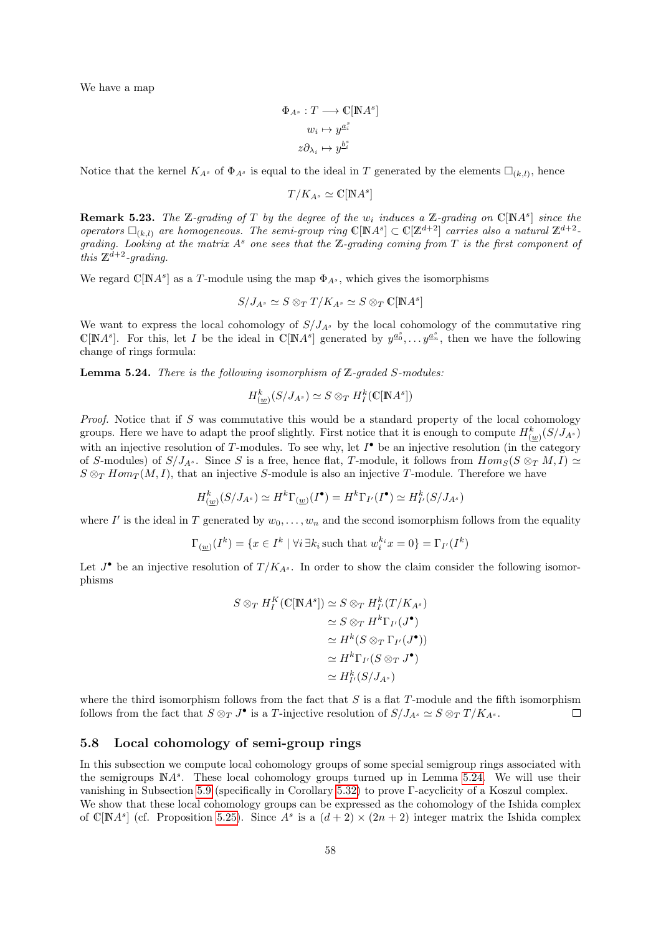We have a map

$$
\begin{aligned} \Phi_{A^s}:T &\longrightarrow \mathbb{C}[\mathbb{N}A^s]\\ w_i &\mapsto y^{\underline{a}^s_i}\\ z\partial_{\lambda_i} &\mapsto y^{\underline{b}^s_i} \end{aligned}
$$

Notice that the kernel  $K_{A^s}$  of  $\Phi_{A^s}$  is equal to the ideal in T generated by the elements  $\Box_{(k,l)}$ , hence

 $T/K_{A^s} \simeq \mathbb{C}[\mathbb{N}A^s]$ 

**Remark 5.23.** The Z-grading of T by the degree of the  $w_i$  induces a Z-grading on  $\mathbb{C}[NA^s]$  since the operators  $\Box_{(k,l)}$  are homogeneous. The semi-group ring  $\mathbb{C}[NA^s] \subset \mathbb{C}[Z^{d+2}]$  carries also a natural  $\mathbb{Z}^{d+2}$ . grading. Looking at the matrix  $A^s$  one sees that the Z-grading coming from T is the first component of this  $\mathbb{Z}^{\tilde{d}+2}$ -grading.

We regard  $\mathbb{C}[NA^s]$  as a T-module using the map  $\Phi_{A^s}$ , which gives the isomorphisms

$$
S/J_{A^s} \simeq S\otimes_T T/K_{A^s} \simeq S\otimes_T \mathbb{C}[\mathbb{N}A^s]
$$

We want to express the local cohomology of  $S/J_{A^s}$  by the local cohomology of the commutative ring  $\mathbb{C}[NA^s]$ . For this, let I be the ideal in  $\mathbb{C}[NA^s]$  generated by  $y^{a_0^s}, \ldots y^{a_n^s}$ , then we have the following change of rings formula:

<span id="page-57-0"></span>**Lemma 5.24.** There is the following isomorphism of Z-graded S-modules:

$$
H_{(\underline{w})}^k(S/J_{A^s}) \simeq S \otimes_T H^k_I(\mathbb{C}[\mathbb{N}A^s])
$$

Proof. Notice that if S was commutative this would be a standard property of the local cohomology groups. Here we have to adapt the proof slightly. First notice that it is enough to compute  $H_{(\underline{w})}^k(S/J_{A^s})$ with an injective resolution of T-modules. To see why, let  $I^{\bullet}$  be an injective resolution (in the category of S-modules) of  $S/J_{A^s}$ . Since S is a free, hence flat, T-module, it follows from  $Hom_S(S \otimes_T M, I) \simeq$  $S \otimes_T Hom_T(M, I)$ , that an injective S-module is also an injective T-module. Therefore we have

$$
H_{(\underline{w})}^k(S/J_{A^s}) \simeq H^k\Gamma_{(\underline{w})}(I^{\bullet}) = H^k\Gamma_{I'}(I^{\bullet}) \simeq H_{I'}^k(S/J_{A^s})
$$

where I' is the ideal in T generated by  $w_0, \ldots, w_n$  and the second isomorphism follows from the equality

$$
\Gamma_{(\underline{w})}(I^k) = \{ x \in I^k \mid \forall i \, \exists k_i \, \text{such that} \, w_i^{k_i} x = 0 \} = \Gamma_{I'}(I^k)
$$

Let  $J^{\bullet}$  be an injective resolution of  $T/K_{A^s}$ . In order to show the claim consider the following isomorphisms

$$
S \otimes_T H_I^K(\mathbb{C}[NA^s]) \simeq S \otimes_T H_{I'}^k(T/K_{A^s})
$$
  
\n
$$
\simeq S \otimes_T H^k \Gamma_{I'}(J^{\bullet})
$$
  
\n
$$
\simeq H^k(S \otimes_T \Gamma_{I'}(J^{\bullet}))
$$
  
\n
$$
\simeq H^k \Gamma_{I'}(S \otimes_T J^{\bullet})
$$
  
\n
$$
\simeq H_{I'}^k(S/J_{A^s})
$$

where the third isomorphism follows from the fact that  $S$  is a flat  $T$ -module and the fifth isomorphism follows from the fact that  $S \otimes_T J^{\bullet}$  is a T-injective resolution of  $S/J_{A^s} \simeq S \otimes_T T/K_{A^s}$ .  $\Box$ 

# <span id="page-57-1"></span>5.8 Local cohomology of semi-group rings

In this subsection we compute local cohomology groups of some special semigroup rings associated with the semigroups  $NA<sup>s</sup>$ . These local cohomology groups turned up in Lemma [5.24.](#page-57-0) We will use their vanishing in Subsection [5.9](#page-62-0) (specifically in Corollary [5.32\)](#page-62-1) to prove Γ-acyclicity of a Koszul complex. We show that these local cohomology groups can be expressed as the cohomology of the Ishida complex of C[NA<sup>s</sup>] (cf. Proposition [5.25\)](#page-58-0). Since  $A^s$  is a  $(d+2) \times (2n+2)$  integer matrix the Ishida complex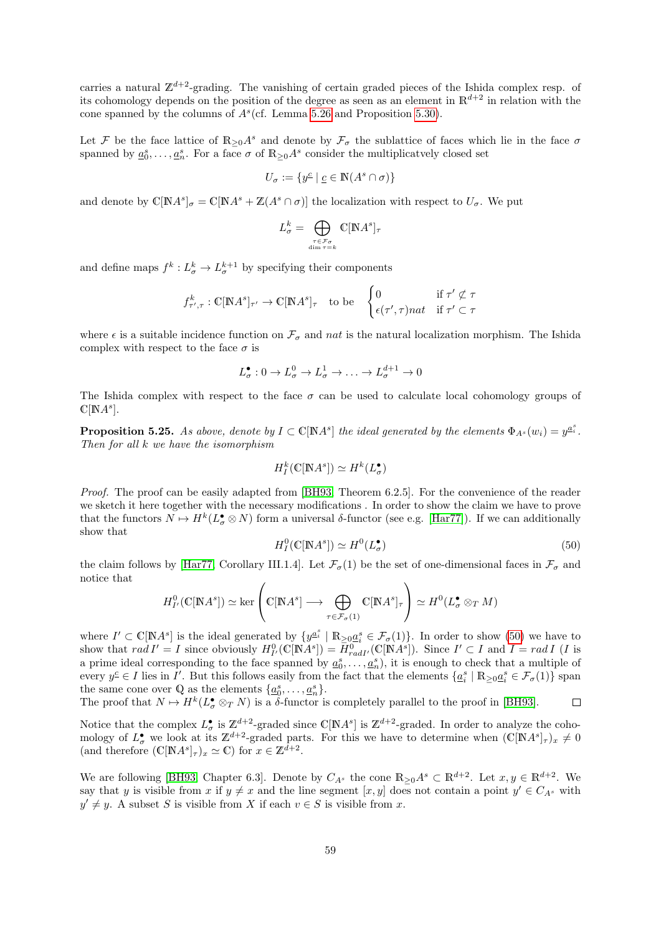carries a natural  $\mathbb{Z}^{d+2}$ -grading. The vanishing of certain graded pieces of the Ishida complex resp. of its cohomology depends on the position of the degree as seen as an element in  $\mathbb{R}^{d+2}$  in relation with the cone spanned by the columns of  $A<sup>s</sup>$  (cf. Lemma [5.26](#page-59-0) and Proposition [5.30\)](#page-61-0).

Let F be the face lattice of  $\mathbb{R}_{\geq 0}A^s$  and denote by  $\mathcal{F}_{\sigma}$  the sublattice of faces which lie in the face  $\sigma$ spanned by  $\underline{a}_0^s, \ldots, \underline{a}_n^s$ . For a face  $\sigma$  of  $\mathbb{R}_{\geq 0}A^s$  consider the multiplicatvely closed set

$$
U_{\sigma} := \{ y^{\underline{c}} \mid \underline{c} \in \mathbb{N}(A^s \cap \sigma) \}
$$

and denote by  $\mathbb{C}[\mathbb{N}A^s]_{\sigma} = \mathbb{C}[\mathbb{N}A^s + \mathbb{Z}(A^s \cap \sigma)]$  the localization with respect to  $U_{\sigma}$ . We put

$$
L^k_\sigma = \bigoplus_{\stackrel{\tau \in \mathcal{F}_\sigma}{\dim \tau = k}} \mathbb{C}[\mathbb{N} A^s]_\tau
$$

and define maps  $f^k: L^k_\sigma \to L^{k+1}_\sigma$  by specifying their components

$$
f_{\tau',\tau}^k : \mathbb{C}[\mathbb{N}A^s]_{\tau'} \to \mathbb{C}[\mathbb{N}A^s]_{\tau} \text{ to be } \begin{cases} 0 & \text{if } \tau' \not\subset \tau \\ \epsilon(\tau',\tau)nat & \text{if } \tau' \subset \tau \end{cases}
$$

where  $\epsilon$  is a suitable incidence function on  $\mathcal{F}_{\sigma}$  and nat is the natural localization morphism. The Ishida complex with respect to the face  $\sigma$  is

$$
L^{\bullet}_{\sigma}: 0 \to L^{0}_{\sigma} \to L^{1}_{\sigma} \to \ldots \to L^{d+1}_{\sigma} \to 0
$$

The Ishida complex with respect to the face  $\sigma$  can be used to calculate local cohomology groups of  $\mathbb{C}[{\mathbb N}A^s].$ 

<span id="page-58-0"></span>**Proposition 5.25.** As above, denote by  $I \subset \mathbb{C}[\mathbb{N}A^s]$  the ideal generated by the elements  $\Phi_{A^s}(w_i) = y^{\underline{a}^s_i}$ . Then for all k we have the isomorphism

$$
H^k_I(\mathbb{C}[\mathbb{N}A^s])\simeq H^k(L_\sigma^\bullet)
$$

Proof. The proof can be easily adapted from [\[BH93,](#page-74-5) Theorem 6.2.5]. For the convenience of the reader we sketch it here together with the necessary modifications . In order to show the claim we have to prove that the functors  $N \mapsto H^k(L^{\bullet}_{\sigma} \otimes N)$  form a universal  $\delta$ -functor (see e.g. [\[Har77\]](#page-74-6)). If we can additionally show that

<span id="page-58-1"></span>
$$
H_I^0(\mathbb{C}[\mathbb{N}A^s]) \simeq H^0(L_\sigma^\bullet)
$$
\n<sup>(50)</sup>

the claim follows by [\[Har77,](#page-74-6) Corollary III.1.4]. Let  $\mathcal{F}_{\sigma}(1)$  be the set of one-dimensional faces in  $\mathcal{F}_{\sigma}$  and notice that

$$
H_{I'}^0(\mathbb{C}[\mathbb{N}A^s]) \simeq \ker \left( \mathbb{C}[\mathbb{N}A^s] \longrightarrow \bigoplus_{\tau \in \mathcal{F}_\sigma(1)} \mathbb{C}[\mathbb{N}A^s]_\tau \right) \simeq H^0(L_\sigma^\bullet \otimes_T M)
$$

where  $I' \subset \mathbb{C}[\mathbb{N}A^s]$  is the ideal generated by  $\{y^{\underline{a}_i^s} \mid \mathbb{R}_{\geq 0}\underline{a}_i^s \in \mathcal{F}_\sigma(1)\}\)$ . In order to show [\(50\)](#page-58-1) we have to show that  $rad I' = I$  since obviously  $H^0_{I'}(\mathbb{C}[\mathbb{N}A^s]) = \overline{H}^0_{rad I'}(\mathbb{C}[\mathbb{N}A^s])$ . Since  $I' \subset I$  and  $I = rad I$  (*I* is a prime ideal corresponding to the face spanned by  $\underline{a}_0^s, \ldots, \underline{a}_n^s$ , it is enough to check that a multiple of every  $y^c \in I$  lies in I'. But this follows easily from the fact that the elements  $\{a_i^s \mid \mathbb{R}_{\geq 0} a_i^s \in \mathcal{F}_{\sigma}(1)\}$  span the same cone over Q as the elements  $\{\underline{a}_0^s, \ldots, \underline{a}_n^s\}.$ 

The proof that  $N \mapsto H^k(L^{\bullet}_{\sigma} \otimes_T N)$  is a  $\delta$ -functor is completely parallel to the proof in [\[BH93\]](#page-74-5).  $\Box$ 

Notice that the complex  $L^{\bullet}_{\sigma}$  is  $\mathbb{Z}^{d+2}$ -graded since  $\mathbb{C}[{\mathbb N}A^s]$  is  $\mathbb{Z}^{d+2}$ -graded. In order to analyze the cohomology of  $L^{\bullet}_{\sigma}$  we look at its  $\mathbb{Z}^{d+2}$ -graded parts. For this we have to determine when  $(\mathbb{C}[\mathbb{N}A^s]_{\tau})_x \neq 0$ (and therefore  $(\mathbb{C}[N]A^s]_{\tau})_x \simeq \mathbb{C}$ ) for  $x \in \mathbb{Z}^{\bar{d}+2}$ .

We are following [\[BH93,](#page-74-5) Chapter 6.3]. Denote by  $C_{A^s}$  the cone  $\mathbb{R}_{\geq 0}A^s \subset \mathbb{R}^{d+2}$ . Let  $x, y \in \mathbb{R}^{d+2}$ . We say that y is visible from x if  $y \neq x$  and the line segment  $[x, y]$  does not contain a point  $y' \in C_{A^s}$  with  $y' \neq y$ . A subset S is visible from X if each  $v \in S$  is visible from x.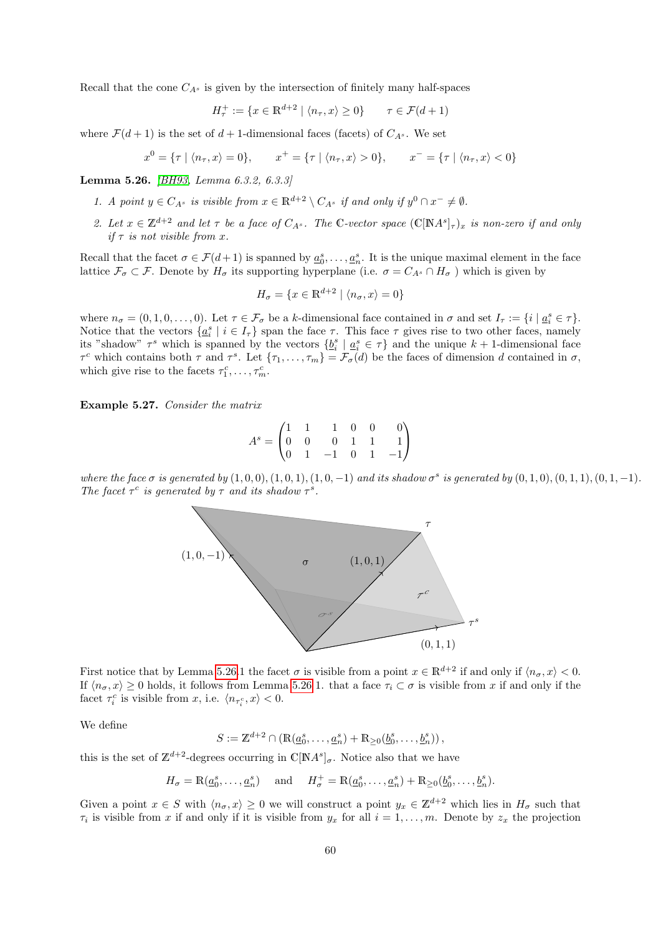Recall that the cone  $C_{A^s}$  is given by the intersection of finitely many half-spaces

$$
H_{\tau}^{+} := \{ x \in \mathbb{R}^{d+2} \mid \langle n_{\tau}, x \rangle \ge 0 \} \qquad \tau \in \mathcal{F}(d+1)
$$

where  $\mathcal{F}(d+1)$  is the set of  $d+1$ -dimensional faces (facets) of  $C_{A^s}$ . We set

 $x^0 = \{\tau \mid \langle n_\tau, x \rangle = 0\}, \qquad x^+ = \{\tau \mid \langle n_\tau, x \rangle > 0\}, \qquad x^- = \{\tau \mid \langle n_\tau, x \rangle < 0\}$ 

<span id="page-59-0"></span>Lemma 5.26. [\[BH93,](#page-74-5) Lemma 6.3.2, 6.3.3]

- 1. A point  $y \in C_{A^s}$  is visible from  $x \in \mathbb{R}^{d+2} \setminus C_{A^s}$  if and only if  $y^0 \cap x^- \neq \emptyset$ .
- 2. Let  $x \in \mathbb{Z}^{d+2}$  and let  $\tau$  be a face of  $C_{A^s}$ . The C-vector space  $(\mathbb{C}[\mathbb{N}A^s]_{\tau})_x$  is non-zero if and only if  $\tau$  is not visible from x.

Recall that the facet  $\sigma \in \mathcal{F}(d+1)$  is spanned by  $\underline{a}_0^s, \ldots, \underline{a}_n^s$ . It is the unique maximal element in the face lattice  $\mathcal{F}_{\sigma} \subset \mathcal{F}$ . Denote by  $H_{\sigma}$  its supporting hyperplane (i.e.  $\sigma = C_{A^s} \cap H_{\sigma}$ ) which is given by

$$
H_{\sigma} = \{ x \in \mathbb{R}^{d+2} \mid \langle n_{\sigma}, x \rangle = 0 \}
$$

where  $n_{\sigma} = (0, 1, 0, \ldots, 0)$ . Let  $\tau \in \mathcal{F}_{\sigma}$  be a k-dimensional face contained in  $\sigma$  and set  $I_{\tau} := \{i \mid \underline{a}_{i}^{s} \in \tau\}.$ Notice that the vectors  $\{\underline{a}_i^s \mid i \in I_\tau\}$  span the face  $\tau$ . This face  $\tau$  gives rise to two other faces, namely its "shadow"  $\tau^s$  which is spanned by the vectors  $\{b_i^s \mid a_i^s \in \tau\}$  and the unique  $k+1$ -dimensional face  $\tau^c$  which contains both  $\tau$  and  $\tau^s$ . Let  $\{\tau_1,\ldots,\tau_m\}=\mathcal{F}_{\sigma}(d)$  be the faces of dimension d contained in  $\sigma$ , which give rise to the facets  $\tau_1^c, \ldots, \tau_m^c$ .

Example 5.27. Consider the matrix

$$
A^s = \begin{pmatrix} 1 & 1 & 1 & 0 & 0 & 0 \\ 0 & 0 & 0 & 1 & 1 & 1 \\ 0 & 1 & -1 & 0 & 1 & -1 \end{pmatrix}
$$

where the face  $\sigma$  is generated by  $(1,0,0), (1,0,1), (1,0,-1)$  and its shadow  $\sigma^s$  is generated by  $(0,1,0), (0,1,1), (0,1,-1)$ . The facet  $\tau^c$  is generated by  $\tau$  and its shadow  $\tau^s$ .



First notice that by Lemma [5.26.](#page-59-0)1 the facet  $\sigma$  is visible from a point  $x \in \mathbb{R}^{d+2}$  if and only if  $\langle n_{\sigma}, x \rangle < 0$ . If  $\langle n_{\sigma}, x \rangle \ge 0$  holds, it follows from Lemma [5.26](#page-59-0) 1. that a face  $\tau_i \subset \sigma$  is visible from x if and only if the facet  $\tau_i^c$  is visible from x, i.e.  $\langle n_{\tau_i^c}, x \rangle < 0$ .

We define

$$
S := \mathbb{Z}^{d+2} \cap \left( \mathbb{R}(\underline{a}_0^s, \dots, \underline{a}_n^s) + \mathbb{R}_{\geq 0}(\underline{b}_0^s, \dots, \underline{b}_n^s) \right),
$$

this is the set of  $\mathbb{Z}^{d+2}$ -degrees occurring in  $\mathbb{C}[NA^s]_{\sigma}$ . Notice also that we have

$$
H_{\sigma} = \mathbb{R}(\underline{a}_0^s, \dots, \underline{a}_n^s) \quad \text{and} \quad H_{\sigma}^+ = \mathbb{R}(\underline{a}_0^s, \dots, \underline{a}_n^s) + \mathbb{R}_{\geq 0}(\underline{b}_0^s, \dots, \underline{b}_n^s).
$$

Given a point  $x \in S$  with  $\langle n_{\sigma}, x \rangle \ge 0$  we will construct a point  $y_x \in \mathbb{Z}^{d+2}$  which lies in  $H_{\sigma}$  such that  $\tau_i$  is visible from x if and only if it is visible from  $y_x$  for all  $i = 1, \ldots, m$ . Denote by  $z_x$  the projection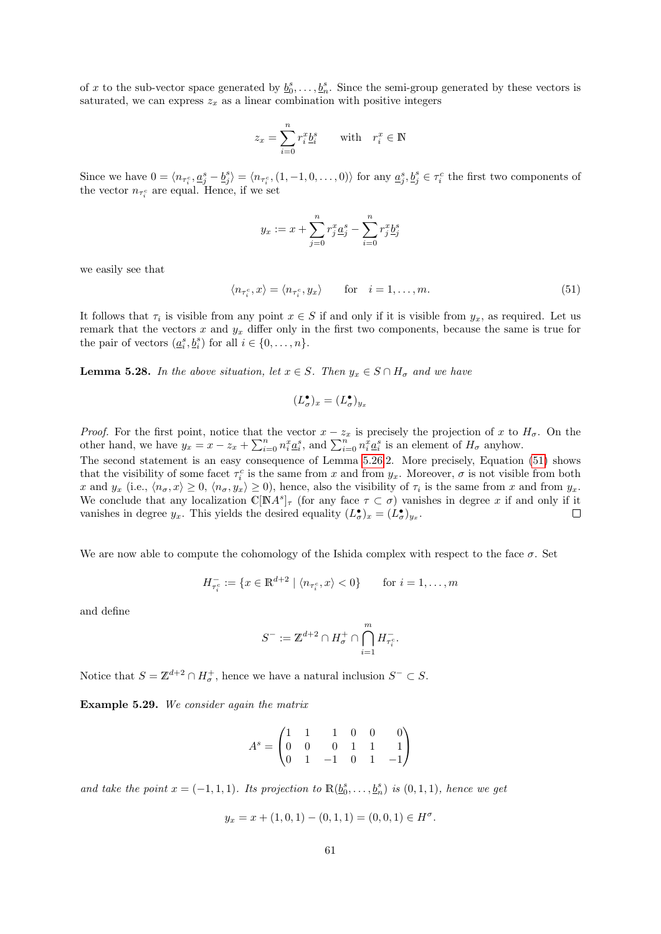of x to the sub-vector space generated by  $\underline{b}_0^s, \ldots, \underline{b}_n^s$ . Since the semi-group generated by these vectors is saturated, we can express  $z_x$  as a linear combination with positive integers

$$
z_x = \sum_{i=0}^n r_i^x \underline{b}_i^s \qquad \text{with} \quad r_i^x \in \mathbb{N}
$$

Since we have  $0 = \langle n_{\tau_i^c}, \underline{a_j^s} - \underline{b_j^s} \rangle = \langle n_{\tau_i^c}, (1, -1, 0, \dots, 0) \rangle$  for any  $\underline{a_j^s}, \underline{b_j^s} \in \tau_i^c$  the first two components of the vector  $n_{\tau_i^c}$  are equal. Hence, if we set

$$
y_x := x + \sum_{j=0}^{n} r_j^x \underline{a}_j^s - \sum_{i=0}^{n} r_j^x \underline{b}_j^s
$$

we easily see that

<span id="page-60-0"></span>
$$
\langle n_{\tau_i^c}, x \rangle = \langle n_{\tau_i^c}, y_x \rangle \quad \text{for} \quad i = 1, \dots, m. \tag{51}
$$

It follows that  $\tau_i$  is visible from any point  $x \in S$  if and only if it is visible from  $y_x$ , as required. Let us remark that the vectors x and  $y_x$  differ only in the first two components, because the same is true for the pair of vectors  $(\underline{a}_i^s, \underline{b}_i^s)$  for all  $i \in \{0, \ldots, n\}.$ 

<span id="page-60-1"></span>**Lemma 5.28.** In the above situation, let  $x \in S$ . Then  $y_x \in S \cap H_{\sigma}$  and we have

$$
(L^{\bullet}_{\sigma})_x=(L^{\bullet}_{\sigma})_{y_x}
$$

*Proof.* For the first point, notice that the vector  $x - z_x$  is precisely the projection of x to  $H_{\sigma}$ . On the other hand, we have  $y_x = x - z_x + \sum_{i=0}^n n_i^x \underline{a}_i^s$ , and  $\sum_{i=0}^n n_i^x \underline{a}_i^s$  is an element of  $H_{\sigma}$  anyhow.

The second statement is an easy consequence of Lemma [5.26.](#page-59-0)2. More precisely, Equation [\(51\)](#page-60-0) shows that the visibility of some facet  $\tau_i^c$  is the same from x and from  $y_x$ . Moreover,  $\sigma$  is not visible from both x and  $y_x$  (i.e.,  $\langle n_{\sigma}, x \rangle \ge 0$ ,  $\langle n_{\sigma}, y_x \rangle \ge 0$ ), hence, also the visibility of  $\tau_i$  is the same from x and from  $y_x$ . We conclude that any localization  $\mathbb{C}[M^s]_\tau$  (for any face  $\tau \subset \sigma$ ) vanishes in degree x if and only if it vanishes in degree  $y_x$ . This yields the desired equality  $(L^{\bullet}_{\sigma})_x = (L^{\bullet}_{\sigma})_{y_x}$ .  $\Box$ 

We are now able to compute the cohomology of the Ishida complex with respect to the face  $\sigma$ . Set

$$
H_{\tau_i^c}^- := \{ x \in \mathbb{R}^{d+2} \mid \langle n_{\tau_i^c}, x \rangle < 0 \} \quad \text{for } i = 1, \dots, m
$$

and define

$$
S^- := \mathbb{Z}^{d+2} \cap H^+_\sigma \cap \bigcap_{i=1}^m H^-_{\tau_i^c}.
$$

Notice that  $S = \mathbb{Z}^{d+2} \cap H_{\sigma}^+$ , hence we have a natural inclusion  $S^- \subset S$ .

Example 5.29. We consider again the matrix

$$
A^s = \begin{pmatrix} 1 & 1 & 1 & 0 & 0 & 0 \\ 0 & 0 & 0 & 1 & 1 & 1 \\ 0 & 1 & -1 & 0 & 1 & -1 \end{pmatrix}
$$

and take the point  $x = (-1, 1, 1)$ . Its projection to  $\mathbb{R}(\underline{b}_0^s, \ldots, \underline{b}_n^s)$  is  $(0, 1, 1)$ , hence we get

$$
y_x = x + (1, 0, 1) - (0, 1, 1) = (0, 0, 1) \in H^{\sigma}.
$$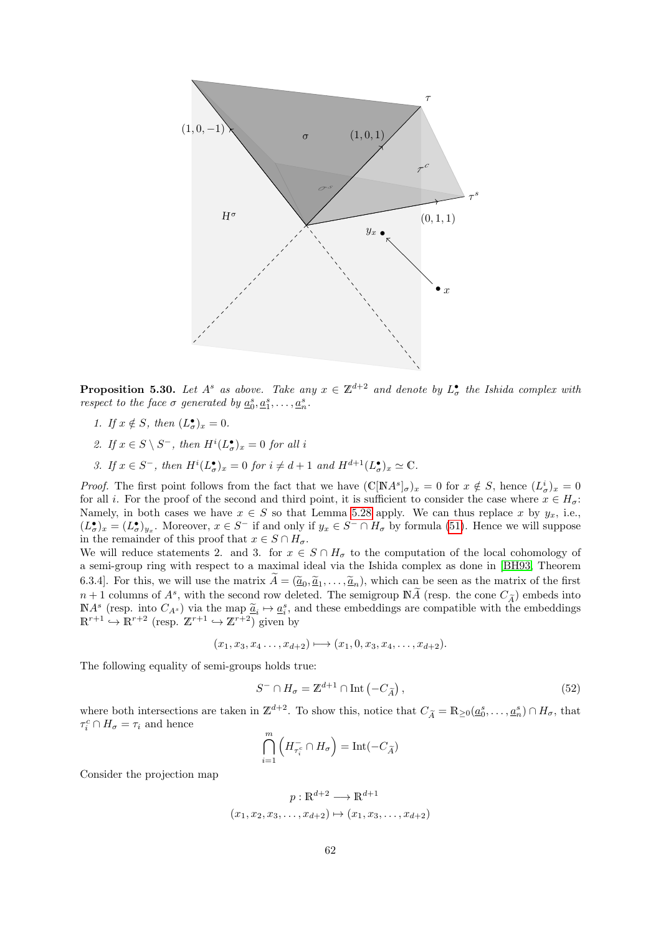

<span id="page-61-0"></span>**Proposition 5.30.** Let  $A^s$  as above. Take any  $x \in \mathbb{Z}^{d+2}$  and denote by  $L^{\bullet}_{\sigma}$  the Ishida complex with respect to the face  $\sigma$  generated by  $\underline{a}_0^s, \underline{a}_1^s, \ldots, \underline{a}_n^s$ .

- 1. If  $x \notin S$ , then  $(L^{\bullet}_{\sigma})_x = 0$ .
- 2. If  $x \in S \setminus S^-$ , then  $H^i(L^{\bullet}_{\sigma})_x = 0$  for all i
- 3. If  $x \in S^-$ , then  $H^i(L^{\bullet}_{\sigma})_x = 0$  for  $i \neq d+1$  and  $H^{d+1}(L^{\bullet}_{\sigma})_x \simeq \mathbb{C}$ .

*Proof.* The first point follows from the fact that we have  $(\mathbb{C}[N]A^s]_{\sigma})_x = 0$  for  $x \notin S$ , hence  $(L^i_{\sigma})_x = 0$ for all i. For the proof of the second and third point, it is sufficient to consider the case where  $x \in H_{\sigma}$ : Namely, in both cases we have  $x \in S$  so that Lemma [5.28](#page-60-1) apply. We can thus replace x by  $y_x$ , i.e.,  $(L^{\bullet}_{\sigma})_x = (L^{\bullet}_{\sigma})_{y_x}$ . Moreover,  $x \in S^-$  if and only if  $y_x \in S^- \cap H_{\sigma}$  by formula [\(51\)](#page-60-0). Hence we will suppose in the remainder of this proof that  $x \in S \cap H_{\sigma}$ .

We will reduce statements 2. and 3. for  $x \in S \cap H_{\sigma}$  to the computation of the local cohomology of a semi-group ring with respect to a maximal ideal via the Ishida complex as done in [\[BH93,](#page-74-5) Theorem 6.3.4]. For this, we will use the matrix  $A = (\underline{\tilde{a}}_0, \underline{\tilde{a}}_1, \dots, \underline{\tilde{a}}_n)$ , which can be seen as the matrix of the first<br> $\ldots$ , the calculation of 4.8 mith, the second case deleted. The continuum  $\mathbb{N}$ ,  $\tilde{A}$  $n+1$  columns of  $A^s$ , with the second row deleted. The semigroup  $N\widetilde{A}$  (resp. the cone  $C_{\widetilde{A}}$ ) embeds into  $\mathbb{N}A^s$  (resp. into  $C_{A^s}$ ) via the map  $\tilde{a}_i \mapsto a_i^s$ , and these embeddings are compatible with the embeddings  $\mathbb{P}^{r+1}$  ( $\mathbb{P}^{r+2}$  (resp.  $\mathbb{Z}^{r+1}$ )  $\mathbb{Z}^{r+2}$ ) given by  $\mathbb{R}^{r+1} \hookrightarrow \mathbb{R}^{r+2}$  (resp.  $\mathbb{Z}^{r+1} \hookrightarrow \mathbb{Z}^{r+2}$ ) given by

$$
(x_1, x_3, x_4 \ldots, x_{d+2}) \longmapsto (x_1, 0, x_3, x_4, \ldots, x_{d+2}).
$$

The following equality of semi-groups holds true:

<span id="page-61-1"></span>
$$
S^{-} \cap H_{\sigma} = \mathbb{Z}^{d+1} \cap \text{Int}\left(-C_{\widetilde{A}}\right),\tag{52}
$$

where both intersections are taken in  $\mathbb{Z}^{d+2}$ . To show this, notice that  $C_{\tilde{A}} = \mathbb{R}_{\geq 0}(\underline{a}_0^s, \dots, \underline{a}_n^s) \cap H_{\sigma}$ , that  $\tau_i^c \cap H_\sigma = \tau_i$  and hence

$$
\bigcap_{i=1}^{m} \left( H_{\tau_i^c} \cap H_{\sigma} \right) = \text{Int}(-C_{\widetilde{A}})
$$

Consider the projection map

$$
p: \mathbb{R}^{d+2} \longrightarrow \mathbb{R}^{d+1}
$$

$$
(x_1, x_2, x_3, \dots, x_{d+2}) \mapsto (x_1, x_3, \dots, x_{d+2})
$$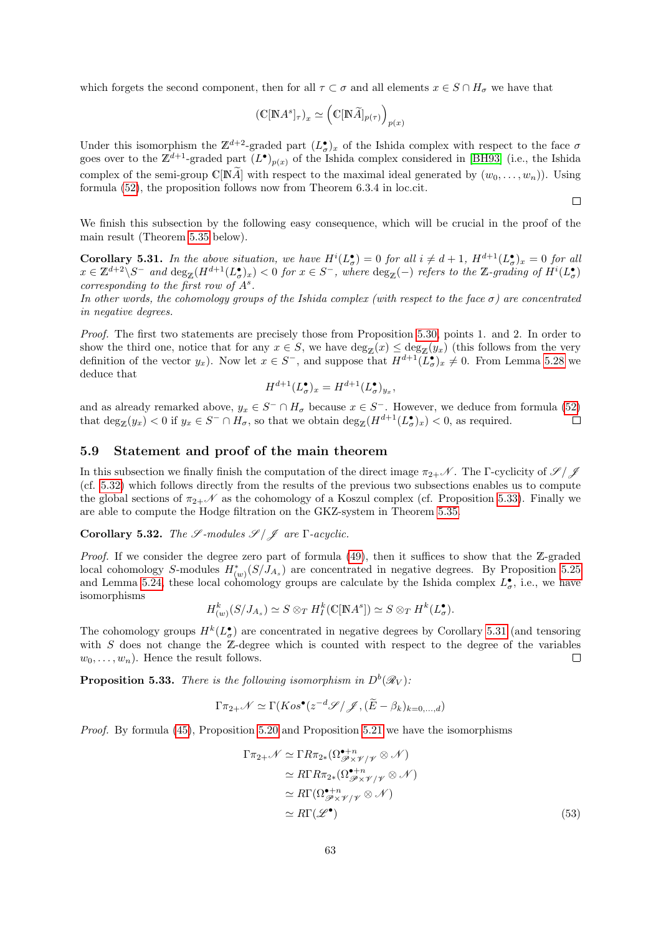which forgets the second component, then for all  $\tau \subset \sigma$  and all elements  $x \in S \cap H_{\sigma}$  we have that

$$
(\mathbb{C}[\mathbb{N}A^s]_{\tau})_x \simeq \left(\mathbb{C}[\mathbb{N}\widetilde{A}]_{p(\tau)}\right)_{p(x)}
$$

Under this isomorphism the  $\mathbb{Z}^{d+2}$ -graded part  $(L^{\bullet}_{\sigma})_x$  of the Ishida complex with respect to the face  $\sigma$ goes over to the  $\mathbb{Z}^{d+1}$ -graded part  $(L^{\bullet})_{p(x)}$  of the Ishida complex considered in [\[BH93\]](#page-74-5) (i.e., the Ishida complex of the semi-group  $\mathbb{C}[NA]$  with respect to the maximal ideal generated by  $(w_0, \ldots, w_n)$ . Using formula [\(52\)](#page-61-1), the proposition follows now from Theorem 6.3.4 in loc.cit.

We finish this subsection by the following easy consequence, which will be crucial in the proof of the main result (Theorem [5.35](#page-63-0) below).

 $\Box$ 

<span id="page-62-3"></span>**Corollary 5.31.** In the above situation, we have  $H^{i}(L^{\bullet}_{\sigma}) = 0$  for all  $i \neq d+1$ ,  $H^{d+1}(L^{\bullet}_{\sigma})_x = 0$  for all  $x \in \mathbb{Z}^{d+2} \backslash S^-$  and  $\deg_{\mathbb{Z}}(H^{d+1}(L^{\bullet}_{\sigma})_x) < 0$  for  $x \in S^-$ , where  $\deg_{\mathbb{Z}}(-)$  refers to the  $\mathbb{Z}$ -grading of  $H^i(L^{\bullet}_{\sigma})$ corresponding to the first row of  $A^s$ .

In other words, the cohomology groups of the Ishida complex (with respect to the face  $\sigma$ ) are concentrated in negative degrees.

Proof. The first two statements are precisely those from Proposition [5.30,](#page-61-0) points 1. and 2. In order to show the third one, notice that for any  $x \in S$ , we have  $\deg_{\mathbb{Z}}(x) \leq \deg_{\mathbb{Z}}(y_x)$  (this follows from the very definition of the vector  $y_x$ ). Now let  $x \in S^-$ , and suppose that  $H^{d+1}(L^{\bullet}_{\sigma})_x \neq 0$ . From Lemma [5.28](#page-60-1) we deduce that

$$
H^{d+1}(L^{\bullet}_{\sigma})_x = H^{d+1}(L^{\bullet}_{\sigma})_{y_x},
$$

and as already remarked above,  $y_x \in S^- \cap H_\sigma$  because  $x \in S^-$ . However, we deduce from formula [\(52\)](#page-61-1) that  $\deg_Z(y_x) < 0$  if  $y_x \in S^- \cap H_\sigma$ , so that we obtain  $\deg_Z(H^{d+1}(L_\sigma^{\bullet})_x) < 0$ , as required.  $\Box$ 

#### <span id="page-62-0"></span>5.9 Statement and proof of the main theorem

In this subsection we finally finish the computation of the direct image  $\pi_{2+}\mathcal{N}$ . The Γ-cyclicity of  $\mathscr{S}/\mathscr{J}$ (cf. [5.32\)](#page-62-1) which follows directly from the results of the previous two subsections enables us to compute the global sections of  $\pi_{2+}\mathscr{N}$  as the cohomology of a Koszul complex (cf. Proposition [5.33\)](#page-62-2). Finally we are able to compute the Hodge filtration on the GKZ-system in Theorem [5.35.](#page-63-0)

<span id="page-62-1"></span>Corollary 5.32. The  $\mathscr{S}\text{-modules }\mathscr{S}/\mathscr{J}$  are  $\Gamma$ -acyclic.

*Proof.* If we consider the degree zero part of formula  $(49)$ , then it suffices to show that the Z-graded local cohomology S-modules  $H^*_{(w)}(S/J_{A_s})$  are concentrated in negative degrees. By Proposition [5.25](#page-58-0) and Lemma [5.24,](#page-57-0) these local cohomology groups are calculate by the Ishida complex  $L^{\bullet}_{\sigma}$ , i.e., we have isomorphisms

$$
H_{(w)}^k(S/J_{A_s}) \simeq S \otimes_T H_I^k(\mathbb{C}[{\mathbb{N}}A^s]) \simeq S \otimes_T H^k(L^\bullet_{\sigma}).
$$

The cohomology groups  $H^k(L^{\bullet}_{\sigma})$  are concentrated in negative degrees by Corollary [5.31](#page-62-3) (and tensoring with  $S$  does not change the  $Z$ -degree which is counted with respect to the degree of the variables  $w_0, \ldots, w_n$ ). Hence the result follows.  $\Box$ 

<span id="page-62-2"></span>**Proposition 5.33.** There is the following isomorphism in  $D^b(\mathcal{R}_V)$ :

$$
\Gamma \pi_{2+} \mathscr{N} \simeq \Gamma(Kos^{\bullet}(z^{-d}\mathscr{S}/\mathscr{J}, (\widetilde{E} - \beta_k)_{k=0,\dots,d})
$$

Proof. By formula [\(45\)](#page-52-2), Proposition [5.20](#page-54-0) and Proposition [5.21](#page-54-1) we have the isomorphisms

$$
\Gamma \pi_{2+} \mathcal{N} \simeq \Gamma R \pi_{2*} (\Omega_{\mathcal{P} \times \mathcal{V}/\mathcal{V}}^{\bullet+n} \otimes \mathcal{N})
$$
  
\simeq R \Gamma R \pi\_{2\*} (\Omega\_{\mathcal{P} \times \mathcal{V}/\mathcal{V}}^{\bullet+n} \otimes \mathcal{N})  
\simeq R \Gamma (\Omega\_{\mathcal{P} \times \mathcal{V}/\mathcal{V}}^{\bullet+n} \otimes \mathcal{N})  
\simeq R \Gamma(\mathcal{L}^{\bullet}) \qquad (53)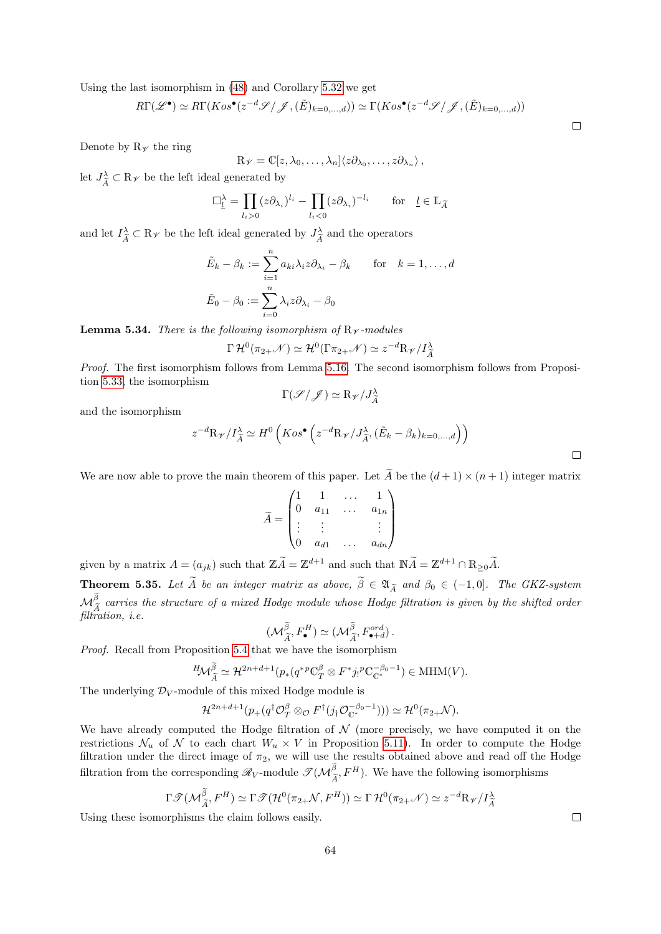Using the last isomorphism in [\(48\)](#page-55-1) and Corollary [5.32](#page-62-1) we get

$$
R\Gamma(\mathscr{L}^{\bullet}) \simeq R\Gamma(Kos^{\bullet}(z^{-d}\mathscr{S}/\mathscr{J}, (\tilde{E})_{k=0,...,d})) \simeq \Gamma(Kos^{\bullet}(z^{-d}\mathscr{S}/\mathscr{J}, (\tilde{E})_{k=0,...,d}))
$$

Denote by  $R_{\mathscr{V}}$  the ring

$$
R_{\mathscr{V}} = \mathbb{C}[z, \lambda_0, \ldots, \lambda_n] \langle z \partial_{\lambda_0}, \ldots, z \partial_{\lambda_n} \rangle,
$$

let  $J_{\widetilde{A}}^{\lambda} \subset \mathbb{R}_{\mathscr{V}}$  be the left ideal generated by

$$
\Box_{\underline{l}}^{\lambda} = \prod_{l_i > 0} (z \partial_{\lambda_i})^{l_i} - \prod_{l_i < 0} (z \partial_{\lambda_i})^{-l_i} \quad \text{for} \quad \underline{l} \in \mathbb{L}_{\widetilde{A}}
$$

and let  $I_{\tilde{A}}^{\lambda} \subset \mathbb{R}_{\mathscr{V}}$  be the left ideal generated by  $J_{\tilde{A}}^{\lambda}$  $\frac{d}{\widetilde{A}}$  and the operators

$$
\tilde{E}_k - \beta_k := \sum_{i=1}^n a_{ki} \lambda_i z \partial_{\lambda_i} - \beta_k \quad \text{for} \quad k = 1, ..., d
$$
  

$$
\tilde{E}_0 - \beta_0 := \sum_{i=0}^n \lambda_i z \partial_{\lambda_i} - \beta_0
$$

**Lemma 5.34.** There is the following isomorphism of  $R_{\mathcal{V}}$ -modules

$$
\Gamma \mathcal{H}^0(\pi_{2+} \mathcal{N}) \simeq \mathcal{H}^0(\Gamma \pi_{2+} \mathcal{N}) \simeq z^{-d} R \mathcal{V}/I_{\widetilde{A}}^{\lambda}
$$

Proof. The first isomorphism follows from Lemma [5.16.](#page-51-0) The second isomorphism follows from Proposition [5.33,](#page-62-2) the isomorphism

$$
\Gamma(\mathscr{S}/\mathscr{J}) \simeq R_{\mathscr{V}}/J_{\widetilde{A}}^{\lambda}
$$

and the isomorphism

$$
z^{-d}\mathcal{R}_{\mathscr{V}}/I_{\widetilde{A}}^{\lambda} \simeq H^{0}\left(Kos^{\bullet}\left(z^{-d}\mathcal{R}_{\mathscr{V}}/J_{\widetilde{A}}^{\lambda},(\widetilde{E}_{k}-\beta_{k})_{k=0,...,d}\right)\right)
$$

We are now able to prove the main theorem of this paper. Let  $\widetilde{A}$  be the  $(d+1) \times (n+1)$  integer matrix

$$
\widetilde{A} = \begin{pmatrix} 1 & 1 & \dots & 1 \\ 0 & a_{11} & \dots & a_{1n} \\ \vdots & \vdots & & \vdots \\ 0 & a_{d1} & \dots & a_{dn} \end{pmatrix}
$$

given by a matrix  $A = (a_{jk})$  such that  $\mathbb{Z}\widetilde{A} = \mathbb{Z}^{d+1}$  and such that  $\mathbb{N}\widetilde{A} = \mathbb{Z}^{d+1} \cap \mathbb{R}_{\geq 0}\widetilde{A}$ .

<span id="page-63-0"></span>**Theorem 5.35.** Let  $\tilde{A}$  be an integer matrix as above,  $\tilde{\beta} \in \mathfrak{A}_{\tilde{A}}$  and  $\beta_0 \in (-1, 0]$ . The GKZ-system  $\mathcal{M}_{\tilde{\chi}}^{\beta}$  carries the structure of a mixed Hodge module whose Hodge filtration is given by the shifted order  $\int_{A}^{A}$ filtration, *i.e.* 

$$
(\mathcal{M}_{\widetilde{A}}^{\widetilde{\beta}}, F_{\bullet}^H) \simeq (\mathcal{M}_{\widetilde{A}}^{\widetilde{\beta}}, F_{\bullet+d}^{ord}).
$$

Proof. Recall from Proposition [5.4](#page-39-0) that we have the isomorphism

$$
{}^{H}\!{\mathcal{M}}^{\widetilde{\beta}}_{\widetilde{A}}\simeq {\mathcal{H}}^{2n+d+1}(p_*(q^{*p}\mathbb{C}^\beta_T\otimes F^*j_!{}^p\mathbb{C}^{-\beta_0-1}_{\mathbb{C}^*})\in {\rm MHM}(V).
$$

The underlying  $\mathcal{D}_V$ -module of this mixed Hodge module is

$$
\mathcal{H}^{2n+d+1}(p_+(q^\dagger \mathcal{O}_T^{\beta} \otimes_{\mathcal{O}} F^{\dagger}(j_\dagger \mathcal{O}_{\mathbb{C}^*}^{-\beta_0-1}))) \simeq \mathcal{H}^0(\pi_{2+} \mathcal{N}).
$$

We have already computed the Hodge filtration of  $\mathcal N$  (more precisely, we have computed it on the restrictions  $\mathcal{N}_u$  of  $\mathcal N$  to each chart  $W_u \times V$  in Proposition [5.11\)](#page-46-1). In order to compute the Hodge filtration under the direct image of  $\pi_2$ , we will use the results obtained above and read off the Hodge filtration from the corresponding  $\mathscr{R}_V$ -module  $\mathscr{T}(\mathcal{M}_{\widetilde{A}}^{\beta}, F^H)$ . We have the following isomorphisms

$$
\Gamma \mathcal{I}(\mathcal{M}_{\widetilde{A}}^{\widetilde{\beta}}, F^H) \simeq \Gamma \mathcal{I}(\mathcal{H}^0(\pi_{2+}\mathcal{N}, F^H)) \simeq \Gamma \mathcal{H}^0(\pi_{2+}\mathcal{N}) \simeq z^{-d} R_{\mathcal{V}}/I_{\widetilde{A}}^{\lambda}
$$

Using these isomorphisms the claim follows easily.

 $\Box$ 

 $\Box$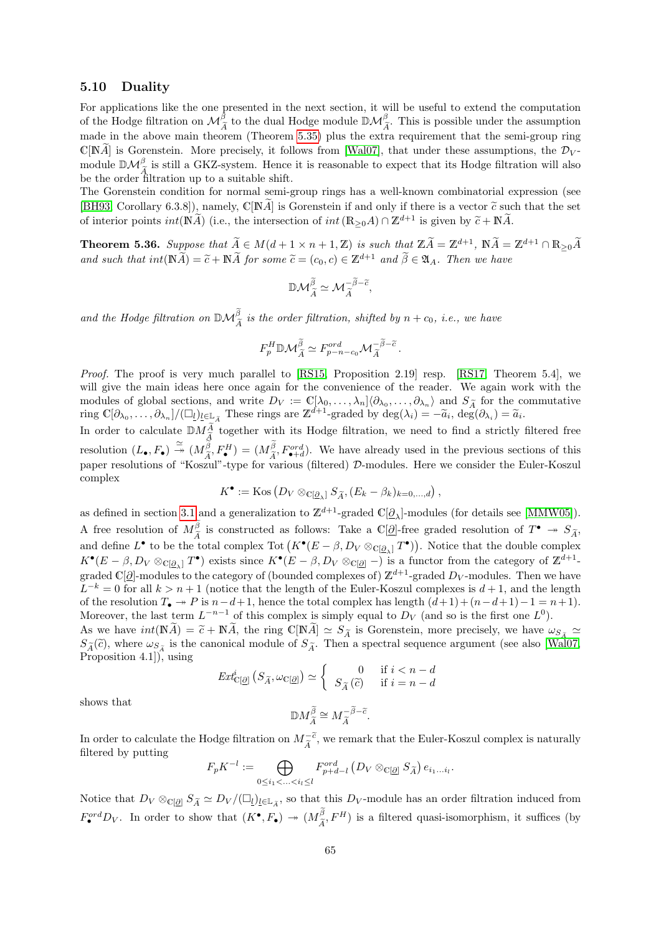### 5.10 Duality

For applications like the one presented in the next section, it will be useful to extend the computation of the Hodge filtration on  $\mathcal{M}_{\tilde{A}}^{\beta}$  to the dual Hodge module  $\mathbb{D}\mathcal{M}_{\tilde{A}}^{\beta}$ . This is possible under the assumption mode in the above main theorem (Theorem 5.25) plus the average province that the comi g made in the above main theorem (Theorem [5.35\)](#page-63-0) plus the extra requirement that the semi-group ring  $\mathbb{C}[\mathbb{N}\tilde{A}]$  is Gorenstein. More precisely, it follows from [\[Wal07\]](#page-76-0), that under these assumptions, the  $\mathcal{D}_V$ module  $\mathbb{D}\mathcal{M}^{\beta}_{\widetilde{\lambda}}$  is still a GKZ-system. Hence it is reasonable to expect that its Hodge filtration will also  $\sum_{A} A$  is sum a string system. There is

The Gorenstein condition for normal semi-group rings has a well-known combinatorial expression (see [\[BH93,](#page-74-5) Corollary 6.3.8]), namely, C[NA] is Gorenstein if and only if there is a vector  $\tilde{c}$  such that the set of interior points  $int(\mathbb{N}\widetilde{A})$  (i.e., the intersection of  $int(\mathbb{R}_{\geq 0}A)\cap \mathbb{Z}^{d+1}$  is given by  $\widetilde{c}+\mathbb{N}\widetilde{A}$ .

<span id="page-64-0"></span>**Theorem 5.36.** Suppose that  $\widetilde{A} \in M(d+1 \times n+1, \mathbb{Z})$  is such that  $\mathbb{Z}\widetilde{A} = \mathbb{Z}^{d+1}$ ,  $\mathbb{N}\widetilde{A} = \mathbb{Z}^{d+1} \cap \mathbb{R}_{\geq 0}\widetilde{A}$ and such that  $int(\mathbb{N}\widetilde{A})=\widetilde{c}+\mathbb{N}\widetilde{A}$  for some  $\widetilde{c}=(c_0,c)\in\mathbb{Z}^{d+1}$  and  $\widetilde{\beta}\in\mathfrak{A}_A$ . Then we have

$$
\mathbb{D}\mathcal{M}^{\widetilde{\beta}}_{\widetilde{A}}\simeq \mathcal{M}^{-\widetilde{\beta}-\widetilde{c}}_{\widetilde{A}},
$$

and the Hodge filtration on  $\mathbb{D}\mathcal{M}_{\widetilde{A}}^{\beta}$  is the order filtration, shifted by  $n + c_0$ , i.e., we have

$$
F_p^H \mathbb{D} \mathcal{M}_{\widetilde{A}}^{\widetilde{\beta}} \simeq F_{p-n-c_0}^{ord} \mathcal{M}_{\widetilde{A}}^{-\widetilde{\beta}-\widetilde{c}}.
$$

Proof. The proof is very much parallel to [\[RS15,](#page-75-0) Proposition 2.19] resp. [\[RS17,](#page-75-1) Theorem 5.4], we will give the main ideas here once again for the convenience of the reader. We again work with the modules of global sections, and write  $D_V := \mathbb{C}[\lambda_0, \dots, \lambda_n] \langle \partial_{\lambda_0}, \dots, \partial_{\lambda_n} \rangle$  and  $S_{\tilde{A}}$  for the commutative ring  $\mathbb{C}[\partial_{\lambda_0}, \dots, \partial_{\lambda_n}] / (\Box_l)_{l \in \mathbb{L}_{\tilde{A}}}$  These rings are  $\mathbb{Z}^{d+1}$ -graded by  $\deg(\lambda_i) = -$ 

In order to calculate  $\mathbb{D}M_{\tilde{\lambda}}^{\tilde{A}}$  together with its Hodge filtration, we need to find a strictly filtered free  $\frac{A}{\widetilde{c}}$ resolution  $(L_{\bullet}, F_{\bullet}) \stackrel{\simeq}{\rightarrow} (M_{\tilde{A}}^{\beta}, F_{\bullet}^{H}) = (M_{\tilde{A}}^{\beta}, F_{\bullet}^{ord})$ . We have already used in the previous sections of this paper resolutions of "Koszul"-type for various (filtered) D-modules. Here we consider the Euler-Koszul complex

$$
K^{\bullet} := \text{Kos} (D_V \otimes_{\mathbb{C}[\underline{\partial}_{\lambda}]} S_{\widetilde{A}}, (E_k - \beta_k)_{k=0,\dots,d}),
$$

as defined in section [3.1](#page-14-0) and a generalization to  $\mathbb{Z}^{d+1}$ -graded  $\mathbb{C}[\underline{\partial}_{\lambda}]$ -modules (for details see [\[MMW05\]](#page-75-5)). A free resolution of  $M_{\tilde{A}}^{\beta}$  is constructed as follows: Take a C[ $\tilde{Q}$ ]-free graded resolution of  $T^{\bullet} \to S_{\tilde{A}}$ , and define  $L^{\bullet}$  to be the total complex Tot  $(K^{\bullet}(E - \beta, D_V \otimes_{\mathbb{C}[\underline{\beta}_\lambda]} T^{\bullet}))$ . Notice that the double complex  $K^{\bullet}(E-\beta, D_V \otimes_{\mathbb{C}[\mathcal{Q}_\lambda]} T^{\bullet})$  exists since  $K^{\bullet}(E-\beta, D_V \otimes_{\mathbb{C}[\mathcal{Q}]} -)$  is a functor from the category of  $\mathbb{Z}^{d+1}$ graded  $\mathbb{C}[\partial]$ -modules to the category of (bounded complexes of)  $\mathbb{Z}^{d+1}$ -graded  $D_V$ -modules. Then we have  $L^{-k} = 0$  for all  $k > n + 1$  (notice that the length of the Euler-Koszul complexes is  $d + 1$ , and the length of the resolution  $T_{\bullet} \rightarrow P$  is  $n-d+1$ , hence the total complex has length  $(d+1)+(n-d+1)-1=n+1$ . Moreover, the last term  $L^{-n-1}$  of this complex is simply equal to  $D_V$  (and so is the first one  $L^0$ ).

As we have  $int(\mathbb{N}\tilde{A}) = \tilde{c} + \mathbb{N}\tilde{A}$ , the ring  $\mathbb{C}[\mathbb{N}\tilde{A}] \simeq S_{\tilde{A}}$  is Gorenstein, more precisely, we have  $\omega_{S_{\tilde{A}}} \simeq$  $S_{\tilde{A}}(\tilde{c})$ , where  $\omega_{S_{\tilde{A}}}$  is the canonical module of  $S_{\tilde{A}}$ . Then a spectral sequence argument (see also [\[Wal07,](#page-76-0) Proposition 4.1]), using

$$
Ext_{\mathbb{C}[\underline{\partial}]}^{i} \left( S_{\widetilde{A}}, \omega_{\mathbb{C}[\underline{\partial}]} \right) \simeq \begin{cases} 0 & \text{if } i < n - d \\ S_{\widetilde{A}}(\widetilde{c}) & \text{if } i = n - d \end{cases}
$$

shows that

$$
\mathbb{D}M^{\widetilde{\beta}}_{\widetilde{A}}\cong M^{-\widetilde{\beta}-\widetilde{c}}_{\widetilde{A}}.
$$

In order to calculate the Hodge filtration on  $M_{\tilde{A}}^{-\tilde{c}}$ , we remark that the Euler-Koszul complex is naturally filtered by putting filtered by putting

$$
F_p K^{-l} := \bigoplus_{0 \leq i_1 < \ldots < i_l \leq l} F_{p+d-l}^{ord} \left( D_V \otimes_{\mathbb{C}[\underline{\partial}]} S_{\widetilde{A}} \right) e_{i_1 \ldots i_l}.
$$

Notice that  $D_V \otimes_{\mathbb{C}[\mathcal{Q}]} S_{\widetilde{A}} \simeq D_V / (\square_l)_{l \in \mathbb{L}_{\widetilde{A}}}$ , so that this  $D_V$ -module has an order filtration induced from  $F_{\bullet}^{ord}D_V$ . In order to show that  $(K^{\bullet}, F_{\bullet}) \to (M^{\beta}_{\tilde{A}}, F^H)$  is a filtered quasi-isomorphism, it suffices (by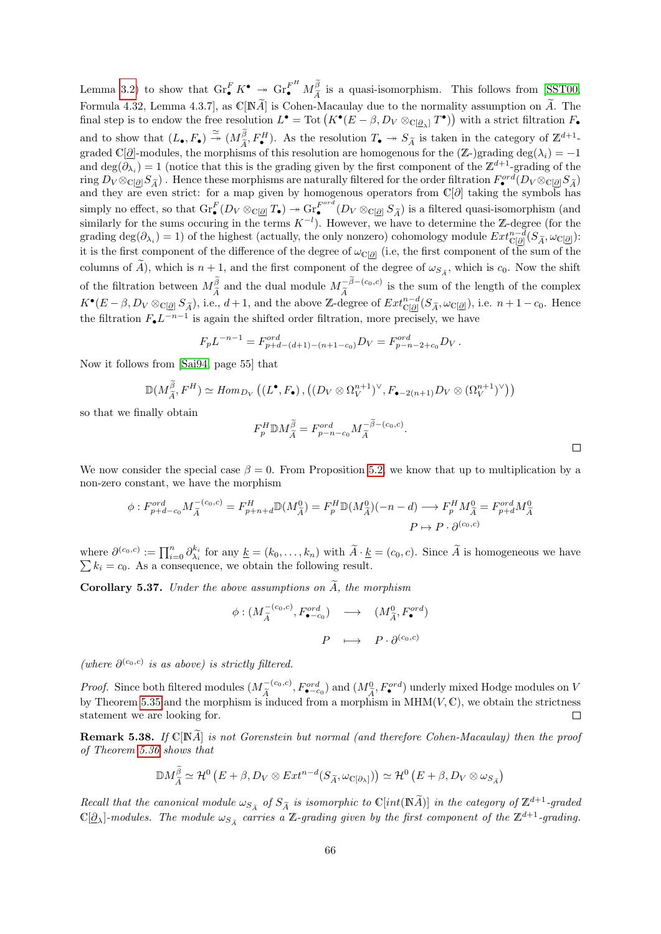Lemma [3.2\)](#page-15-1) to show that  $\operatorname{Gr}_{\bullet}^{F} K^{\bullet} \twoheadrightarrow \operatorname{Gr}_{\widetilde{A}}^{F^H} M_{\widetilde{A}}^{\widetilde{\beta}}$  is a quasi-isomorphism. This follows from [\[SST00,](#page-75-3) Formula 4.32, Lemma 4.3.7, as  $\mathbb{C}[N\widetilde{A}]$  is Cohen-Macaulay due to the normality assumption on  $\widetilde{A}$ . The final step is to endow the free resolution  $L^{\bullet} = \text{Tot}\left(K^{\bullet}(E - \beta, D_{V} \otimes_{\mathbb{C}[\underline{\partial}_{\lambda}]} T^{\bullet})\right)$  with a strict filtration  $F_{\bullet}$ and to show that  $(L_{\bullet}, F_{\bullet}) \stackrel{\simeq}{\rightarrow} (M_{\tilde{A}}^{\beta}, F_{\bullet}^H)$ . As the resolution  $T_{\bullet} \rightarrow S_{\tilde{A}}$  is taken in the category of  $\mathbb{Z}^{d+1}$ graded C[ $\partial$ ]-modules, the morphisms of this resolution are homogenous for the ( $\mathbb{Z}$ -)grading deg( $\lambda_i$ ) = −1 and deg( $\partial_{\lambda_i}$ ) = 1 (notice that this is the grading given by the first component of the  $\mathbb{Z}^{d+1}$ -grading of the  $r_{\text{avg}} D_V \otimes_{\mathbb{C}[\mathcal{Q}]} S_{\widetilde{A}}$ . Hence these morphisms are naturally filtered for the order filtration  $F^{ord}_\bullet(D_V \otimes_{\mathbb{C}[\mathcal{Q}]} S_{\widetilde{A}})$ and they are even strict: for a map given by homogenous operators from  $\mathbb{C}[\partial]$  taking the symbols has simply no effect, so that  $\text{Gr}_{\bullet}^{F}(D_{V} \otimes_{\mathbb{C}[\underline{\partial}]} T_{\bullet}) \twoheadrightarrow \text{Gr}_{\bullet}^{F^{ord}}$ simply no effect, so that  $\text{Gr}_{\bullet}^{F}(D_V \otimes_{\mathbb{C}[\underline{\partial}]} T_{\bullet}) \twoheadrightarrow \text{Gr}_{\bullet}^{F} (D_V \otimes_{\mathbb{C}[\underline{\partial}]} S_{\widetilde{A}})$  is a filtered quasi-isomorphism (and similarly for the sums occuring in the terms  $K^{-l}$ ). However, we have to det grading deg( $\partial_{\lambda_i}$ ) = 1) of the highest (actually, the only nonzero) cohomology module  $Ext_{\mathbb{C}[\partial]}^{n-d}(S_{\widetilde{A}}, \omega_{\mathbb{C}[\partial]})$ : it is the first component of the difference of the degree of  $\omega_{\text{C}[\partial]}$  (i.e, the first component of the sum of the columns of A), which is  $n + 1$ , and the first component of the degree of  $\omega_{S_{\tilde{A}}}$ , which is  $c_0$ . Now the shift of the filtration between  $M_{\tilde{\chi}}^{\tilde{\beta}}$  and the dual module  $M_{\tilde{\chi}}^{-\beta-(c_0,c)}$  is the sum of the length of the complex  $K^{\bullet}(E - \beta, D_V \otimes_{\mathbb{C}[\mathcal{Q}]} S_{\widetilde{A}}),$  i.e.,  $d + 1$ , and the above Z-degree of  $Ext_{\mathbb{C}[\mathcal{Q}]}^{n-d}(S_{\widetilde{A}}, \omega_{\mathbb{C}[\mathcal{Q}]}),$  i.e.  $n + 1 - c_0$ . Hence the filtration  $F_{\bullet}L^{-n-1}$  is again the shifted order filtration, more precisely, we have

$$
F_p L^{-n-1} = F_{p+d-(d+1)-(n+1-c_0)}^{ord} D_V = F_{p-n-2+c_0}^{ord} D_V.
$$

Now it follows from [\[Sai94,](#page-75-6) page 55] that

$$
\mathbb{D}(M_{\widetilde{A}}^{\widetilde{\beta}}, F^H) \simeq Hom_{D_V} \left( (L^{\bullet}, F_{\bullet}), \left( (D_V \otimes \Omega_V^{n+1})^{\vee}, F_{\bullet-2(n+1)} D_V \otimes (\Omega_V^{n+1})^{\vee} \right) \right)
$$

so that we finally obtain

$$
F_p^H \mathbb{D} M_{\widetilde{A}}^{\widetilde{\beta}} = F_{p-n-c_0}^{ord} M_{\widetilde{A}}^{-\widetilde{\beta}-(c_0,c)}.
$$

We now consider the special case  $\beta = 0$ . From Proposition [5.2,](#page-37-1) we know that up to multiplication by a non-zero constant, we have the morphism

$$
\phi: F_{p+d-c_0}^{\text{ord}} M_{\widetilde{A}}^{-(c_0,c)} = F_{p+n+d}^H \mathbb{D}(M_{\widetilde{A}}^0) = F_p^H \mathbb{D}(M_{\widetilde{A}}^0)(-n-d) \longrightarrow F_p^H M_{\widetilde{A}}^0 = F_{p+d}^{\text{ord}} M_{\widetilde{A}}^0
$$

$$
P \mapsto P \cdot \partial^{(c_0,c)}
$$

where  $\partial^{(c_0,c)} := \prod_{i=0}^n \partial_{\lambda_i}^{k_i}$  for any  $\underline{k} = (k_0, \ldots, k_n)$  with  $\widetilde{A} \cdot \underline{k} = (c_0, c)$ . Since  $\widetilde{A}$  is homogeneous we have  $\sum k_i = c_0$ . As a consequence, we obtain the following result.  $k_i = c_0$ . As a consequence, we obtain the following result.

<span id="page-65-0"></span>Corollary 5.37. Under the above assumptions on  $A$ , the morphism

$$
\begin{array}{cccc} \phi:(M_{\widetilde{A}}^{-(c_0,c)},F_{\bullet-c_0}^{ord})&\longrightarrow&(M_{\widetilde{A}}^0,F_{\bullet}^{ord})\\ &P&\longmapsto&P\cdot\partial^{(c_0,c)}\\ \end{array}
$$

(where  $\partial^{(c_0,c)}$  is as above) is strictly filtered.

*Proof.* Since both filtered modules  $(M_\tau^{-(c_0,c)})$  $\tilde{A}^{(-\langle c_0,c\rangle}_{A}, F^{ord}_{\langle c_0,c\rangle})$  and  $(M_A^0, F^{ord})$  underly mixed Hodge modules on V by Theorem [5.35](#page-63-0) and the morphism is induced from a morphism in  $MHM(V, \mathbb{C})$ , we obtain the strictness statement we are looking for. П

**Remark 5.38.** If  $\mathbb{C}[\mathbb{N}\tilde{A}]$  is not Gorenstein but normal (and therefore Cohen-Macaulay) then the proof of Theorem [5.36](#page-64-0) shows that

$$
\mathbb{D}M_{\widetilde{A}}^{\beta} \simeq \mathcal{H}^0(E+\beta, D_V \otimes Ext^{n-d}(S_{\widetilde{A}}, \omega_{\mathbb{C}[\partial_{\lambda}]})) \simeq \mathcal{H}^0(E+\beta, D_V \otimes \omega_{S_{\widetilde{A}}})
$$

Recall that the canonical module  $\omega_{S_{\widetilde{A}}}$  of  $S_{\widetilde{A}}$  is isomorphic to  $\mathbb{C}[int(\mathbb{N}\widetilde{A})]$  in the category of  $\mathbb{Z}^{d+1}$ -graded  $\mathbb{C}[E_{\widetilde{A}}]$  $\mathbb{C}[\underline{\partial}_{\lambda}]$ -modules. The module  $\omega_{S_{\widetilde{A}}}$  carries a Z-grading given by the first component of the  $\mathbb{Z}^{d+1}$ -grading.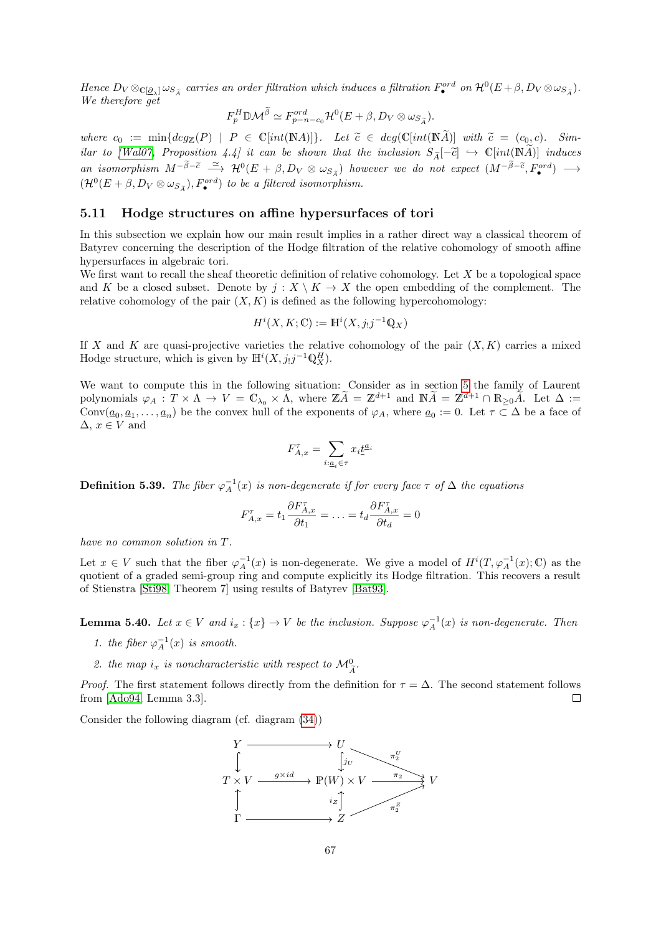Hence  $D_V \otimes_{\mathbb{C}[\partial_{\lambda}]} \omega_{S_{\tilde{A}}}$  carries an order filtration which induces a filtration  $F_{\bullet}^{ord}$  on  $\mathcal{H}^0(E + \beta, D_V \otimes \omega_{S_{\tilde{A}}}).$ We therefore get

$$
F_p^H \mathbb{D}\mathcal{M}^{\widetilde{\beta}} \simeq F_{p-n-c_0}^{ord} \mathcal{H}^0(E+\beta, D_V \otimes \omega_{S_{\widetilde{A}}}).
$$

where  $c_0 := \min\{deg_{\mathbb{Z}}(P) \mid P \in \mathbb{C}[int(\mathbb{N}A)]\}$ . Let  $\tilde{c} \in deg(\mathbb{C}[int(\mathbb{N}A])]$  with  $\tilde{c} = (c_0, c)$ . Sim-ilar to [\[Wal07,](#page-76-0) Proposition 4.4] it can be shown that the inclusion  $S_{\widetilde{A}}[-\widetilde{c}] \hookrightarrow \mathbb{C}[int(\widetilde{N}\widetilde{A})]$  induces an isomorphism  $M^{-\beta-\tilde{c}} \stackrel{\simeq}{\longrightarrow} \mathcal{H}^0(E + \beta, D_V \otimes \omega_{S_{\tilde{A}}})$  however we do not expect  $(M^{-\beta-\tilde{c}}, F_{\bullet}^{ord}) \longrightarrow$  $(\mathcal{H}^{0}(E+\beta, D_{V}\otimes \omega_{S_{\widetilde{A}}}), F_{\bullet}^{ord})$  to be a filtered isomorphism.

# 5.11 Hodge structures on affine hypersurfaces of tori

In this subsection we explain how our main result implies in a rather direct way a classical theorem of Batyrev concerning the description of the Hodge filtration of the relative cohomology of smooth affine hypersurfaces in algebraic tori.

We first want to recall the sheaf theoretic definition of relative cohomology. Let  $X$  be a topological space and K be a closed subset. Denote by  $j: X \setminus K \to X$  the open embedding of the complement. The relative cohomology of the pair  $(X, K)$  is defined as the following hypercohomology:

$$
H^i(X, K; \mathbb{C}) := \mathbb{H}^i(X, j_!j^{-1}\mathbb{Q}_X)
$$

If X and K are quasi-projective varieties the relative cohomology of the pair  $(X, K)$  carries a mixed Hodge structure, which is given by  $\mathbb{H}^i(X, j_!j^{-1}\mathbb{Q}_X^H)$ .

We want to compute this in the following situation: Consider as in section [5](#page-35-1) the family of Laurent polynomials  $\varphi_A : T \times \Lambda \to V = \mathbb{C}_{\lambda_0} \times \Lambda$ , where  $\mathbb{Z} \widetilde{A} = \mathbb{Z}^{d+1}$  and  $\mathbb{N} \widetilde{A} = \mathbb{Z}^{d+1} \cap \mathbb{R}_{\geq 0} \widetilde{A}$ . Let  $\Delta :=$ Conv $(\underline{a}_0, \underline{a}_1, \ldots, \underline{a}_n)$  be the convex hull of the exponents of  $\varphi_A$ , where  $\underline{a}_0 := 0$ . Let  $\tau \subset \Delta$  be a face of  $\Delta, x \in V$  and

$$
F_{A,x}^{\tau}=\sum_{i:\underline{a}_i\in\tau}x_i\underline{t}^{\underline{a}_i}
$$

**Definition 5.39.** The fiber  $\varphi_A^{-1}(x)$  is non-degenerate if for every face  $\tau$  of  $\Delta$  the equations

$$
F_{A,x}^{\tau} = t_1 \frac{\partial F_{A,x}^{\tau}}{\partial t_1} = \ldots = t_d \frac{\partial F_{A,x}^{\tau}}{\partial t_d} = 0
$$

have no common solution in T.

Let  $x \in V$  such that the fiber  $\varphi_A^{-1}(x)$  is non-degenerate. We give a model of  $H^i(T, \varphi_A^{-1}(x); \mathbb{C})$  as the quotient of a graded semi-group ring and compute explicitly its Hodge filtration. This recovers a result of Stienstra [\[Sti98,](#page-76-1) Theorem 7] using results of Batyrev [\[Bat93\]](#page-74-7).

**Lemma 5.40.** Let  $x \in V$  and  $i_x: \{x\} \to V$  be the inclusion. Suppose  $\varphi_A^{-1}(x)$  is non-degenerate. Then

- 1. the fiber  $\varphi_A^{-1}(x)$  is smooth.
- 2. the map  $i_x$  is noncharacteristic with respect to  $\mathcal{M}_{\widetilde{A}}^0$ .

*Proof.* The first statement follows directly from the definition for  $\tau = \Delta$ . The second statement follows from [\[Ado94,](#page-74-8) Lemma 3.3].  $\Box$ 

Consider the following diagram (cf. diagram [\(34\)](#page-36-2))

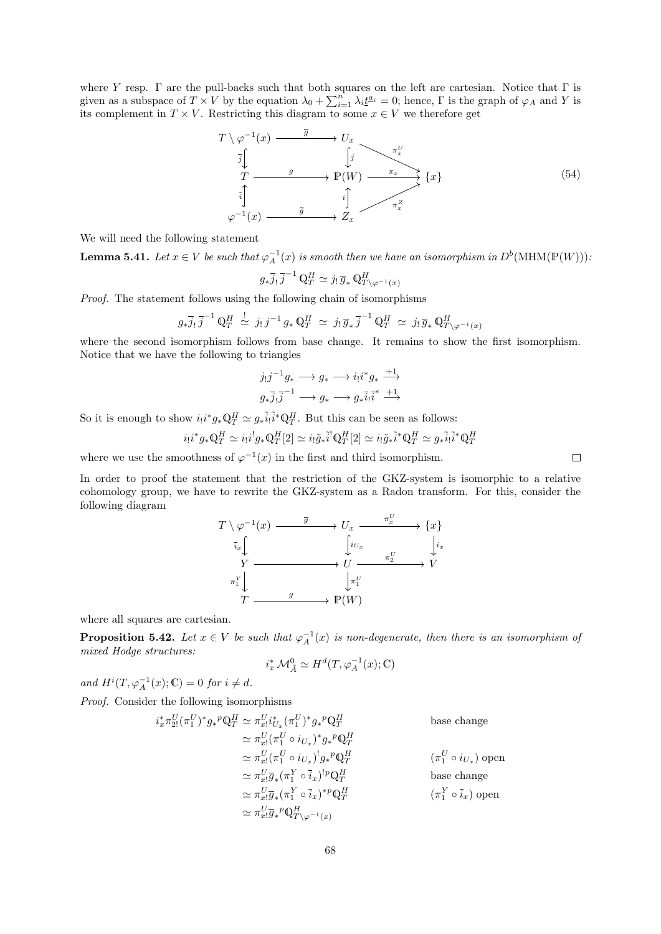where Y resp.  $\Gamma$  are the pull-backs such that both squares on the left are cartesian. Notice that  $\Gamma$  is given as a subspace of  $T \times V$  by the equation  $\lambda_0 + \sum_{i=1}^n \lambda_i \underline{t}^{a_i} = 0$ ; hence,  $\Gamma$  is the graph of  $\varphi_A$  and Y is its complement in  $T \times V$ . Restricting this diagram to some  $x \in V$  we therefore get

<span id="page-67-0"></span>
$$
T \setminus \varphi^{-1}(x) \xrightarrow{\overline{g}} U_x
$$
  
\n
$$
\overline{j} \downarrow \qquad \qquad \downarrow \qquad \qquad \tau_x^U
$$
  
\n
$$
T \xrightarrow{\overline{g}} P(W) \xrightarrow{\pi_x} \{x\}
$$
  
\n
$$
\overline{i} \downarrow \qquad \qquad \downarrow \qquad \qquad \tau_x^Z
$$
  
\n
$$
\varphi^{-1}(x) \xrightarrow{\widetilde{g}} Z_x \qquad \qquad \tau_x^Z
$$
  
\n(54)

We will need the following statement

**Lemma 5.41.** Let  $x \in V$  be such that  $\varphi_A^{-1}(x)$  is smooth then we have an isomorphism in  $D^b(\text{MHM}(\mathbb{P}(W)))$ :

$$
g_*\overline{j}_! \,\overline{j}^{-1} \, \mathbb{Q}_T^H \simeq j_! \,\overline{g}_* \, \mathbb{Q}_{T \setminus \varphi^{-1}(x)}^H
$$

Proof. The statement follows using the following chain of isomorphisms

$$
g_*\overline{j}_! \overline{j}^{-1} \mathbb{Q}_T^H \stackrel{!}{\simeq} j_! j^{-1} g_* \mathbb{Q}_T^H \simeq j_! \overline{g}_* \overline{j}^{-1} \mathbb{Q}_T^H \simeq j_! \overline{g}_* \mathbb{Q}_{T \setminus \varphi^{-1}(x)}^H
$$

where the second isomorphism follows from base change. It remains to show the first isomorphism. Notice that we have the following to triangles

$$
j_!j^{-1}g_* \longrightarrow g_* \longrightarrow i_!i^*g_* \stackrel{+1}{\longrightarrow}
$$
  

$$
g_*\overline{j_!j}^{-1} \longrightarrow g_* \longrightarrow g_*\overline{i_!i}^{*} \stackrel{+1}{\longrightarrow}
$$

So it is enough to show  $i_!i^*g_*\mathbb{Q}_T^H \simeq g_*\tilde{i}_!\tilde{i}^*\mathbb{Q}_T^H$ . But this can be seen as follows:

$$
i_!i^*g_*\mathbb{Q}_T^H \simeq i_!i^!g_*\mathbb{Q}_T^H[2] \simeq i_! \tilde{g}_* \tilde{i}^! \mathbb{Q}_T^H[2] \simeq i_! \tilde{g}_* \tilde{i}^* \mathbb{Q}_T^H \simeq g_* \tilde{i}_! \tilde{i}^* \mathbb{Q}_T^H
$$

where we use the smoothness of  $\varphi^{-1}(x)$  in the first and third isomorphism.

In order to proof the statement that the restriction of the GKZ-system is isomorphic to a relative cohomology group, we have to rewrite the GKZ-system as a Radon transform. For this, consider the following diagram

$$
T \setminus \varphi^{-1}(x) \xrightarrow{\overline{g}} U_x \xrightarrow{\pi_x^U} \{x\}
$$
  
\n
$$
\bar{i}_x \downarrow \qquad \qquad \downarrow i_x
$$
  
\n
$$
Y \xrightarrow{\pi_1^V} U \xrightarrow{\pi_2^U} V
$$
  
\n
$$
\pi_1^V \downarrow \qquad \qquad g \qquad \qquad \mathbb{P}(W)
$$

where all squares are cartesian.

**Proposition 5.42.** Let  $x \in V$  be such that  $\varphi_A^{-1}(x)$  is non-degenerate, then there is an isomorphism of mixed Hodge structures:

$$
i_x^* \mathcal{M}_{\tilde{A}}^0 \simeq H^d(T, \varphi_A^{-1}(x); \mathbb{C})
$$

and  $H^i(T, \varphi_A^{-1}(x); \mathbb{C}) = 0$  for  $i \neq d$ .

Proof. Consider the following isomorphisms

$$
i_x^* \pi_{2!}^U (\pi_1^U)^* g_*^p \mathbb{Q}_T^H \simeq \pi_{xi}^U i_{U_x}^* (\pi_1^U)^* g_*^p \mathbb{Q}_T^H
$$
base change  
\n
$$
\simeq \pi_{xi}^U (\pi_1^U \circ i_{U_x})^* g_*^p \mathbb{Q}_T^H
$$
base change  
\n
$$
\simeq \pi_{xi}^U (\pi_1^U \circ i_{U_x})^! g_*^p \mathbb{Q}_T^H
$$
  $(\pi_1^U \circ i_{U_x})$ open  
\n
$$
\simeq \pi_{xi}^U \overline{g}_* (\pi_1^Y \circ \overline{i}_x)^!^p \mathbb{Q}_T^H
$$
base change  
\n
$$
\simeq \pi_{xi}^U \overline{g}_* (\pi_1^Y \circ \overline{i}_x)^*^p \mathbb{Q}_T^H
$$
  $(\pi_1^Y \circ \overline{i}_x)$ open  
\n
$$
\simeq \pi_{xi}^U \overline{g}_*^p \mathbb{Q}_{T \setminus \varphi^{-1}(x)}^H
$$

 $\Box$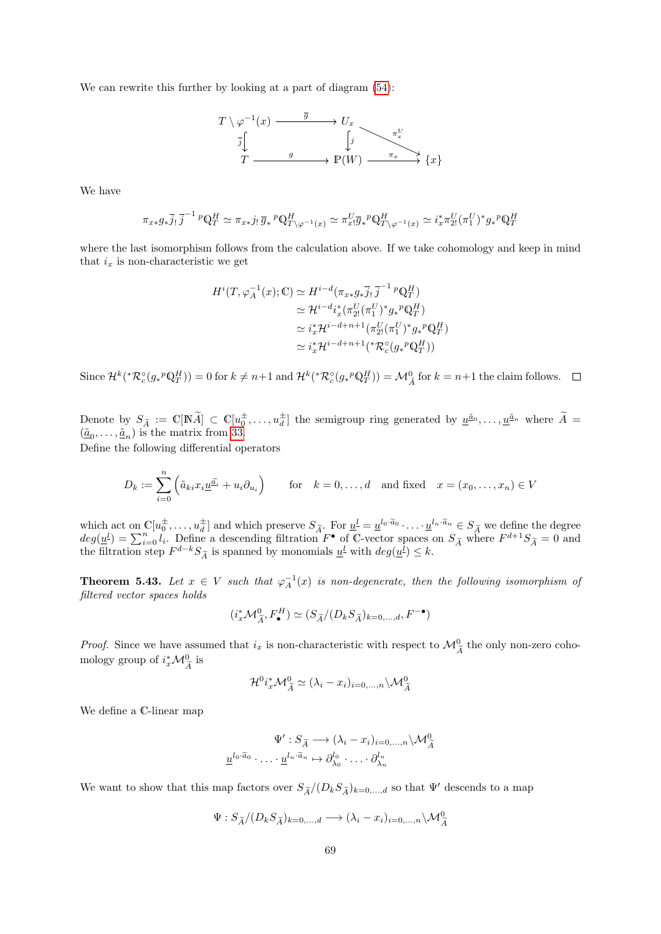We can rewrite this further by looking at a part of diagram  $(54)$ :



We have

$$
\pi_{x*}g_*\overline{j}_!\,\overline{j}^{-1}\,{}^p\mathbb{Q}_T^H\simeq\pi_{x*}j_!\,\overline{g}_*{}^p\mathbb{Q}_{T\setminus\varphi^{-1}(x)}^H\simeq\pi_{x*}^U\overline{g}_*{}^p\mathbb{Q}_{T\setminus\varphi^{-1}(x)}^H\simeq i_x^*\pi_{2!}^U(\pi_1^U)^*g_*{}^p\mathbb{Q}_T^H
$$

where the last isomorphism follows from the calculation above. If we take cohomology and keep in mind that  $i_x$  is non-characteristic we get

$$
H^{i}(T, \varphi_{A}^{-1}(x); \mathbb{C}) \simeq H^{i-d}(\pi_{x*}g_{*}\overline{j}_{!}\overline{j}^{-1}{}^{p}\mathbb{Q}_{T}^{H})
$$
  
\n
$$
\simeq H^{i-d}i_{x}^{*}(\pi_{2}^{U}(\pi_{1}^{U})^{*}g_{*}{}^{p}\mathbb{Q}_{T}^{H})
$$
  
\n
$$
\simeq i_{x}^{*}H^{i-d+n+1}(\pi_{2}^{U}(\pi_{1}^{U})^{*}g_{*}{}^{p}\mathbb{Q}_{T}^{H})
$$
  
\n
$$
\simeq i_{x}^{*}H^{i-d+n+1}({^{*}\mathcal{R}}_{c}^{\circ}(g_{*}{}^{p}\mathbb{Q}_{T}^{H}))
$$

Since  $\mathcal{H}^k(*\mathcal{R}_c^{\circ}(g_*^p \mathbb{Q}_T^H)) = 0$  for  $k \neq n+1$  and  $\mathcal{H}^k(*\mathcal{R}_c^{\circ}(g_*^p \mathbb{Q}_T^H)) = \mathcal{M}_{\tilde{A}}^0$  for  $k = n+1$  the claim follows.

Denote by  $S_{\tilde{A}} := \mathbb{C}[\mathbb{N}\tilde{A}] \subset \mathbb{C}[u_0^{\pm}, \ldots, u_d^{\pm}]$  the semigroup ring generated by  $\underline{u}^{\tilde{a}_0}, \ldots, \underline{u}^{\tilde{a}_n}$  where  $\tilde{A} = (\tilde{a}_0, \ldots, a_d)$  $(\underline{\tilde{a}}_0, \ldots, \underline{\tilde{a}}_n)$  is the matrix from [33.](#page-36-3)

Define the following differential operators

$$
D_k := \sum_{i=0}^n \left( \tilde{a}_{ki} x_i \underline{u}^{\tilde{a}_i} + u_i \partial_{u_i} \right) \qquad \text{for} \quad k = 0, \dots, d \quad \text{and fixed} \quad x = (x_0, \dots, x_n) \in V
$$

which act on  $\mathbb{C}[u_0^{\pm},...,u_d^{\pm}]$  and which preserve  $S_{\widetilde{A}}$ . For  $\underline{u}^l = \underline{u}^{l_0 \cdot \widetilde{a}_0} \cdot ... \cdot \underline{u}^{l_n \cdot \widetilde{a}_n} \in S_{\widetilde{A}}$  we define the degree  $deg(\underline{u}^l) = \sum_{i=0}^n l_i$ . Define a descending filtration  $F^{\bullet$ 

**Theorem 5.43.** Let  $x \in V$  such that  $\varphi_A^{-1}(x)$  is non-degenerate, then the following isomorphism of filtered vector spaces holds

$$
(i_x^* \mathcal{M}_{\widetilde{A}}^0, F_{\bullet}^H) \simeq (S_{\widetilde{A}}/(D_k S_{\widetilde{A}})_{k=0,\dots,d}, F^{-\bullet})
$$

*Proof.* Since we have assumed that  $i_x$  is non-characteristic with respect to  $\mathcal{M}_{\widetilde{A}}^0$  the only non-zero cohomology group of  $i_x^*\mathcal{M}_{\widetilde{A}}^0$  is

$$
\mathcal{H}^{0}i_{x}^{*}\mathcal{M}_{\widetilde{A}}^{0} \simeq (\lambda_{i}-x_{i})_{i=0,...,n} \backslash \mathcal{M}_{\widetilde{A}}^{0}
$$

We define a C-linear map

$$
\Psi': S_{\widetilde{A}} \longrightarrow (\lambda_i - x_i)_{i=0,\dots,n} \setminus \mathcal{M}_{\widetilde{A}}^0
$$

$$
\underline{u}^{l_0 \cdot \widetilde{a}_0} \cdot \ldots \cdot \underline{u}^{l_n \cdot \widetilde{a}_n} \mapsto \partial_{\lambda_0}^{l_0} \cdot \ldots \cdot \partial_{\lambda_n}^{l_n}
$$

We want to show that this map factors over  $S_{\tilde{A}}/(D_kS_{\tilde{A}})_{k=0,\dots,d}$  so that  $\Psi'$  descends to a map

$$
\Psi: S_{\widetilde{A}}/(D_k S_{\widetilde{A}})_{k=0,\dots,d} \longrightarrow (\lambda_i - x_i)_{i=0,\dots,n} \backslash \mathcal{M}_{\widetilde{A}}^0
$$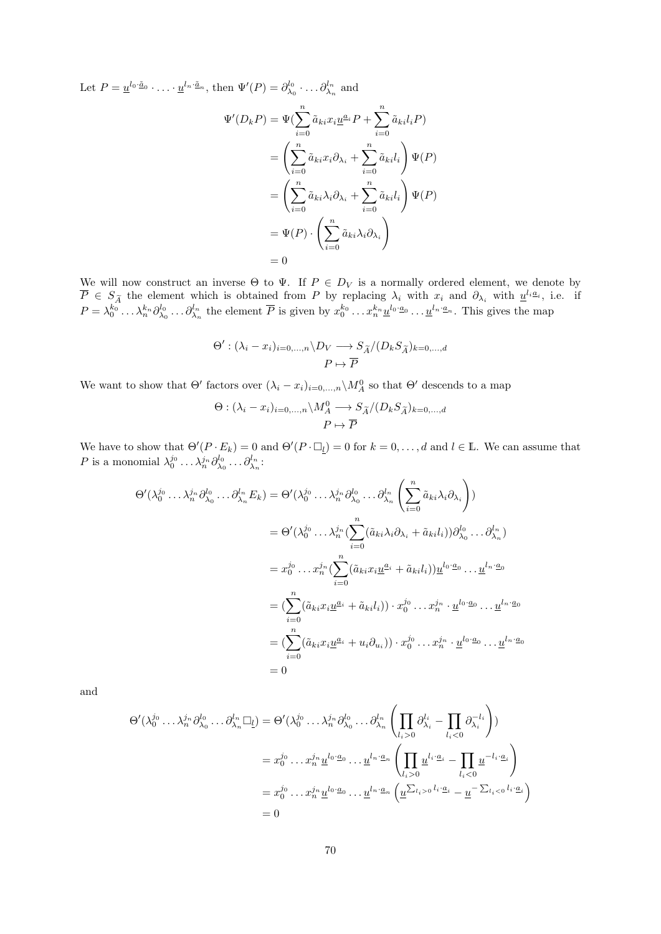Let  $P = \underline{u}^{l_0 \cdot \underline{\tilde{a}}_0} \cdot \ldots \cdot \underline{u}^{l_n \cdot \underline{\tilde{a}}_n}$ , then  $\Psi'(P) = \partial_{\lambda_0}^{l_0} \cdot \ldots \partial_{\lambda_n}^{l_n}$  and

$$
\Psi'(D_k P) = \Psi(\sum_{i=0}^n \tilde{a}_{ki} x_i \underline{u}^{a_i} P + \sum_{i=0}^n \tilde{a}_{ki} l_i P)
$$
  
= 
$$
\left(\sum_{i=0}^n \tilde{a}_{ki} x_i \partial_{\lambda_i} + \sum_{i=0}^n \tilde{a}_{ki} l_i \right) \Psi(P)
$$
  
= 
$$
\left(\sum_{i=0}^n \tilde{a}_{ki} \lambda_i \partial_{\lambda_i} + \sum_{i=0}^n \tilde{a}_{ki} l_i \right) \Psi(P)
$$
  
= 
$$
\Psi(P) \cdot \left(\sum_{i=0}^n \tilde{a}_{ki} \lambda_i \partial_{\lambda_i} \right)
$$
  
= 0

We will now construct an inverse  $\Theta$  to  $\Psi$ . If  $P \in D_V$  is a normally ordered element, we denote by  $\overline{P} \in S_{\widetilde{A}}$  the element which is obtained from P by replacing  $\lambda_i$  with  $x_i$  and  $\partial_{\lambda_i}$  with  $u^{l_i a_i}$ , i.e. if  $P = \lambda_0^{k_0} \dots \lambda_n^{k_n} \partial_{\lambda_0}^{l_0} \dots \partial_{\lambda_n}^{l_n}$  the element  $\overline{P}$  is given by  $x_0^{k_0} \dots x_n^{k_n} \underline{u}^{l_0 \cdot \underline{a}_0} \dots \underline{u}^{l_n \cdot \underline{a}_n}$ . This gives the map

$$
\Theta': (\lambda_i - x_i)_{i=0,\dots,n} \setminus D_V \longrightarrow S_{\widetilde{A}}/(D_k S_{\widetilde{A}})_{k=0,\dots,d}
$$
  

$$
P \mapsto \overline{P}
$$

We want to show that  $\Theta'$  factors over  $(\lambda_i - x_i)_{i=0,\dots,n} \setminus M_A^0$  so that  $\Theta'$  descends to a map

$$
\Theta : (\lambda_i - x_i)_{i=0,...,n} \setminus M_A^0 \longrightarrow S_{\widetilde{A}}/(D_k S_{\widetilde{A}})_{k=0,...,d}
$$

$$
P \mapsto \overline{P}
$$

We have to show that  $\Theta'(P \cdot E_k) = 0$  and  $\Theta'(P \cdot \Box_l) = 0$  for  $k = 0, ..., d$  and  $l \in \mathbb{L}$ . We can assume that P is a monomial  $\lambda_0^{j_0} \dots \lambda_n^{j_n} \partial_{\lambda_0}^{l_0} \dots \partial_{\lambda_n}^{l_n}$ :

$$
\Theta'(\lambda_0^{j_0}\dots\lambda_n^{j_n}\partial_{\lambda_0}^{l_0}\dots\partial_{\lambda_n}^{l_n}E_k) = \Theta'(\lambda_0^{j_0}\dots\lambda_n^{j_n}\partial_{\lambda_0}^{l_0}\dots\partial_{\lambda_n}^{l_n}\left(\sum_{i=0}^n\tilde{a}_{ki}\lambda_i\partial_{\lambda_i}\right))
$$
  
\n
$$
= \Theta'(\lambda_0^{j_0}\dots\lambda_n^{j_n}(\sum_{i=0}^n(\tilde{a}_{ki}\lambda_i\partial_{\lambda_i}+\tilde{a}_{ki}l_i))\partial_{\lambda_0}^{l_0}\dots\partial_{\lambda_n}^{l_n})
$$
  
\n
$$
= x_0^{j_0}\dots x_n^{j_n}(\sum_{i=0}^n(\tilde{a}_{ki}x_i\underline{u}^{a_i}+\tilde{a}_{ki}l_i))\underline{u}^{l_0\cdot a_0}\dots\underline{u}^{l_n\cdot a_0}
$$
  
\n
$$
= (\sum_{i=0}^n(\tilde{a}_{ki}x_i\underline{u}^{a_i}+\tilde{a}_{ki}l_i))\cdot x_0^{j_0}\dots x_n^{j_n}\cdot\underline{u}^{l_0\cdot a_0}\dots\underline{u}^{l_n\cdot a_0}
$$
  
\n
$$
= (\sum_{i=0}^n(\tilde{a}_{ki}x_i\underline{u}^{a_i}+u_i\partial_{u_i}))\cdot x_0^{j_0}\dots x_n^{j_n}\cdot\underline{u}^{l_0\cdot a_0}\dots\underline{u}^{l_n\cdot a_0}
$$
  
\n
$$
= 0
$$

and

$$
\Theta'(\lambda_0^{j_0} \dots \lambda_n^{j_n} \partial_{\lambda_0}^{l_0} \dots \partial_{\lambda_n}^{l_n} \Box_{\underline{l}}) = \Theta'(\lambda_0^{j_0} \dots \lambda_n^{j_n} \partial_{\lambda_0}^{l_0} \dots \partial_{\lambda_n}^{l_n} \left( \prod_{l_i > 0} \partial_{\lambda_i}^{l_i} - \prod_{l_i < 0} \partial_{\lambda_i}^{-l_i} \right))
$$
  

$$
= x_0^{j_0} \dots x_n^{j_n} \underline{u}^{l_0 \cdot \underline{a}_0} \dots \underline{u}^{l_n \cdot \underline{a}_n} \left( \prod_{l_i > 0} \underline{u}^{l_i \cdot \underline{a}_i} - \prod_{l_i < 0} \underline{u}^{-l_i \cdot \underline{a}_i} \right)
$$
  

$$
= x_0^{j_0} \dots x_n^{j_n} \underline{u}^{l_0 \cdot \underline{a}_0} \dots \underline{u}^{l_n \cdot \underline{a}_n} \left( \underline{u}^{\sum_{l_i > 0} l_i \cdot \underline{a}_i} - \underline{u}^{-\sum_{l_i < 0} l_i \cdot \underline{a}_i} \right)
$$
  

$$
= 0
$$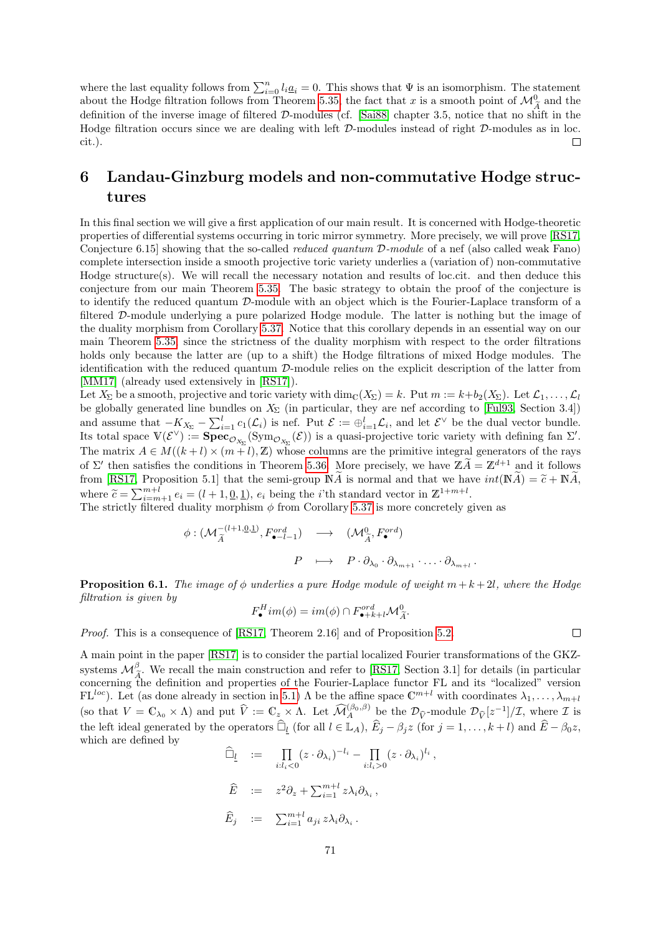where the last equality follows from  $\sum_{i=0}^{n} l_i \underline{a}_i = 0$ . This shows that  $\Psi$  is an isomorphism. The statement about the Hodge filtration follows from Theorem [5.35,](#page-63-0) the fact that x is a smooth point of  $\mathcal{M}^0_{\tilde{\lambda}}$  and the definition of the inverse image of filtered  $D$ -modules (cf. [\[Sai88\]](#page-75-7) chapter 3.5, notice that no shift in the Hodge filtration occurs since we are dealing with left D-modules instead of right D-modules as in loc. cit.).  $\Box$ 

# 6 Landau-Ginzburg models and non-commutative Hodge structures

In this final section we will give a first application of our main result. It is concerned with Hodge-theoretic properties of differential systems occurring in toric mirror symmetry. More precisely, we will prove [\[RS17,](#page-75-1) Conjecture 6.15] showing that the so-called reduced quantum D-module of a nef (also called weak Fano) complete intersection inside a smooth projective toric variety underlies a (variation of) non-commutative Hodge structure(s). We will recall the necessary notation and results of loc.cit. and then deduce this conjecture from our main Theorem [5.35.](#page-63-0) The basic strategy to obtain the proof of the conjecture is to identify the reduced quantum D-module with an object which is the Fourier-Laplace transform of a filtered D-module underlying a pure polarized Hodge module. The latter is nothing but the image of the duality morphism from Corollary [5.37.](#page-65-0) Notice that this corollary depends in an essential way on our main Theorem [5.35,](#page-63-0) since the strictness of the duality morphism with respect to the order filtrations holds only because the latter are (up to a shift) the Hodge filtrations of mixed Hodge modules. The identification with the reduced quantum D-module relies on the explicit description of the latter from [\[MM17\]](#page-75-8) (already used extensively in [\[RS17\]](#page-75-1)).

Let  $X_{\Sigma}$  be a smooth, projective and toric variety with dim<sub>C</sub>( $X_{\Sigma}$ ) = k. Put  $m := k+b_2(X_{\Sigma})$ . Let  $\mathcal{L}_1, \ldots, \mathcal{L}_l$ be globally generated line bundles on  $X_{\Sigma}$  (in particular, they are nef according to [\[Ful93,](#page-74-9) Section 3.4]) and assume that  $-K_{X_{\Sigma}} - \sum_{i=1}^{l} c_i(\mathcal{L}_i)$  is nef. Put  $\mathcal{E} := \bigoplus_{i=1}^{l} \mathcal{L}_i$ , and let  $\mathcal{E}^{\vee}$  be the dual vector bundle. Its total space  $V(\mathcal{E}^{\vee}) := \mathbf{Spec}_{\mathcal{O}_{X_{\Sigma}}}(\mathrm{Sym}_{\mathcal{O}_{X_{\Sigma}}}(\mathcal{E}))$  is a quasi-projective toric variety with defining fan  $\Sigma'$ . The matrix  $A \in M((k+l) \times (m+l), \mathbb{Z})$  whose columns are the primitive integral generators of the rays of  $\Sigma'$  then satisfies the conditions in Theorem [5.36.](#page-64-0) More precisely, we have  $\mathbb{Z} \widetilde{A} = \mathbb{Z}^{d+1}$  and it follows from [\[RS17,](#page-75-1) Proposition 5.1] that the semi-group  $\mathbb{N}\widetilde{A}$  is normal and that we have  $int(\mathbb{N}\widetilde{A}) = \widetilde{c} + \mathbb{N}\widetilde{A}$ , where  $\widetilde{c} = \sum_{i=m+1}^{m+l} e_i = (l+1, \underline{0}, \underline{1}), e_i$  being the *i*'th standard vector in  $\mathbb{Z}^{1+m+l}$ .<br>The strictly filtered duality morphism  $\phi$  from Corollary 5.37 is more concretely a

The strictly filtered duality morphism  $\phi$  from Corollary [5.37](#page-65-0) is more concretely given as

$$
\begin{array}{cccc}\n\phi: (\mathcal{M}_{\widetilde{A}}^{-(l+1,\underline{0},\underline{1})}, F_{\bullet-l-1}^{ord}) & \longrightarrow & (\mathcal{M}_{\widetilde{A}}^{0}, F_{\bullet}^{ord}) \\
& P & \longmapsto & P \cdot \partial_{\lambda_0} \cdot \partial_{\lambda_{m+1}} \cdot \ldots \cdot \partial_{\lambda_{m+l}}\n\end{array}
$$

**Proposition 6.1.** The image of  $\phi$  underlies a pure Hodge module of weight  $m + k + 2l$ , where the Hodge filtration is given by

$$
F_{\bullet}^{H}im(\phi) = im(\phi) \cap F_{\bullet+k+l}^{ord} \mathcal{M}_{\widetilde{A}}^{0}.
$$

Proof. This is a consequence of [\[RS17,](#page-75-1) Theorem 2.16] and of Proposition [5.2.](#page-37-1)

A main point in the paper [\[RS17\]](#page-75-1) is to consider the partial localized Fourier transformations of the GKZsystems  $\mathcal{M}_{\tilde{\mathcal{F}}}^{\beta}$ . We recall the main construction and refer to [\[RS17,](#page-75-1) Section 3.1] for details (in particular concerning the definition and properties of the Fourier-Laplace functor FL and its "localized" version  $FL^{loc}$ ). Let (as done already in section in [5.1\)](#page-35-2)  $\Lambda$  be the affine space  $\mathbb{C}^{m+l}$  with coordinates  $\lambda_1,\ldots,\lambda_{m+l}$ (so that  $V = \mathbb{C}_{\lambda_0} \times \Lambda$ ) and put  $\hat{V} := \mathbb{C}_z \times \Lambda$ . Let  $\widehat{\mathcal{M}}_A^{(\beta_0, \beta)}$  be the  $\mathcal{D}_{\widehat{V}}[z^{-1}]/\mathcal{I}$ , where  $\mathcal{I}$  is the left ideal generated by the operators  $\widehat{\Box}_{\underline{l}}$  (for all  $l \in \mathbb{L}_A$ ),  $\widehat{E}_j - \beta_j z$  (for  $j = 1, \ldots, k+l$ ) and  $\widehat{E} - \beta_0 z$ , which are defined by

$$
\widehat{\Box}_{\underline{l}} := \prod_{i:l_i < 0} (z \cdot \partial_{\lambda_i})^{-l_i} - \prod_{i:l_i > 0} (z \cdot \partial_{\lambda_i})^{l_i},
$$
  
\n
$$
\widehat{E} := z^2 \partial_z + \sum_{i=1}^{m+l} z \lambda_i \partial_{\lambda_i},
$$
  
\n
$$
\widehat{E}_j := \sum_{i=1}^{m+l} a_{ji} z \lambda_i \partial_{\lambda_i}.
$$

 $\Box$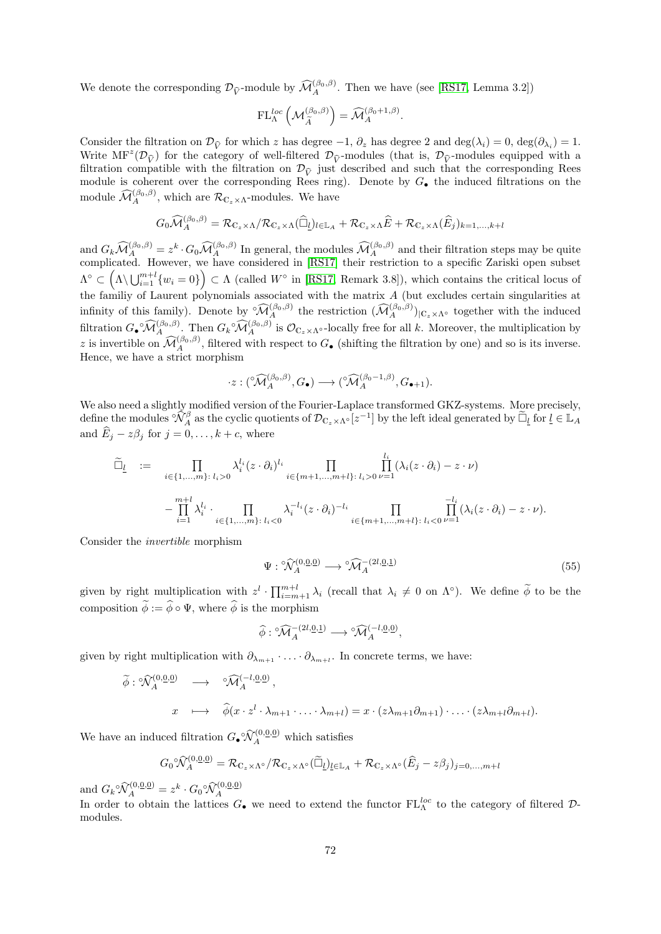We denote the corresponding  $\mathcal{D}_{\hat{V}}$ -module by  $\widehat{\mathcal{M}}_A^{(\beta_0,\beta)}$ . Then we have (see [\[RS17,](#page-75-1) Lemma 3.2])

$$
\mathrm{FL}^{loc}_{\Lambda}\left(\mathcal{M}^{(\beta_0,\beta)}_{\widetilde{A}}\right)=\widehat{\mathcal{M}}^{(\beta_0+1,\beta)}_A.
$$

Consider the filtration on  $\mathcal{D}_{\hat{V}}$  for which z has degree  $-1, \partial_z$  has degree 2 and deg( $\lambda_i$ ) = 0, deg( $\partial_{\lambda_i}$ ) = 1.<br>White MF<sup>2</sup>( $\mathcal{D}_{\lambda_i}$ ) for the external functional  $\mathcal{D}_{\lambda_i}$  modules (that is  $\mathcal{D}_{\lambda_i}$ Write  $MF^z(\mathcal{D}_{\hat{V}})$  for the category of well-filtered  $\mathcal{D}_{\hat{V}}$ -modules (that is,  $\mathcal{D}_{\hat{V}}$ -modules equipped with a filtration connectible with the filtration on  $\mathcal{D}_{V}$  and we have that the connection  $\mathcal$ filtration compatible with the filtration on  $\mathcal{D}_{\hat{V}}$  just described and such that the corresponding Rees module is coherent over the corresponding Rees ring). Denote by  $G_{\bullet}$  the induced filtrations on the module  $\widehat{\mathcal{M}}_A^{(\beta_0,\beta)}$ , which are  $\mathcal{R}_{\mathbb{C}_z \times \Lambda}$ -modules. We have

$$
G_0\widehat{\mathcal{M}}_A^{(\beta_0,\beta)} = \mathcal{R}_{\mathbb{C}_z \times \Lambda}/\mathcal{R}_{\mathbb{C}_z \times \Lambda}(\widehat{\Box}_l)_{l \in \mathbb{L}_A} + \mathcal{R}_{\mathbb{C}_z \times \Lambda}\widehat{E} + \mathcal{R}_{\mathbb{C}_z \times \Lambda}(\widehat{E}_j)_{k=1,\dots,k+l}
$$

and  $G_k \widehat{\mathcal{M}}_A^{(\beta_0,\beta)} = z^k \cdot G_0 \widehat{\mathcal{M}}_A^{(\beta_0,\beta)}$  In general, the modules  $\widehat{\mathcal{M}}_A^{(\beta_0,\beta)}$  and their filtration steps may be quite complicated. However, we have considered in [\[RS17\]](#page-75-1) their restriction to a specific Zariski open subset  $\Lambda^{\circ} \subset \left(\Lambda \setminus \bigcup_{i=1}^{m+l} \{w_i = 0\}\right) \subset \Lambda$  (called  $W^{\circ}$  in [\[RS17,](#page-75-1) Remark 3.8]), which contains the critical locus of the familiy of Laurent polynomials associated with the matrix  $A$  (but excludes certain singularities at infinity of this family). Denote by  $\widehat{\mathcal{M}}_{A}^{(\beta_0,\beta)}$  the restriction  $(\widehat{\mathcal{M}}_{A}^{(\beta_0,\beta)})_{|\mathbb{C}_{z}\times\Lambda^{\circ}}$  together with the induced filtration  $G_{\bullet} \circ \widehat{\mathcal{M}}_{A}^{(\beta_0,\beta)}$ . Then  $G_k \circ \widehat{\mathcal{M}}_{A}^{(\beta_0,\beta)}$  is  $\mathcal{O}_{\mathbb{C}_z \times \Lambda^{\circ}}$ -locally free for all k. Moreover, the multiplication by z is invertible on  $\widehat{\mathcal{M}}_{A}^{(\beta_0,\beta)}$ , filtered with respect to  $G_{\bullet}$  (shifting the filtration by one) and so is its inverse. Hence, we have a strict morphism

$$
\cdot z:({}^{\circ}\widehat{\mathcal{M}}^{(\beta_0,\beta)}_A,G_\bullet)\longrightarrow({}^{\circ}\widehat{\mathcal{M}}^{(\beta_0-1,\beta)}_A,G_{\bullet+1}).
$$

We also need a slightly modified version of the Fourier-Laplace transformed GKZ-systems. More precisely, define the modules  $\widehat{\mathcal{N}}_A^{\beta}$  as the cyclic quotients of  $\mathcal{D}_{\mathbb{C}_z \times \Lambda^{\circ}}[z^{-1}]$  by the left ideal generated by  $\widetilde{\Box}_l$  for  $\underline{l} \in \mathbb{L}_A$ and  $\widehat{E}_j - z\beta_j$  for  $j = 0, \ldots, k + c$ , where

$$
\widetilde{\Box}_{\underline{l}} := \prod_{\substack{i \in \{1,\ldots,m\}:\; l_i > 0}} \lambda_i^{l_i} (z \cdot \partial_i)^{l_i} \prod_{\substack{i \in \{m+1,\ldots,m+l\}:\; l_i > 0}} \prod_{\nu=1}^{l_i} (\lambda_i (z \cdot \partial_i) - z \cdot \nu)
$$
\n
$$
- \prod_{i=1}^{m+l} \lambda_i^{l_i} \cdot \prod_{i \in \{1,\ldots,m\}:\; l_i < 0} \lambda_i^{-l_i} (z \cdot \partial_i)^{-l_i} \prod_{i \in \{m+1,\ldots,m+l\}:\; l_i < 0} \prod_{\nu=1}^{-l_i} (\lambda_i (z \cdot \partial_i) - z \cdot \nu).
$$

Consider the invertible morphism

$$
\Psi: \hat{\mathcal{N}}_A^{(0,\underline{0},\underline{0})} \longrightarrow \hat{\mathcal{M}}_A^{-(2l,\underline{0},\underline{1})} \tag{55}
$$

given by right multiplication with  $z^l \cdot \prod_{i=m+1}^{m+l} \lambda_i$  (recall that  $\lambda_i \neq 0$  on  $\Lambda^{\circ}$ ). We define  $\widetilde{\phi}$  to be the composition  $\widetilde{\phi} := \widehat{\phi} \circ \Psi$ , where  $\widehat{\phi}$  is the morphism

$$
\widehat{\phi}: {}^{\circ}\widehat{\mathcal{M}}_{A}^{-\left(2l,\underline{0},\underline{1}\right)}\longrightarrow {}^{\circ}\widehat{\mathcal{M}}_{A}^{\left(-l,\underline{0},\underline{0}\right)},
$$

given by right multiplication with  $\partial_{\lambda_{m+1}} \cdot \ldots \cdot \partial_{\lambda_{m+l}}$ . In concrete terms, we have:

$$
\widetilde{\phi}: \hat{\mathcal{N}}_A^{(0,\underline{0},\underline{0})} \longrightarrow \hat{\mathcal{M}}_A^{(-l,\underline{0},\underline{0})},
$$
  

$$
x \longmapsto \hat{\phi}(x \cdot z^l \cdot \lambda_{m+1} \cdot \ldots \cdot \lambda_{m+l}) = x \cdot (z\lambda_{m+1}\partial_{m+1}) \cdot \ldots \cdot (z\lambda_{m+l}\partial_{m+l}).
$$

We have an induced filtration  $G_{\bullet}^{\circ} \hat{\mathcal{N}}_{A}^{(0,\underline{0},\underline{0})}$  which satisfies

$$
G_0\widehat{\mathcal{N}}_A^{(0,\underline{0},\underline{0})} = \mathcal{R}_{\mathbb{C}_z \times \Lambda^\circ} / \mathcal{R}_{\mathbb{C}_z \times \Lambda^\circ} (\widetilde{\Box}_{\underline{l}})_{\underline{l} \in \mathbb{L}_A} + \mathcal{R}_{\mathbb{C}_z \times \Lambda^\circ} (\widehat{E}_j - z\beta_j)_{j=0,\dots,m+l}
$$

and  $G_k \, \hat{\mathcal{N}}_A^{(0,\underline{0},\underline{0})} = z^k \cdot G_0 \, \hat{\mathcal{N}}_A^{(0,\underline{0},\underline{0})}$ 

In order to obtain the lattices  $G_{\bullet}$  we need to extend the functor  $FL_{\Lambda}^{loc}$  to the category of filtered  $\mathcal{D}$ modules.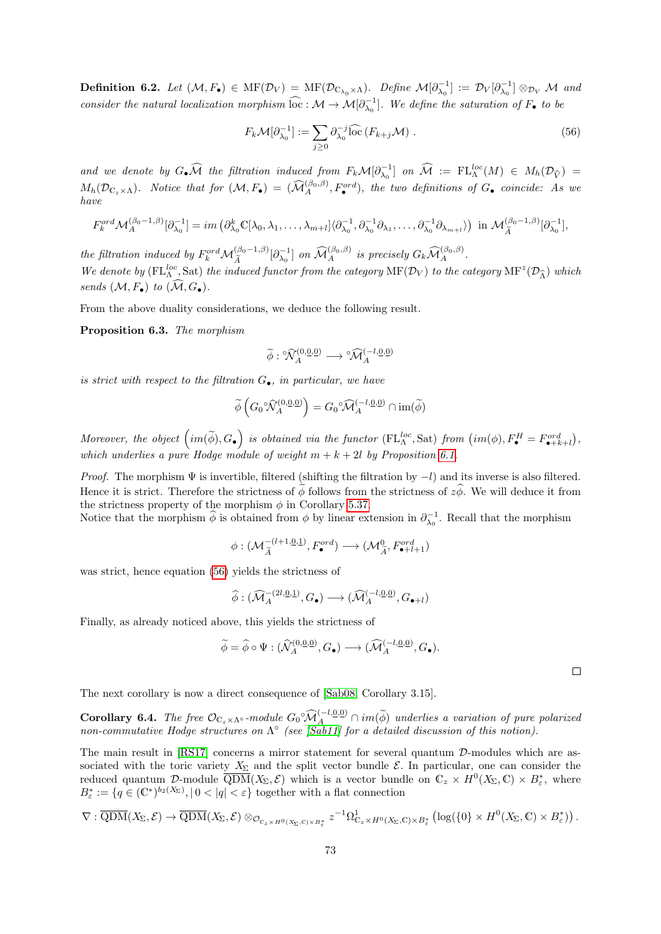**Definition 6.2.** Let  $(M, F_{\bullet}) \in \text{MF}(\mathcal{D}_{V}) = \text{MF}(\mathcal{D}_{\mathbb{C}_{\lambda_0}\times\Lambda})$ . Define  $\mathcal{M}[\partial_{\lambda_0}^{-1}] := \mathcal{D}_{V}[\partial_{\lambda_0}^{-1}] \otimes_{\mathcal{D}_{V}} \mathcal{M}$  and consider the natural localization morphism  $\widehat{loc}: \mathcal{M} \to \mathcal{M}[\partial_{\lambda_0}^{-1}]$ . We define the saturation of  $F_{\bullet}$  to be

<span id="page-72-0"></span>
$$
F_k \mathcal{M}[\partial_{\lambda_0}^{-1}] := \sum_{j \ge 0} \partial_{\lambda_0}^{-j} \widehat{\text{loc}} \left( F_{k+j} \mathcal{M} \right) . \tag{56}
$$

and we denote by  $G_{\bullet}\widehat{\mathcal{M}}$  the filtration induced from  $F_k\mathcal{M}[\partial_{\lambda_0}^{-1}]$  on  $\widehat{\mathcal{M}} := \mathrm{FL}_{\Lambda}^{loc}(M) \in M_h(\mathcal{D}_{\widehat{V}}) =$  $M_h(\mathcal{D}_{\mathbb{C}_z\times\Lambda})$ . Notice that for  $(\mathcal{M}, F_\bullet) = (\widehat{\mathcal{M}}_A^{(\beta_0,\beta)}, F_\bullet^{ord})$ , the two definitions of  $G_\bullet$  coincide: As we have

$$
F_k^{ord} \mathcal{M}_A^{(\beta_0-1,\beta)}[\partial_{\lambda_0}^{-1}] = im \left( \partial_{\lambda_0}^k \mathbb{C}[\lambda_0, \lambda_1, \dots, \lambda_{m+l}] \langle \partial_{\lambda_0}^{-1}, \partial_{\lambda_0}^{-1} \partial_{\lambda_1}, \dots, \partial_{\lambda_0}^{-1} \partial_{\lambda_{m+l}} \rangle \right) \text{ in } \mathcal{M}_{\widetilde{A}}^{(\beta_0-1,\beta)}[\partial_{\lambda_0}^{-1}],
$$

the filtration induced by  $F_k^{ord} \mathcal{M}_{\tilde{A}}^{(\beta_0-1,\beta)}[\partial_{\lambda_0}^{-1}]$  on  $\widehat{\mathcal{M}}_A^{(\beta_0,\beta)}$  is precisely  $G_k \widehat{\mathcal{M}}_A^{(\beta_0,\beta)}$ . We denote by ( $FL^{loc}_{\Lambda}$ , Sat) the induced functor from the category MF( $\mathcal{D}_V$ ) to the category MF<sup>z</sup>( $\mathcal{D}_{\widehat{\Lambda}}$ ) which sends  $(\mathcal{M}, F_{\bullet})$  to  $(\widehat{\mathcal{M}}, G_{\bullet}).$ 

From the above duality considerations, we deduce the following result.

<span id="page-72-2"></span>Proposition 6.3. The morphism

$$
\widetilde{\phi}: \mathcal{N}_A^{(0,\underline{0},\underline{0})}\longrightarrow {^\circ\!}\widehat{\mathcal{M}}_A^{(-l,\underline{0},\underline{0})}
$$

is strict with respect to the filtration  $G_{\bullet}$ , in particular, we have

$$
\widetilde{\phi}\left(G_0\widehat{\mathcal{N}}_A^{(0,\underline{0},\underline{0})}\right) = G_0\widehat{\mathcal{M}}_A^{(-l,\underline{0},\underline{0})} \cap \text{im}(\widetilde{\phi})
$$

Moreover, the object  $\left(im(\widetilde{\phi}), G_{\bullet}\right)$  is obtained via the functor  $(\mathrm{FL}_{\Lambda}^{loc}, \mathrm{Sat})$  from  $\left(im(\phi), F_{\bullet}^H = F_{\bullet+k+l}^{ord}\right)$ , which underlies a pure Hodge module of weight  $m + k + 2l$  by Proposition [6.1.](#page-70-0)

*Proof.* The morphism  $\Psi$  is invertible, filtered (shifting the filtration by  $-l$ ) and its inverse is also filtered. Hence it is strict. Therefore the strictness of  $\phi$  follows from the strictness of  $z\hat{\phi}$ . We will deduce it from the strictness property of the morphism  $\phi$  in Corollary [5.37.](#page-65-0)

Notice that the morphism  $\hat{\phi}$  is obtained from  $\phi$  by linear extension in  $\partial_{\lambda_0}^{-1}$ . Recall that the morphism

$$
\phi: (\mathcal{M}_{\widetilde{A}}^{-(l+1,\underline{0},\underline{1})}, F_{\bullet}^{ord}) \longrightarrow (\mathcal{M}_{\widetilde{A}}^{0}, F_{\bullet+l+1}^{ord})
$$

was strict, hence equation [\(56\)](#page-72-0) yields the strictness of

$$
\widehat{\phi}: (\widehat{\mathcal{M}}^{-\langle 2l,\underline{0},\underline{1}\rangle}_A, G_{\bullet}) \longrightarrow (\widehat{\mathcal{M}}^{(-l,\underline{0},\underline{0})}_A, G_{\bullet+l})
$$

Finally, as already noticed above, this yields the strictness of

$$
\widetilde{\phi} = \widehat{\phi} \circ \Psi : (\widehat{\mathcal{N}}_A^{(0,\underline{0},\underline{0})}, G_{\bullet}) \longrightarrow (\widehat{\mathcal{M}}_A^{(-l,\underline{0},\underline{0})}, G_{\bullet}).
$$

 $\Box$ 

The next corollary is now a direct consequence of [\[Sab08,](#page-75-0) Corollary 3.15].

<span id="page-72-1"></span>**Corollary 6.4.** The free  $\mathcal{O}_{C_z \times \Lambda^{\circ}}$ -module  $G_0^{\circ} \widehat{M}_A^{(-l, \underline{0}, \underline{0})} \cap im(\widetilde{\phi})$  underlies a variation of pure polarized non-commutative Hodge structures on  $\Lambda^{\circ}$  (see [\[Sab11\]](#page-75-1) for a detailed discussion of

The main result in [\[RS17\]](#page-75-2) concerns a mirror statement for several quantum D-modules which are associated with the toric variety  $X_{\Sigma}$  and the split vector bundle  $\mathcal{E}$ . In particular, one can consider the reduced quantum D-module  $\overline{QDM}(X_{\Sigma},\mathcal{E})$  which is a vector bundle on  $\mathbb{C}_{z} \times H^{0}(X_{\Sigma},\mathbb{C}) \times B_{\varepsilon}^{*}$ , where  $B_{\varepsilon}^* := \{q \in (\mathbb{C}^*)^{b_2(X_{\Sigma})}, |0 < |q| < \varepsilon\}$  together with a flat connection

$$
\nabla : \overline{\mathrm{QDM}}(X_\Sigma, \mathcal{E}) \to \overline{\mathrm{QDM}}(X_\Sigma, \mathcal{E}) \otimes_{\mathcal{O}_{\mathbb{C}_z \times H^0(X_\Sigma, \mathbb{C}) \times B^*_\varepsilon}} z^{-1} \Omega^1_{\mathbb{C}_z \times H^0(X_\Sigma, \mathbb{C}) \times B^*_\varepsilon} \left( \log(\{0\} \times H^0(X_\Sigma, \mathbb{C}) \times B^*_\varepsilon) \right).
$$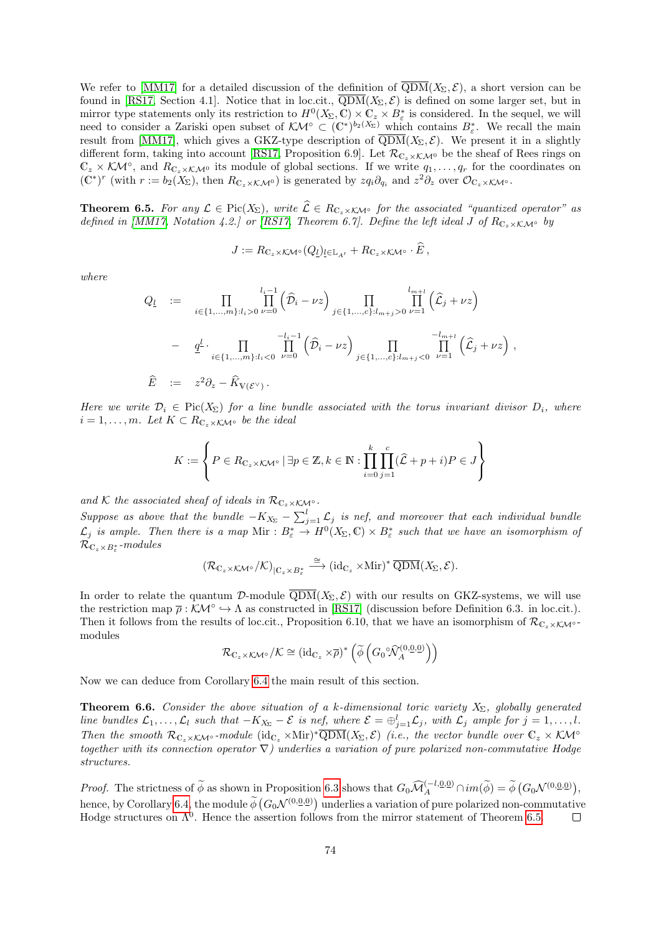We refer to [\[MM17\]](#page-75-3) for a detailed discussion of the definition of  $\overline{QDM}(X_{\Sigma}, \mathcal{E})$ , a short version can be found in [\[RS17,](#page-75-2) Section 4.1]. Notice that in loc.cit.,  $\overline{QDM}(X_{\Sigma}, \mathcal{E})$  is defined on some larger set, but in mirror type statements only its restriction to  $H^0(X_\Sigma,\mathbb{C})\times\mathbb{C}_z\times B^*_\varepsilon$  is considered. In the sequel, we will need to consider a Zariski open subset of  $\mathcal{KM}^\circ \subset (\mathbb{C}^*)^{b_2(X_\Sigma)}$  which contains  $B^*_\varepsilon$ . We recall the main result from [\[MM17\]](#page-75-3), which gives a GKZ-type description of  $\overline{QDM}(X_{\Sigma}, \mathcal{E})$ . We present it in a slightly different form, taking into account [\[RS17,](#page-75-2) Proposition 6.9]. Let  $\mathcal{R}_{\mathbb{C}\times\mathcal{K}\mathcal{M}^0}$  be the sheaf of Rees rings on  $\mathbb{C}_z \times \mathcal{KM}^\circ$ , and  $R_{\mathbb{C}_z \times \mathcal{KM}^\circ}$  its module of global sections. If we write  $q_1, \ldots, q_r$  for the coordinates on  $(\mathbb{C}^*)^r$  (with  $r := b_2(X_{\Sigma})$ , then  $R_{\mathbb{C}_z \times \mathcal{K} \mathcal{M}^0}$ ) is generated by  $z q_i \partial_{q_i}$  and  $z^2 \partial_z$  over  $\mathcal{O}_{\mathbb{C}_z \times \mathcal{K} \mathcal{M}^0}$ .

<span id="page-73-0"></span>**Theorem 6.5.** For any  $\mathcal{L} \in Pic(X_{\Sigma})$ , write  $\widehat{\mathcal{L}} \in R_{\mathbb{C}_z \times \mathcal{K} \mathcal{M}^{\circ}}$  for the associated "quantized operator" as defined in [\[MM17,](#page-75-3) Notation 4.2.] or [\[RS17,](#page-75-2) Theorem 6.7]. Define the left ideal J of  $R_{C_z \times K,M}$ ° by

$$
J := R_{\mathbb{C}_z \times \mathcal{K} \mathcal{M}^\circ}(Q_l)_{l \in \mathbb{L}_{A'}} + R_{\mathbb{C}_z \times \mathcal{K} \mathcal{M}^\circ} \cdot E,
$$

where

$$
Q_{\underline{l}} := \prod_{i \in \{1, ..., m\}: l_i > 0} \prod_{\nu=0}^{l_i - 1} (\widehat{D}_i - \nu z) \prod_{j \in \{1, ..., c\}: l_{m+j} > 0} \prod_{\nu=1}^{l_{m+l}} (\widehat{L}_j + \nu z)
$$
  

$$
- \underline{q}^{\underline{l}} \cdot \prod_{i \in \{1, ..., m\}: l_i < 0} \prod_{\nu=0}^{-l_i - 1} (\widehat{D}_i - \nu z) \prod_{j \in \{1, ..., c\}: l_{m+j} < 0} \prod_{\nu=1}^{-l_{m+l}} (\widehat{L}_j + \nu z) ,
$$
  

$$
\widehat{E} := z^2 \partial_z - \widehat{K}_{V(\mathcal{E}^\vee)}.
$$

Here we write  $\mathcal{D}_i \in \text{Pic}(X_\Sigma)$  for a line bundle associated with the torus invariant divisor  $D_i$ , where  $i = 1, \ldots, m$ . Let  $K \subset R_{\mathbb{C}_z \times K\mathcal{M}^\circ}$  be the ideal

$$
K := \left\{ P \in R_{\mathbb{C}_z \times \mathcal{K} \mathcal{M}^\circ} \mid \exists p \in \mathbb{Z}, k \in \mathbb{N} : \prod_{i=0}^k \prod_{j=1}^c (\widehat{\mathcal{L}} + p + i) P \in J \right\}
$$

and K the associated sheaf of ideals in  $\mathcal{R}_{\mathbb{C}_z\times\mathcal{K}}$ M∘.

Suppose as above that the bundle  $-K_{X_{\Sigma}} - \sum_{j=1}^{l} \mathcal{L}_j$  is nef, and moreover that each individual bundle  $\mathcal{L}_j$  is ample. Then there is a map  $\text{Mir}: B^*_{\varepsilon} \to H^0(X_{\Sigma}, \mathbb{C}) \times B^*_{\varepsilon}$  such that we have an isomorphism of  $\mathcal{R}_{\mathbb{C}_z\times B^*_\varepsilon}$ -modules

$$
(\mathcal{R}_{\mathbb{C}_z\times \mathcal{K}\mathcal{M}^\circ}/\mathcal{K})_{|\mathbb{C}_z\times B^*_\varepsilon} \stackrel{\cong}{\longrightarrow} (\mathrm{id}_{\mathbb{C}_z}\times \mathrm{Mir})^*\, \overline{\mathrm{QDM}}(X_\Sigma,\mathcal{E}).
$$

In order to relate the quantum D-module  $\overline{QDM}(X_{\Sigma}, \mathcal{E})$  with our results on GKZ-systems, we will use the restriction map  $\bar{\rho}: \mathcal{K}M^{\circ} \hookrightarrow \Lambda$  as constructed in [\[RS17\]](#page-75-2) (discussion before Definition 6.3. in loc.cit.). Then it follows from the results of loc.cit., Proposition 6.10, that we have an isomorphism of  $\mathcal{R}_{C_z\times K\mathcal{M}^{\circ}}$ modules

$$
\mathcal{R}_{\mathbb{C}_z \times \mathcal{K} \mathcal{M}^\circ} / \mathcal{K} \cong \left( \mathrm{id}_{\mathbb{C}_z} \times \overline{\rho} \right)^* \left( \widetilde{\phi} \left( G_0^\circ \widehat{\mathcal{N}}_A^{(0,\underline{0},\underline{0})} \right) \right)
$$

Now we can deduce from Corollary [6.4](#page-72-1) the main result of this section.

**Theorem 6.6.** Consider the above situation of a k-dimensional toric variety  $X_{\Sigma}$ , globally generated line bundles  $\mathcal{L}_1,\ldots,\mathcal{L}_l$  such that  $-K_{X_{\Sigma}}-\mathcal{E}$  is nef, where  $\mathcal{E}=\bigoplus_{j=1}^l\mathcal{L}_j$ , with  $\mathcal{L}_j$  ample for  $j=1,\ldots,l$ . Then the smooth  $\mathcal{R}_{\mathbb{C}_z\times\mathcal{K}\mathcal{M}^\circ}$ -module  $(\mathrm{id}_{\mathbb{C}_z}\times\mathrm{Min})^*\overline{\mathrm{QDM}}(X_\Sigma,\mathcal{E})$  (i.e., the vector bundle over  $\mathbb{C}_z\times\mathcal{K}\mathcal{M}^\circ$ together with its connection operator  $\nabla$ ) underlies a variation of pure polarized non-commutative Hodge structures.

Proof. The strictness of  $\widetilde{\phi}$  as shown in Proposition [6.3](#page-72-2) shows that  $G_0 \widehat{\mathcal{M}}_A^{(-l, \underline{0}, \underline{0})} \cap im(\widetilde{\phi}) = \widetilde{\phi}(G_0 \mathcal{N}^{(0, \underline{0}, \underline{0})}),$ hence, by Corollary [6.4,](#page-72-1) the module  $\phi\left(G_0\mathcal{N}^{(0,\underline{0},\underline{0})}\right)$  underlies a variation of pure polarized non-commutative Hodge structures on  $\Lambda^0$ . Hence the assertion follows from the mirror statement of Theorem [6.5.](#page-73-0)  $\Box$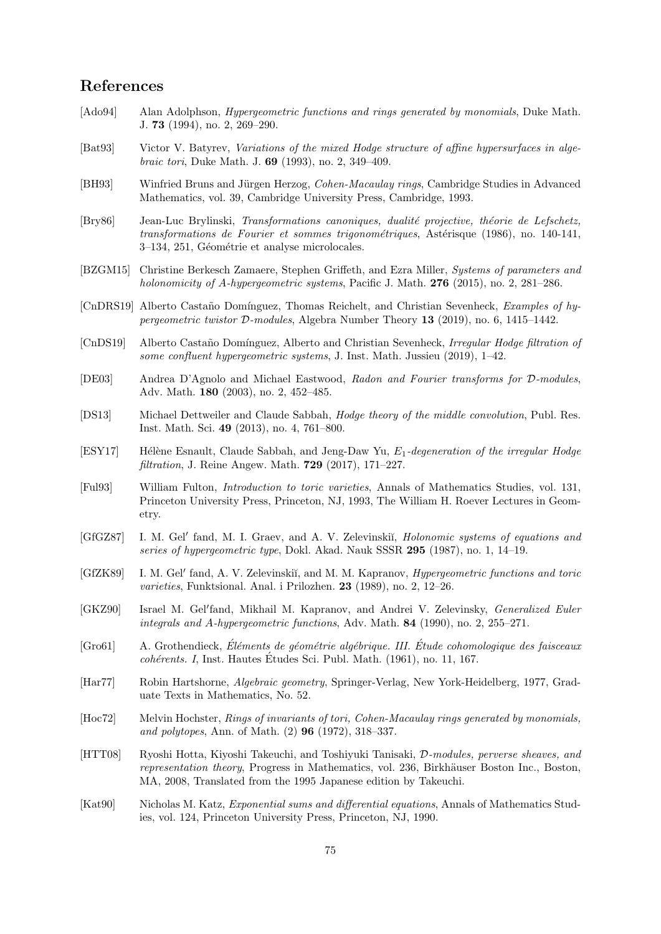## References

- [Ado94] Alan Adolphson, *Hypergeometric functions and rings generated by monomials*, Duke Math. J. 73 (1994), no. 2, 269–290.
- [Bat93] Victor V. Batyrev, Variations of the mixed Hodge structure of affine hypersurfaces in algebraic tori, Duke Math. J. 69 (1993), no. 2, 349–409.
- [BH93] Winfried Bruns and Jürgen Herzog, *Cohen-Macaulay rings*, Cambridge Studies in Advanced Mathematics, vol. 39, Cambridge University Press, Cambridge, 1993.
- [Bry86] Jean-Luc Brylinski, Transformations canoniques, dualité projective, théorie de Lefschetz, transformations de Fourier et sommes trigonométriques, Astérisque (1986), no. 140-141, 3–134, 251, Géométrie et analyse microlocales.
- [BZGM15] Christine Berkesch Zamaere, Stephen Griffeth, and Ezra Miller, Systems of parameters and holonomicity of A-hypergeometric systems, Pacific J. Math.  $276$  (2015), no. 2, 281–286.
- [CnDRS19] Alberto Castaño Domínguez, Thomas Reichelt, and Christian Sevenheck, *Examples of hy*pergeometric twistor D-modules, Algebra Number Theory 13 (2019), no. 6, 1415–1442.
- [CnDS19] Alberto Castaño Domínguez, Alberto and Christian Sevenheck, Irregular Hodge filtration of some confluent hypergeometric systems, J. Inst. Math. Jussieu (2019), 1–42.
- [DE03] Andrea D'Agnolo and Michael Eastwood, Radon and Fourier transforms for D-modules, Adv. Math. 180 (2003), no. 2, 452–485.
- [DS13] Michael Dettweiler and Claude Sabbah, Hodge theory of the middle convolution, Publ. Res. Inst. Math. Sci. 49 (2013), no. 4, 761–800.
- [ESY17] Hélène Esnault, Claude Sabbah, and Jeng-Daw Yu,  $E_1$ -degeneration of the irregular Hodge filtration, J. Reine Angew. Math. 729 (2017), 171–227.
- [Ful93] William Fulton, Introduction to toric varieties, Annals of Mathematics Studies, vol. 131, Princeton University Press, Princeton, NJ, 1993, The William H. Roever Lectures in Geometry.
- [GfGZ87] I. M. Gel' fand, M. I. Graev, and A. V. Zelevinskiı̆, *Holonomic systems of equations and* series of hypergeometric type, Dokl. Akad. Nauk SSSR 295 (1987), no. 1, 14–19.
- [GfZK89] I. M. Gel' fand, A. V. Zelevinskiı̆, and M. M. Kapranov, *Hypergeometric functions and toric* varieties, Funktsional. Anal. i Prilozhen. 23 (1989), no. 2, 12–26.
- [GKZ90] Israel M. Gel'fand, Mikhail M. Kapranov, and Andrei V. Zelevinsky, Generalized Euler integrals and  $A$ -hypergeometric functions, Adv. Math. **84** (1990), no. 2, 255–271.
- $[Gro61]$  A. Grothendieck, Eléments de géométrie algébrique. III. Étude cohomologique des faisceaux  $cohérents. I, Inst. Hautes Études Sci. Publ. Math. (1961), no. 11, 167.$
- [Har77] Robin Hartshorne, Algebraic geometry, Springer-Verlag, New York-Heidelberg, 1977, Graduate Texts in Mathematics, No. 52.
- [Hoc72] Melvin Hochster, Rings of invariants of tori, Cohen-Macaulay rings generated by monomials, and polytopes, Ann. of Math. (2) 96 (1972), 318–337.
- [HTT08] Ryoshi Hotta, Kiyoshi Takeuchi, and Toshiyuki Tanisaki, D-modules, perverse sheaves, and representation theory, Progress in Mathematics, vol. 236, Birkhäuser Boston Inc., Boston, MA, 2008, Translated from the 1995 Japanese edition by Takeuchi.
- [Kat90] Nicholas M. Katz, Exponential sums and differential equations, Annals of Mathematics Studies, vol. 124, Princeton University Press, Princeton, NJ, 1990.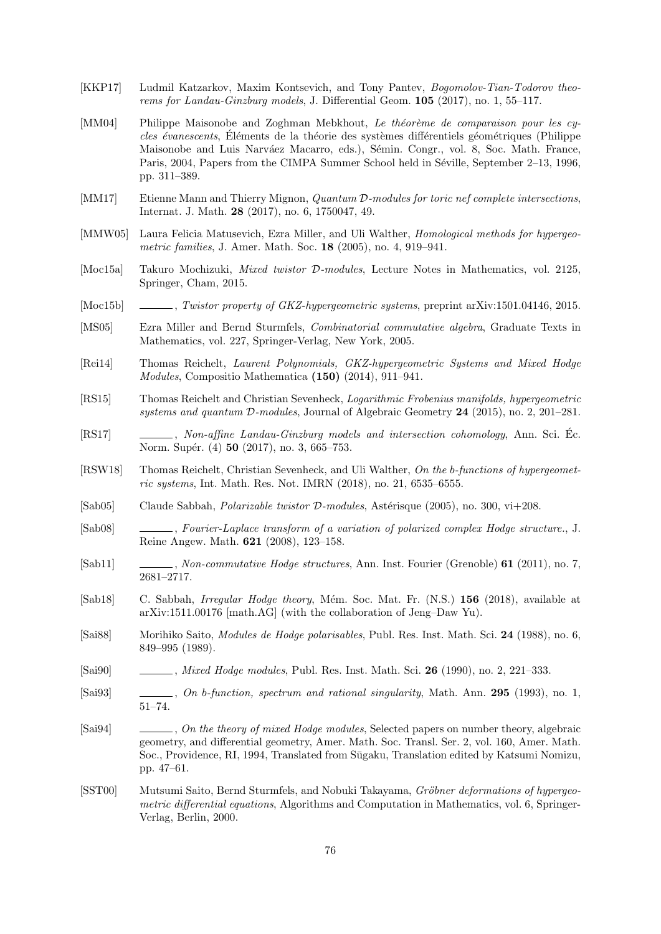- [KKP17] Ludmil Katzarkov, Maxim Kontsevich, and Tony Pantev, Bogomolov-Tian-Todorov theorems for Landau-Ginzburg models, J. Differential Geom. 105 (2017), no. 1, 55–117.
- [MM04] Philippe Maisonobe and Zoghman Mebkhout, Le théorème de comparaison pour les cycles évanescents, Eléments de la théorie des systèmes différentiels géométriques (Philippe Maisonobe and Luis Narváez Macarro, eds.), Sémin. Congr., vol. 8, Soc. Math. France, Paris, 2004, Papers from the CIMPA Summer School held in Séville, September 2–13, 1996, pp. 311–389.
- <span id="page-75-3"></span>[MM17] Etienne Mann and Thierry Mignon, *Quantum D-modules for toric nef complete intersections*, Internat. J. Math. 28 (2017), no. 6, 1750047, 49.
- [MMW05] Laura Felicia Matusevich, Ezra Miller, and Uli Walther, *Homological methods for hypergeo*metric families, J. Amer. Math. Soc. 18 (2005), no. 4, 919–941.
- [Moc15a] Takuro Mochizuki, Mixed twistor D-modules, Lecture Notes in Mathematics, vol. 2125, Springer, Cham, 2015.
- [Moc15b] , Twistor property of GKZ-hypergeometric systems, preprint arXiv:1501.04146, 2015.
- [MS05] Ezra Miller and Bernd Sturmfels, Combinatorial commutative algebra, Graduate Texts in Mathematics, vol. 227, Springer-Verlag, New York, 2005.
- [Rei14] Thomas Reichelt, Laurent Polynomials, GKZ-hypergeometric Systems and Mixed Hodge Modules, Compositio Mathematica (150) (2014), 911–941.
- [RS15] Thomas Reichelt and Christian Sevenheck, Logarithmic Frobenius manifolds, hypergeometric systems and quantum D-modules, Journal of Algebraic Geometry 24 (2015), no. 2, 201–281.
- <span id="page-75-2"></span>[RS17] , Non-affine Landau-Ginzburg models and intersection cohomology, Ann. Sci. Ec. Norm. Supér. (4) **50** (2017), no. 3, 665–753.
- [RSW18] Thomas Reichelt, Christian Sevenheck, and Uli Walther, On the b-functions of hypergeometric systems, Int. Math. Res. Not. IMRN (2018), no. 21, 6535–6555.
- [Sab $[0.05]$  Claude Sabbah, *Polarizable twistor D-modules*, Astérisque (2005), no. 300, vi $+208$ .
- <span id="page-75-0"></span>[Sab08] , Fourier-Laplace transform of a variation of polarized complex Hodge structure., J. Reine Angew. Math. 621 (2008), 123–158.
- <span id="page-75-1"></span>[Sab11] , Non-commutative Hodge structures, Ann. Inst. Fourier (Grenoble) 61 (2011), no. 7, 2681–2717.
- [Sab18] C. Sabbah, *Irregular Hodge theory*, Mém. Soc. Mat. Fr. (N.S.) 156 (2018), available at arXiv:1511.00176 [math.AG] (with the collaboration of Jeng–Daw Yu).
- [Sai88] Morihiko Saito, Modules de Hodge polarisables, Publ. Res. Inst. Math. Sci. 24 (1988), no. 6, 849–995 (1989).
- [Sai90] , Mixed Hodge modules, Publ. Res. Inst. Math. Sci. 26 (1990), no. 2, 221–333.
- [Sai93] , On b-function, spectrum and rational singularity, Math. Ann. 295 (1993), no. 1, 51–74.
- [Sai94] , On the theory of mixed Hodge modules, Selected papers on number theory, algebraic geometry, and differential geometry, Amer. Math. Soc. Transl. Ser. 2, vol. 160, Amer. Math. Soc., Providence, RI, 1994, Translated from Sūgaku, Translation edited by Katsumi Nomizu, pp. 47–61.
- [SST00] Mutsumi Saito, Bernd Sturmfels, and Nobuki Takayama, Gröbner deformations of hypergeometric differential equations, Algorithms and Computation in Mathematics, vol. 6, Springer-Verlag, Berlin, 2000.